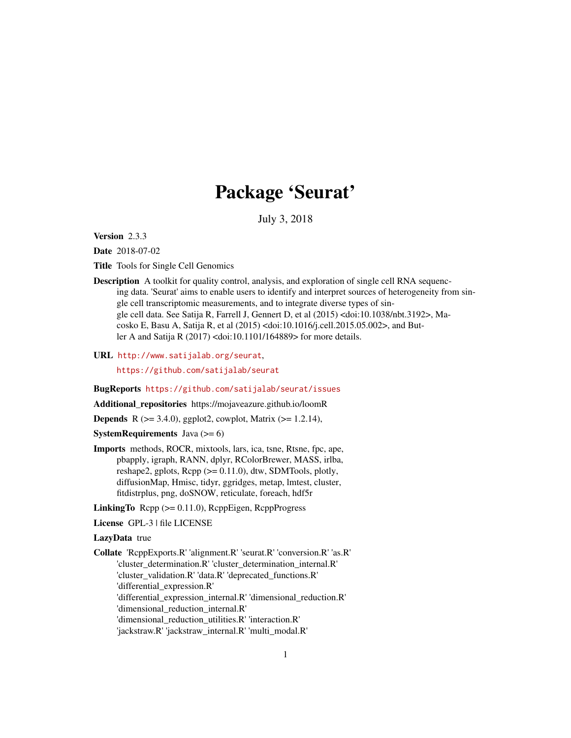# Package 'Seurat'

July 3, 2018

Version 2.3.3

Date 2018-07-02

Title Tools for Single Cell Genomics

Description A toolkit for quality control, analysis, and exploration of single cell RNA sequencing data. 'Seurat' aims to enable users to identify and interpret sources of heterogeneity from single cell transcriptomic measurements, and to integrate diverse types of single cell data. See Satija R, Farrell J, Gennert D, et al (2015) <doi:10.1038/nbt.3192>, Macosko E, Basu A, Satija R, et al (2015) <doi:10.1016/j.cell.2015.05.002>, and Butler A and Satija R (2017) <doi:10.1101/164889> for more details.

URL <http://www.satijalab.org/seurat>,

<https://github.com/satijalab/seurat>

BugReports <https://github.com/satijalab/seurat/issues>

Additional\_repositories https://mojaveazure.github.io/loomR

**Depends** R  $(>= 3.4.0)$ , ggplot2, cowplot, Matrix  $(>= 1.2.14)$ ,

**SystemRequirements** Java  $(>= 6)$ 

Imports methods, ROCR, mixtools, lars, ica, tsne, Rtsne, fpc, ape, pbapply, igraph, RANN, dplyr, RColorBrewer, MASS, irlba, reshape2, gplots, Rcpp (>= 0.11.0), dtw, SDMTools, plotly, diffusionMap, Hmisc, tidyr, ggridges, metap, lmtest, cluster, fitdistrplus, png, doSNOW, reticulate, foreach, hdf5r

LinkingTo  $\text{Rcpp} (> = 0.11.0)$ ,  $\text{RcppEigen}$ ,  $\text{RcppProgress}$ 

License GPL-3 | file LICENSE

LazyData true

Collate 'RcppExports.R' 'alignment.R' 'seurat.R' 'conversion.R' 'as.R' 'cluster\_determination.R' 'cluster\_determination\_internal.R' 'cluster\_validation.R' 'data.R' 'deprecated\_functions.R' 'differential\_expression.R' 'differential\_expression\_internal.R' 'dimensional\_reduction.R' 'dimensional\_reduction\_internal.R' 'dimensional\_reduction\_utilities.R' 'interaction.R' 'jackstraw.R' 'jackstraw\_internal.R' 'multi\_modal.R'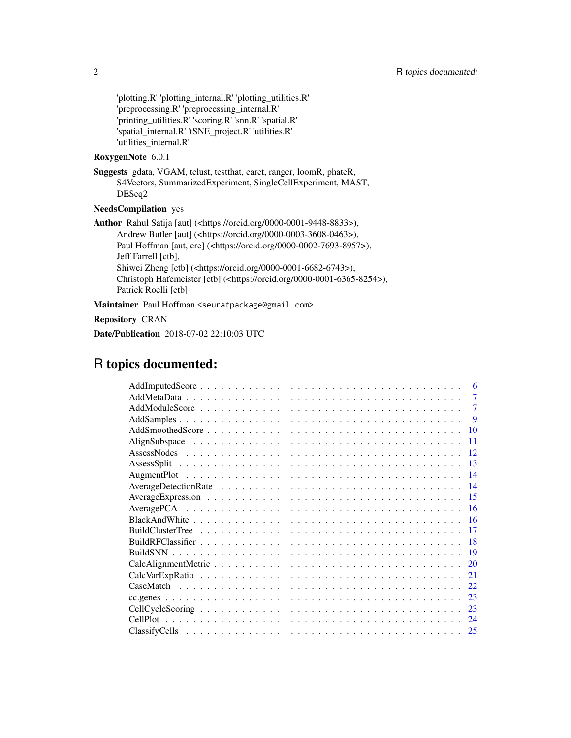'plotting.R' 'plotting\_internal.R' 'plotting\_utilities.R' 'preprocessing.R' 'preprocessing\_internal.R' 'printing\_utilities.R' 'scoring.R' 'snn.R' 'spatial.R' 'spatial\_internal.R' 'tSNE\_project.R' 'utilities.R' 'utilities\_internal.R'

### RoxygenNote 6.0.1

Suggests gdata, VGAM, tclust, testthat, caret, ranger, loomR, phateR, S4Vectors, SummarizedExperiment, SingleCellExperiment, MAST, DESeq2

#### NeedsCompilation yes

Author Rahul Satija [aut] (<https://orcid.org/0000-0001-9448-8833>), Andrew Butler [aut] (<https://orcid.org/0000-0003-3608-0463>), Paul Hoffman [aut, cre] (<https://orcid.org/0000-0002-7693-8957>), Jeff Farrell [ctb], Shiwei Zheng [ctb] (<https://orcid.org/0000-0001-6682-6743>), Christoph Hafemeister [ctb] (<https://orcid.org/0000-0001-6365-8254>), Patrick Roelli [ctb]

Maintainer Paul Hoffman <seuratpackage@gmail.com>

### Repository CRAN

Date/Publication 2018-07-02 22:10:03 UTC

## R topics documented:

| 6              |  |
|----------------|--|
| $\overline{7}$ |  |
| 7              |  |
| -9             |  |
| <b>10</b>      |  |
| -11            |  |
| 12             |  |
| -13            |  |
| -14            |  |
| -14            |  |
|                |  |
| -16            |  |
|                |  |
| -17            |  |
| 18             |  |
|                |  |
| 20             |  |
| 21             |  |
| 22             |  |
| 23             |  |
| 23             |  |
| 24             |  |
|                |  |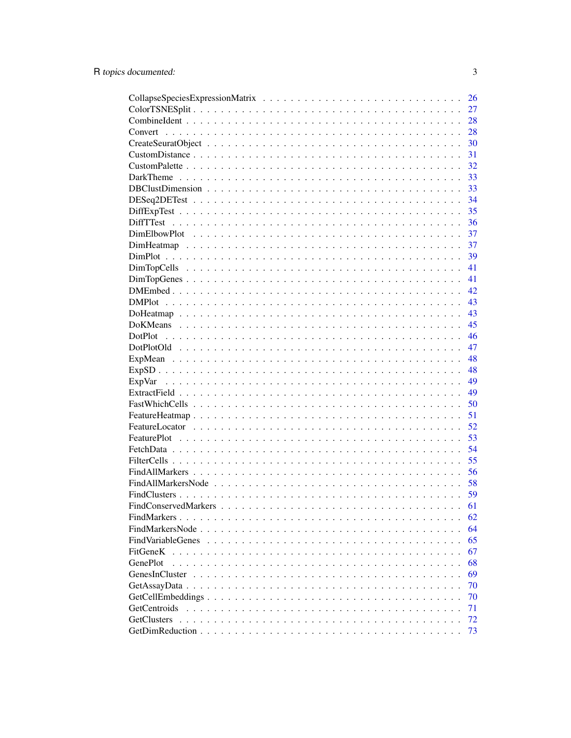|                                                                                                                | 26 |
|----------------------------------------------------------------------------------------------------------------|----|
|                                                                                                                | 27 |
|                                                                                                                | 28 |
|                                                                                                                | 28 |
|                                                                                                                | 30 |
|                                                                                                                | 31 |
|                                                                                                                | 32 |
|                                                                                                                | 33 |
|                                                                                                                | 33 |
|                                                                                                                | 34 |
|                                                                                                                | 35 |
|                                                                                                                | 36 |
|                                                                                                                | 37 |
|                                                                                                                | 37 |
|                                                                                                                | 39 |
|                                                                                                                | 41 |
|                                                                                                                | 41 |
|                                                                                                                | 42 |
|                                                                                                                | 43 |
|                                                                                                                | 43 |
|                                                                                                                | 45 |
|                                                                                                                | 46 |
|                                                                                                                | 47 |
|                                                                                                                | 48 |
|                                                                                                                | 48 |
|                                                                                                                | 49 |
|                                                                                                                | 49 |
|                                                                                                                | 50 |
|                                                                                                                | 51 |
|                                                                                                                | 52 |
|                                                                                                                | 53 |
|                                                                                                                | 54 |
|                                                                                                                | 55 |
|                                                                                                                | 56 |
|                                                                                                                | 58 |
|                                                                                                                | 59 |
|                                                                                                                | 61 |
|                                                                                                                | 62 |
| FindMarkersNode<br>.                                                                                           | 64 |
| FindVariableGenes                                                                                              | 65 |
| FitGeneK                                                                                                       | 67 |
| GenePlot                                                                                                       | 68 |
| GenesInCluster                                                                                                 | 69 |
|                                                                                                                | 70 |
| $GetCellEmbeddings \ldots \ldots \ldots \ldots \ldots \ldots \ldots \ldots \ldots \ldots \ldots \ldots \ldots$ | 70 |
| <b>GetCentroids</b>                                                                                            | 71 |
| <b>GetClusters</b>                                                                                             | 72 |
|                                                                                                                | 73 |
|                                                                                                                |    |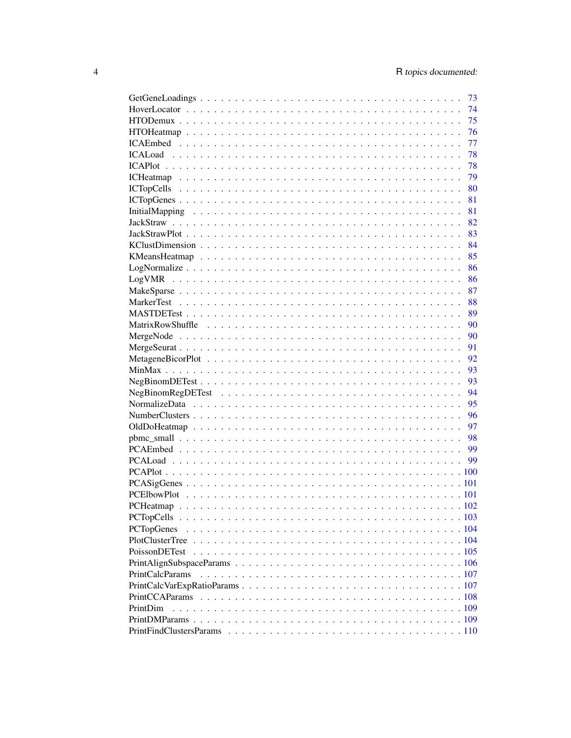|                        | 73 |
|------------------------|----|
|                        | 74 |
|                        | 75 |
|                        | 76 |
|                        | 77 |
|                        | 78 |
|                        | 78 |
|                        | 79 |
|                        | 80 |
|                        | 81 |
|                        | 81 |
|                        | 82 |
|                        | 83 |
|                        | 84 |
|                        |    |
|                        | 85 |
|                        | 86 |
|                        | 86 |
|                        | 87 |
|                        | 88 |
|                        | 89 |
|                        | 90 |
|                        | 90 |
|                        | 91 |
|                        | 92 |
|                        | 93 |
|                        | 93 |
|                        | 94 |
|                        | 95 |
|                        | 96 |
|                        | 97 |
|                        | 98 |
|                        | 99 |
|                        |    |
|                        |    |
|                        |    |
|                        |    |
|                        |    |
|                        |    |
|                        |    |
|                        |    |
|                        |    |
|                        |    |
|                        |    |
| <b>PrintCalcParams</b> |    |
|                        |    |
|                        |    |
| PrintDim               |    |
|                        |    |
|                        |    |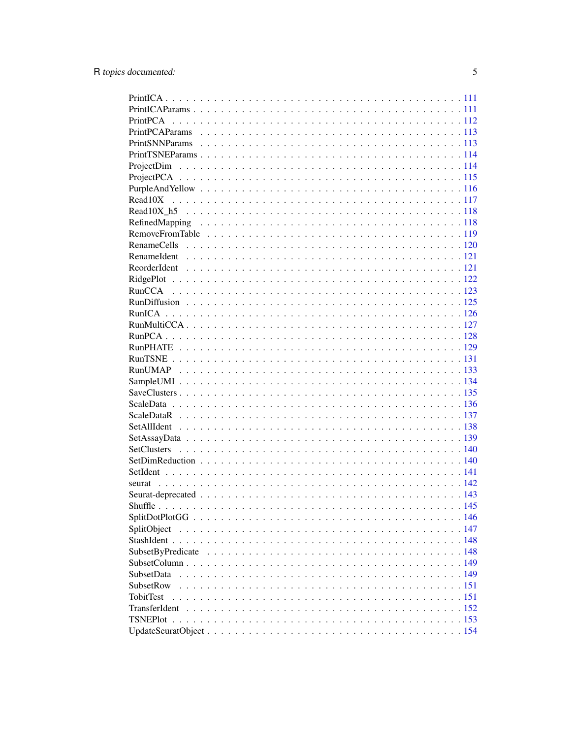| SplitObject       |  |
|-------------------|--|
|                   |  |
|                   |  |
|                   |  |
| <b>SubsetData</b> |  |
| SubsetRow         |  |
| <b>TobitTest</b>  |  |
|                   |  |
|                   |  |
|                   |  |
|                   |  |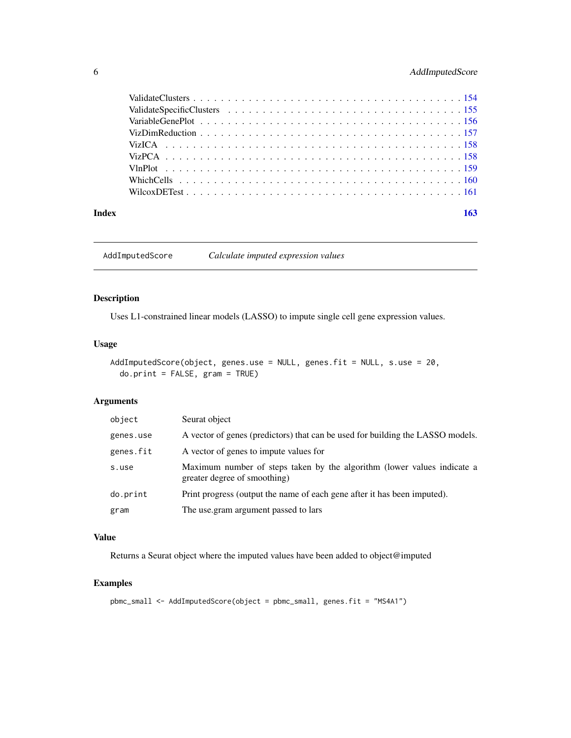### <span id="page-5-0"></span>6 AddImputedScore

| Index | 163 |
|-------|-----|

AddImputedScore *Calculate imputed expression values*

### Description

Uses L1-constrained linear models (LASSO) to impute single cell gene expression values.

### Usage

```
AddImputedScore(object, genes.use = NULL, genes.fit = NULL, s.use = 20,
  do.print = FALSE, gram = TRUE)
```
### Arguments

| object    | Seurat object                                                                                           |
|-----------|---------------------------------------------------------------------------------------------------------|
| genes.use | A vector of genes (predictors) that can be used for building the LASSO models.                          |
| genes.fit | A vector of genes to impute values for                                                                  |
| s.use     | Maximum number of steps taken by the algorithm (lower values indicate a<br>greater degree of smoothing) |
| do.print  | Print progress (output the name of each gene after it has been imputed).                                |
| gram      | The use gram argument passed to lars                                                                    |

#### Value

Returns a Seurat object where the imputed values have been added to object@imputed

```
pbmc_small <- AddImputedScore(object = pbmc_small, genes.fit = "MS4A1")
```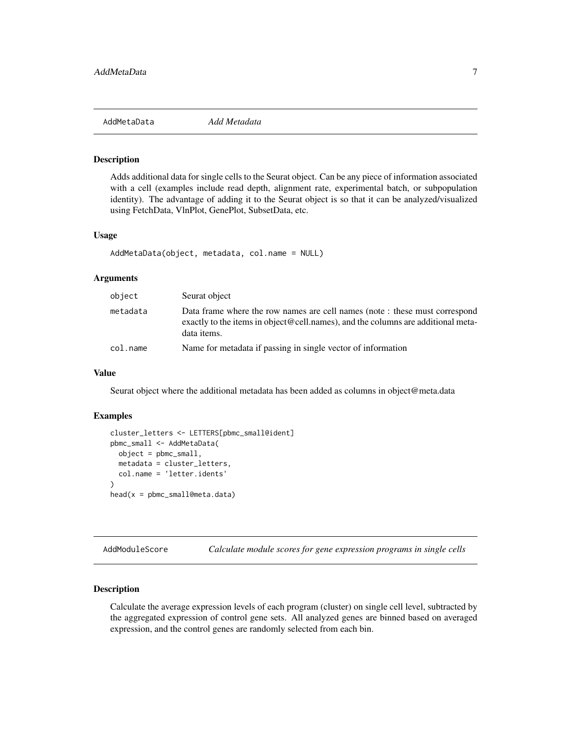<span id="page-6-0"></span>

Adds additional data for single cells to the Seurat object. Can be any piece of information associated with a cell (examples include read depth, alignment rate, experimental batch, or subpopulation identity). The advantage of adding it to the Seurat object is so that it can be analyzed/visualized using FetchData, VlnPlot, GenePlot, SubsetData, etc.

#### Usage

```
AddMetaData(object, metadata, col.name = NULL)
```
#### Arguments

| object   | Seurat object                                                                                                                                                                  |
|----------|--------------------------------------------------------------------------------------------------------------------------------------------------------------------------------|
| metadata | Data frame where the row names are cell names (note : these must correspond<br>exactly to the items in object@cell.names), and the columns are additional meta-<br>data items. |
| col.name | Name for metadata if passing in single vector of information                                                                                                                   |

#### Value

Seurat object where the additional metadata has been added as columns in object@meta.data

#### Examples

```
cluster_letters <- LETTERS[pbmc_small@ident]
pbmc_small <- AddMetaData(
  object = pbmc_small,
  metadata = cluster_letters,
  col.name = 'letter.idents'
)
head(x = pbmc_small@meta.data)
```
AddModuleScore *Calculate module scores for gene expression programs in single cells*

### Description

Calculate the average expression levels of each program (cluster) on single cell level, subtracted by the aggregated expression of control gene sets. All analyzed genes are binned based on averaged expression, and the control genes are randomly selected from each bin.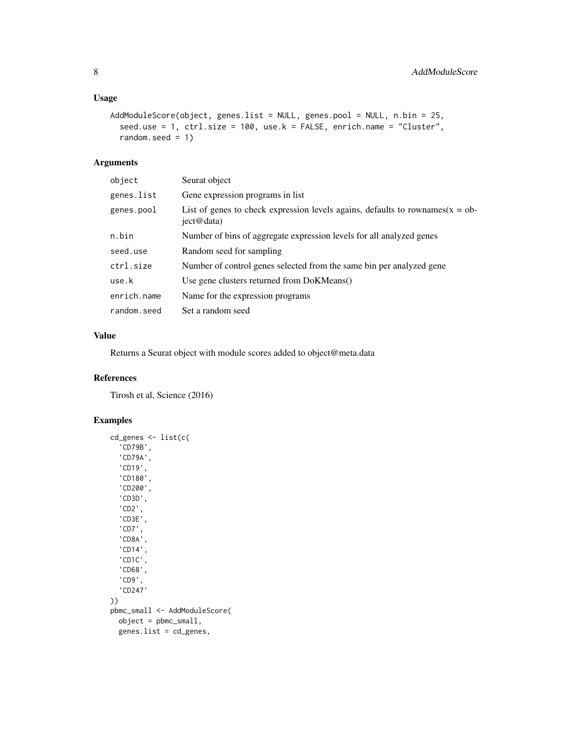### Usage

```
AddModuleScore(object, genes.list = NULL, genes.pool = NULL, n.bin = 25,
  seed.use = 1, ctrl.size = 100, use.k = FALSE, enrich.name = "Cluster",
  random.seed = 1)
```
#### Arguments

| object      | Seurat object                                                                                   |
|-------------|-------------------------------------------------------------------------------------------------|
| genes.list  | Gene expression programs in list                                                                |
| genes.pool  | List of genes to check expression levels agains, defaults to rownames( $x = ob$ -<br>ject@data) |
| n.bin       | Number of bins of aggregate expression levels for all analyzed genes                            |
| seed.use    | Random seed for sampling                                                                        |
| ctrl.size   | Number of control genes selected from the same bin per analyzed gene                            |
| use.k       | Use gene clusters returned from DoKMeans()                                                      |
| enrich.name | Name for the expression programs                                                                |
| random.seed | Set a random seed                                                                               |

### Value

Returns a Seurat object with module scores added to object@meta.data

### References

Tirosh et al, Science (2016)

```
cd_genes <- list(c(
  'CD79B',
  'CD79A',
  'CD19',
  'CD180',
  'CD200',
  'CD3D',
  'CD2',
  'CD3E',
  'CD7',
  'CD8A',
  'CD14',
  'CD1C',
  'CD68',
  'CD9',
  'CD247'
))
pbmc_small <- AddModuleScore(
  object = pbmc_small,
  genes.list = cd_genes,
```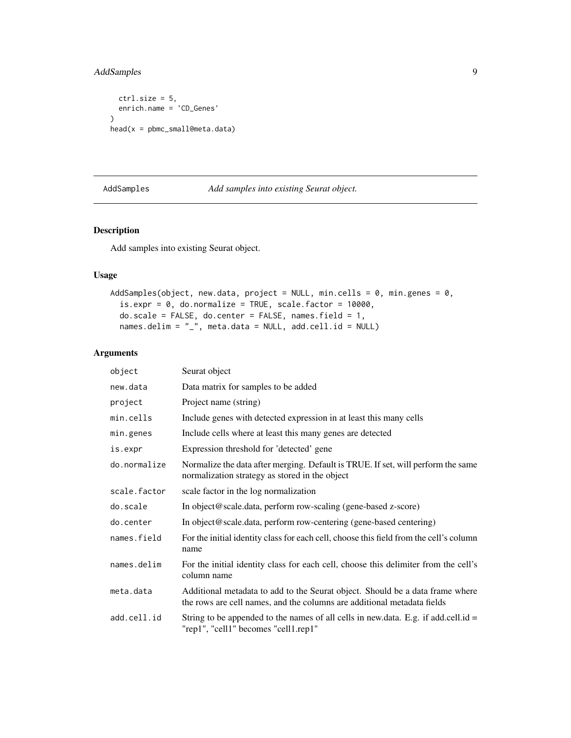### <span id="page-8-0"></span>AddSamples 9

```
ctrl.size = 5,
  enrich.name = 'CD_Genes'
)
head(x = pbmc_small@meta.data)
```
### AddSamples *Add samples into existing Seurat object.*

### Description

Add samples into existing Seurat object.

#### Usage

```
AddSamples(object, new.data, project = NULL, min.cells = 0, min.genes = 0,
  is.every = 0, do.normalize = TRUE, scale.factor = 10000,
  do.scale = FALSE, do.center = FALSE, names.field = 1,
 names.delim = "_", meta.data = NULL, add.cell.id = NULL)
```

| object       | Seurat object                                                                                                                                            |
|--------------|----------------------------------------------------------------------------------------------------------------------------------------------------------|
| new.data     | Data matrix for samples to be added                                                                                                                      |
| project      | Project name (string)                                                                                                                                    |
| min.cells    | Include genes with detected expression in at least this many cells                                                                                       |
| min.genes    | Include cells where at least this many genes are detected                                                                                                |
| is.expr      | Expression threshold for 'detected' gene                                                                                                                 |
| do.normalize | Normalize the data after merging. Default is TRUE. If set, will perform the same<br>normalization strategy as stored in the object                       |
| scale.factor | scale factor in the log normalization                                                                                                                    |
| do.scale     | In object@scale.data, perform row-scaling (gene-based z-score)                                                                                           |
| do.center    | In object@scale.data, perform row-centering (gene-based centering)                                                                                       |
| names.field  | For the initial identity class for each cell, choose this field from the cell's column<br>name                                                           |
| names.delim  | For the initial identity class for each cell, choose this delimiter from the cell's<br>column name                                                       |
| meta.data    | Additional metadata to add to the Seurat object. Should be a data frame where<br>the rows are cell names, and the columns are additional metadata fields |
| add.cell.id  | String to be appended to the names of all cells in new data. E.g. if add.cell.id $=$<br>"rep1", "cell1" becomes "cell1.rep1"                             |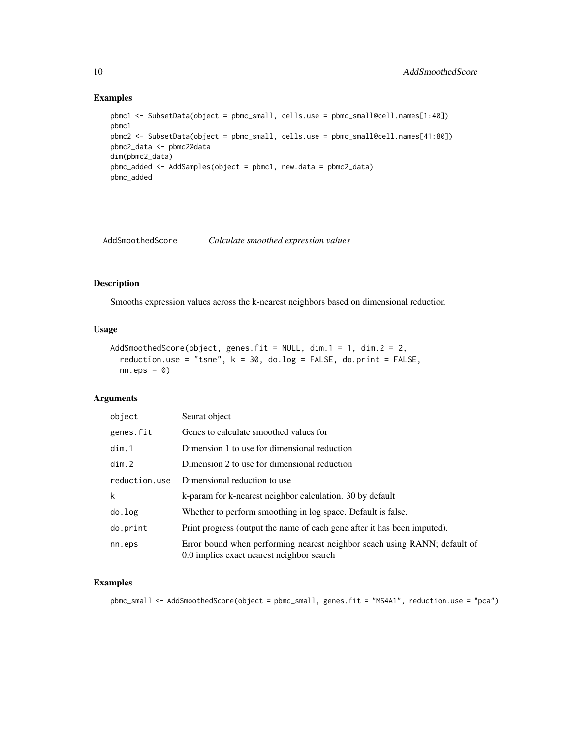#### Examples

```
pbmc1 <- SubsetData(object = pbmc_small, cells.use = pbmc_small@cell.names[1:40])
pbmc1
pbmc2 <- SubsetData(object = pbmc_small, cells.use = pbmc_small@cell.names[41:80])
pbmc2_data <- pbmc2@data
dim(pbmc2_data)
pbmc_added <- AddSamples(object = pbmc1, new.data = pbmc2_data)
pbmc_added
```
AddSmoothedScore *Calculate smoothed expression values*

### Description

Smooths expression values across the k-nearest neighbors based on dimensional reduction

#### Usage

```
AddSmoothedScore(object, genes.fit = NULL, dim.1 = 1, dim.2 = 2,
  reduction.use = "tsne", k = 30, do.log = FALSE, do.print = FALSE,
 nn.eps = 0)
```
#### Arguments

| object        | Seurat object                                                                                                          |
|---------------|------------------------------------------------------------------------------------------------------------------------|
| genes.fit     | Genes to calculate smoothed values for                                                                                 |
| dim.1         | Dimension 1 to use for dimensional reduction                                                                           |
| dim.2         | Dimension 2 to use for dimensional reduction                                                                           |
| reduction.use | Dimensional reduction to use                                                                                           |
| k             | k-param for k-nearest neighbor calculation. 30 by default                                                              |
| do.log        | Whether to perform smoothing in log space. Default is false.                                                           |
| do.print      | Print progress (output the name of each gene after it has been imputed).                                               |
| nn.eps        | Error bound when performing nearest neighbor seach using RANN; default of<br>0.0 implies exact nearest neighbor search |

#### Examples

pbmc\_small <- AddSmoothedScore(object = pbmc\_small, genes.fit = "MS4A1", reduction.use = "pca")

<span id="page-9-0"></span>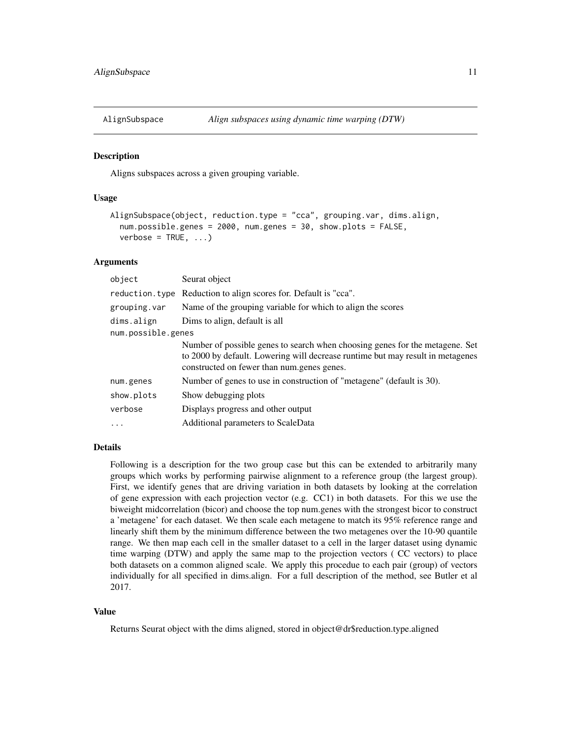<span id="page-10-0"></span>

Aligns subspaces across a given grouping variable.

### Usage

```
AlignSubspace(object, reduction.type = "cca", grouping.var, dims.align,
  num.possible.genes = 2000, num.genes = 30, show.plots = FALSE,
 verbose = TRUE, ...
```
### Arguments

| object             | Seurat object                                                                                                                                                                                                |
|--------------------|--------------------------------------------------------------------------------------------------------------------------------------------------------------------------------------------------------------|
| reduction.type     | Reduction to align scores for. Default is "cca".                                                                                                                                                             |
| grouping.var       | Name of the grouping variable for which to align the scores                                                                                                                                                  |
| dims.align         | Dims to align, default is all                                                                                                                                                                                |
| num.possible.genes |                                                                                                                                                                                                              |
|                    | Number of possible genes to search when choosing genes for the metagene. Set<br>to 2000 by default. Lowering will decrease runtime but may result in metagenes<br>constructed on fewer than num.genes genes. |
| num.genes          | Number of genes to use in construction of "metagene" (default is 30).                                                                                                                                        |
| show.plots         | Show debugging plots                                                                                                                                                                                         |
| verbose            | Displays progress and other output                                                                                                                                                                           |
| $\ddotsc$          | Additional parameters to ScaleData                                                                                                                                                                           |

#### Details

Following is a description for the two group case but this can be extended to arbitrarily many groups which works by performing pairwise alignment to a reference group (the largest group). First, we identify genes that are driving variation in both datasets by looking at the correlation of gene expression with each projection vector (e.g. CC1) in both datasets. For this we use the biweight midcorrelation (bicor) and choose the top num.genes with the strongest bicor to construct a 'metagene' for each dataset. We then scale each metagene to match its 95% reference range and linearly shift them by the minimum difference between the two metagenes over the 10-90 quantile range. We then map each cell in the smaller dataset to a cell in the larger dataset using dynamic time warping (DTW) and apply the same map to the projection vectors ( CC vectors) to place both datasets on a common aligned scale. We apply this procedue to each pair (group) of vectors individually for all specified in dims.align. For a full description of the method, see Butler et al 2017.

### Value

Returns Seurat object with the dims aligned, stored in object@dr\$reduction.type.aligned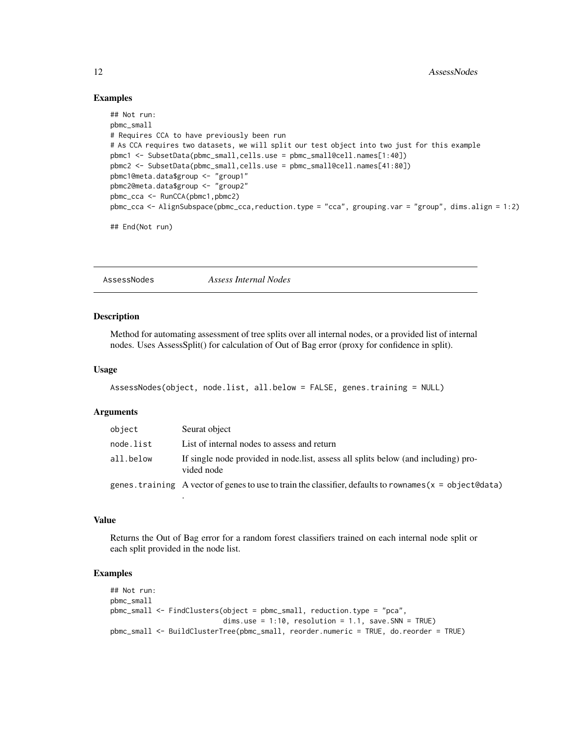#### Examples

```
## Not run:
pbmc_small
# Requires CCA to have previously been run
# As CCA requires two datasets, we will split our test object into two just for this example
pbmc1 <- SubsetData(pbmc_small,cells.use = pbmc_small@cell.names[1:40])
pbmc2 <- SubsetData(pbmc_small,cells.use = pbmc_small@cell.names[41:80])
pbmc1@meta.data$group <- "group1"
pbmc2@meta.data$group <- "group2"
pbmc_cca <- RunCCA(pbmc1,pbmc2)
pbmc_cca <- AlignSubspace(pbmc_cca,reduction.type = "cca", grouping.var = "group", dims.align = 1:2)
## End(Not run)
```
AssessNodes *Assess Internal Nodes*

#### Description

Method for automating assessment of tree splits over all internal nodes, or a provided list of internal nodes. Uses AssessSplit() for calculation of Out of Bag error (proxy for confidence in split).

#### Usage

```
AssessNodes(object, node.list, all.below = FALSE, genes.training = NULL)
```
#### Arguments

| object    | Seurat object                                                                                              |
|-----------|------------------------------------------------------------------------------------------------------------|
| node.list | List of internal nodes to assess and return                                                                |
| all.below | If single node provided in node list, assess all splits below (and including) pro-<br>vided node           |
|           | genes, training A vector of genes to use to train the classifier, defaults to rownames $(x =$ object@data) |
|           |                                                                                                            |

### Value

Returns the Out of Bag error for a random forest classifiers trained on each internal node split or each split provided in the node list.

```
## Not run:
pbmc_small
pbmc_small <- FindClusters(object = pbmc_small, reduction.type = "pca",
                           dims.use = 1:10, resolution = 1.1, save.SNN = TRUE)
pbmc_small <- BuildClusterTree(pbmc_small, reorder.numeric = TRUE, do.reorder = TRUE)
```
<span id="page-11-0"></span>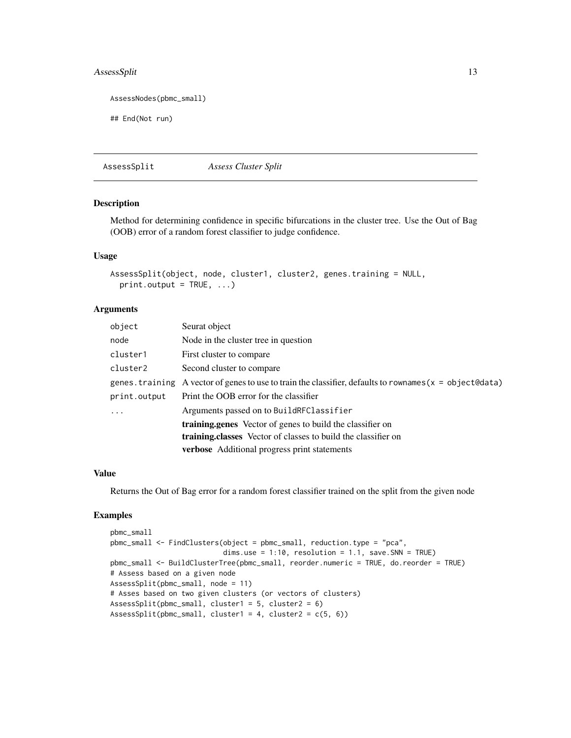### <span id="page-12-0"></span>AssessSplit 13

```
AssessNodes(pbmc_small)
```
## End(Not run)

AssessSplit *Assess Cluster Split*

#### Description

Method for determining confidence in specific bifurcations in the cluster tree. Use the Out of Bag (OOB) error of a random forest classifier to judge confidence.

### Usage

```
AssessSplit(object, node, cluster1, cluster2, genes.training = NULL,
  print.output = TRUE, ...)
```
#### Arguments

| object       | Seurat object                                                                                               |
|--------------|-------------------------------------------------------------------------------------------------------------|
| node         | Node in the cluster tree in question                                                                        |
| cluster1     | First cluster to compare                                                                                    |
| cluster2     | Second cluster to compare                                                                                   |
|              | genes. training A vector of genes to use to train the classifier, defaults to rownames ( $x =$ object@data) |
| print.output | Print the OOB error for the classifier                                                                      |
| $\ddots$ .   | Arguments passed on to BuildRFClassifier                                                                    |
|              | training.genes Vector of genes to build the classifier on                                                   |
|              | <b>training.classes</b> Vector of classes to build the classifier on                                        |
|              | verbose Additional progress print statements                                                                |

### Value

Returns the Out of Bag error for a random forest classifier trained on the split from the given node

```
pbmc_small
pbmc_small <- FindClusters(object = pbmc_small, reduction.type = "pca",
                           dims.use = 1:10, resolution = 1.1, save.SNN = TRUE)
pbmc_small <- BuildClusterTree(pbmc_small, reorder.numeric = TRUE, do.reorder = TRUE)
# Assess based on a given node
AssessSplit(pbmc_small, node = 11)
# Asses based on two given clusters (or vectors of clusters)
AssessSplit(pbmc_small, cluster1 = 5, cluster2 = 6)
AssessSplit(pbmc_small, cluster1 = 4, cluster2 = c(5, 6))
```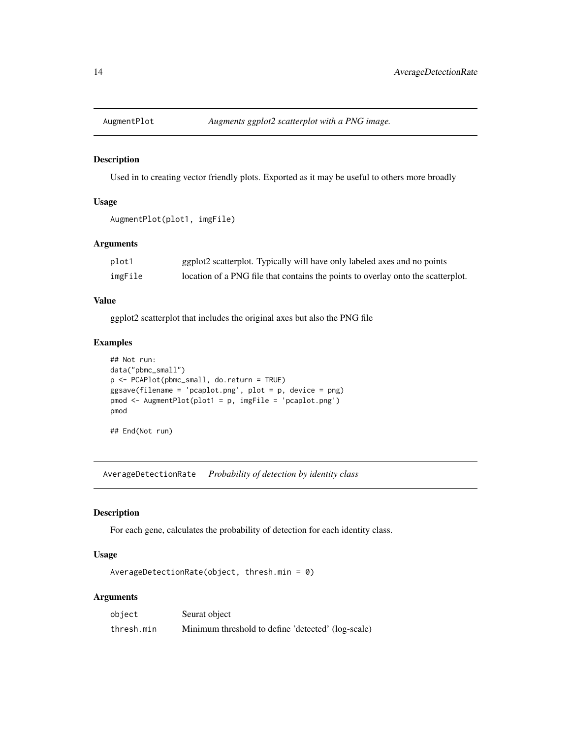<span id="page-13-0"></span>

Used in to creating vector friendly plots. Exported as it may be useful to others more broadly

#### Usage

```
AugmentPlot(plot1, imgFile)
```
#### Arguments

| plot1   | ggplot2 scatterplot. Typically will have only labeled axes and no points         |
|---------|----------------------------------------------------------------------------------|
| imgFile | location of a PNG file that contains the points to overlay onto the scatterplot. |

### Value

ggplot2 scatterplot that includes the original axes but also the PNG file

### Examples

```
## Not run:
data("pbmc_small")
p <- PCAPlot(pbmc_small, do.return = TRUE)
ggsave(filename = 'pcaplot.png', plot = p, device = png)
pmod <- AugmentPlot(plot1 = p, imgFile = 'pcaplot.png')
pmod
```
## End(Not run)

AverageDetectionRate *Probability of detection by identity class*

### Description

For each gene, calculates the probability of detection for each identity class.

### Usage

```
AverageDetectionRate(object, thresh.min = 0)
```

| object     | Seurat object                                      |
|------------|----------------------------------------------------|
| thresh.min | Minimum threshold to define 'detected' (log-scale) |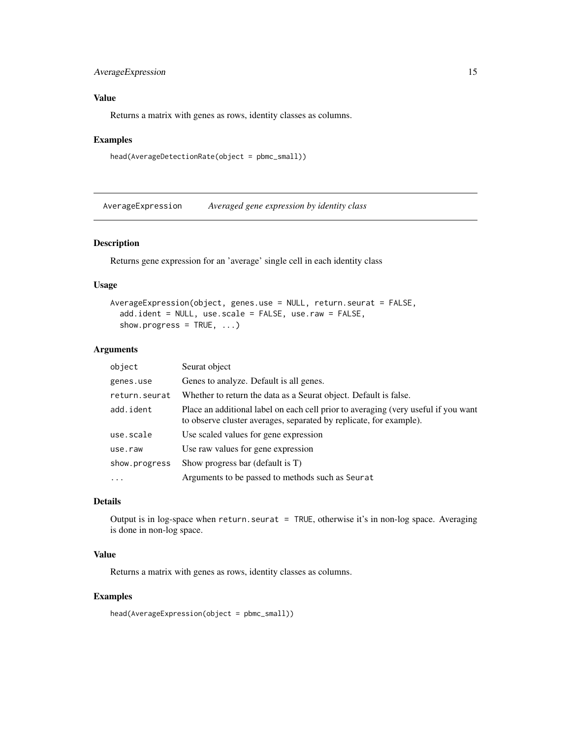### <span id="page-14-0"></span>AverageExpression 15

### Value

Returns a matrix with genes as rows, identity classes as columns.

#### Examples

```
head(AverageDetectionRate(object = pbmc_small))
```
AverageExpression *Averaged gene expression by identity class*

### Description

Returns gene expression for an 'average' single cell in each identity class

#### Usage

```
AverageExpression(object, genes.use = NULL, return.seurat = FALSE,
  add.ident = NULL, use.scale = FALSE, use.raw = FALSE,
  show.progress = TRUE, ...)
```
### Arguments

| object        | Seurat object                                                                                                                                            |
|---------------|----------------------------------------------------------------------------------------------------------------------------------------------------------|
| genes.use     | Genes to analyze. Default is all genes.                                                                                                                  |
| return.seurat | Whether to return the data as a Seurat object. Default is false.                                                                                         |
| add.ident     | Place an additional label on each cell prior to averaging (very useful if you want<br>to observe cluster averages, separated by replicate, for example). |
| use.scale     | Use scaled values for gene expression                                                                                                                    |
| use.raw       | Use raw values for gene expression                                                                                                                       |
| show.progress | Show progress bar (default is T)                                                                                                                         |
| $\cdots$      | Arguments to be passed to methods such as Seurat                                                                                                         |

### Details

Output is in log-space when return.seurat = TRUE, otherwise it's in non-log space. Averaging is done in non-log space.

### Value

Returns a matrix with genes as rows, identity classes as columns.

### Examples

head(AverageExpression(object = pbmc\_small))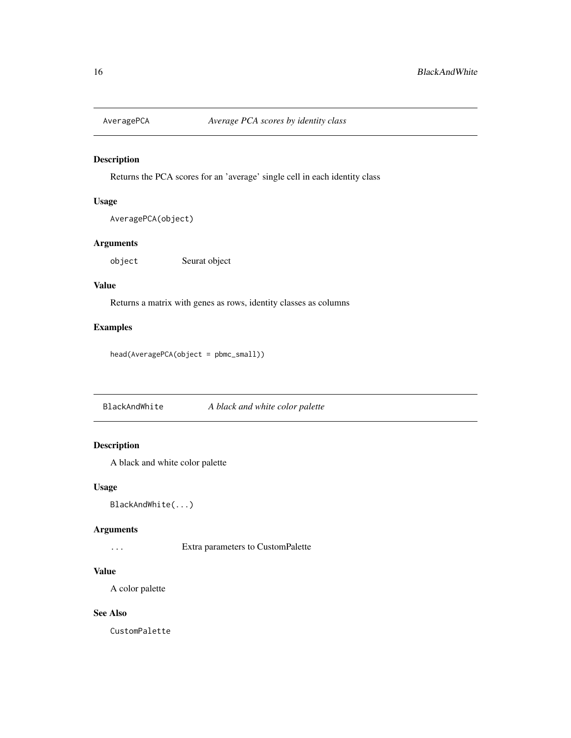<span id="page-15-0"></span>

Returns the PCA scores for an 'average' single cell in each identity class

### Usage

```
AveragePCA(object)
```
### Arguments

object Seurat object

### Value

Returns a matrix with genes as rows, identity classes as columns

### Examples

head(AveragePCA(object = pbmc\_small))

BlackAndWhite *A black and white color palette*

### Description

A black and white color palette

### Usage

```
BlackAndWhite(...)
```
#### Arguments

... Extra parameters to CustomPalette

### Value

A color palette

### See Also

CustomPalette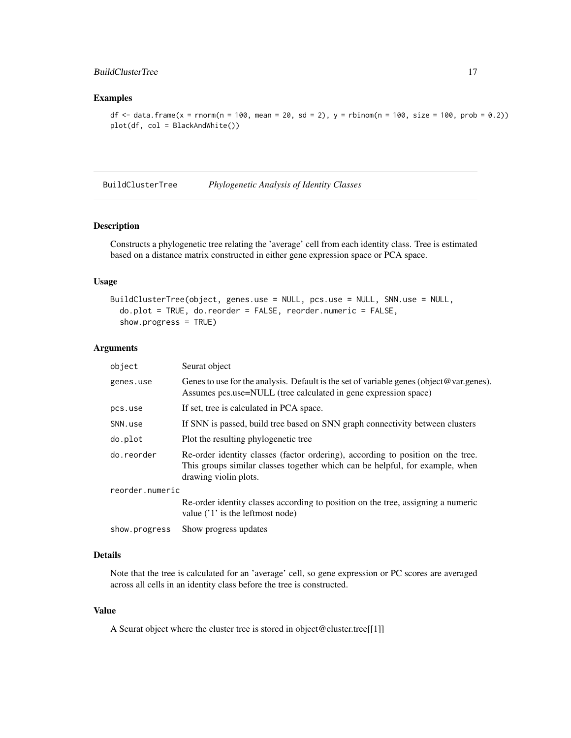### <span id="page-16-0"></span>BuildClusterTree 17

### Examples

```
df \le - data.frame(x = rnorm(n = 100, mean = 20, sd = 2), y = rbinom(n = 100, size = 100, prob = 0.2))
plot(df, col = BlackAndWhite())
```
BuildClusterTree *Phylogenetic Analysis of Identity Classes*

### Description

Constructs a phylogenetic tree relating the 'average' cell from each identity class. Tree is estimated based on a distance matrix constructed in either gene expression space or PCA space.

### Usage

```
BuildClusterTree(object, genes.use = NULL, pcs.use = NULL, SNN.use = NULL,
  do.plot = TRUE, do.reorder = FALSE, reorder.numeric = FALSE,
  show.progress = TRUE)
```
#### Arguments

| object          | Seurat object                                                                                                                                                                            |
|-----------------|------------------------------------------------------------------------------------------------------------------------------------------------------------------------------------------|
| genes.use       | Genes to use for the analysis. Default is the set of variable genes (object@var.genes).<br>Assumes pcs.use=NULL (tree calculated in gene expression space)                               |
| pcs.use         | If set, tree is calculated in PCA space.                                                                                                                                                 |
| SNN.use         | If SNN is passed, build tree based on SNN graph connectivity between clusters                                                                                                            |
| do.plot         | Plot the resulting phylogenetic tree                                                                                                                                                     |
| do.reorder      | Re-order identity classes (factor ordering), according to position on the tree.<br>This groups similar classes together which can be helpful, for example, when<br>drawing violin plots. |
| reorder.numeric |                                                                                                                                                                                          |
|                 | Re-order identity classes according to position on the tree, assigning a numeric<br>value $('1')$ is the leftmost node)                                                                  |
| show.progress   | Show progress updates                                                                                                                                                                    |

### Details

Note that the tree is calculated for an 'average' cell, so gene expression or PC scores are averaged across all cells in an identity class before the tree is constructed.

### Value

A Seurat object where the cluster tree is stored in object@cluster.tree[[1]]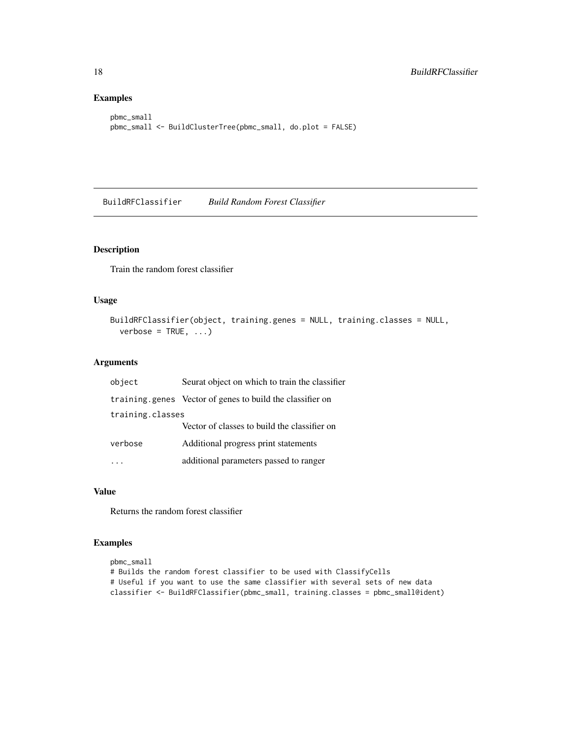### Examples

```
pbmc_small
pbmc_small <- BuildClusterTree(pbmc_small, do.plot = FALSE)
```
BuildRFClassifier *Build Random Forest Classifier*

### Description

Train the random forest classifier

### Usage

```
BuildRFClassifier(object, training.genes = NULL, training.classes = NULL,
  verbase = TRUE, ...
```
### Arguments

| object           | Seurat object on which to train the classifier            |  |
|------------------|-----------------------------------------------------------|--|
|                  | training.genes Vector of genes to build the classifier on |  |
| training.classes |                                                           |  |
|                  | Vector of classes to build the classifier on              |  |
| verbose          | Additional progress print statements                      |  |
|                  | additional parameters passed to ranger                    |  |

### Value

Returns the random forest classifier

```
pbmc_small
# Builds the random forest classifier to be used with ClassifyCells
# Useful if you want to use the same classifier with several sets of new data
classifier <- BuildRFClassifier(pbmc_small, training.classes = pbmc_small@ident)
```
<span id="page-17-0"></span>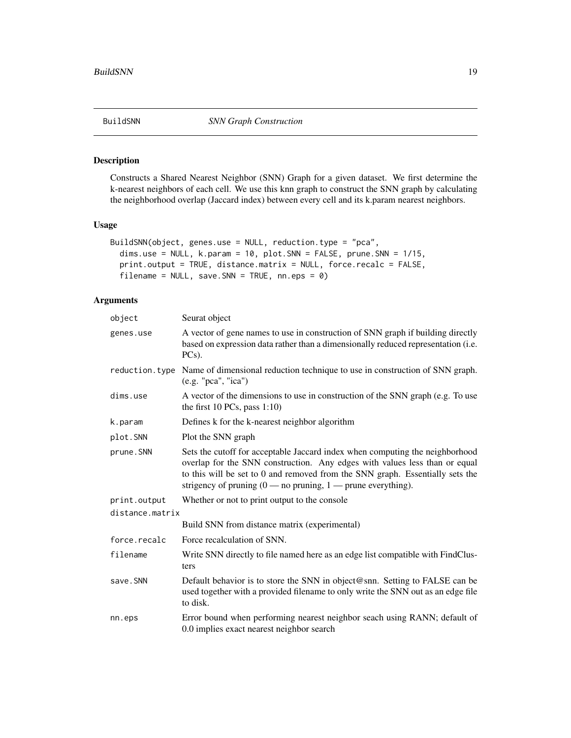<span id="page-18-0"></span>

Constructs a Shared Nearest Neighbor (SNN) Graph for a given dataset. We first determine the k-nearest neighbors of each cell. We use this knn graph to construct the SNN graph by calculating the neighborhood overlap (Jaccard index) between every cell and its k.param nearest neighbors.

#### Usage

```
BuildSNN(object, genes.use = NULL, reduction.type = "pca",
  dims.use = NULL, k.param = 10, plot.SNN = FALSE, prune.SNN = 1/15,
 print.output = TRUE, distance.matrix = NULL, force.recalc = FALSE,
  filename = NULL, save.SNN = TRUE, nn.eps = 0)
```

| object          | Seurat object                                                                                                                                                                                                                                                                                                                     |
|-----------------|-----------------------------------------------------------------------------------------------------------------------------------------------------------------------------------------------------------------------------------------------------------------------------------------------------------------------------------|
| genes.use       | A vector of gene names to use in construction of SNN graph if building directly<br>based on expression data rather than a dimensionally reduced representation (i.e.<br>$PCs$ ).                                                                                                                                                  |
| reduction.type  | Name of dimensional reduction technique to use in construction of SNN graph.<br>(e.g. "pca", "ica")                                                                                                                                                                                                                               |
| dims.use        | A vector of the dimensions to use in construction of the SNN graph (e.g. To use<br>the first $10$ PCs, pass $1:10$ )                                                                                                                                                                                                              |
| k.param         | Defines k for the k-nearest neighbor algorithm                                                                                                                                                                                                                                                                                    |
| plot.SNN        | Plot the SNN graph                                                                                                                                                                                                                                                                                                                |
| prune.SNN       | Sets the cutoff for acceptable Jaccard index when computing the neighborhood<br>overlap for the SNN construction. Any edges with values less than or equal<br>to this will be set to 0 and removed from the SNN graph. Essentially sets the<br>strigency of pruning $(0 \text{---}$ no pruning, $1 \text{---}$ prune everything). |
| print.output    | Whether or not to print output to the console                                                                                                                                                                                                                                                                                     |
| distance.matrix |                                                                                                                                                                                                                                                                                                                                   |
|                 | Build SNN from distance matrix (experimental)                                                                                                                                                                                                                                                                                     |
| force.recalc    | Force recalculation of SNN.                                                                                                                                                                                                                                                                                                       |
| filename        | Write SNN directly to file named here as an edge list compatible with FindClus-<br>ters                                                                                                                                                                                                                                           |
| save.SNN        | Default behavior is to store the SNN in object@snn. Setting to FALSE can be<br>used together with a provided filename to only write the SNN out as an edge file<br>to disk.                                                                                                                                                       |
| nn.eps          | Error bound when performing nearest neighbor seach using RANN; default of<br>0.0 implies exact nearest neighbor search                                                                                                                                                                                                            |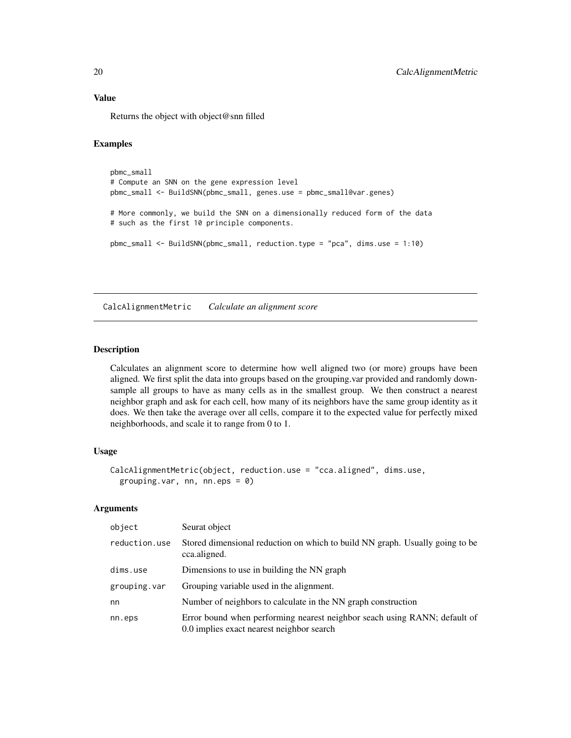### <span id="page-19-0"></span>Value

Returns the object with object@snn filled

### Examples

```
pbmc_small
# Compute an SNN on the gene expression level
pbmc_small <- BuildSNN(pbmc_small, genes.use = pbmc_small@var.genes)
# More commonly, we build the SNN on a dimensionally reduced form of the data
# such as the first 10 principle components.
pbmc_small <- BuildSNN(pbmc_small, reduction.type = "pca", dims.use = 1:10)
```
CalcAlignmentMetric *Calculate an alignment score*

#### Description

Calculates an alignment score to determine how well aligned two (or more) groups have been aligned. We first split the data into groups based on the grouping.var provided and randomly downsample all groups to have as many cells as in the smallest group. We then construct a nearest neighbor graph and ask for each cell, how many of its neighbors have the same group identity as it does. We then take the average over all cells, compare it to the expected value for perfectly mixed neighborhoods, and scale it to range from 0 to 1.

### Usage

```
CalcAlignmentMetric(object, reduction.use = "cca.aligned", dims.use,
  grouping.var, nn, nn.eps = 0)
```

| object        | Seurat object                                                                                                          |
|---------------|------------------------------------------------------------------------------------------------------------------------|
| reduction.use | Stored dimensional reduction on which to build NN graph. Usually going to be<br>cca.aligned.                           |
| dims.use      | Dimensions to use in building the NN graph                                                                             |
| grouping.var  | Grouping variable used in the alignment.                                                                               |
| nn            | Number of neighbors to calculate in the NN graph construction                                                          |
| nn.eps        | Error bound when performing nearest neighbor seach using RANN; default of<br>0.0 implies exact nearest neighbor search |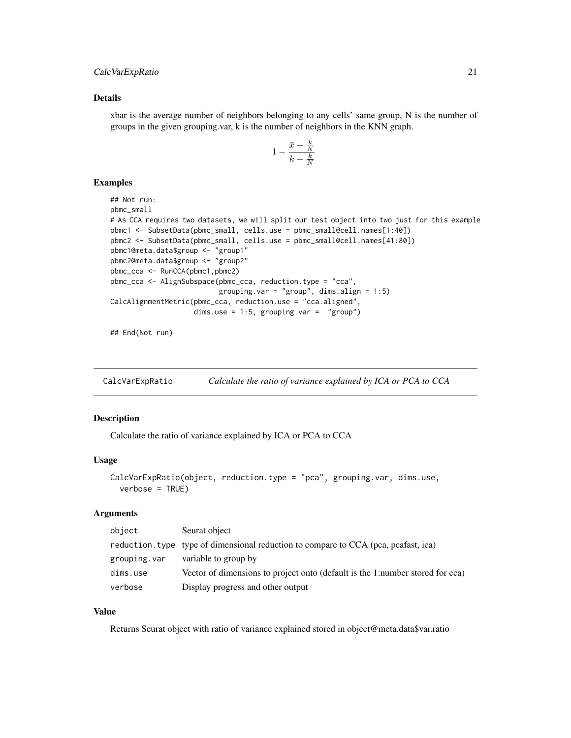### <span id="page-20-0"></span>CalcVarExpRatio 21

#### Details

xbar is the average number of neighbors belonging to any cells' same group, N is the number of groups in the given grouping.var, k is the number of neighbors in the KNN graph.

$$
1 - \frac{\bar{x} - \frac{k}{N}}{k - \frac{k}{N}}
$$

#### Examples

```
## Not run:
pbmc_small
# As CCA requires two datasets, we will split our test object into two just for this example
pbmc1 <- SubsetData(pbmc_small, cells.use = pbmc_small@cell.names[1:40])
pbmc2 <- SubsetData(pbmc_small, cells.use = pbmc_small@cell.names[41:80])
pbmc1@meta.data$group <- "group1"
pbmc2@meta.data$group <- "group2"
pbmc_cca <- RunCCA(pbmc1,pbmc2)
pbmc_cca <- AlignSubspace(pbmc_cca, reduction.type = "cca",
                          grouping.var = "group", dims.align = 1:5)
CalcAlignmentMetric(pbmc_cca, reduction.use = "cca.aligned",
                    dims.use = 1:5, grouping.var = "group")
```
## End(Not run)

CalcVarExpRatio *Calculate the ratio of variance explained by ICA or PCA to CCA*

#### Description

Calculate the ratio of variance explained by ICA or PCA to CCA

### Usage

```
CalcVarExpRatio(object, reduction.type = "pca", grouping.var, dims.use,
  verbose = TRUE)
```
#### Arguments

| object       | Seurat object                                                                       |
|--------------|-------------------------------------------------------------------------------------|
|              | reduction, type type of dimensional reduction to compare to CCA (pca, pcafast, ica) |
| grouping.var | variable to group by                                                                |
| dims.use     | Vector of dimensions to project onto (default is the 1:number stored for cca)       |
| verbose      | Display progress and other output                                                   |

### Value

Returns Seurat object with ratio of variance explained stored in object@meta.data\$var.ratio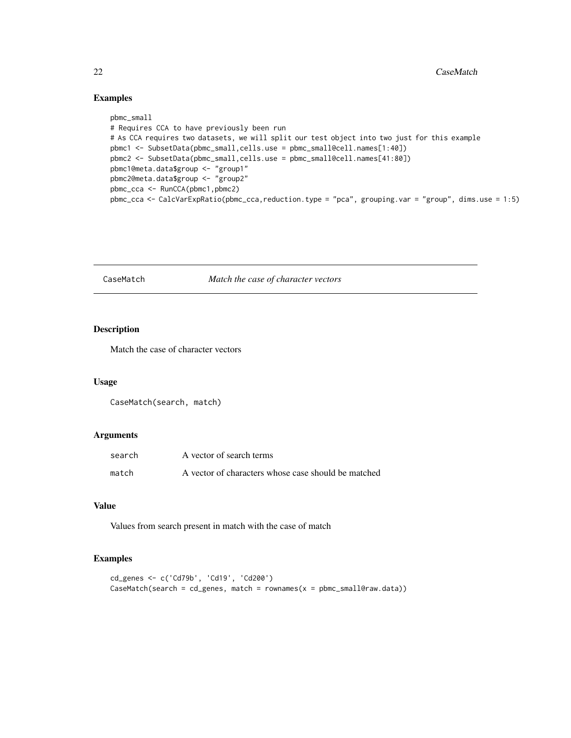### Examples

```
pbmc_small
# Requires CCA to have previously been run
# As CCA requires two datasets, we will split our test object into two just for this example
pbmc1 <- SubsetData(pbmc_small,cells.use = pbmc_small@cell.names[1:40])
pbmc2 <- SubsetData(pbmc_small,cells.use = pbmc_small@cell.names[41:80])
pbmc1@meta.data$group <- "group1"
pbmc2@meta.data$group <- "group2"
pbmc_cca <- RunCCA(pbmc1,pbmc2)
pbmc_cca <- CalcVarExpRatio(pbmc_cca,reduction.type = "pca", grouping.var = "group", dims.use = 1:5)
```
CaseMatch *Match the case of character vectors*

### Description

Match the case of character vectors

### Usage

CaseMatch(search, match)

### Arguments

| search | A vector of search terms                            |
|--------|-----------------------------------------------------|
| match  | A vector of characters whose case should be matched |

#### Value

Values from search present in match with the case of match

```
cd_genes <- c('Cd79b', 'Cd19', 'Cd200')
CaseMatch(search = cd\_genes, match = rownames(x = pbmc\_smalleraw.data))
```
<span id="page-21-0"></span>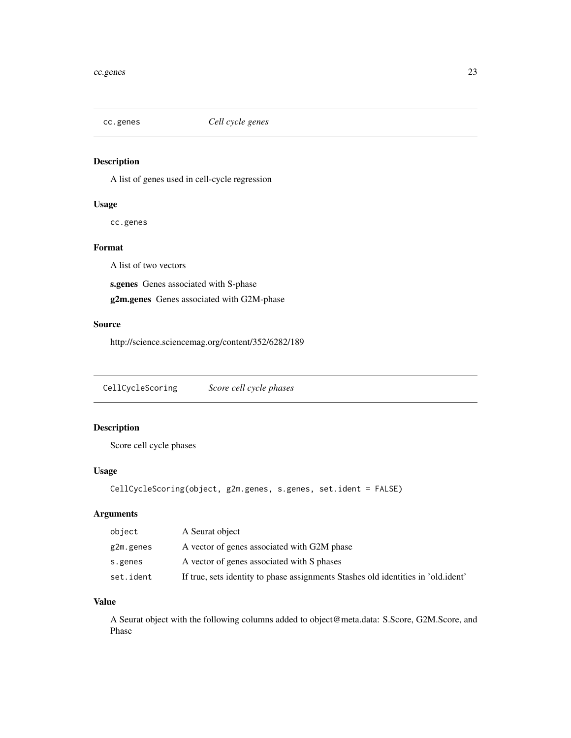<span id="page-22-0"></span>

A list of genes used in cell-cycle regression

### Usage

cc.genes

### Format

A list of two vectors

s.genes Genes associated with S-phase

g2m.genes Genes associated with G2M-phase

### Source

http://science.sciencemag.org/content/352/6282/189

CellCycleScoring *Score cell cycle phases*

### Description

Score cell cycle phases

### Usage

```
CellCycleScoring(object, g2m.genes, s.genes, set.ident = FALSE)
```
### Arguments

| object    | A Seurat object                                                                    |
|-----------|------------------------------------------------------------------------------------|
| g2m.genes | A vector of genes associated with G2M phase                                        |
| s.genes   | A vector of genes associated with S phases                                         |
| set.ident | If true, sets identity to phase assignments Stashes old identities in 'old. ident' |

#### Value

A Seurat object with the following columns added to object@meta.data: S.Score, G2M.Score, and Phase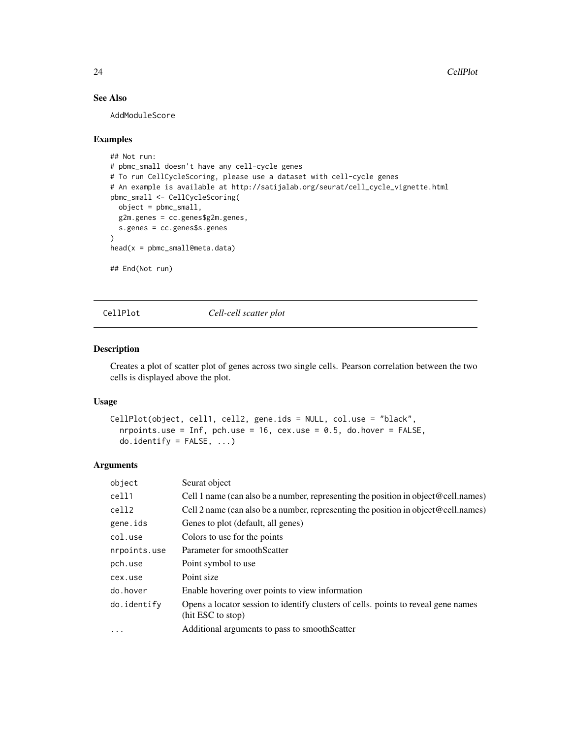### See Also

AddModuleScore

#### Examples

```
## Not run:
# pbmc_small doesn't have any cell-cycle genes
# To run CellCycleScoring, please use a dataset with cell-cycle genes
# An example is available at http://satijalab.org/seurat/cell_cycle_vignette.html
pbmc_small <- CellCycleScoring(
  object = pbmc_small,
  g2m.genes = cc.genes$g2m.genes,
  s.genes = cc.genes$s.genes
\lambdahead(x = pbmc_small@meta.data)
## End(Not run)
```
CellPlot *Cell-cell scatter plot*

#### Description

Creates a plot of scatter plot of genes across two single cells. Pearson correlation between the two cells is displayed above the plot.

### Usage

```
CellPlot(object, cell1, cell2, gene.ids = NULL, col.use = "black",
  nrpoints.use = Inf, pch.use = 16, cex.use = 0.5, do.hover = FALSE,
  do.identify = FALSE, ...)
```

| object       | Seurat object                                                                                           |  |
|--------------|---------------------------------------------------------------------------------------------------------|--|
| cell1        | Cell 1 name (can also be a number, representing the position in object @cell.names)                     |  |
| cell2        | Cell 2 name (can also be a number, representing the position in object @cell.names)                     |  |
| gene.ids     | Genes to plot (default, all genes)                                                                      |  |
| col.use      | Colors to use for the points                                                                            |  |
| nrpoints.use | Parameter for smoothScatter                                                                             |  |
| pch.use      | Point symbol to use                                                                                     |  |
| cex.use      | Point size                                                                                              |  |
| do.hover     | Enable hovering over points to view information                                                         |  |
| do.identify  | Opens a locator session to identify clusters of cells. points to reveal gene names<br>(hit ESC to stop) |  |
| $\ddotsc$    | Additional arguments to pass to smoothScatter                                                           |  |

<span id="page-23-0"></span>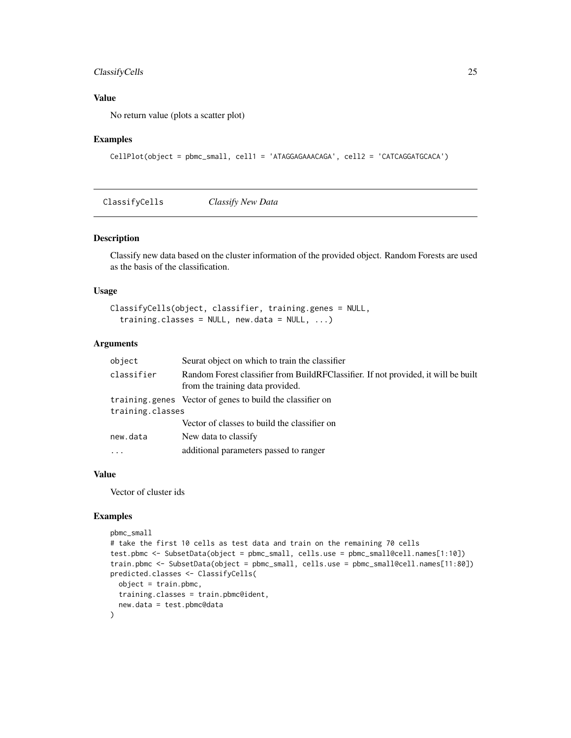### <span id="page-24-0"></span>ClassifyCells 25

### Value

No return value (plots a scatter plot)

### Examples

```
CellPlot(object = pbmc_small, cell1 = 'ATAGGAGAAACAGA', cell2 = 'CATCAGGATGCACA')
```
ClassifyCells *Classify New Data*

#### Description

Classify new data based on the cluster information of the provided object. Random Forests are used as the basis of the classification.

#### Usage

```
ClassifyCells(object, classifier, training.genes = NULL,
  training.classes = NULL, new.data = NULL, \ldots)
```
### Arguments

| object           | Seurat object on which to train the classifier                                                                         |  |
|------------------|------------------------------------------------------------------------------------------------------------------------|--|
| classifier       | Random Forest classifier from BuildRFClassifier. If not provided, it will be built<br>from the training data provided. |  |
|                  | training genes Vector of genes to build the classifier on                                                              |  |
| training.classes |                                                                                                                        |  |
|                  | Vector of classes to build the classifier on                                                                           |  |
| new.data         | New data to classify                                                                                                   |  |
| $\cdot$          | additional parameters passed to ranger                                                                                 |  |
|                  |                                                                                                                        |  |

### Value

Vector of cluster ids

```
pbmc_small
# take the first 10 cells as test data and train on the remaining 70 cells
test.pbmc <- SubsetData(object = pbmc_small, cells.use = pbmc_small@cell.names[1:10])
train.pbmc <- SubsetData(object = pbmc_small, cells.use = pbmc_small@cell.names[11:80])
predicted.classes <- ClassifyCells(
  object = train.pbmc,
  training.classes = train.pbmc@ident,
  new.data = test.pbmc@data
\mathcal{L}
```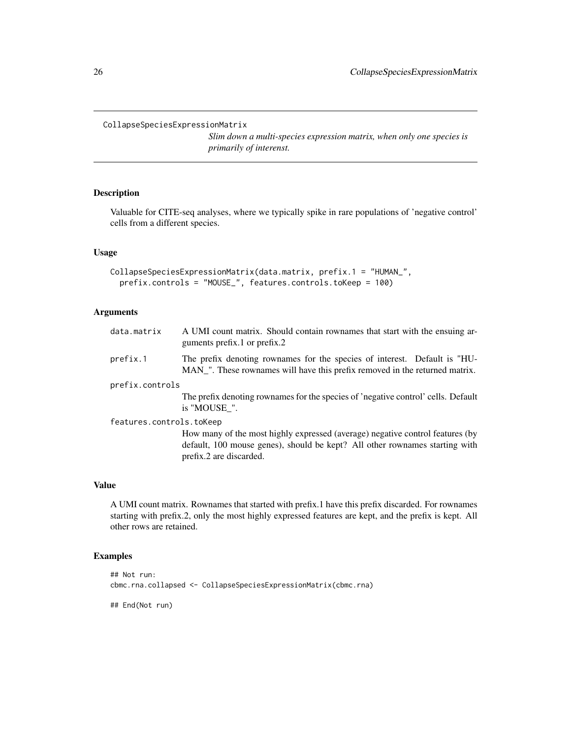<span id="page-25-0"></span>CollapseSpeciesExpressionMatrix

*Slim down a multi-species expression matrix, when only one species is primarily of interenst.*

### Description

Valuable for CITE-seq analyses, where we typically spike in rare populations of 'negative control' cells from a different species.

#### Usage

```
CollapseSpeciesExpressionMatrix(data.matrix, prefix.1 = "HUMAN_",
 prefix.controls = "MOUSE_", features.controls.toKeep = 100)
```
### Arguments

| data.matrix              | A UMI count matrix. Should contain rownames that start with the ensuing ar-<br>guments prefix.1 or prefix.2                                                                             |
|--------------------------|-----------------------------------------------------------------------------------------------------------------------------------------------------------------------------------------|
| prefix.1                 | The prefix denoting rownames for the species of interest. Default is "HU-<br>MAN_". These rownames will have this prefix removed in the returned matrix.                                |
| prefix.controls          |                                                                                                                                                                                         |
|                          | The prefix denoting rownames for the species of 'negative control' cells. Default<br>is "MOUSE".                                                                                        |
| features.controls.toKeep |                                                                                                                                                                                         |
|                          | How many of the most highly expressed (average) negative control features (by<br>default, 100 mouse genes), should be kept? All other rownames starting with<br>prefix.2 are discarded. |
|                          |                                                                                                                                                                                         |

### Value

A UMI count matrix. Rownames that started with prefix.1 have this prefix discarded. For rownames starting with prefix.2, only the most highly expressed features are kept, and the prefix is kept. All other rows are retained.

### Examples

```
## Not run:
cbmc.rna.collapsed <- CollapseSpeciesExpressionMatrix(cbmc.rna)
```
## End(Not run)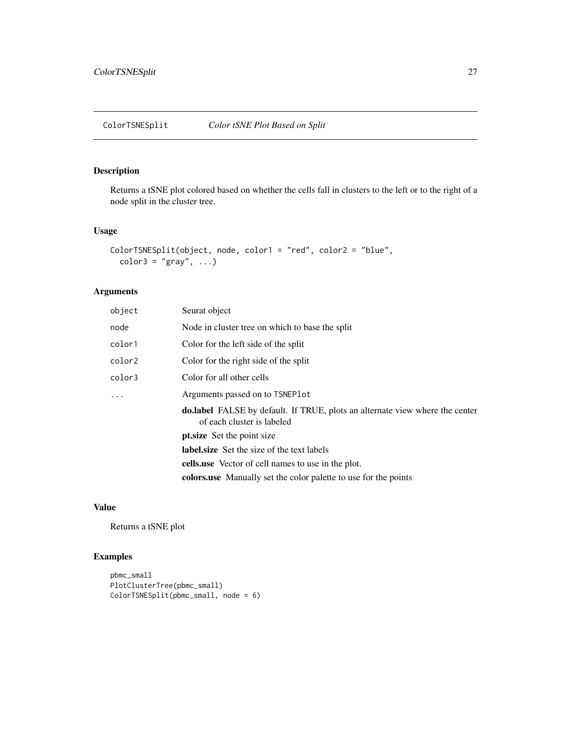<span id="page-26-0"></span>Returns a tSNE plot colored based on whether the cells fall in clusters to the left or to the right of a node split in the cluster tree.

#### Usage

```
ColorTSNESplit(object, node, color1 = "red", color2 = "blue",
  color3 = "gray", \dots)
```
### Arguments

| object   | Seurat object                                                                                                     |
|----------|-------------------------------------------------------------------------------------------------------------------|
| node     | Node in cluster tree on which to base the split                                                                   |
| color1   | Color for the left side of the split                                                                              |
| color2   | Color for the right side of the split                                                                             |
| color3   | Color for all other cells                                                                                         |
| $\ddots$ | Arguments passed on to TSNEPlot                                                                                   |
|          | <b>do.label</b> FALSE by default. If TRUE, plots an alternate view where the center<br>of each cluster is labeled |
|          | pt.size Set the point size                                                                                        |
|          | <b>label.size</b> Set the size of the text labels                                                                 |
|          | <b>cells use</b> Vector of cell names to use in the plot.                                                         |
|          | <b>colors use</b> Manually set the color palette to use for the points                                            |

### Value

Returns a tSNE plot

```
pbmc_small
PlotClusterTree(pbmc_small)
ColorTSNESplit(pbmc_small, node = 6)
```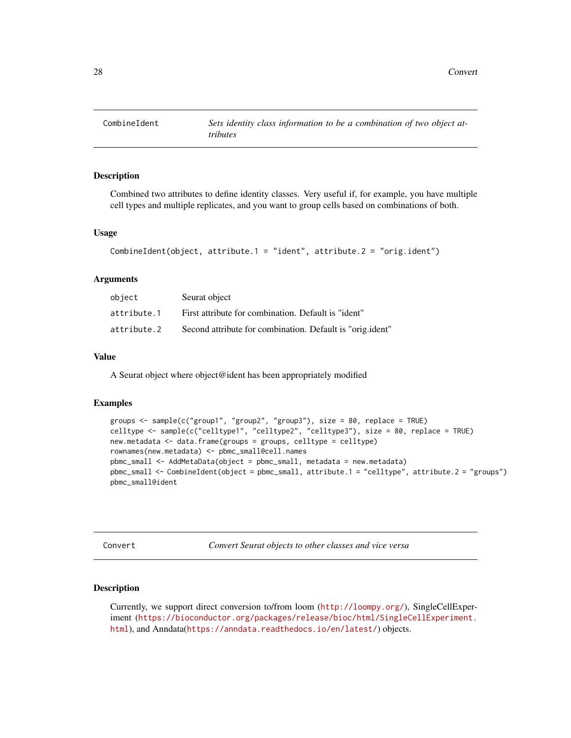<span id="page-27-0"></span>

Combined two attributes to define identity classes. Very useful if, for example, you have multiple cell types and multiple replicates, and you want to group cells based on combinations of both.

#### Usage

```
CombineIdent(object, attribute.1 = "ident", attribute.2 = "orig.ident")
```
#### Arguments

| object      | Seurat object                                             |
|-------------|-----------------------------------------------------------|
| attribute.1 | First attribute for combination. Default is "ident"       |
| attribute.2 | Second attribute for combination. Default is "orig.ident" |

#### Value

A Seurat object where object@ident has been appropriately modified

#### Examples

```
groups <- sample(c("group1", "group2", "group3"), size = 80, replace = TRUE)
celltype <- sample(c("celltype1", "celltype2", "celltype3"), size = 80, replace = TRUE)
new.metadata <- data.frame(groups = groups, celltype = celltype)
rownames(new.metadata) <- pbmc_small@cell.names
pbmc_small <- AddMetaData(object = pbmc_small, metadata = new.metadata)
pbmc_small <- CombineIdent(object = pbmc_small, attribute.1 = "celltype", attribute.2 = "groups")
pbmc_small@ident
```
Convert *Convert Seurat objects to other classes and vice versa*

#### Description

Currently, we support direct conversion to/from loom (<http://loompy.org/>), SingleCellExperiment ([https://bioconductor.org/packages/release/bioc/html/SingleCellExperiment.](https://bioconductor.org/packages/release/bioc/html/SingleCellExperiment.html) [html](https://bioconductor.org/packages/release/bioc/html/SingleCellExperiment.html)), and Anndata(<https://anndata.readthedocs.io/en/latest/>) objects.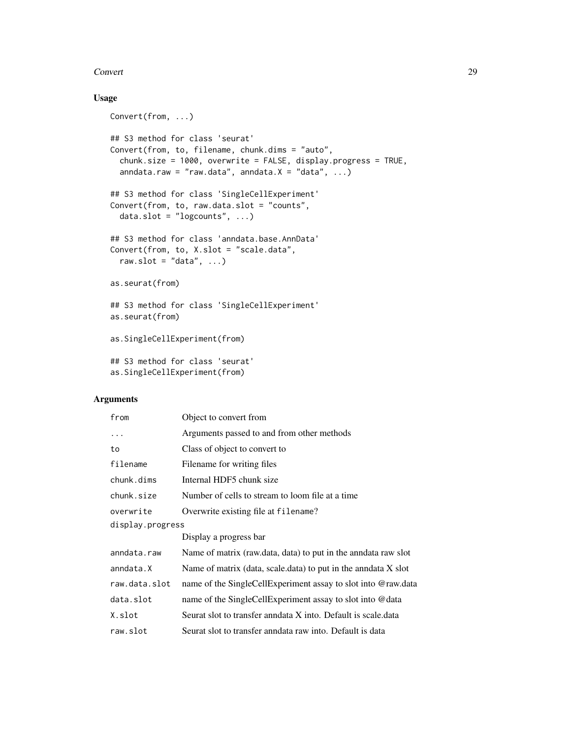#### Convert 29

### Usage

```
Convert(from, ...)
## S3 method for class 'seurat'
Convert(from, to, filename, chunk.dims = "auto",
 chunk.size = 1000, overwrite = FALSE, display.progress = TRUE,
  anndata.raw = "raw.data", anndata.X = "data", ...)## S3 method for class 'SingleCellExperiment'
Convert(from, to, raw.data.slot = "counts",
 data.slot = "logcounts", ...)## S3 method for class 'anndata.base.AnnData'
Convert(from, to, X.slot = "scale.data",
  raw.slot = "data", \ldots)as.seurat(from)
## S3 method for class 'SingleCellExperiment'
as.seurat(from)
as.SingleCellExperiment(from)
## S3 method for class 'seurat'
```
### as.SingleCellExperiment(from)

| from             | Object to convert from                                          |
|------------------|-----------------------------------------------------------------|
| .                | Arguments passed to and from other methods                      |
| to               | Class of object to convert to                                   |
| filename         | Filename for writing files                                      |
| chunk.dims       | Internal HDF5 chunk size                                        |
| chunk.size       | Number of cells to stream to loom file at a time                |
| overwrite        | Overwrite existing file at filename?                            |
| display.progress |                                                                 |
|                  | Display a progress bar                                          |
| anndata.raw      | Name of matrix (raw.data, data) to put in the anndata raw slot  |
| anndata.X        | Name of matrix (data, scale.data) to put in the annear $X$ slot |
| raw.data.slot    | name of the SingleCellExperiment assay to slot into @raw.data   |
| data.slot        | name of the SingleCellExperiment assay to slot into @data       |
| X.slot           | Seurat slot to transfer annotata X into. Default is scale.data  |
| raw.slot         | Seurat slot to transfer anndata raw into. Default is data       |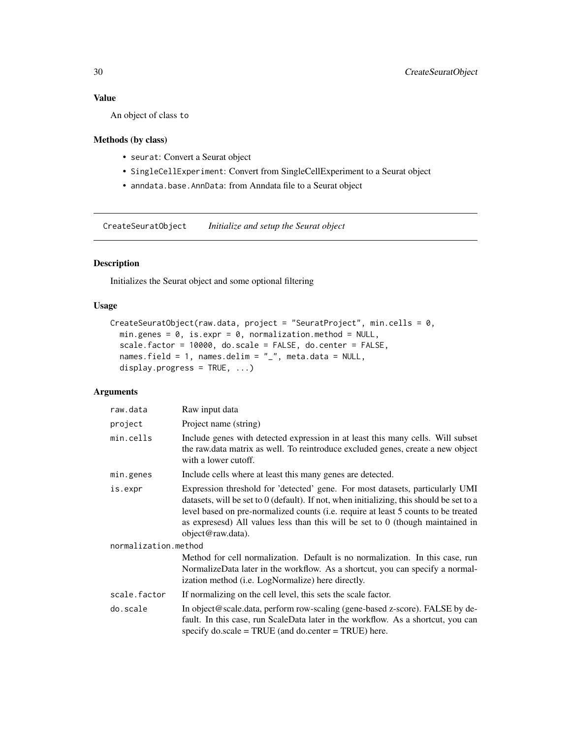### <span id="page-29-0"></span>Value

An object of class to

### Methods (by class)

- seurat: Convert a Seurat object
- SingleCellExperiment: Convert from SingleCellExperiment to a Seurat object
- anndata.base.AnnData: from Anndata file to a Seurat object

CreateSeuratObject *Initialize and setup the Seurat object*

### Description

Initializes the Seurat object and some optional filtering

#### Usage

```
CreateSeuratObject(raw.data, project = "SeuratProject", min.cells = 0,
 min.genes = 0, is.expr = 0, normalization.method = NULL,
  scale.factor = 10000, do.scale = FALSE, do.center = FALSE,
 names.field = 1, names.delim = "_", meta.data = NULL,
 display.progress = TRUE, ...)
```

| raw.data             | Raw input data                                                                                                                                                                                                                                                                                                                                                           |  |  |  |
|----------------------|--------------------------------------------------------------------------------------------------------------------------------------------------------------------------------------------------------------------------------------------------------------------------------------------------------------------------------------------------------------------------|--|--|--|
| project              | Project name (string)                                                                                                                                                                                                                                                                                                                                                    |  |  |  |
| min.cells            | Include genes with detected expression in at least this many cells. Will subset<br>the raw.data matrix as well. To reintroduce excluded genes, create a new object<br>with a lower cutoff.                                                                                                                                                                               |  |  |  |
| min.genes            | Include cells where at least this many genes are detected.                                                                                                                                                                                                                                                                                                               |  |  |  |
| is.expr              | Expression threshold for 'detected' gene. For most datasets, particularly UMI<br>datasets, will be set to 0 (default). If not, when initializing, this should be set to a<br>level based on pre-normalized counts (i.e. require at least 5 counts to be treated<br>as expressed) All values less than this will be set to $0$ (though maintained in<br>object@raw.data). |  |  |  |
| normalization.method |                                                                                                                                                                                                                                                                                                                                                                          |  |  |  |
|                      | Method for cell normalization. Default is no normalization. In this case, run<br>NormalizeData later in the workflow. As a shortcut, you can specify a normal-<br>ization method ( <i>i.e.</i> LogNormalize) here directly.                                                                                                                                              |  |  |  |
| scale.factor         | If normalizing on the cell level, this sets the scale factor.                                                                                                                                                                                                                                                                                                            |  |  |  |
| do.scale             | In object@scale.data, perform row-scaling (gene-based z-score). FALSE by de-<br>fault. In this case, run ScaleData later in the workflow. As a shortcut, you can<br>specify $\text{do.scale} = \text{TRUE}$ (and $\text{do.center} = \text{TRUE}$ ) here.                                                                                                                |  |  |  |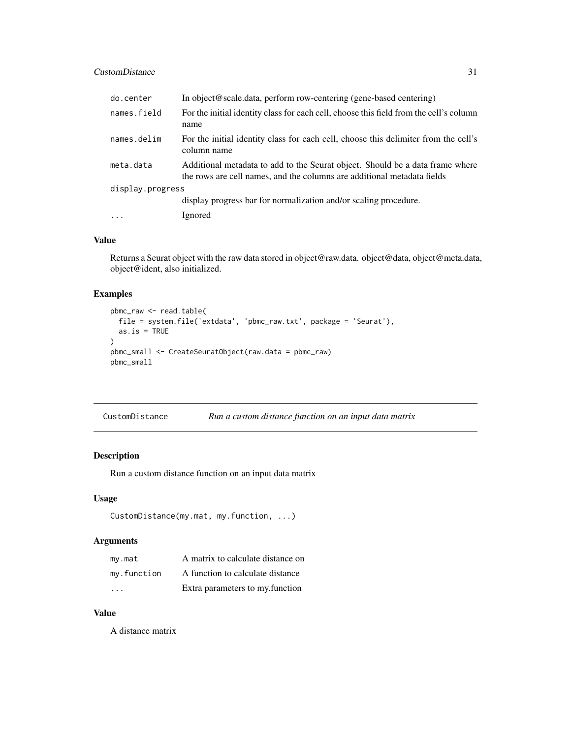### <span id="page-30-0"></span>CustomDistance 31

| do.center        | In object@scale.data, perform row-centering (gene-based centering)                                                                                       |  |  |
|------------------|----------------------------------------------------------------------------------------------------------------------------------------------------------|--|--|
| names.field      | For the initial identity class for each cell, choose this field from the cell's column<br>name                                                           |  |  |
| names.delim      | For the initial identity class for each cell, choose this delimiter from the cell's<br>column name                                                       |  |  |
| meta.data        | Additional metadata to add to the Seurat object. Should be a data frame where<br>the rows are cell names, and the columns are additional metadata fields |  |  |
| display.progress |                                                                                                                                                          |  |  |
|                  | display progress bar for normalization and/or scaling procedure.                                                                                         |  |  |
| $\cdots$         | Ignored                                                                                                                                                  |  |  |

#### Value

Returns a Seurat object with the raw data stored in object@raw.data. object@data, object@meta.data, object@ident, also initialized.

#### Examples

```
pbmc_raw <- read.table(
  file = system.file('extdata', 'pbmc_raw.txt', package = 'Seurat'),
  as.is = TRUE)
pbmc_small <- CreateSeuratObject(raw.data = pbmc_raw)
pbmc_small
```

| CustomDistance | Run a custom distance function on an input data matrix |  |  |  |  |  |
|----------------|--------------------------------------------------------|--|--|--|--|--|
|----------------|--------------------------------------------------------|--|--|--|--|--|

### Description

Run a custom distance function on an input data matrix

### Usage

```
CustomDistance(my.mat, my.function, ...)
```
### Arguments

| my.math     | A matrix to calculate distance on |
|-------------|-----------------------------------|
| my.function | A function to calculate distance  |
| $\cdot$     | Extra parameters to my. function  |

### Value

A distance matrix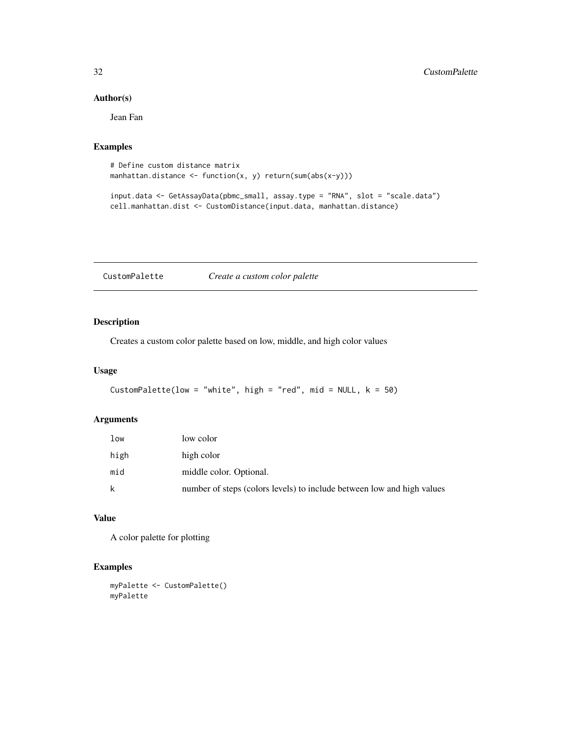### Author(s)

Jean Fan

### Examples

```
# Define custom distance matrix
manhattan.distance <- function(x, y) return(sum(abs(x-y)))
```

```
input.data <- GetAssayData(pbmc_small, assay.type = "RNA", slot = "scale.data")
cell.manhattan.dist <- CustomDistance(input.data, manhattan.distance)
```
CustomPalette *Create a custom color palette*

### Description

Creates a custom color palette based on low, middle, and high color values

### Usage

```
CustomPalette(low = "white", high = "red", mid = NULL, k = 50)
```
### Arguments

| low  | low color                                                              |
|------|------------------------------------------------------------------------|
| high | high color                                                             |
| mid  | middle color. Optional.                                                |
| k    | number of steps (colors levels) to include between low and high values |

### Value

A color palette for plotting

```
myPalette <- CustomPalette()
myPalette
```
<span id="page-31-0"></span>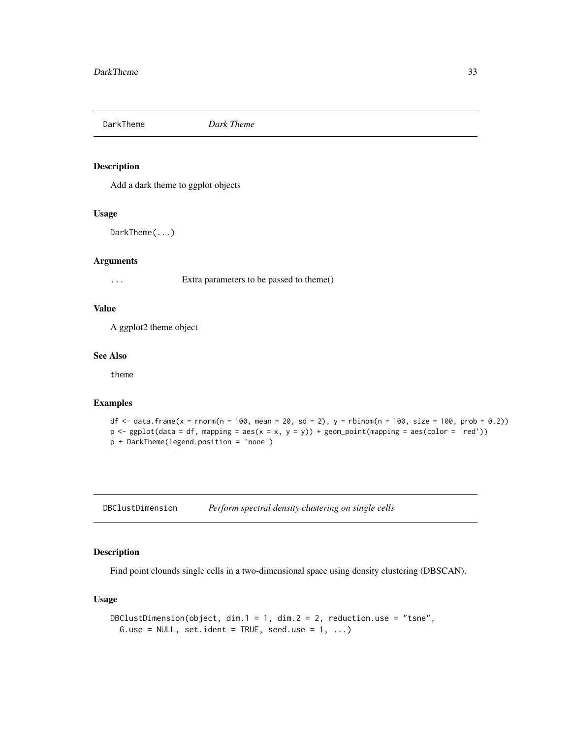<span id="page-32-0"></span>DarkTheme *Dark Theme*

#### Description

Add a dark theme to ggplot objects

#### Usage

DarkTheme(...)

### Arguments

... Extra parameters to be passed to theme()

### Value

A ggplot2 theme object

#### See Also

theme

#### Examples

```
df <- data.frame(x = rnorm(n = 100, mean = 20, sd = 2), y = rbinom(n = 100, size = 100, prob = 0.2))
p \leftarrow ggplot(data = df, mapping = aes(x = x, y = y)) + geom\_point(mapping = aes(color = 'red'))p + DarkTheme(legend.position = 'none')
```
DBClustDimension *Perform spectral density clustering on single cells*

### Description

Find point clounds single cells in a two-dimensional space using density clustering (DBSCAN).

### Usage

```
DBClustDimension(object, dim.1 = 1, dim.2 = 2, reduction.use = "tsne",
 G.use = NULL, set.ident = TRUE, seed.use = 1, ...)
```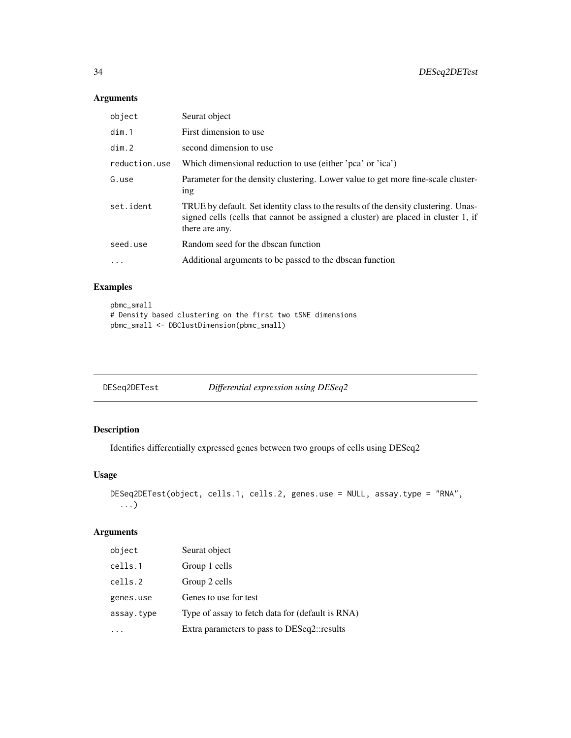### Arguments

| object        | Seurat object                                                                                                                                                                               |
|---------------|---------------------------------------------------------------------------------------------------------------------------------------------------------------------------------------------|
| dim.1         | First dimension to use                                                                                                                                                                      |
| dim.2         | second dimension to use                                                                                                                                                                     |
| reduction.use | Which dimensional reduction to use (either 'pca' or 'ica')                                                                                                                                  |
| G.use         | Parameter for the density clustering. Lower value to get more fine-scale cluster-<br>1 <sub>n</sub>                                                                                         |
| set.ident     | TRUE by default. Set identity class to the results of the density clustering. Unas-<br>signed cells (cells that cannot be assigned a cluster) are placed in cluster 1, if<br>there are any. |
| seed.use      | Random seed for the dbscan function                                                                                                                                                         |
| $\cdots$      | Additional arguments to be passed to the dbscan function                                                                                                                                    |

### Examples

```
pbmc_small
# Density based clustering on the first two tSNE dimensions
pbmc_small <- DBClustDimension(pbmc_small)
```

| DESeg2DETest | Differential expression using DESeq2 |  |  |
|--------------|--------------------------------------|--|--|
|              |                                      |  |  |

### Description

Identifies differentially expressed genes between two groups of cells using DESeq2

### Usage

```
DESeq2DETest(object, cells.1, cells.2, genes.use = NULL, assay.type = "RNA",
  ...)
```

| object     | Seurat object                                    |
|------------|--------------------------------------------------|
| cells.1    | Group 1 cells                                    |
| cells.2    | Group 2 cells                                    |
| genes.use  | Genes to use for test                            |
| assay.type | Type of assay to fetch data for (default is RNA) |
|            | Extra parameters to pass to DESeq2::results      |

<span id="page-33-0"></span>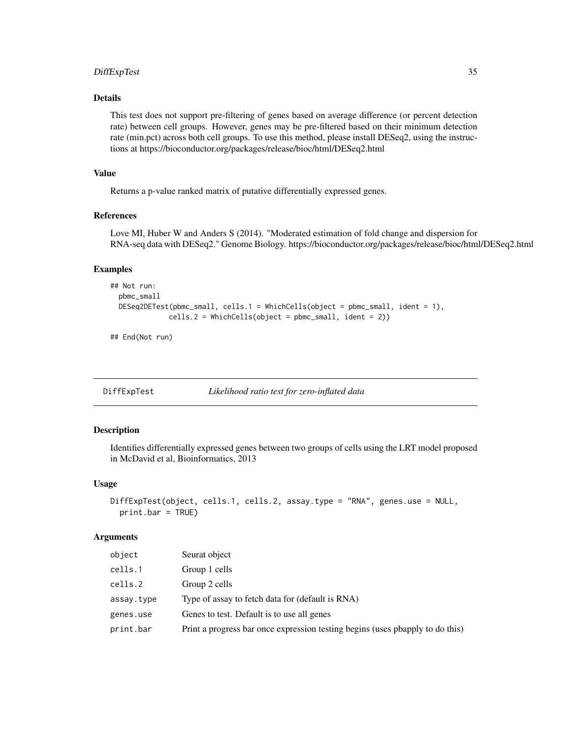### <span id="page-34-0"></span>DiffExpTest 35

### Details

This test does not support pre-filtering of genes based on average difference (or percent detection rate) between cell groups. However, genes may be pre-filtered based on their minimum detection rate (min.pct) across both cell groups. To use this method, please install DESeq2, using the instructions at https://bioconductor.org/packages/release/bioc/html/DESeq2.html

### Value

Returns a p-value ranked matrix of putative differentially expressed genes.

#### References

Love MI, Huber W and Anders S (2014). "Moderated estimation of fold change and dispersion for RNA-seq data with DESeq2." Genome Biology. https://bioconductor.org/packages/release/bioc/html/DESeq2.html

#### Examples

```
## Not run:
 pbmc_small
 DESeq2DETest(pbmc_small, cells.1 = WhichCells(object = pbmc_small, ident = 1),
              cells.2 = WhichCells(object = pbmc_small, ident = 2))
```
## End(Not run)

DiffExpTest *Likelihood ratio test for zero-inflated data*

#### Description

Identifies differentially expressed genes between two groups of cells using the LRT model proposed in McDavid et al, Bioinformatics, 2013

#### Usage

```
DiffExpTest(object, cells.1, cells.2, assay.type = "RNA", genes.use = NULL,
 print.bar = TRUE)
```

| object     | Seurat object                                                                 |
|------------|-------------------------------------------------------------------------------|
| cells.1    | Group 1 cells                                                                 |
| cells.2    | Group 2 cells                                                                 |
| assay.type | Type of assay to fetch data for (default is RNA)                              |
| genes.use  | Genes to test. Default is to use all genes                                    |
| print.bar  | Print a progress bar once expression testing begins (uses pbapply to do this) |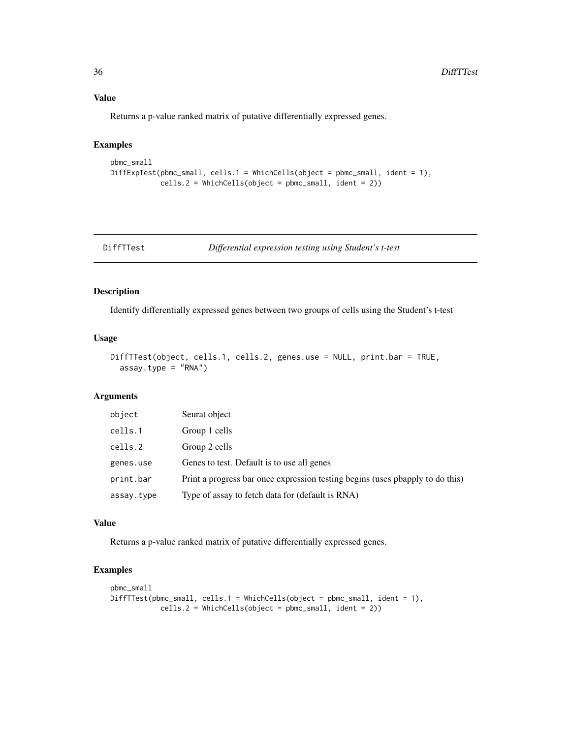### Value

Returns a p-value ranked matrix of putative differentially expressed genes.

### Examples

```
pbmc_small
DiffExpTest(pbmc_small, cells.1 = WhichCells(object = pbmc_small, ident = 1),
            cells.2 = WhichCells(object = pbmc_small, ident = 2))
```
DiffTTest *Differential expression testing using Student's t-test*

### Description

Identify differentially expressed genes between two groups of cells using the Student's t-test

### Usage

```
DiffTTest(object, cells.1, cells.2, genes.use = NULL, print.bar = TRUE,
  assay.type = "RNA")
```
#### Arguments

| object     | Seurat object                                                                 |
|------------|-------------------------------------------------------------------------------|
| cells.1    | Group 1 cells                                                                 |
| cells.2    | Group 2 cells                                                                 |
| genes.use  | Genes to test. Default is to use all genes                                    |
| print.bar  | Print a progress bar once expression testing begins (uses pbapply to do this) |
| assay.type | Type of assay to fetch data for (default is RNA)                              |

### Value

Returns a p-value ranked matrix of putative differentially expressed genes.

```
pbmc_small
DiffTTest(pbmc_small, cells.1 = WhichCells(object = pbmc_small, ident = 1),
            cells.2 = WhichCells(object = pbmc_small, ident = 2))
```
<span id="page-35-0"></span>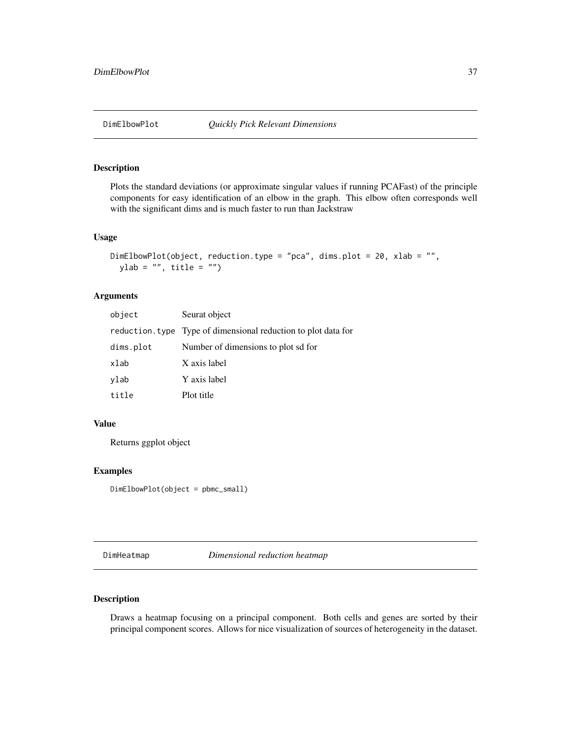# Description

Plots the standard deviations (or approximate singular values if running PCAFast) of the principle components for easy identification of an elbow in the graph. This elbow often corresponds well with the significant dims and is much faster to run than Jackstraw

#### Usage

```
DimElbowPlot(object, reduction.type = "pca", dims.plot = 20, xlab = "",
 ylab = ", title = ")
```
### Arguments

| object    | Seurat object                                                  |
|-----------|----------------------------------------------------------------|
|           | reduction. type Type of dimensional reduction to plot data for |
| dims.plot | Number of dimensions to plot sd for                            |
| xlab      | X axis label                                                   |
| vlab      | Y axis label                                                   |
| title     | Plot title                                                     |

### Value

Returns ggplot object

# Examples

DimElbowPlot(object = pbmc\_small)

DimHeatmap *Dimensional reduction heatmap*

# Description

Draws a heatmap focusing on a principal component. Both cells and genes are sorted by their principal component scores. Allows for nice visualization of sources of heterogeneity in the dataset.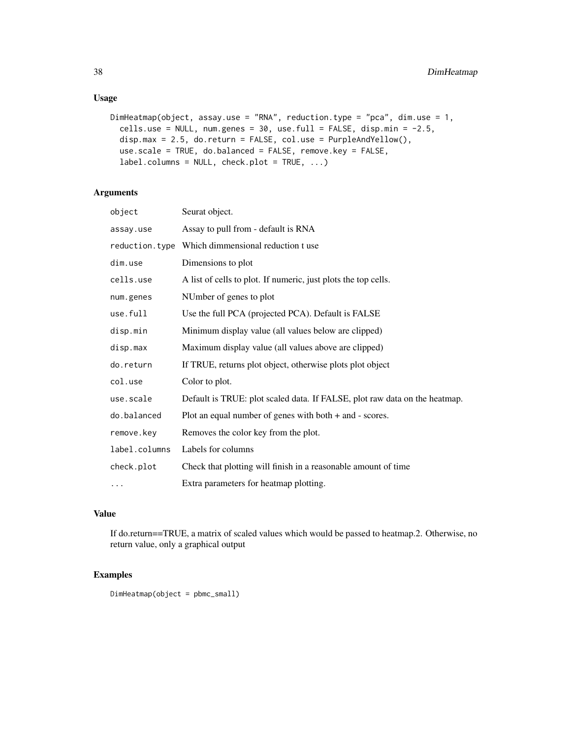# Usage

```
DimHeatmap(object, assay.use = "RNA", reduction.type = "pca", dim.use = 1,
 cells.use = NULL, num.genes = 30, use.full = FALSE, disp.min = -2.5,
 disp.max = 2.5, do.return = FALSE, col.use = PurpleAndYellow(),
 use.scale = TRUE, do.balanced = FALSE, remove.key = FALSE,
 label.columns = NULL, check.plot = TRUE, ...)
```
# Arguments

| object         | Seurat object.                                                             |
|----------------|----------------------------------------------------------------------------|
| assay.use      | Assay to pull from - default is RNA                                        |
| reduction.type | Which dimmensional reduction t use                                         |
| dim.use        | Dimensions to plot                                                         |
| cells.use      | A list of cells to plot. If numeric, just plots the top cells.             |
| num.genes      | NUmber of genes to plot                                                    |
| use.full       | Use the full PCA (projected PCA). Default is FALSE                         |
| disp.min       | Minimum display value (all values below are clipped)                       |
| disp.max       | Maximum display value (all values above are clipped)                       |
| do.return      | If TRUE, returns plot object, otherwise plots plot object                  |
| col.use        | Color to plot.                                                             |
| use.scale      | Default is TRUE: plot scaled data. If FALSE, plot raw data on the heatmap. |
| do.balanced    | Plot an equal number of genes with both $+$ and $-$ scores.                |
| remove.key     | Removes the color key from the plot.                                       |
| label.columns  | Labels for columns                                                         |
| check.plot     | Check that plotting will finish in a reasonable amount of time             |
| $\cdots$       | Extra parameters for heatmap plotting.                                     |

### Value

If do.return==TRUE, a matrix of scaled values which would be passed to heatmap.2. Otherwise, no return value, only a graphical output

# Examples

DimHeatmap(object = pbmc\_small)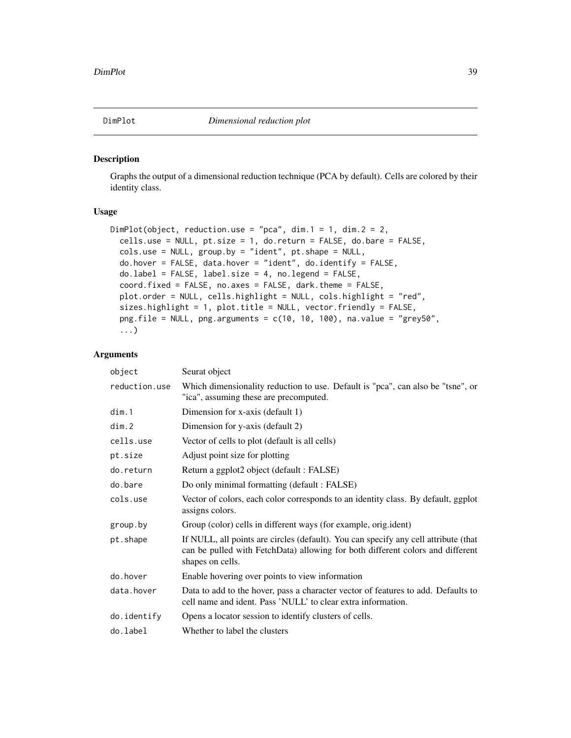# Description

Graphs the output of a dimensional reduction technique (PCA by default). Cells are colored by their identity class.

#### Usage

```
DimPlot(object, reduction.use = "pca", dim.1 = 1, dim.2 = 2,
 cells.use = NULL, pt.size = 1, do.return = FALSE, do.bare = FALSE,
  cols.use = NULL, group.by = "ident", pt.shape = NULL,
  do.hover = FALSE, data.hover = "ident", do.identify = FALSE,
  do.label = FALSE, label.size = 4, no.legend = FALSE,
  coord.fixed = FALSE, no.axes = FALSE, dark.theme = FALSE,
 plot.order = NULL, cells.highlight = NULL, cols.highlight = "red",
  sizes.highlight = 1, plot.title = NULL, vector.friendly = FALSE,
  png.file = NULL, png.arguments = c(10, 10, 100), na.value = "grey50",
  ...)
```

| object        | Seurat object                                                                                                                                                                             |
|---------------|-------------------------------------------------------------------------------------------------------------------------------------------------------------------------------------------|
| reduction.use | Which dimensionality reduction to use. Default is "pca", can also be "tsne", or<br>"ica", assuming these are precomputed.                                                                 |
| dim.1         | Dimension for x-axis (default 1)                                                                                                                                                          |
| dim.2         | Dimension for y-axis (default 2)                                                                                                                                                          |
| cells.use     | Vector of cells to plot (default is all cells)                                                                                                                                            |
| pt.size       | Adjust point size for plotting                                                                                                                                                            |
| do.return     | Return a ggplot2 object (default : FALSE)                                                                                                                                                 |
| do.bare       | Do only minimal formatting (default: FALSE)                                                                                                                                               |
| cols.use      | Vector of colors, each color corresponds to an identity class. By default, ggplot<br>assigns colors.                                                                                      |
| group.by      | Group (color) cells in different ways (for example, orig.ident)                                                                                                                           |
| pt.shape      | If NULL, all points are circles (default). You can specify any cell attribute (that<br>can be pulled with FetchData) allowing for both different colors and different<br>shapes on cells. |
| do.hover      | Enable hovering over points to view information                                                                                                                                           |
| data.hover    | Data to add to the hover, pass a character vector of features to add. Defaults to<br>cell name and ident. Pass 'NULL' to clear extra information.                                         |
| do.identify   | Opens a locator session to identify clusters of cells.                                                                                                                                    |
| do.label      | Whether to label the clusters                                                                                                                                                             |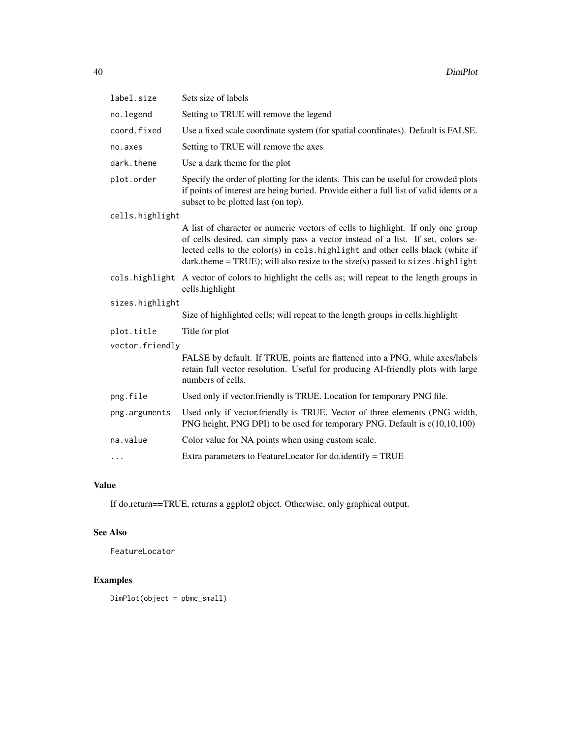| label.size      | Sets size of labels                                                                                                                                                                                                                                                                                                                         |  |
|-----------------|---------------------------------------------------------------------------------------------------------------------------------------------------------------------------------------------------------------------------------------------------------------------------------------------------------------------------------------------|--|
| no.legend       | Setting to TRUE will remove the legend                                                                                                                                                                                                                                                                                                      |  |
| coord.fixed     | Use a fixed scale coordinate system (for spatial coordinates). Default is FALSE.                                                                                                                                                                                                                                                            |  |
| no.axes         | Setting to TRUE will remove the axes                                                                                                                                                                                                                                                                                                        |  |
| dark.theme      | Use a dark theme for the plot                                                                                                                                                                                                                                                                                                               |  |
| plot.order      | Specify the order of plotting for the idents. This can be useful for crowded plots<br>if points of interest are being buried. Provide either a full list of valid idents or a<br>subset to be plotted last (on top).                                                                                                                        |  |
| cells.highlight |                                                                                                                                                                                                                                                                                                                                             |  |
|                 | A list of character or numeric vectors of cells to highlight. If only one group<br>of cells desired, can simply pass a vector instead of a list. If set, colors se-<br>lected cells to the color(s) in cols. highlight and other cells black (white if<br>$dark.$ theme = TRUE); will also resize to the size(s) passed to sizes. highlight |  |
|                 | cols highlight A vector of colors to highlight the cells as; will repeat to the length groups in<br>cells.highlight                                                                                                                                                                                                                         |  |
| sizes.highlight |                                                                                                                                                                                                                                                                                                                                             |  |
|                 | Size of highlighted cells; will repeat to the length groups in cells. highlight                                                                                                                                                                                                                                                             |  |
| plot.title      | Title for plot                                                                                                                                                                                                                                                                                                                              |  |
| vector.friendly |                                                                                                                                                                                                                                                                                                                                             |  |
|                 | FALSE by default. If TRUE, points are flattened into a PNG, while axes/labels<br>retain full vector resolution. Useful for producing AI-friendly plots with large<br>numbers of cells.                                                                                                                                                      |  |
| png.file        | Used only if vector.friendly is TRUE. Location for temporary PNG file.                                                                                                                                                                                                                                                                      |  |
| png.arguments   | Used only if vector.friendly is TRUE. Vector of three elements (PNG width,<br>PNG height, PNG DPI) to be used for temporary PNG. Default is c(10,10,100)                                                                                                                                                                                    |  |
| na.value        | Color value for NA points when using custom scale.                                                                                                                                                                                                                                                                                          |  |
| .               | Extra parameters to FeatureLocator for do.identify = TRUE                                                                                                                                                                                                                                                                                   |  |

If do.return==TRUE, returns a ggplot2 object. Otherwise, only graphical output.

# See Also

FeatureLocator

# Examples

DimPlot(object = pbmc\_small)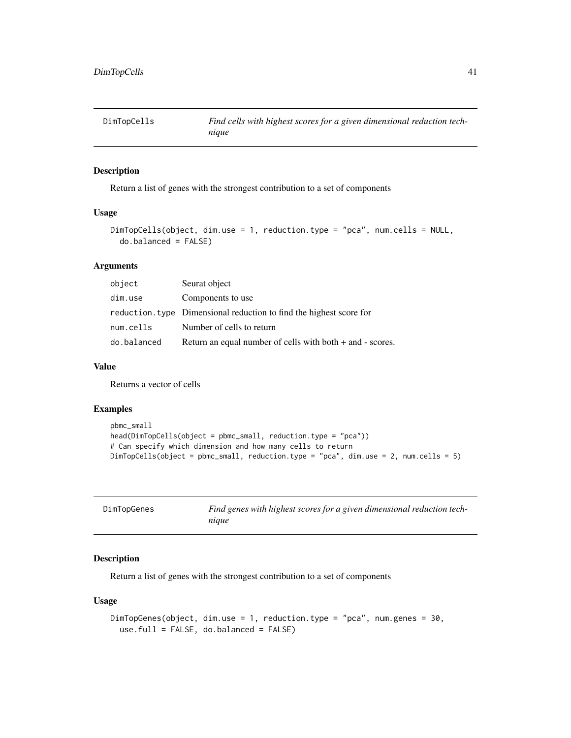### Description

Return a list of genes with the strongest contribution to a set of components

#### Usage

```
DimTopCells(object, dim.use = 1, reduction.type = "pca", num.cells = NULL,
 do.balanced = FALSE)
```
# Arguments

| object      | Seurat object                                                       |
|-------------|---------------------------------------------------------------------|
| dim.use     | Components to use                                                   |
|             | reduction, type Dimensional reduction to find the highest score for |
| num.cells   | Number of cells to return                                           |
| do.balanced | Return an equal number of cells with both + and - scores.           |

#### Value

Returns a vector of cells

#### Examples

```
pbmc_small
head(DimTopCells(object = pbmc_small, reduction.type = "pca"))
# Can specify which dimension and how many cells to return
DimTopCells(object = pbmc_small, reduction.type = "pca", dim.use = 2, num.cells = 5)
```

| DimTopGenes | Find genes with highest scores for a given dimensional reduction tech- |
|-------------|------------------------------------------------------------------------|
|             | nique                                                                  |

# Description

Return a list of genes with the strongest contribution to a set of components

### Usage

```
DimTopGenes(object, dim.use = 1, reduction.type = "pca", num.genes = 30,
 use.full = FALSE, do.balanced = FALSE)
```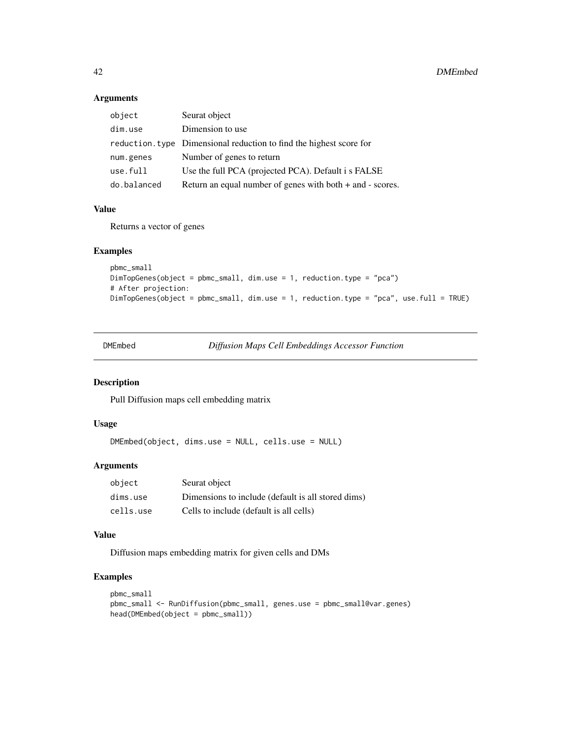# Arguments

| object      | Seurat object                                                       |
|-------------|---------------------------------------------------------------------|
| dim.use     | Dimension to use                                                    |
|             | reduction. type Dimensional reduction to find the highest score for |
| num.genes   | Number of genes to return                                           |
| use.full    | Use the full PCA (projected PCA). Default i s FALSE                 |
| do.balanced | Return an equal number of genes with both $+$ and $-$ scores.       |

### Value

Returns a vector of genes

# Examples

```
pbmc_small
DimTopGenes(object = pbmc_small, dim.use = 1, reduction.type = "pca")
# After projection:
DimTopGenes(object = pbmc_small, dim.use = 1, reduction.type = "pca", use.full = TRUE)
```

| DMEmbed |
|---------|
|---------|

**Diffusion Maps Cell Embeddings Accessor Function** 

# Description

Pull Diffusion maps cell embedding matrix

# Usage

DMEmbed(object, dims.use = NULL, cells.use = NULL)

# Arguments

| object    | Seurat object                                      |
|-----------|----------------------------------------------------|
| dims.use  | Dimensions to include (default is all stored dims) |
| cells.use | Cells to include (default is all cells)            |

#### Value

Diffusion maps embedding matrix for given cells and DMs

### Examples

```
pbmc_small
pbmc_small <- RunDiffusion(pbmc_small, genes.use = pbmc_small@var.genes)
head(DMEmbed(object = pbmc_small))
```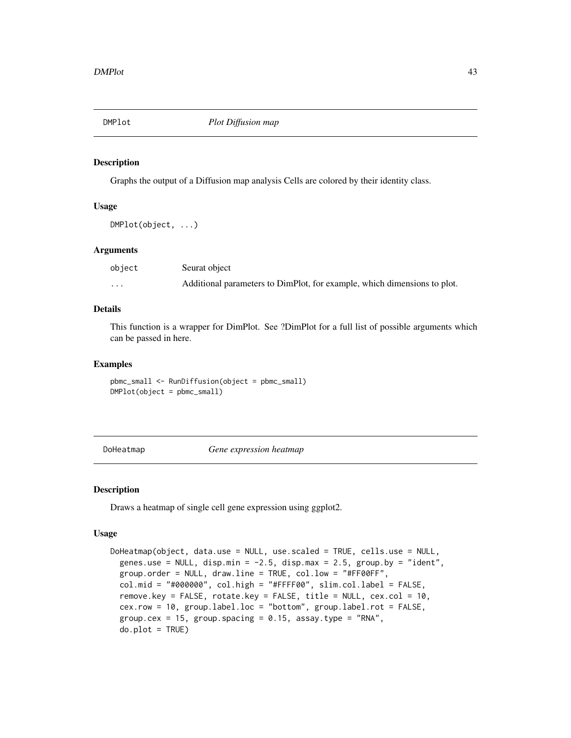#### Description

Graphs the output of a Diffusion map analysis Cells are colored by their identity class.

#### Usage

DMPlot(object, ...)

#### **Arguments**

| object | Seurat object                                                            |
|--------|--------------------------------------------------------------------------|
| .      | Additional parameters to DimPlot, for example, which dimensions to plot. |

#### Details

This function is a wrapper for DimPlot. See ?DimPlot for a full list of possible arguments which can be passed in here.

#### Examples

pbmc\_small <- RunDiffusion(object = pbmc\_small) DMPlot(object = pbmc\_small)

DoHeatmap *Gene expression heatmap*

#### Description

Draws a heatmap of single cell gene expression using ggplot2.

#### Usage

```
DoHeatmap(object, data.use = NULL, use.scaled = TRUE, cells.use = NULL,
 genes.use = NULL, disp.min = -2.5, disp.max = 2.5, group.by = "ident",
 group.order = NULL, draw.line = TRUE, col.low = "#FF00FF",
 col.mid = "#000000", col.high = "#FFFF00", slim.col.label = FALSE,
  remove.key = FALSE, rotate.key = FALSE, title = NULL, cex.col = 10,
 cex.row = 10, group.label.loc = "bottom", group.label.rot = FALSE,
 group.cex = 15, group.spacing = 0.15, assay.type = "RNA",
 do.plot = TRUE)
```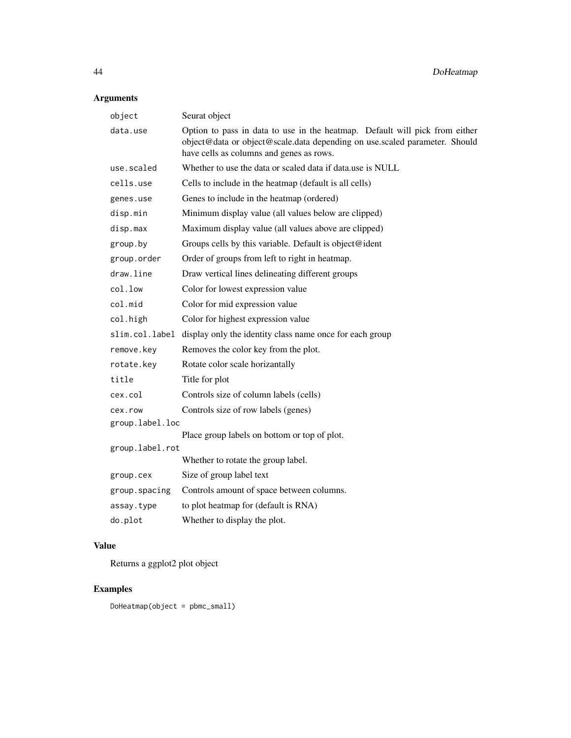# Arguments

|                 | object        | Seurat object                                                                                                                                                                                         |
|-----------------|---------------|-------------------------------------------------------------------------------------------------------------------------------------------------------------------------------------------------------|
|                 | data.use      | Option to pass in data to use in the heatmap. Default will pick from either<br>object@data or object@scale.data depending on use.scaled parameter. Should<br>have cells as columns and genes as rows. |
|                 | use.scaled    | Whether to use the data or scaled data if data use is NULL                                                                                                                                            |
|                 | cells.use     | Cells to include in the heatmap (default is all cells)                                                                                                                                                |
|                 | genes.use     | Genes to include in the heatmap (ordered)                                                                                                                                                             |
|                 | disp.min      | Minimum display value (all values below are clipped)                                                                                                                                                  |
|                 | disp.max      | Maximum display value (all values above are clipped)                                                                                                                                                  |
|                 | group.by      | Groups cells by this variable. Default is object@ident                                                                                                                                                |
|                 | group.order   | Order of groups from left to right in heatmap.                                                                                                                                                        |
|                 | draw.line     | Draw vertical lines delineating different groups                                                                                                                                                      |
|                 | col.low       | Color for lowest expression value                                                                                                                                                                     |
|                 | col.mid       | Color for mid expression value                                                                                                                                                                        |
|                 | col.high      | Color for highest expression value                                                                                                                                                                    |
|                 |               | slim.col.label display only the identity class name once for each group                                                                                                                               |
|                 | remove.key    | Removes the color key from the plot.                                                                                                                                                                  |
|                 | rotate.key    | Rotate color scale horizantally                                                                                                                                                                       |
|                 | title         | Title for plot                                                                                                                                                                                        |
|                 | cex.col       | Controls size of column labels (cells)                                                                                                                                                                |
|                 | cex.row       | Controls size of row labels (genes)                                                                                                                                                                   |
| group.label.loc |               |                                                                                                                                                                                                       |
|                 |               | Place group labels on bottom or top of plot.                                                                                                                                                          |
| group.label.rot |               | Whether to rotate the group label.                                                                                                                                                                    |
|                 | group.cex     | Size of group label text                                                                                                                                                                              |
|                 | group.spacing | Controls amount of space between columns.                                                                                                                                                             |
|                 | assay.type    | to plot heatmap for (default is RNA)                                                                                                                                                                  |
|                 | do.plot       | Whether to display the plot.                                                                                                                                                                          |
|                 |               |                                                                                                                                                                                                       |

# Value

Returns a ggplot2 plot object

# Examples

DoHeatmap(object = pbmc\_small)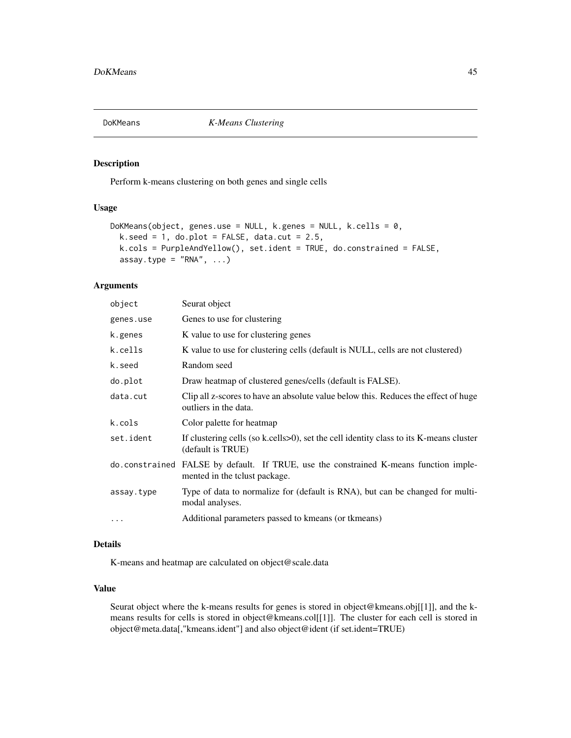# Description

Perform k-means clustering on both genes and single cells

### Usage

```
DoKMeans(object, genes.use = NULL, k.genes = NULL, k.cells = 0,
 k.seed = 1, do.plot = FALSE, data.cut = 2.5,
 k.cols = PurpleAndYellow(), set.ident = TRUE, do.constrained = FALSE,
 assay.type = "RNA", ...)
```
#### Arguments

| object     | Seurat object                                                                                                          |
|------------|------------------------------------------------------------------------------------------------------------------------|
| genes.use  | Genes to use for clustering                                                                                            |
| k.genes    | K value to use for clustering genes                                                                                    |
| k.cells    | K value to use for clustering cells (default is NULL, cells are not clustered)                                         |
| k.seed     | Random seed                                                                                                            |
| do.plot    | Draw heatmap of clustered genes/cells (default is FALSE).                                                              |
| data.cut   | Clip all z-scores to have an absolute value below this. Reduces the effect of huge<br>outliers in the data.            |
| k.cols     | Color palette for heatmap                                                                                              |
| set.ident  | If clustering cells (so k.cells>0), set the cell identity class to its K-means cluster<br>(default is TRUE)            |
|            | do constrained FALSE by default. If TRUE, use the constrained K-means function imple-<br>mented in the to use package. |
| assay.type | Type of data to normalize for (default is RNA), but can be changed for multi-<br>modal analyses.                       |
| $\cdots$   | Additional parameters passed to kmeans (or tkmeans)                                                                    |

# Details

K-means and heatmap are calculated on object@scale.data

### Value

Seurat object where the k-means results for genes is stored in object@kmeans.obj[[1]], and the kmeans results for cells is stored in object@kmeans.col[[1]]. The cluster for each cell is stored in object@meta.data[,"kmeans.ident"] and also object@ident (if set.ident=TRUE)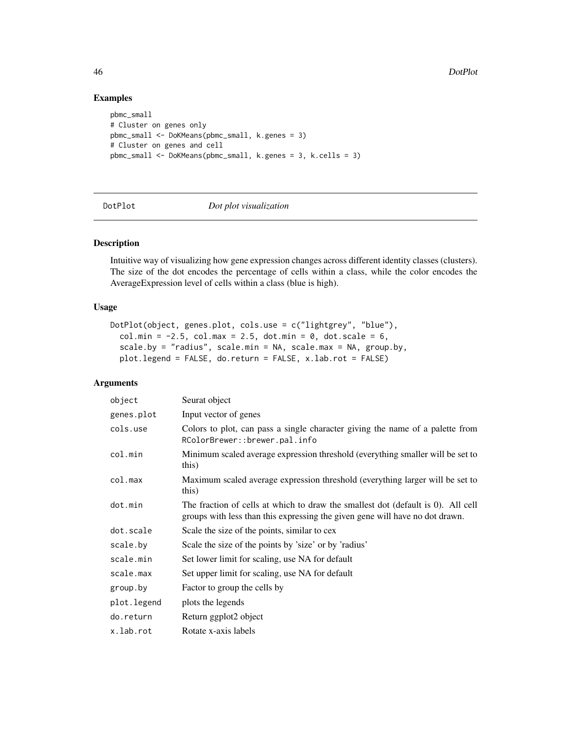#### Examples

```
pbmc_small
# Cluster on genes only
pbmc_small <- DoKMeans(pbmc_small, k.genes = 3)
# Cluster on genes and cell
pbmc_small <- DoKMeans(pbmc_small, k.genes = 3, k.cells = 3)
```
DotPlot *Dot plot visualization*

# Description

Intuitive way of visualizing how gene expression changes across different identity classes (clusters). The size of the dot encodes the percentage of cells within a class, while the color encodes the AverageExpression level of cells within a class (blue is high).

#### Usage

```
DotPlot(object, genes.plot, cols.use = c("lightgrey", "blue"),
  col.min = -2.5, col.max = 2.5, dot.min = 0, dot.scale = 6,
  scale.by = "radius", scale.min = NA, scale.max = NA, group.by,
 plot.legend = FALSE, do.return = FALSE, x.lab.rot = FALSE)
```

| object      | Seurat object                                                                                                                                                    |
|-------------|------------------------------------------------------------------------------------------------------------------------------------------------------------------|
| genes.plot  | Input vector of genes                                                                                                                                            |
| cols.use    | Colors to plot, can pass a single character giving the name of a palette from<br>RColorBrewer::brewer.pal.info                                                   |
| col.min     | Minimum scaled average expression threshold (everything smaller will be set to<br>this)                                                                          |
| col.max     | Maximum scaled average expression threshold (everything larger will be set to<br>this)                                                                           |
| dot.min     | The fraction of cells at which to draw the smallest dot (default is 0). All cell<br>groups with less than this expressing the given gene will have no dot drawn. |
| dot.scale   | Scale the size of the points, similar to cex                                                                                                                     |
| scale.by    | Scale the size of the points by 'size' or by 'radius'                                                                                                            |
| scale.min   | Set lower limit for scaling, use NA for default                                                                                                                  |
| scale.max   | Set upper limit for scaling, use NA for default                                                                                                                  |
| group.by    | Factor to group the cells by                                                                                                                                     |
| plot.legend | plots the legends                                                                                                                                                |
| do.return   | Return ggplot2 object                                                                                                                                            |
| x.lab.rot   | Rotate x-axis labels                                                                                                                                             |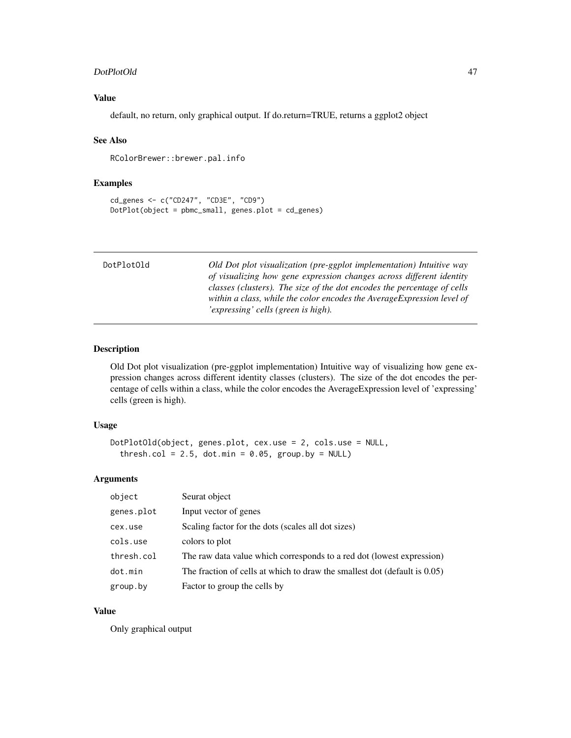#### DotPlotOld 47

# Value

default, no return, only graphical output. If do.return=TRUE, returns a ggplot2 object

#### See Also

RColorBrewer::brewer.pal.info

# Examples

```
cd_genes <- c("CD247", "CD3E", "CD9")
DotPlot(object = pbmc_small, genes.plot = cd_genes)
```

| DotPlotOld | Old Dot plot visualization (pre-ggplot implementation) Intuitive way    |
|------------|-------------------------------------------------------------------------|
|            | of visualizing how gene expression changes across different identity    |
|            | classes (clusters). The size of the dot encodes the percentage of cells |
|            | within a class, while the color encodes the Average Expression level of |
|            | 'expressing' cells (green is high).                                     |

### Description

Old Dot plot visualization (pre-ggplot implementation) Intuitive way of visualizing how gene expression changes across different identity classes (clusters). The size of the dot encodes the percentage of cells within a class, while the color encodes the AverageExpression level of 'expressing' cells (green is high).

#### Usage

```
DotPlotOld(object, genes.plot, cex.use = 2, cols.use = NULL,
  thresh.col = 2.5, dot.min = 0.05, group.by = NULL)
```
### Arguments

| object     | Seurat object                                                                |
|------------|------------------------------------------------------------------------------|
| genes.plot | Input vector of genes                                                        |
| cex.use    | Scaling factor for the dots (scales all dot sizes)                           |
| cols.use   | colors to plot                                                               |
| thresh.col | The raw data value which corresponds to a red dot (lowest expression)        |
| dot.min    | The fraction of cells at which to draw the smallest dot (default is $0.05$ ) |
| group.by   | Factor to group the cells by                                                 |

# Value

Only graphical output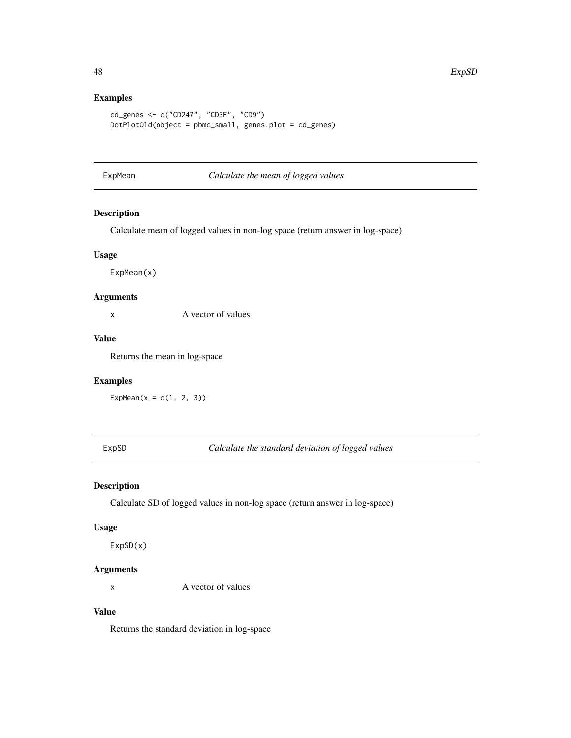# Examples

```
cd_genes <- c("CD247", "CD3E", "CD9")
DotPlotOld(object = pbmc_small, genes.plot = cd_genes)
```
ExpMean *Calculate the mean of logged values*

# Description

Calculate mean of logged values in non-log space (return answer in log-space)

#### Usage

ExpMean(x)

# Arguments

x A vector of values

# Value

Returns the mean in log-space

### Examples

ExpMean( $x = c(1, 2, 3)$ )

ExpSD *Calculate the standard deviation of logged values*

# Description

Calculate SD of logged values in non-log space (return answer in log-space)

# Usage

ExpSD(x)

## Arguments

x A vector of values

# Value

Returns the standard deviation in log-space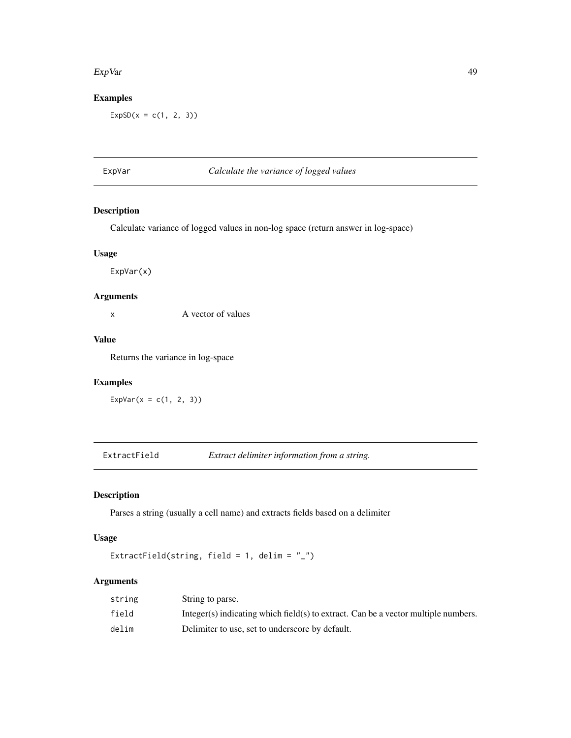#### ExpVar 49

# Examples

 $ExpSD(x = c(1, 2, 3))$ 

# ExpVar *Calculate the variance of logged values*

# Description

Calculate variance of logged values in non-log space (return answer in log-space)

# Usage

ExpVar(x)

# Arguments

x A vector of values

#### Value

Returns the variance in log-space

### Examples

ExpVar( $x = c(1, 2, 3)$ )

ExtractField *Extract delimiter information from a string.*

# Description

Parses a string (usually a cell name) and extracts fields based on a delimiter

# Usage

```
ExtractField(string, field = 1, delim = "_")
```

| string | String to parse.                                                                   |
|--------|------------------------------------------------------------------------------------|
| field  | Integer(s) indicating which field(s) to extract. Can be a vector multiple numbers. |
| delim  | Delimiter to use, set to underscore by default.                                    |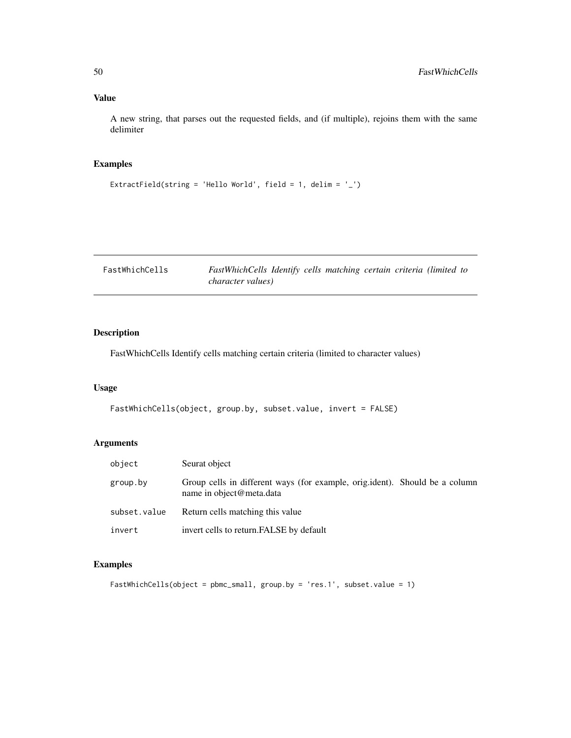A new string, that parses out the requested fields, and (if multiple), rejoins them with the same delimiter

# Examples

```
ExtractField(string = 'Hello World', field = 1, delim = '_')
```

| FastWhichCells | FastWhichCells Identify cells matching certain criteria (limited to |  |  |  |  |
|----------------|---------------------------------------------------------------------|--|--|--|--|
|                | <i>character values</i> )                                           |  |  |  |  |

# Description

FastWhichCells Identify cells matching certain criteria (limited to character values)

### Usage

```
FastWhichCells(object, group.by, subset.value, invert = FALSE)
```
# Arguments

| object       | Seurat object                                                                                           |
|--------------|---------------------------------------------------------------------------------------------------------|
| group.by     | Group cells in different ways (for example, orig.ident). Should be a column<br>name in object@meta.data |
| subset.value | Return cells matching this value                                                                        |
| invert       | invert cells to return. FALSE by default                                                                |

# Examples

```
FastWhichCells(object = pbmc_small, group.by = 'res.1', subset.value = 1)
```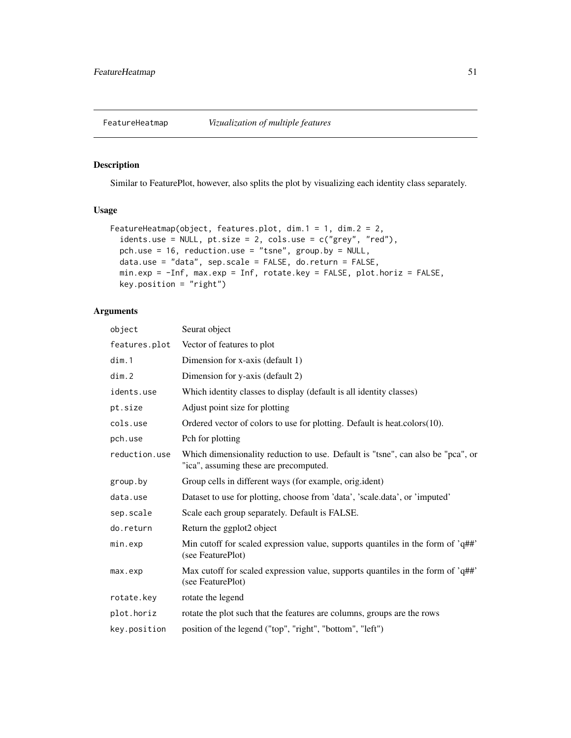### Description

Similar to FeaturePlot, however, also splits the plot by visualizing each identity class separately.

# Usage

```
FeatureHeatmap(object, features.plot, dim.1 = 1, dim.2 = 2,
  idents.use = NULL, pt.size = 2, cols.use = c("grey", "red"),
 pch.use = 16, reduction.use = "tsne", group.by = NULL,
  data.use = "data", sep.scale = FALSE, do.return = FALSE,
 min.exp = -Inf, max.exp = Inf, rotate.key = FALSE, plot.horiz = FALSE,
 key.position = "right")
```

| object        | Seurat object                                                                                                             |
|---------------|---------------------------------------------------------------------------------------------------------------------------|
| features.plot | Vector of features to plot                                                                                                |
| dim.1         | Dimension for x-axis (default 1)                                                                                          |
| dim.2         | Dimension for y-axis (default 2)                                                                                          |
| idents.use    | Which identity classes to display (default is all identity classes)                                                       |
| pt.size       | Adjust point size for plotting                                                                                            |
| cols.use      | Ordered vector of colors to use for plotting. Default is heat.colors(10).                                                 |
| pch.use       | Pch for plotting                                                                                                          |
| reduction.use | Which dimensionality reduction to use. Default is "tsne", can also be "pca", or<br>"ica", assuming these are precomputed. |
| group.by      | Group cells in different ways (for example, orig.ident)                                                                   |
| data.use      | Dataset to use for plotting, choose from 'data', 'scale.data', or 'imputed'                                               |
| sep.scale     | Scale each group separately. Default is FALSE.                                                                            |
| do.return     | Return the ggplot2 object                                                                                                 |
| min.exp       | Min cutoff for scaled expression value, supports quantiles in the form of 'q##'<br>(see FeaturePlot)                      |
| max.exp       | Max cutoff for scaled expression value, supports quantiles in the form of 'q##'<br>(see FeaturePlot)                      |
| rotate.key    | rotate the legend                                                                                                         |
| plot.horiz    | rotate the plot such that the features are columns, groups are the rows                                                   |
| key.position  | position of the legend ("top", "right", "bottom", "left")                                                                 |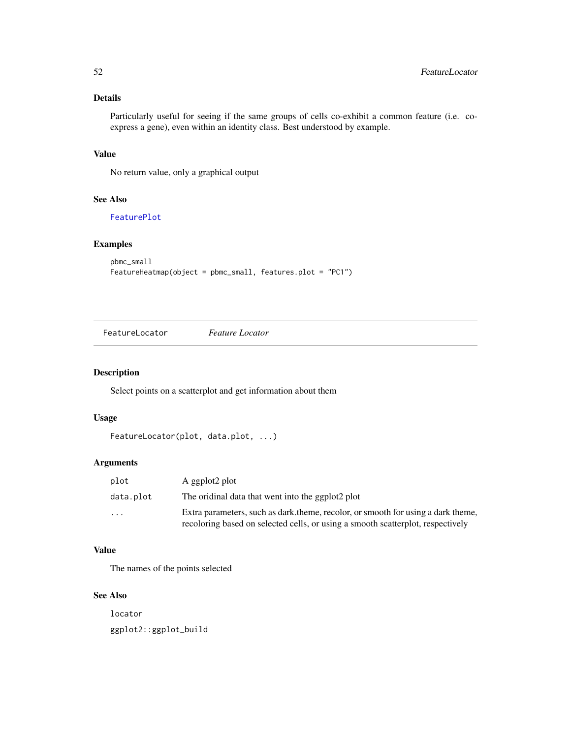# Details

Particularly useful for seeing if the same groups of cells co-exhibit a common feature (i.e. coexpress a gene), even within an identity class. Best understood by example.

# Value

No return value, only a graphical output

### See Also

[FeaturePlot](#page-52-0)

# Examples

```
pbmc_small
FeatureHeatmap(object = pbmc_small, features.plot = "PC1")
```
FeatureLocator *Feature Locator*

# Description

Select points on a scatterplot and get information about them

#### Usage

```
FeatureLocator(plot, data.plot, ...)
```
### Arguments

| plot                    | A ggplot2 plot                                                                                                                                                      |
|-------------------------|---------------------------------------------------------------------------------------------------------------------------------------------------------------------|
| data.plot               | The oridinal data that went into the ggplot2 plot                                                                                                                   |
| $\cdot$ $\cdot$ $\cdot$ | Extra parameters, such as dark theme, recolor, or smooth for using a dark theme,<br>recoloring based on selected cells, or using a smooth scatterplot, respectively |

### Value

The names of the points selected

### See Also

locator ggplot2::ggplot\_build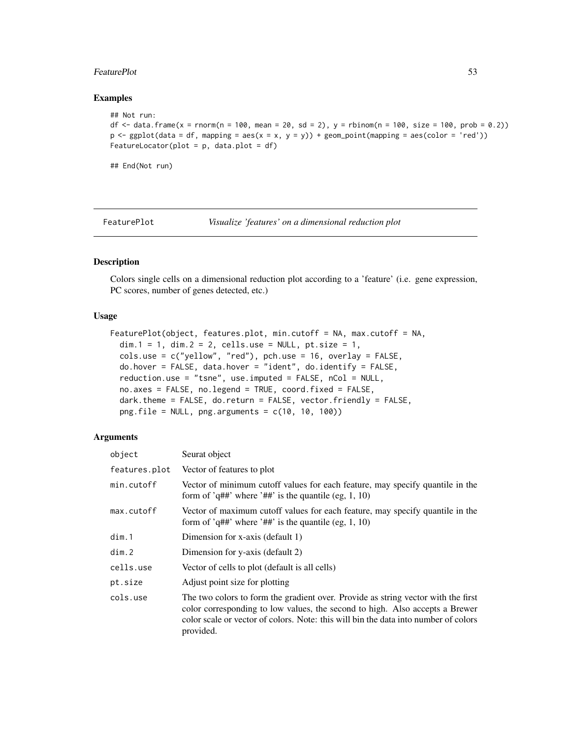#### FeaturePlot 53

#### Examples

```
## Not run:
df \le data.frame(x = rnorm(n = 100, mean = 20, sd = 2), y = rbinom(n = 100, size = 100, prob = 0.2))
p \leftarrow ggplot(data = df, mapping = aes(x = x, y = y)) + geom\_point(mapping = aes(color = 'red'))FeatureLocator(plot = p, data.plot = df)
```
## End(Not run)

<span id="page-52-0"></span>FeaturePlot *Visualize 'features' on a dimensional reduction plot*

# Description

Colors single cells on a dimensional reduction plot according to a 'feature' (i.e. gene expression, PC scores, number of genes detected, etc.)

#### Usage

```
FeaturePlot(object, features.plot, min.cutoff = NA, max.cutoff = NA,
  dim.1 = 1, dim.2 = 2, cells.use = NULL, pt.size = 1,
  cols.use = c("yellow", "red"), pch.use = 16, overlap = FALSE,do.hover = FALSE, data.hover = "ident", do.identity = FALSE,reduction.use = "tsne", use.imputed = FALSE, nCol = NULL,
  no.axes = FALSE, no.legend = TRUE, coord.fixed = FALSE,
  dark.theme = FALSE, do.return = FALSE, vector.friendly = FALSE,
 png.file = NULL, png.arguments = c(10, 10, 100))
```

| object        | Seurat object                                                                                                                                                                                                                                                         |
|---------------|-----------------------------------------------------------------------------------------------------------------------------------------------------------------------------------------------------------------------------------------------------------------------|
| features.plot | Vector of features to plot                                                                                                                                                                                                                                            |
| min.cutoff    | Vector of minimum cutoff values for each feature, may specify quantile in the<br>form of 'q##' where '##' is the quantile (eg, 1, 10)                                                                                                                                 |
| max.cutoff    | Vector of maximum cutoff values for each feature, may specify quantile in the<br>form of 'q##' where '##' is the quantile (eg, 1, 10)                                                                                                                                 |
| dim.1         | Dimension for x-axis (default 1)                                                                                                                                                                                                                                      |
| dim.2         | Dimension for y-axis (default 2)                                                                                                                                                                                                                                      |
| cells.use     | Vector of cells to plot (default is all cells)                                                                                                                                                                                                                        |
| pt.size       | Adjust point size for plotting                                                                                                                                                                                                                                        |
| cols.use      | The two colors to form the gradient over. Provide as string vector with the first<br>color corresponding to low values, the second to high. Also accepts a Brewer<br>color scale or vector of colors. Note: this will bin the data into number of colors<br>provided. |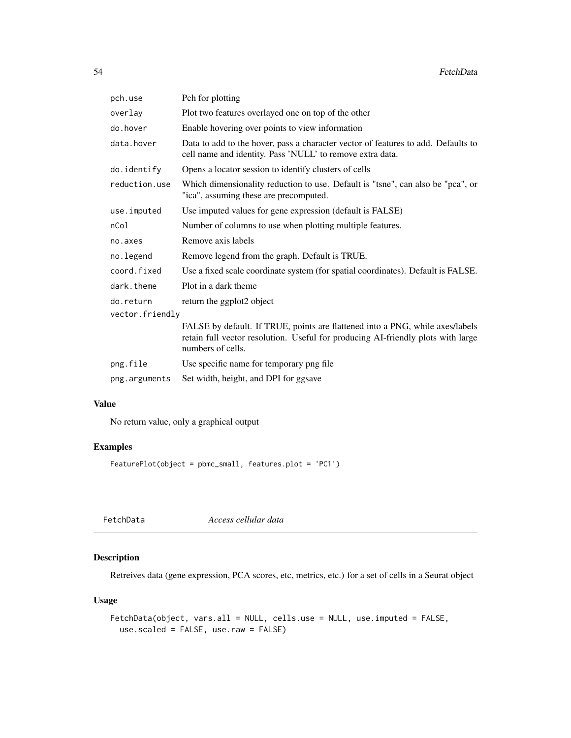| pch.use          | Pch for plotting                                                                                                                                                                       |
|------------------|----------------------------------------------------------------------------------------------------------------------------------------------------------------------------------------|
| overlay          | Plot two features overlayed one on top of the other                                                                                                                                    |
| do.hover         | Enable hovering over points to view information                                                                                                                                        |
| data.hover       | Data to add to the hover, pass a character vector of features to add. Defaults to<br>cell name and identity. Pass 'NULL' to remove extra data.                                         |
| do.identify      | Opens a locator session to identify clusters of cells                                                                                                                                  |
| reduction.use    | Which dimensionality reduction to use. Default is "tsne", can also be "pca", or<br>"ica", assuming these are precomputed.                                                              |
| use.imputed      | Use imputed values for gene expression (default is FALSE)                                                                                                                              |
| nCo <sub>1</sub> | Number of columns to use when plotting multiple features.                                                                                                                              |
| no.axes          | Remove axis labels                                                                                                                                                                     |
| no.legend        | Remove legend from the graph. Default is TRUE.                                                                                                                                         |
| coord.fixed      | Use a fixed scale coordinate system (for spatial coordinates). Default is FALSE.                                                                                                       |
| dark.theme       | Plot in a dark theme                                                                                                                                                                   |
| do.return        | return the ggplot2 object                                                                                                                                                              |
| vector.friendly  |                                                                                                                                                                                        |
|                  | FALSE by default. If TRUE, points are flattened into a PNG, while axes/labels<br>retain full vector resolution. Useful for producing AI-friendly plots with large<br>numbers of cells. |
| png.file         | Use specific name for temporary png file                                                                                                                                               |
| png.arguments    | Set width, height, and DPI for ggsave                                                                                                                                                  |

No return value, only a graphical output

# Examples

FeaturePlot(object = pbmc\_small, features.plot = 'PC1')

FetchData *Access cellular data*

# Description

Retreives data (gene expression, PCA scores, etc, metrics, etc.) for a set of cells in a Seurat object

### Usage

```
FetchData(object, vars.all = NULL, cells.use = NULL, use.imputed = FALSE,
 use.scaled = FALSE, use.raw = FALSE)
```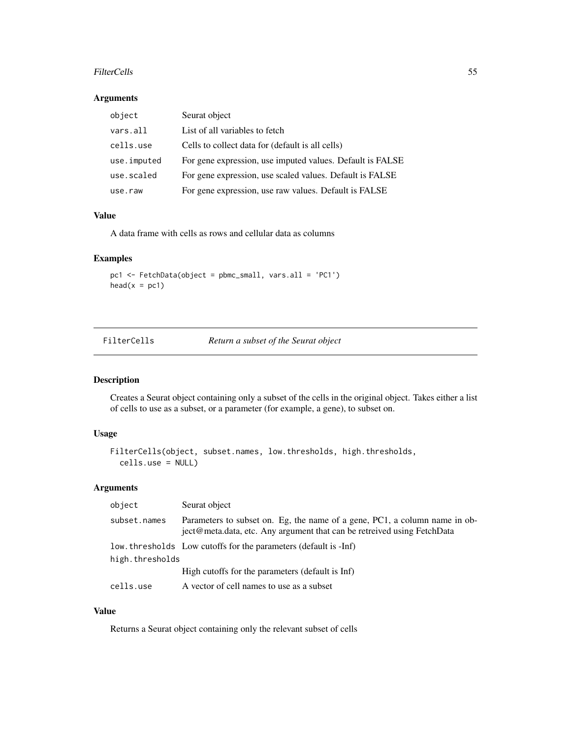#### FilterCells 55

### Arguments

| object      | Seurat object                                             |
|-------------|-----------------------------------------------------------|
| vars.all    | List of all variables to fetch                            |
| cells.use   | Cells to collect data for (default is all cells)          |
| use.imputed | For gene expression, use imputed values. Default is FALSE |
| use.scaled  | For gene expression, use scaled values. Default is FALSE  |
| use.raw     | For gene expression, use raw values. Default is FALSE     |

# Value

A data frame with cells as rows and cellular data as columns

# Examples

pc1 <- FetchData(object = pbmc\_small, vars.all = 'PC1')  $head(x = pc1)$ 

| FilterCells | Return a subset of the Seurat object |  |  |
|-------------|--------------------------------------|--|--|
|             |                                      |  |  |

# Description

Creates a Seurat object containing only a subset of the cells in the original object. Takes either a list of cells to use as a subset, or a parameter (for example, a gene), to subset on.

# Usage

```
FilterCells(object, subset.names, low.thresholds, high.thresholds,
  cells.use = NULL)
```
### Arguments

| object          | Seurat object                                                                                                                                         |  |
|-----------------|-------------------------------------------------------------------------------------------------------------------------------------------------------|--|
| subset.names    | Parameters to subset on. Eg, the name of a gene, PC1, a column name in ob-<br>ject@meta.data, etc. Any argument that can be retreived using FetchData |  |
|                 | low, thresholds Low cutoffs for the parameters (default is -Inf)                                                                                      |  |
| high.thresholds |                                                                                                                                                       |  |
|                 | High cutoffs for the parameters (default is Inf)                                                                                                      |  |
| cells.use       | A vector of cell names to use as a subset                                                                                                             |  |

# Value

Returns a Seurat object containing only the relevant subset of cells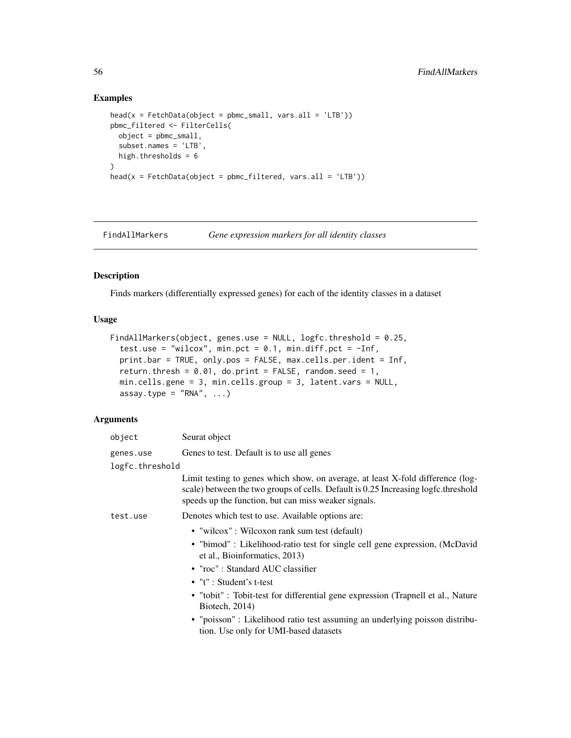# Examples

```
head(x = FetchData(object = pbmc_small, vars.all = 'LTB'))
pbmc_filtered <- FilterCells(
  object = pbmc_small,
  subset.names = 'LTB',
 high.thresholds = 6
)
head(x = FetchData(object = pbmc_filtered, vars.al = 'LTB'))
```
FindAllMarkers *Gene expression markers for all identity classes*

### Description

Finds markers (differentially expressed genes) for each of the identity classes in a dataset

#### Usage

```
FindAllMarkers(object, genes.use = NULL, logfc.threshold = 0.25,
  test.use = "wilcox", min.pct = 0.1, min.diff.pct = -Inf,
 print.bar = TRUE, only.pos = FALSE, max.cells.per.ident = Inf,
  return.thresh = 0.01, do.print = FALSE, random.seed = 1,
 min.cells.gene = 3, min.cells.group = 3, latent.vars = NULL,
  assay.type = "RNA", ...)
```

| object          | Seurat object                                                                                                                                                                                                                 |  |
|-----------------|-------------------------------------------------------------------------------------------------------------------------------------------------------------------------------------------------------------------------------|--|
| genes.use       | Genes to test. Default is to use all genes                                                                                                                                                                                    |  |
| logfc.threshold |                                                                                                                                                                                                                               |  |
|                 | Limit testing to genes which show, on average, at least X-fold difference (log-<br>scale) between the two groups of cells. Default is 0.25 Increasing logfc.threshold<br>speeds up the function, but can miss weaker signals. |  |
| test.use        | Denotes which test to use. Available options are:                                                                                                                                                                             |  |
|                 | • "wilcox": Wilcoxon rank sum test (default)                                                                                                                                                                                  |  |
|                 | • "bimod" : Likelihood-ratio test for single cell gene expression, (McDavid<br>et al., Bioinformatics, 2013)                                                                                                                  |  |
|                 | • "roc": Standard AUC classifier                                                                                                                                                                                              |  |
|                 | $\bullet$ "t" : Student's t-test                                                                                                                                                                                              |  |
|                 | • "tobit": Tobit-test for differential gene expression (Trapnell et al., Nature<br>Biotech, 2014)                                                                                                                             |  |
|                 | • "poisson" : Likelihood ratio test assuming an underlying poisson distribu-<br>tion. Use only for UMI-based datasets                                                                                                         |  |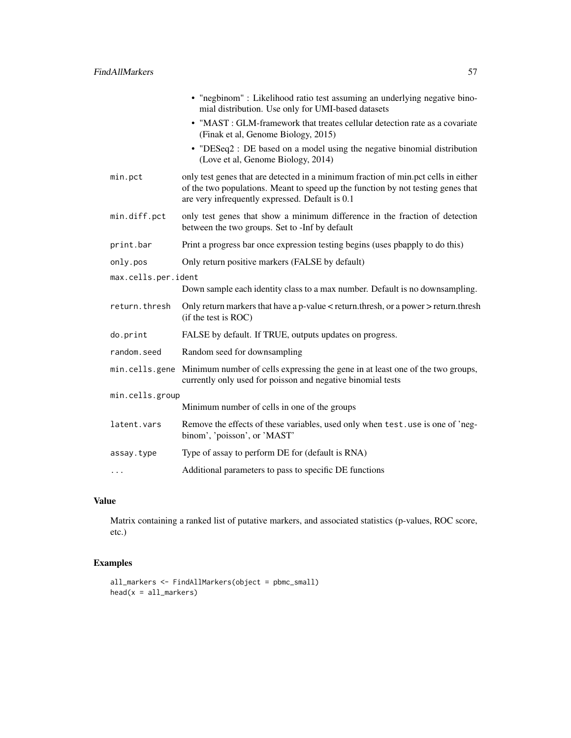|                     | • "negbinom" : Likelihood ratio test assuming an underlying negative bino-<br>mial distribution. Use only for UMI-based datasets                                                                                          |
|---------------------|---------------------------------------------------------------------------------------------------------------------------------------------------------------------------------------------------------------------------|
|                     | • "MAST: GLM-framework that treates cellular detection rate as a covariate<br>(Finak et al, Genome Biology, 2015)                                                                                                         |
|                     | • "DESeq2 : DE based on a model using the negative binomial distribution<br>(Love et al, Genome Biology, 2014)                                                                                                            |
| min.pct             | only test genes that are detected in a minimum fraction of min.pct cells in either<br>of the two populations. Meant to speed up the function by not testing genes that<br>are very infrequently expressed. Default is 0.1 |
| min.diff.pct        | only test genes that show a minimum difference in the fraction of detection<br>between the two groups. Set to -Inf by default                                                                                             |
| print.bar           | Print a progress bar once expression testing begins (uses pbapply to do this)                                                                                                                                             |
| only.pos            | Only return positive markers (FALSE by default)                                                                                                                                                                           |
| max.cells.per.ident |                                                                                                                                                                                                                           |
|                     | Down sample each identity class to a max number. Default is no downsampling.                                                                                                                                              |
| return.thresh       | Only return markers that have a p-value < return.thresh, or a power > return.thresh<br>(if the test is ROC)                                                                                                               |
| do.print            | FALSE by default. If TRUE, outputs updates on progress.                                                                                                                                                                   |
| random.seed         | Random seed for downsampling                                                                                                                                                                                              |
|                     | min.cells.gene Minimum number of cells expressing the gene in at least one of the two groups,<br>currently only used for poisson and negative binomial tests                                                              |
| min.cells.group     |                                                                                                                                                                                                                           |
|                     | Minimum number of cells in one of the groups                                                                                                                                                                              |
| latent.vars         | Remove the effects of these variables, used only when test. use is one of 'neg-<br>binom', 'poisson', or 'MAST'                                                                                                           |
| assay.type          | Type of assay to perform DE for (default is RNA)                                                                                                                                                                          |
| $\cdots$            | Additional parameters to pass to specific DE functions                                                                                                                                                                    |
|                     |                                                                                                                                                                                                                           |

Matrix containing a ranked list of putative markers, and associated statistics (p-values, ROC score, etc.)

# Examples

```
all_markers <- FindAllMarkers(object = pbmc_small)
head(x = all_matrix)
```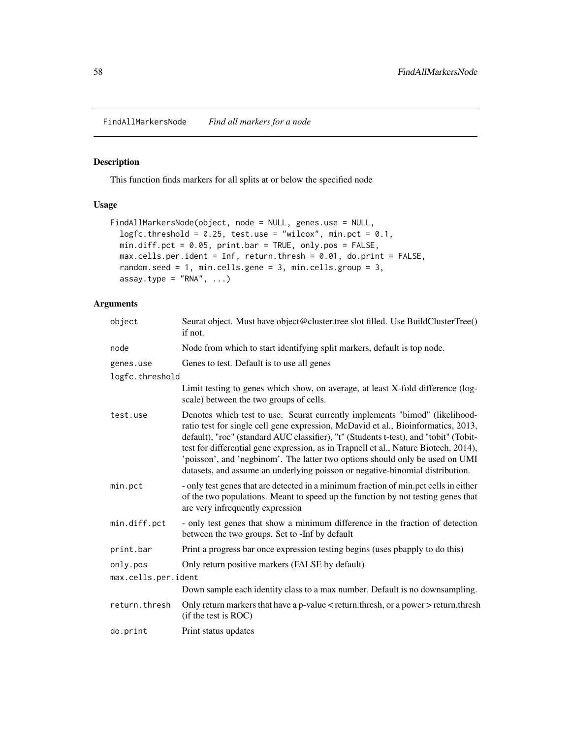FindAllMarkersNode *Find all markers for a node*

# Description

This function finds markers for all splits at or below the specified node

# Usage

```
FindAllMarkersNode(object, node = NULL, genes.use = NULL,
  logfc.threshold = 0.25, test.use = "wilcox", min.pct = 0.1,
 min.diff.pct = 0.05, print.bar = TRUE, only.pos = FALSE,
 max.cells.per.ident = Inf, return.thresh = 0.01, do.print = FALSE,
 random.seed = 1, min.cells.gene = 3, min.cells.group = 3,
 assay.type = "RNA", ...)
```

| object              | Seurat object. Must have object@cluster.tree slot filled. Use BuildClusterTree()<br>if not.                                                                                                                                                                                                                                                                                                                                                                                                                        |
|---------------------|--------------------------------------------------------------------------------------------------------------------------------------------------------------------------------------------------------------------------------------------------------------------------------------------------------------------------------------------------------------------------------------------------------------------------------------------------------------------------------------------------------------------|
| node                | Node from which to start identifying split markers, default is top node.                                                                                                                                                                                                                                                                                                                                                                                                                                           |
| genes.use           | Genes to test. Default is to use all genes                                                                                                                                                                                                                                                                                                                                                                                                                                                                         |
| logfc.threshold     |                                                                                                                                                                                                                                                                                                                                                                                                                                                                                                                    |
|                     | Limit testing to genes which show, on average, at least X-fold difference (log-<br>scale) between the two groups of cells.                                                                                                                                                                                                                                                                                                                                                                                         |
| test.use            | Denotes which test to use. Seurat currently implements "bimod" (likelihood-<br>ratio test for single cell gene expression, McDavid et al., Bioinformatics, 2013,<br>default), "roc" (standard AUC classifier), "t" (Students t-test), and "tobit" (Tobit-<br>test for differential gene expression, as in Trapnell et al., Nature Biotech, 2014),<br>'poisson', and 'negbinom'. The latter two options should only be used on UMI<br>datasets, and assume an underlying poisson or negative-binomial distribution. |
| min.pct             | - only test genes that are detected in a minimum fraction of min.pct cells in either<br>of the two populations. Meant to speed up the function by not testing genes that<br>are very infrequently expression                                                                                                                                                                                                                                                                                                       |
| min.diff.pct        | - only test genes that show a minimum difference in the fraction of detection<br>between the two groups. Set to -Inf by default                                                                                                                                                                                                                                                                                                                                                                                    |
| print.bar           | Print a progress bar once expression testing begins (uses poapply to do this)                                                                                                                                                                                                                                                                                                                                                                                                                                      |
| only.pos            | Only return positive markers (FALSE by default)                                                                                                                                                                                                                                                                                                                                                                                                                                                                    |
| max.cells.per.ident |                                                                                                                                                                                                                                                                                                                                                                                                                                                                                                                    |
|                     | Down sample each identity class to a max number. Default is no downsampling.                                                                                                                                                                                                                                                                                                                                                                                                                                       |
| return.thresh       | Only return markers that have a p-value < return.thresh, or a power > return.thresh<br>(if the test is ROC)                                                                                                                                                                                                                                                                                                                                                                                                        |
| do.print            | Print status updates                                                                                                                                                                                                                                                                                                                                                                                                                                                                                               |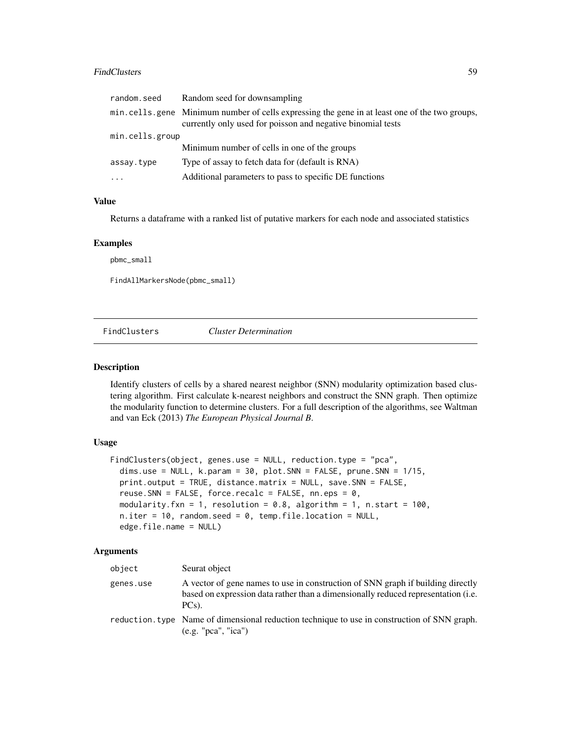#### FindClusters 59

| min.cells.gene Minimum number of cells expressing the gene in at least one of the two groups,<br>currently only used for poisson and negative binomial tests |  |
|--------------------------------------------------------------------------------------------------------------------------------------------------------------|--|
| min.cells.group                                                                                                                                              |  |
| Minimum number of cells in one of the groups                                                                                                                 |  |
| Type of assay to fetch data for (default is RNA)<br>assay.type                                                                                               |  |
| Additional parameters to pass to specific DE functions<br>$\cdots$                                                                                           |  |

### Value

Returns a dataframe with a ranked list of putative markers for each node and associated statistics

#### Examples

pbmc\_small

FindAllMarkersNode(pbmc\_small)

FindClusters *Cluster Determination*

#### Description

Identify clusters of cells by a shared nearest neighbor (SNN) modularity optimization based clustering algorithm. First calculate k-nearest neighbors and construct the SNN graph. Then optimize the modularity function to determine clusters. For a full description of the algorithms, see Waltman and van Eck (2013) *The European Physical Journal B*.

## Usage

```
FindClusters(object, genes.use = NULL, reduction.type = "pca",
  dims.use = NULL, k.param = 30, plot.SNN = FALSE, prune.SNN = 1/15,
  print.output = TRUE, distance.matrix = NULL, save.SNN = FALSE,
  reuse.SNN = FALSE, force.recalc = FALSE, nn.eps = 0,
  modularity.fxn = 1, resolution = 0.8, algorithm = 1, n.start = 100,
  n.iter = 10, random.seed = 0, temp.file.location = NULL,
  edge.file.name = NULL)
```

| object    | Seurat object                                                                                                                                                                    |
|-----------|----------------------------------------------------------------------------------------------------------------------------------------------------------------------------------|
| genes.use | A vector of gene names to use in construction of SNN graph if building directly<br>based on expression data rather than a dimensionally reduced representation (i.e.<br>$PCs$ ). |
|           | reduction, type Name of dimensional reduction technique to use in construction of SNN graph.<br>(e.g. "pca", "ica")                                                              |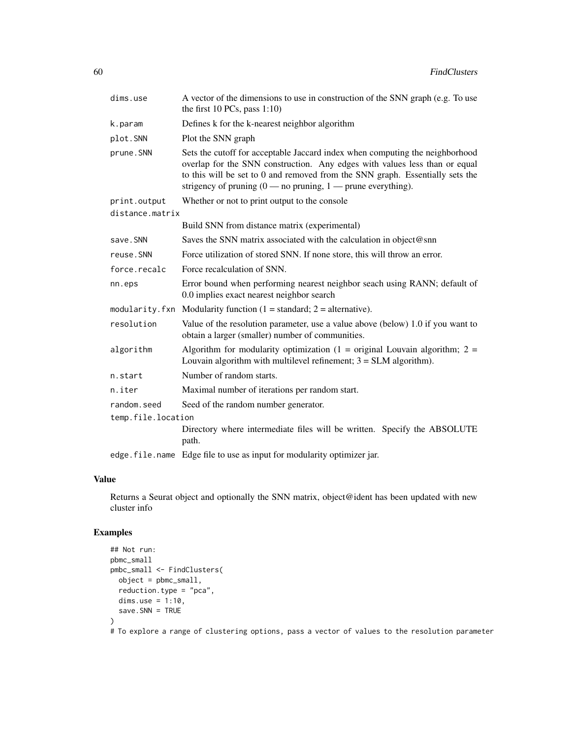| dims.use           | A vector of the dimensions to use in construction of the SNN graph (e.g. To use<br>the first $10$ PCs, pass $1:10$ )                                                                                                                                                                                                              |  |
|--------------------|-----------------------------------------------------------------------------------------------------------------------------------------------------------------------------------------------------------------------------------------------------------------------------------------------------------------------------------|--|
| k.param            | Defines k for the k-nearest neighbor algorithm                                                                                                                                                                                                                                                                                    |  |
| plot.SNN           | Plot the SNN graph                                                                                                                                                                                                                                                                                                                |  |
| prune.SNN          | Sets the cutoff for acceptable Jaccard index when computing the neighborhood<br>overlap for the SNN construction. Any edges with values less than or equal<br>to this will be set to 0 and removed from the SNN graph. Essentially sets the<br>strigency of pruning $(0 \text{---}$ no pruning, $1 \text{---}$ prune everything). |  |
| print.output       | Whether or not to print output to the console                                                                                                                                                                                                                                                                                     |  |
| distance.matrix    |                                                                                                                                                                                                                                                                                                                                   |  |
|                    | Build SNN from distance matrix (experimental)                                                                                                                                                                                                                                                                                     |  |
| save.SNN           | Saves the SNN matrix associated with the calculation in object@snn                                                                                                                                                                                                                                                                |  |
| reuse.SNN          | Force utilization of stored SNN. If none store, this will throw an error.                                                                                                                                                                                                                                                         |  |
| force.recalc       | Force recalculation of SNN.                                                                                                                                                                                                                                                                                                       |  |
| nn.eps             | Error bound when performing nearest neighbor seach using RANN; default of<br>0.0 implies exact nearest neighbor search                                                                                                                                                                                                            |  |
|                    | modularity. fxn Modularity function $(1 = standard; 2 = alternative)$ .                                                                                                                                                                                                                                                           |  |
| resolution         | Value of the resolution parameter, use a value above (below) 1.0 if you want to<br>obtain a larger (smaller) number of communities.                                                                                                                                                                                               |  |
| algorithm          | Algorithm for modularity optimization $(1 = original Louvain algorithm; 2 =$<br>Louvain algorithm with multilevel refinement; $3 = SLM$ algorithm).                                                                                                                                                                               |  |
| n.start            | Number of random starts.                                                                                                                                                                                                                                                                                                          |  |
| n.iter             | Maximal number of iterations per random start.                                                                                                                                                                                                                                                                                    |  |
| random.seed        | Seed of the random number generator.                                                                                                                                                                                                                                                                                              |  |
| temp.file.location |                                                                                                                                                                                                                                                                                                                                   |  |
|                    | Directory where intermediate files will be written. Specify the ABSOLUTE<br>path.                                                                                                                                                                                                                                                 |  |
|                    | edge. file. name Edge file to use as input for modularity optimizer jar.                                                                                                                                                                                                                                                          |  |

Returns a Seurat object and optionally the SNN matrix, object@ident has been updated with new cluster info

# Examples

```
## Not run:
pbmc_small
pmbc_small <- FindClusters(
 object = pbmc_small,
  reduction.type = "pca",
  dims.use = 1:10,
  save.SNN = TRUE
\overline{)}# To explore a range of clustering options, pass a vector of values to the resolution parameter
```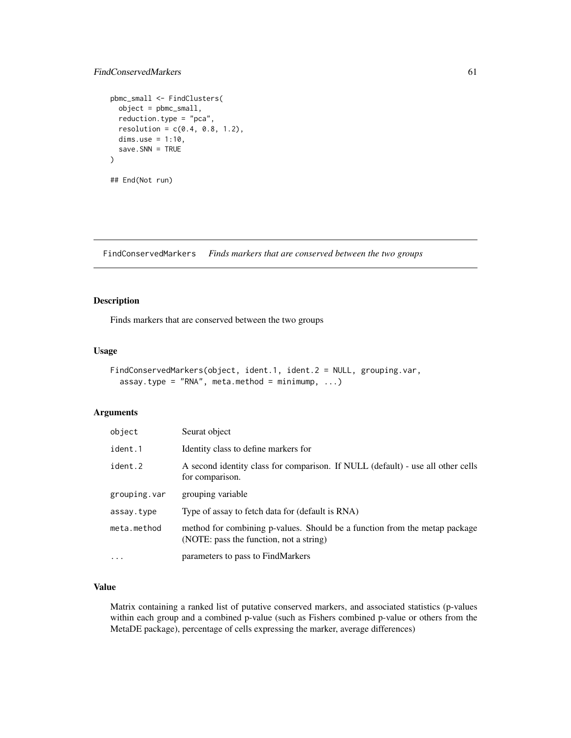### FindConservedMarkers 61

```
pbmc_small <- FindClusters(
 object = pbmc_small,
 reduction.type = "pca",
 resolution = c(0.4, 0.8, 1.2),dims.use = 1:10,
 save.SNN = TRUE
)
## End(Not run)
```
FindConservedMarkers *Finds markers that are conserved between the two groups*

#### Description

Finds markers that are conserved between the two groups

#### Usage

```
FindConservedMarkers(object, ident.1, ident.2 = NULL, grouping.var,
  assay.type = "RNA", meta.method = minimump, ...)
```
### Arguments

| object       | Seurat object                                                                                                         |
|--------------|-----------------------------------------------------------------------------------------------------------------------|
| ident.1      | Identity class to define markers for                                                                                  |
| ident.2      | A second identity class for comparison. If NULL (default) - use all other cells<br>for comparison.                    |
| grouping.var | grouping variable                                                                                                     |
| assay.type   | Type of assay to fetch data for (default is RNA)                                                                      |
| meta.method  | method for combining p-values. Should be a function from the metap package<br>(NOTE: pass the function, not a string) |
| $\cdots$     | parameters to pass to FindMarkers                                                                                     |

# Value

Matrix containing a ranked list of putative conserved markers, and associated statistics (p-values within each group and a combined p-value (such as Fishers combined p-value or others from the MetaDE package), percentage of cells expressing the marker, average differences)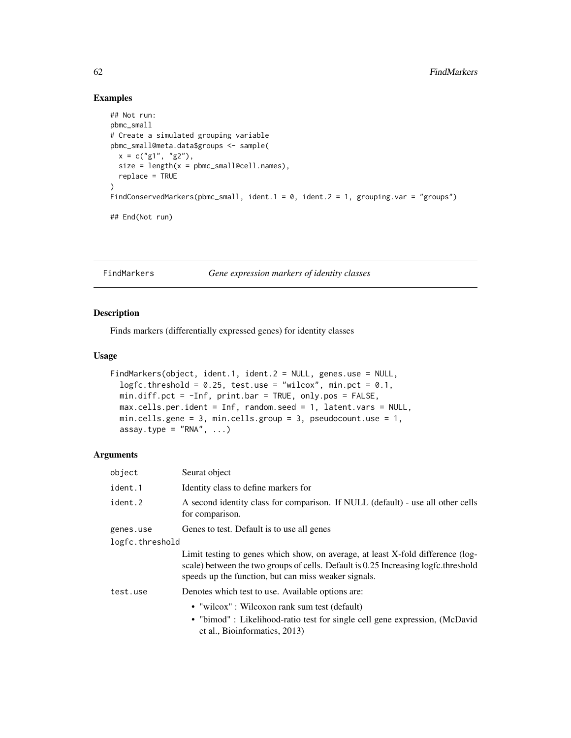# Examples

```
## Not run:
pbmc_small
# Create a simulated grouping variable
pbmc_small@meta.data$groups <- sample(
  x = c("g1", "g2"),size = length(x = pbmc_small@cell.names),
  replace = TRUE
)
FindConservedMarkers(pbmc_small, ident.1 = 0, ident.2 = 1, grouping.var = "groups")
## End(Not run)
```
FindMarkers *Gene expression markers of identity classes*

# Description

Finds markers (differentially expressed genes) for identity classes

#### Usage

```
FindMarkers(object, ident.1, ident.2 = NULL, genes.use = NULL,
  logfc.threshold = 0.25, test.use = "wilcox", min.pct = 0.1,
 min.diff.pct = -Inf, print.bar = TRUE, only.pos = FALSE,
 max.cells.per.ident = Inf, random.seed = 1, latent.vars = NULL,
 min.cells.gene = 3, min.cells.group = 3, pseudocount.use = 1,
  assay.type = "RNA", ...)
```

| object          | Seurat object                                                                                                                                                                                                                 |  |
|-----------------|-------------------------------------------------------------------------------------------------------------------------------------------------------------------------------------------------------------------------------|--|
| ident.1         | Identity class to define markers for                                                                                                                                                                                          |  |
| ident.2         | A second identity class for comparison. If NULL (default) - use all other cells<br>for comparison.                                                                                                                            |  |
| genes.use       | Genes to test. Default is to use all genes                                                                                                                                                                                    |  |
| logfc.threshold |                                                                                                                                                                                                                               |  |
|                 | Limit testing to genes which show, on average, at least X-fold difference (log-<br>scale) between the two groups of cells. Default is 0.25 Increasing logfc.threshold<br>speeds up the function, but can miss weaker signals. |  |
| test.use        | Denotes which test to use. Available options are:                                                                                                                                                                             |  |
|                 | • "wilcox": Wilcoxon rank sum test (default)<br>• "bimod" : Likelihood-ratio test for single cell gene expression, (McDavid<br>et al., Bioinformatics, 2013)                                                                  |  |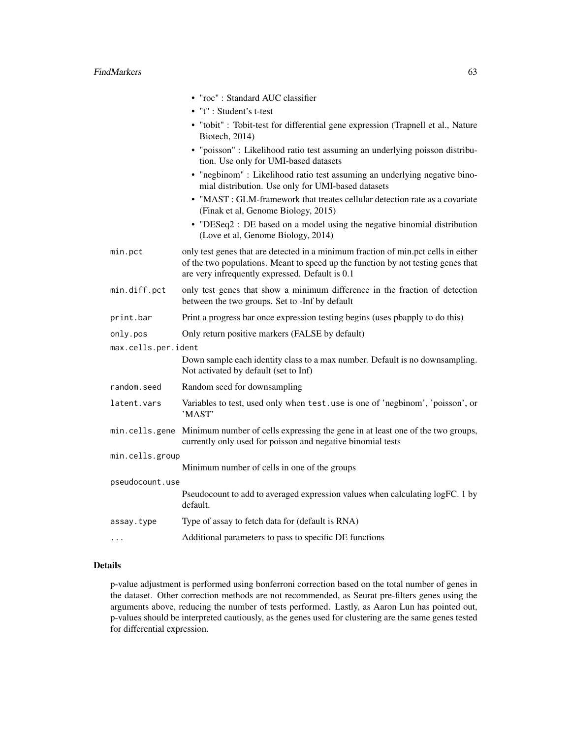|                     | • "roc": Standard AUC classifier                                                                                                                                                                                          |
|---------------------|---------------------------------------------------------------------------------------------------------------------------------------------------------------------------------------------------------------------------|
|                     | • "t" : Student's t-test                                                                                                                                                                                                  |
|                     | • "tobit" : Tobit-test for differential gene expression (Trapnell et al., Nature<br>Biotech, 2014)                                                                                                                        |
|                     | • "poisson" : Likelihood ratio test assuming an underlying poisson distribu-<br>tion. Use only for UMI-based datasets                                                                                                     |
|                     | • "negbinom" : Likelihood ratio test assuming an underlying negative bino-<br>mial distribution. Use only for UMI-based datasets                                                                                          |
|                     | • "MAST : GLM-framework that treates cellular detection rate as a covariate<br>(Finak et al, Genome Biology, 2015)                                                                                                        |
|                     | • "DESeq2 : DE based on a model using the negative binomial distribution<br>(Love et al, Genome Biology, 2014)                                                                                                            |
| min.pct             | only test genes that are detected in a minimum fraction of min.pct cells in either<br>of the two populations. Meant to speed up the function by not testing genes that<br>are very infrequently expressed. Default is 0.1 |
| min.diff.pct        | only test genes that show a minimum difference in the fraction of detection<br>between the two groups. Set to -Inf by default                                                                                             |
| print.bar           | Print a progress bar once expression testing begins (uses pbapply to do this)                                                                                                                                             |
| only.pos            | Only return positive markers (FALSE by default)                                                                                                                                                                           |
| max.cells.per.ident |                                                                                                                                                                                                                           |
|                     | Down sample each identity class to a max number. Default is no downsampling.<br>Not activated by default (set to Inf)                                                                                                     |
| random.seed         | Random seed for downsampling                                                                                                                                                                                              |
| latent.vars         | Variables to test, used only when test.use is one of 'negbinom', 'poisson', or<br>'MAST'                                                                                                                                  |
|                     | min.cells.gene Minimum number of cells expressing the gene in at least one of the two groups,<br>currently only used for poisson and negative binomial tests                                                              |
| min.cells.group     |                                                                                                                                                                                                                           |
|                     | Minimum number of cells in one of the groups                                                                                                                                                                              |
| pseudocount.use     | Pseudocount to add to averaged expression values when calculating logFC. 1 by                                                                                                                                             |
|                     | default.                                                                                                                                                                                                                  |
| assay.type          | Type of assay to fetch data for (default is RNA)                                                                                                                                                                          |
| .                   | Additional parameters to pass to specific DE functions                                                                                                                                                                    |

#### Details

p-value adjustment is performed using bonferroni correction based on the total number of genes in the dataset. Other correction methods are not recommended, as Seurat pre-filters genes using the arguments above, reducing the number of tests performed. Lastly, as Aaron Lun has pointed out, p-values should be interpreted cautiously, as the genes used for clustering are the same genes tested for differential expression.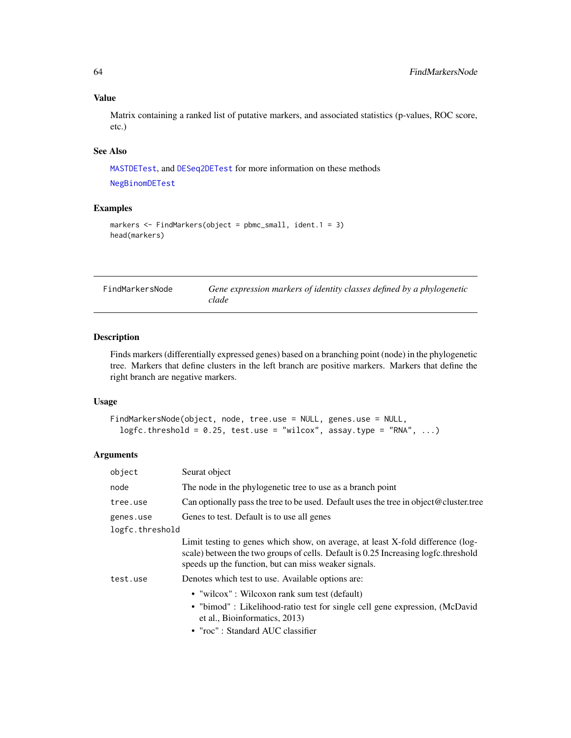Matrix containing a ranked list of putative markers, and associated statistics (p-values, ROC score, etc.)

# See Also

[MASTDETest](#page-88-0), and [DESeq2DETest](#page-33-0) for more information on these methods [NegBinomDETest](#page-92-0)

### Examples

```
markers <- FindMarkers(object = pbmc_small, ident.1 = 3)
head(markers)
```

| FindMarkersNode | Gene expression markers of identity classes defined by a phylogenetic |
|-----------------|-----------------------------------------------------------------------|
|                 | clade                                                                 |

# Description

Finds markers (differentially expressed genes) based on a branching point (node) in the phylogenetic tree. Markers that define clusters in the left branch are positive markers. Markers that define the right branch are negative markers.

### Usage

```
FindMarkersNode(object, node, tree.use = NULL, genes.use = NULL,
  logfc.threshold = 0.25, test.use = "wilcox", assay.type = "RNA", ...)
```

| object          | Seurat object                                                                                                                                                                                                                 |
|-----------------|-------------------------------------------------------------------------------------------------------------------------------------------------------------------------------------------------------------------------------|
| node            | The node in the phylogenetic tree to use as a branch point                                                                                                                                                                    |
| tree.use        | Can optionally pass the tree to be used. Default uses the tree in object $@$ cluster tree                                                                                                                                     |
| genes.use       | Genes to test. Default is to use all genes                                                                                                                                                                                    |
| logfc.threshold |                                                                                                                                                                                                                               |
|                 | Limit testing to genes which show, on average, at least X-fold difference (log-<br>scale) between the two groups of cells. Default is 0.25 Increasing logfc.threshold<br>speeds up the function, but can miss weaker signals. |
| test.use        | Denotes which test to use. Available options are:                                                                                                                                                                             |
|                 | • "wilcox": Wilcoxon rank sum test (default)<br>• "bimod" : Likelihood-ratio test for single cell gene expression, (McDavid<br>et al., Bioinformatics, 2013)<br>• "roc": Standard AUC classifier                              |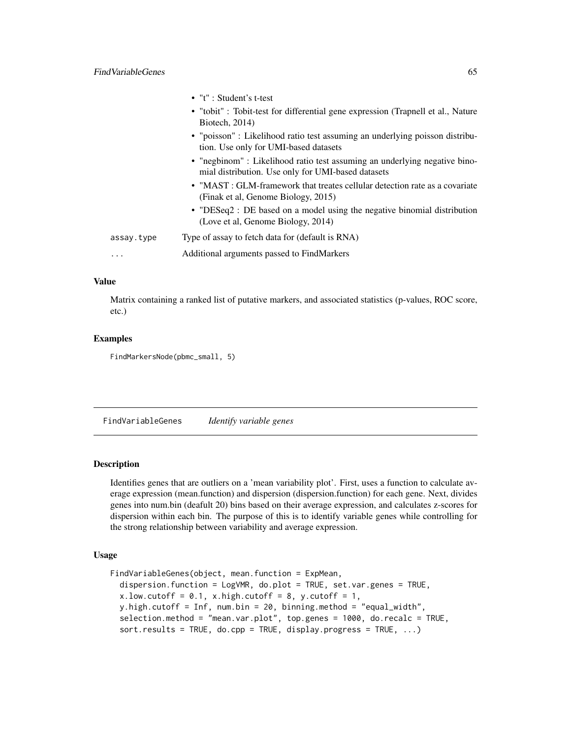|            | $\bullet$ "t" : Student's t-test                                                                                                 |
|------------|----------------------------------------------------------------------------------------------------------------------------------|
|            | • "tobit": Tobit-test for differential gene expression (Trapnell et al., Nature<br>Biotech, $2014$ )                             |
|            | • "poisson" : Likelihood ratio test assuming an underlying poisson distribu-<br>tion. Use only for UMI-based datasets            |
|            | • "negbinom" : Likelihood ratio test assuming an underlying negative bino-<br>mial distribution. Use only for UMI-based datasets |
|            | • "MAST: GLM-framework that treates cellular detection rate as a covariate<br>(Finak et al, Genome Biology, 2015)                |
|            | • "DESeq2 : DE based on a model using the negative binomial distribution<br>(Love et al, Genome Biology, 2014)                   |
| assay.type | Type of assay to fetch data for (default is RNA)                                                                                 |
| .          | Additional arguments passed to FindMarkers                                                                                       |
|            |                                                                                                                                  |

Matrix containing a ranked list of putative markers, and associated statistics (p-values, ROC score, etc.)

#### Examples

FindMarkersNode(pbmc\_small, 5)

FindVariableGenes *Identify variable genes*

#### Description

Identifies genes that are outliers on a 'mean variability plot'. First, uses a function to calculate average expression (mean.function) and dispersion (dispersion.function) for each gene. Next, divides genes into num.bin (deafult 20) bins based on their average expression, and calculates z-scores for dispersion within each bin. The purpose of this is to identify variable genes while controlling for the strong relationship between variability and average expression.

### Usage

```
FindVariableGenes(object, mean.function = ExpMean,
  dispersion.function = LogVMR, do.plot = TRUE, set.var.genes = TRUE,
  x.lower.low.cutoff = 0.1, x \hat{i} = 0.1, x \hat{j} = 1, y.cutoff = 1,
  y.high.cutoff = Inf, num.bin = 20, binning.method = "equal_width",
  selection.method = "mean.var.plot", top.genes = 1000, do.recalc = TRUE,
  sort.results = TRUE, do.cpp = TRUE, display.progress = TRUE, ...)
```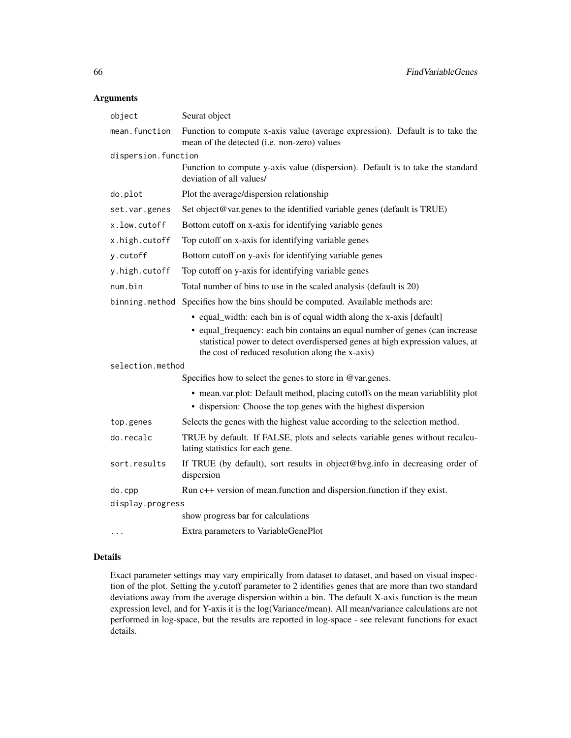### Arguments

| object              | Seurat object                                                                                                                                                                                                                                                                            |
|---------------------|------------------------------------------------------------------------------------------------------------------------------------------------------------------------------------------------------------------------------------------------------------------------------------------|
| mean.function       | Function to compute x-axis value (average expression). Default is to take the<br>mean of the detected (i.e. non-zero) values                                                                                                                                                             |
| dispersion.function |                                                                                                                                                                                                                                                                                          |
|                     | Function to compute y-axis value (dispersion). Default is to take the standard<br>deviation of all values/                                                                                                                                                                               |
| do.plot             | Plot the average/dispersion relationship                                                                                                                                                                                                                                                 |
| set.var.genes       | Set object@var.genes to the identified variable genes (default is TRUE)                                                                                                                                                                                                                  |
| x.low.cutoff        | Bottom cutoff on x-axis for identifying variable genes                                                                                                                                                                                                                                   |
| x.high.cutoff       | Top cutoff on x-axis for identifying variable genes                                                                                                                                                                                                                                      |
| y.cutoff            | Bottom cutoff on y-axis for identifying variable genes                                                                                                                                                                                                                                   |
| y.high.cutoff       | Top cutoff on y-axis for identifying variable genes                                                                                                                                                                                                                                      |
| num.bin             | Total number of bins to use in the scaled analysis (default is 20)                                                                                                                                                                                                                       |
|                     | binning method Specifies how the bins should be computed. Available methods are:                                                                                                                                                                                                         |
|                     | • equal_width: each bin is of equal width along the x-axis [default]<br>• equal_frequency: each bin contains an equal number of genes (can increase<br>statistical power to detect overdispersed genes at high expression values, at<br>the cost of reduced resolution along the x-axis) |
| selection.method    |                                                                                                                                                                                                                                                                                          |
|                     | Specifies how to select the genes to store in @var.genes.                                                                                                                                                                                                                                |
|                     | • mean.var.plot: Default method, placing cutoffs on the mean variability plot<br>• dispersion: Choose the top genes with the highest dispersion                                                                                                                                          |
| top.genes           | Selects the genes with the highest value according to the selection method.                                                                                                                                                                                                              |
| do.recalc           | TRUE by default. If FALSE, plots and selects variable genes without recalcu-<br>lating statistics for each gene.                                                                                                                                                                         |
| sort.results        | If TRUE (by default), sort results in object@hvg.info in decreasing order of<br>dispersion                                                                                                                                                                                               |
| do.cpp              | Run c++ version of mean.function and dispersion.function if they exist.                                                                                                                                                                                                                  |
| display.progress    |                                                                                                                                                                                                                                                                                          |
|                     | show progress bar for calculations                                                                                                                                                                                                                                                       |
|                     | Extra parameters to VariableGenePlot                                                                                                                                                                                                                                                     |

### Details

Exact parameter settings may vary empirically from dataset to dataset, and based on visual inspection of the plot. Setting the y.cutoff parameter to 2 identifies genes that are more than two standard deviations away from the average dispersion within a bin. The default X-axis function is the mean expression level, and for Y-axis it is the log(Variance/mean). All mean/variance calculations are not performed in log-space, but the results are reported in log-space - see relevant functions for exact details.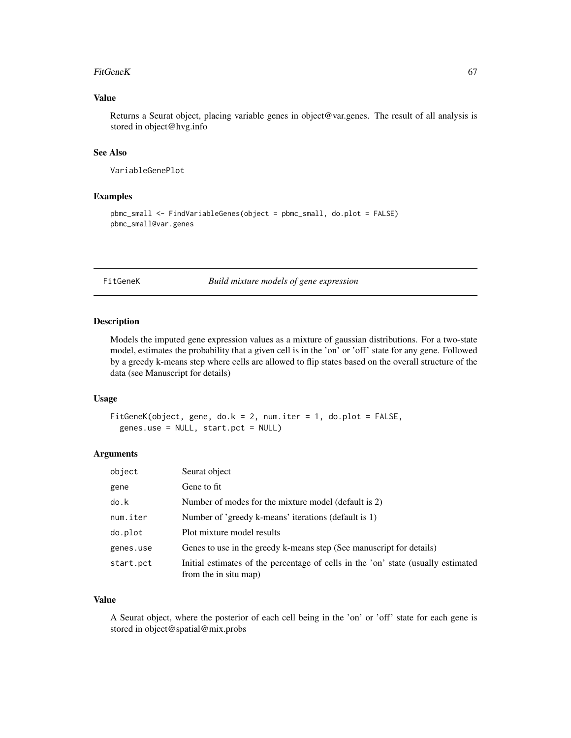#### FitGeneK 67

### Value

Returns a Seurat object, placing variable genes in object@var.genes. The result of all analysis is stored in object@hvg.info

### See Also

VariableGenePlot

#### Examples

```
pbmc_small <- FindVariableGenes(object = pbmc_small, do.plot = FALSE)
pbmc_small@var.genes
```
FitGeneK *Build mixture models of gene expression*

### Description

Models the imputed gene expression values as a mixture of gaussian distributions. For a two-state model, estimates the probability that a given cell is in the 'on' or 'off' state for any gene. Followed by a greedy k-means step where cells are allowed to flip states based on the overall structure of the data (see Manuscript for details)

### Usage

```
FitGeneK(object, gene, do.k = 2, num.iter = 1, do.plot = FALSE,
  genes.use = NULL, start.pct = NULL)
```
### Arguments

| object    | Seurat object                                                                                              |
|-----------|------------------------------------------------------------------------------------------------------------|
| gene      | Gene to fit                                                                                                |
| do.k      | Number of modes for the mixture model (default is 2)                                                       |
| num.iter  | Number of 'greedy k-means' iterations (default is 1)                                                       |
| do.plot   | Plot mixture model results                                                                                 |
| genes.use | Genes to use in the greedy k-means step (See manuscript for details)                                       |
| start.pct | Initial estimates of the percentage of cells in the 'on' state (usually estimated<br>from the in situ map) |

### Value

A Seurat object, where the posterior of each cell being in the 'on' or 'off' state for each gene is stored in object@spatial@mix.probs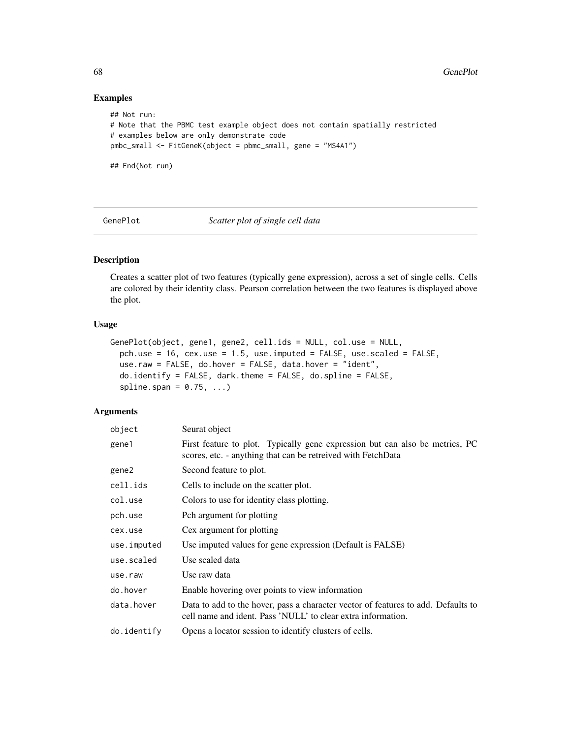# Examples

```
## Not run:
# Note that the PBMC test example object does not contain spatially restricted
# examples below are only demonstrate code
pmbc_small <- FitGeneK(object = pbmc_small, gene = "MS4A1")
## End(Not run)
```
GenePlot *Scatter plot of single cell data*

### Description

Creates a scatter plot of two features (typically gene expression), across a set of single cells. Cells are colored by their identity class. Pearson correlation between the two features is displayed above the plot.

#### Usage

```
GenePlot(object, gene1, gene2, cell.ids = NULL, col.use = NULL,
  pch.use = 16, cex.use = 1.5, use.imputed = FALSE, use.scaled = FALSE,
  use.raw = FALSE, do.hover = FALSE, data.hover = "ident",
  do.identify = FALSE, dark.theme = FALSE, do.spline = FALSE,
  splitne.span = 0.75, ...)
```

| object      | Seurat object                                                                                                                                     |
|-------------|---------------------------------------------------------------------------------------------------------------------------------------------------|
| gene1       | First feature to plot. Typically gene expression but can also be metrics, PC<br>scores, etc. - anything that can be retreived with FetchData      |
| gene2       | Second feature to plot.                                                                                                                           |
| cell.ids    | Cells to include on the scatter plot.                                                                                                             |
| col.use     | Colors to use for identity class plotting.                                                                                                        |
| pch.use     | Pch argument for plotting                                                                                                                         |
| cex.use     | Cex argument for plotting                                                                                                                         |
| use.imputed | Use imputed values for gene expression (Default is FALSE)                                                                                         |
| use.scaled  | Use scaled data                                                                                                                                   |
| use.raw     | Use raw data                                                                                                                                      |
| do.hover    | Enable hovering over points to view information                                                                                                   |
| data.hover  | Data to add to the hover, pass a character vector of features to add. Defaults to<br>cell name and ident. Pass 'NULL' to clear extra information. |
| do.identify | Opens a locator session to identify clusters of cells.                                                                                            |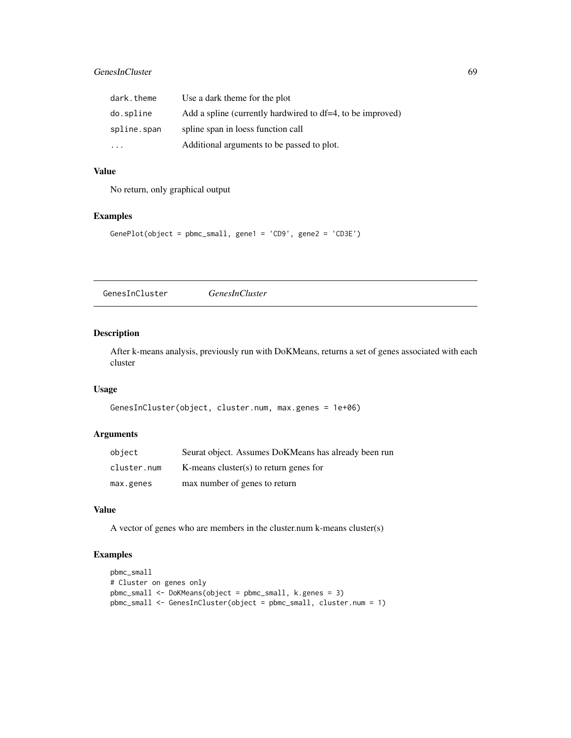### GenesInCluster 69

| dark.theme  | Use a dark theme for the plot                              |
|-------------|------------------------------------------------------------|
| do.spline   | Add a spline (currently hardwired to df=4, to be improved) |
| spline.span | spline span in loess function call                         |
| .           | Additional arguments to be passed to plot.                 |

# Value

No return, only graphical output

### Examples

```
GenePlot(object = pbmc_small, gene1 = 'CD9', gene2 = 'CD3E')
```
GenesInCluster *GenesInCluster*

### Description

After k-means analysis, previously run with DoKMeans, returns a set of genes associated with each cluster

# Usage

```
GenesInCluster(object, cluster.num, max.genes = 1e+06)
```
### Arguments

| object      | Seurat object. Assumes DoKMeans has already been run |
|-------------|------------------------------------------------------|
| cluster.num | K-means cluster(s) to return genes for               |
| max.genes   | max number of genes to return                        |

### Value

A vector of genes who are members in the cluster.num k-means cluster(s)

### Examples

```
pbmc_small
# Cluster on genes only
pbmc_small <- DoKMeans(object = pbmc_small, k.genes = 3)
pbmc_small <- GenesInCluster(object = pbmc_small, cluster.num = 1)
```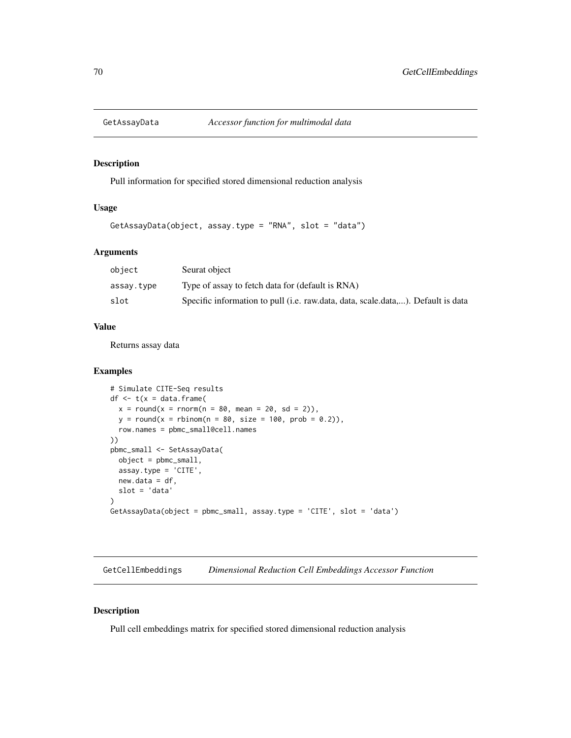# Description

Pull information for specified stored dimensional reduction analysis

### Usage

```
GetAssayData(object, assay.type = "RNA", slot = "data")
```
## Arguments

| object     | Seurat object                                                                    |
|------------|----------------------------------------------------------------------------------|
| assay.type | Type of assay to fetch data for (default is RNA)                                 |
| slot       | Specific information to pull (i.e. raw.data, data, scale.data,). Default is data |

#### Value

Returns assay data

### Examples

```
# Simulate CITE-Seq results
df \leq t(x = data.frame(
  x = round(x = rnorm(n = 80, mean = 20, sd = 2)),y = round(x = rhinom(n = 80, size = 100, prob = 0.2)),row.names = pbmc_small@cell.names
))
pbmc_small <- SetAssayData(
  object = pbmc_small,
  assay.type = 'CITE',
 new.data = df,
  slot = 'data'
)
GetAssayData(object = pbmc_small, assay.type = 'CITE', slot = 'data')
```
GetCellEmbeddings *Dimensional Reduction Cell Embeddings Accessor Function*

### Description

Pull cell embeddings matrix for specified stored dimensional reduction analysis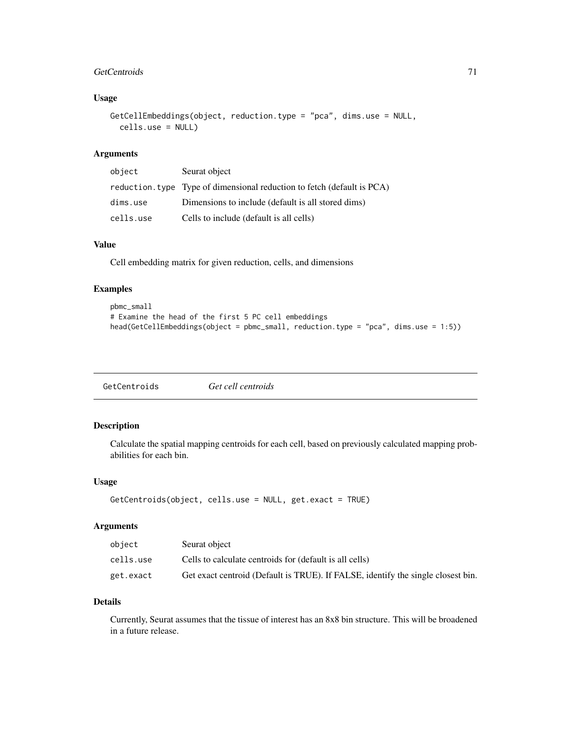#### GetCentroids 71

### Usage

```
GetCellEmbeddings(object, reduction.type = "pca", dims.use = NULL,
  cells.use = NULL)
```
# Arguments

| object    | Seurat object                                                           |
|-----------|-------------------------------------------------------------------------|
|           | reduction. type Type of dimensional reduction to fetch (default is PCA) |
| dims.use  | Dimensions to include (default is all stored dims)                      |
| cells.use | Cells to include (default is all cells)                                 |

# Value

Cell embedding matrix for given reduction, cells, and dimensions

### Examples

```
pbmc_small
# Examine the head of the first 5 PC cell embeddings
head(GetCellEmbeddings(object = pbmc_small, reduction.type = "pca", dims.use = 1:5))
```
# Description

Calculate the spatial mapping centroids for each cell, based on previously calculated mapping probabilities for each bin.

### Usage

```
GetCentroids(object, cells.use = NULL, get.exact = TRUE)
```
### Arguments

| object    | Seurat object                                                                    |
|-----------|----------------------------------------------------------------------------------|
| cells.use | Cells to calculate centroids for (default is all cells)                          |
| get.exact | Get exact centroid (Default is TRUE). If FALSE, identify the single closest bin. |

### Details

Currently, Seurat assumes that the tissue of interest has an 8x8 bin structure. This will be broadened in a future release.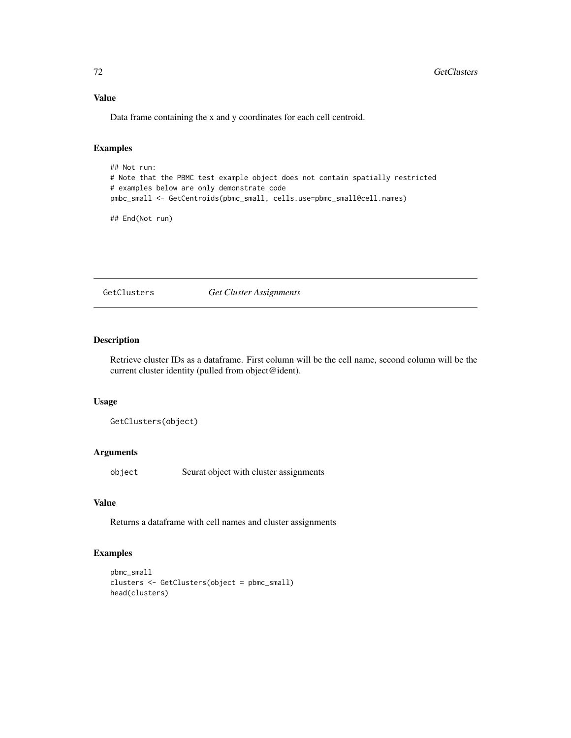Data frame containing the x and y coordinates for each cell centroid.

# Examples

```
## Not run:
# Note that the PBMC test example object does not contain spatially restricted
# examples below are only demonstrate code
pmbc_small <- GetCentroids(pbmc_small, cells.use=pbmc_small@cell.names)
```
## End(Not run)

GetClusters *Get Cluster Assignments*

### Description

Retrieve cluster IDs as a dataframe. First column will be the cell name, second column will be the current cluster identity (pulled from object@ident).

### Usage

GetClusters(object)

### Arguments

object Seurat object with cluster assignments

# Value

Returns a dataframe with cell names and cluster assignments

# Examples

```
pbmc_small
clusters <- GetClusters(object = pbmc_small)
head(clusters)
```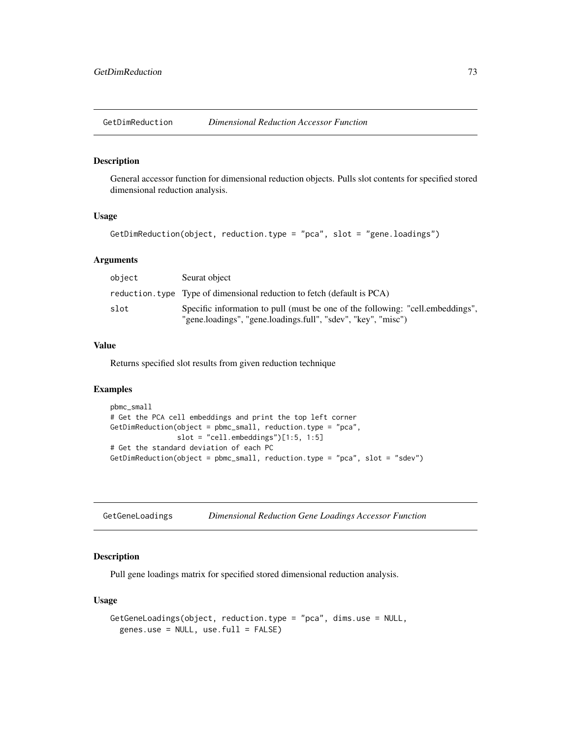GetDimReduction *Dimensional Reduction Accessor Function*

#### Description

General accessor function for dimensional reduction objects. Pulls slot contents for specified stored dimensional reduction analysis.

#### Usage

```
GetDimReduction(object, reduction.type = "pca", slot = "gene.loadings")
```
## Arguments

| object | Seurat object                                                                                                                                   |
|--------|-------------------------------------------------------------------------------------------------------------------------------------------------|
|        | reduction. type Type of dimensional reduction to fetch (default is PCA)                                                                         |
| slot   | Specific information to pull (must be one of the following: "cell.embeddings",<br>"gene.loadings", "gene.loadings.full", "sdev", "key", "misc") |

# Value

Returns specified slot results from given reduction technique

# Examples

```
pbmc_small
# Get the PCA cell embeddings and print the top left corner
GetDimReduction(object = pbmc_small, reduction.type = "pca",
                slot = "cell.embeddings")[1:5, 1:5]
# Get the standard deviation of each PC
GetDimReduction(object = pbmc_small, reduction.type = "pca", slot = "sdev")
```
GetGeneLoadings *Dimensional Reduction Gene Loadings Accessor Function*

## Description

Pull gene loadings matrix for specified stored dimensional reduction analysis.

## Usage

```
GetGeneLoadings(object, reduction.type = "pca", dims.use = NULL,
  genes.use = NULL, use.full = FALSE)
```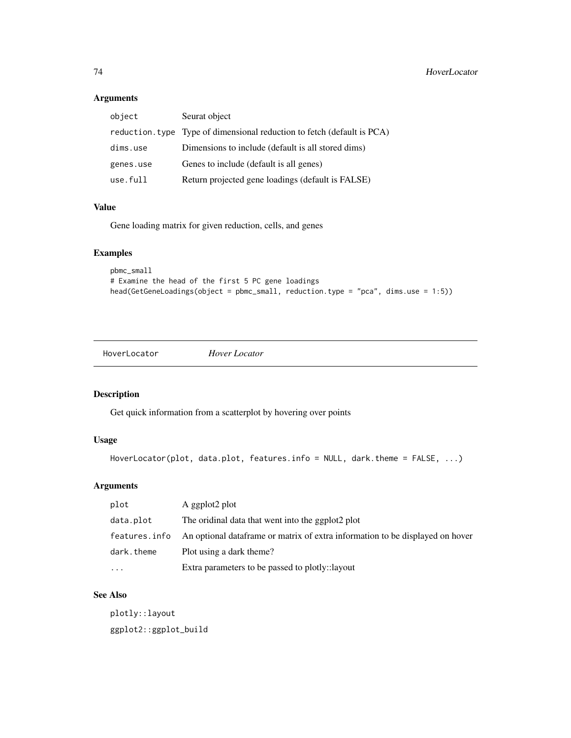# Arguments

| Seurat object                                                           |
|-------------------------------------------------------------------------|
| reduction. type Type of dimensional reduction to fetch (default is PCA) |
| Dimensions to include (default is all stored dims)                      |
| Genes to include (default is all genes)                                 |
| Return projected gene loadings (default is FALSE)                       |
|                                                                         |

## Value

Gene loading matrix for given reduction, cells, and genes

# Examples

```
pbmc_small
# Examine the head of the first 5 PC gene loadings
head(GetGeneLoadings(object = pbmc_small, reduction.type = "pca", dims.use = 1:5))
```
HoverLocator *Hover Locator*

# Description

Get quick information from a scatterplot by hovering over points

# Usage

```
HoverLocator(plot, data.plot, features.info = NULL, dark.theme = FALSE, ...)
```
# Arguments

| plot          | A ggplot2 plot                                                                 |
|---------------|--------------------------------------------------------------------------------|
| data.plot     | The oridinal data that went into the ggplot2 plot                              |
| features.info | An optional data frame or matrix of extra information to be displayed on hover |
| dark.theme    | Plot using a dark theme?                                                       |
| $\ddotsc$     | Extra parameters to be passed to plotly::layout                                |

## See Also

plotly::layout ggplot2::ggplot\_build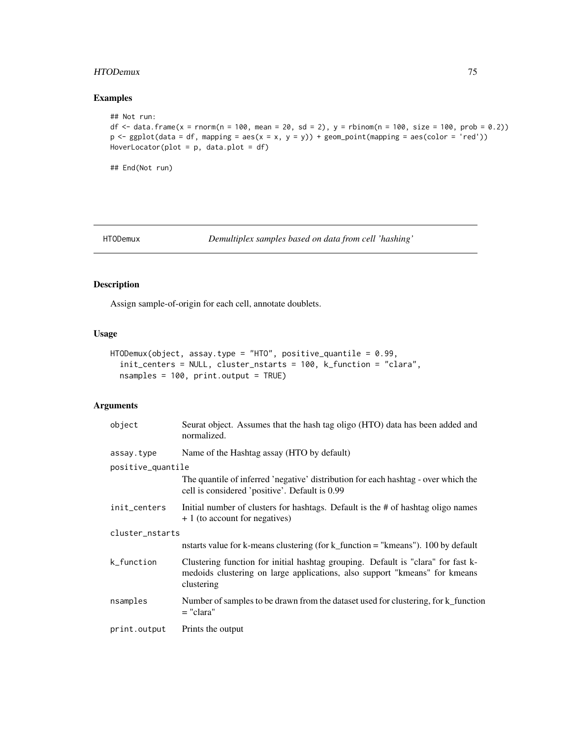# HTODemux 75

## Examples

```
## Not run:
df <- data.frame(x = rnorm(n = 100, mean = 20, sd = 2), y = rbinom(n = 100, size = 100, prob = 0.2))
p \leftarrow ggplot(data = df, mapping = aes(x = x, y = y)) + geom\_point(mapping = aes(color = 'red'))HoverLocator(plot = p, data.plot = df)
```
## End(Not run)

HTODemux *Demultiplex samples based on data from cell 'hashing'*

# Description

Assign sample-of-origin for each cell, annotate doublets.

# Usage

```
HTODemux(object, assay.type = "HTO", positive_quantile = 0.99,
  init_centers = NULL, cluster_nstarts = 100, k_function = "clara",
 nsamples = 100, print.output = TRUE)
```

| object            | Seurat object. Assumes that the hash tag oligo (HTO) data has been added and<br>normalized.                                                                                  |  |
|-------------------|------------------------------------------------------------------------------------------------------------------------------------------------------------------------------|--|
| assay.type        | Name of the Hashtag assay (HTO by default)                                                                                                                                   |  |
| positive_quantile |                                                                                                                                                                              |  |
|                   | The quantile of inferred 'negative' distribution for each hashtag - over which the<br>cell is considered 'positive'. Default is 0.99                                         |  |
| init_centers      | Initial number of clusters for hashtags. Default is the # of hashtag oligo names<br>+ 1 (to account for negatives)                                                           |  |
| cluster_nstarts   |                                                                                                                                                                              |  |
|                   | nstarts value for k-means clustering (for k_function $=$ "kmeans"). 100 by default                                                                                           |  |
| k_function        | Clustering function for initial hashtag grouping. Default is "clara" for fast k-<br>medoids clustering on large applications, also support "kmeans" for kmeans<br>clustering |  |
| nsamples          | Number of samples to be drawn from the dataset used for clustering, for k_function<br>$=$ "clara"                                                                            |  |
| print.output      | Prints the output                                                                                                                                                            |  |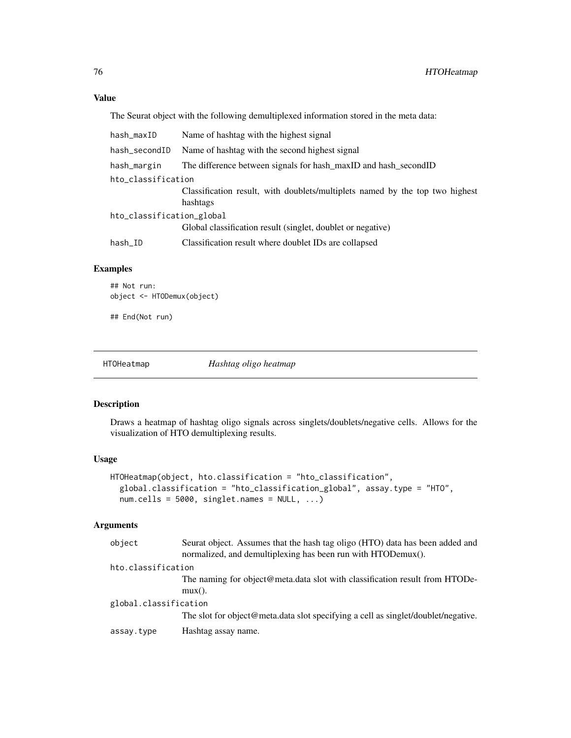The Seurat object with the following demultiplexed information stored in the meta data:

| hash_maxID                | Name of hashtag with the highest signal                                                  |  |
|---------------------------|------------------------------------------------------------------------------------------|--|
| hash_secondID             | Name of hashtag with the second highest signal                                           |  |
| hash_margin               | The difference between signals for hash_maxID and hash_secondID                          |  |
| hto_classification        |                                                                                          |  |
|                           | Classification result, with doublets/multiplets named by the top two highest<br>hashtags |  |
| hto_classification_global |                                                                                          |  |
|                           | Global classification result (singlet, doublet or negative)                              |  |
| hash_ID                   | Classification result where doublet IDs are collapsed                                    |  |
|                           |                                                                                          |  |

# Examples

## Not run: object <- HTODemux(object)

## End(Not run)

HTOHeatmap *Hashtag oligo heatmap*

# Description

Draws a heatmap of hashtag oligo signals across singlets/doublets/negative cells. Allows for the visualization of HTO demultiplexing results.

# Usage

```
HTOHeatmap(object, hto.classification = "hto_classification",
  global.classification = "hto_classification_global", assay.type = "HTO",
  num.cells = 5000, singlet.names = NULL, ...)
```

| object                | Seurat object. Assumes that the hash tag oligo (HTO) data has been added and<br>normalized, and demultiplexing has been run with HTODemux(). |  |
|-----------------------|----------------------------------------------------------------------------------------------------------------------------------------------|--|
| hto.classification    |                                                                                                                                              |  |
|                       | The naming for object@meta.data slot with classification result from HTODe-                                                                  |  |
|                       | $mu x()$ .                                                                                                                                   |  |
| global.classification |                                                                                                                                              |  |
|                       | The slot for object@meta.data slot specifying a cell as singlet/doublet/negative.                                                            |  |
| assay.type            | Hashtag assay name.                                                                                                                          |  |
|                       |                                                                                                                                              |  |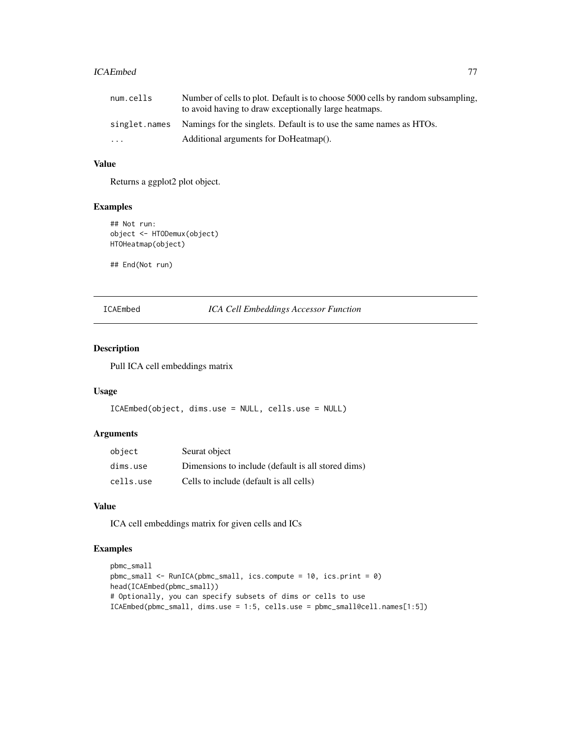#### ICAEmbed 77

| num.cells | Number of cells to plot. Default is to choose 5000 cells by random subsampling,   |
|-----------|-----------------------------------------------------------------------------------|
|           | to avoid having to draw exceptionally large heatmaps.                             |
|           | singlet.names Namings for the singlets. Default is to use the same names as HTOs. |
| $\cdots$  | Additional arguments for DoHeatmap().                                             |

# Value

Returns a ggplot2 plot object.

## Examples

```
## Not run:
object <- HTODemux(object)
HTOHeatmap(object)
```
## End(Not run)

ICAEmbed *ICA Cell Embeddings Accessor Function*

# Description

Pull ICA cell embeddings matrix

#### Usage

```
ICAEmbed(object, dims.use = NULL, cells.use = NULL)
```
# Arguments

| object    | Seurat object                                      |
|-----------|----------------------------------------------------|
| dims.use  | Dimensions to include (default is all stored dims) |
| cells.use | Cells to include (default is all cells)            |

# Value

ICA cell embeddings matrix for given cells and ICs

```
pbmc_small
pbmc_small <- RunICA(pbmc_small, ics.compute = 10, ics.print = 0)
head(ICAEmbed(pbmc_small))
# Optionally, you can specify subsets of dims or cells to use
ICAEmbed(pbmc_small, dims.use = 1:5, cells.use = pbmc_small@cell.names[1:5])
```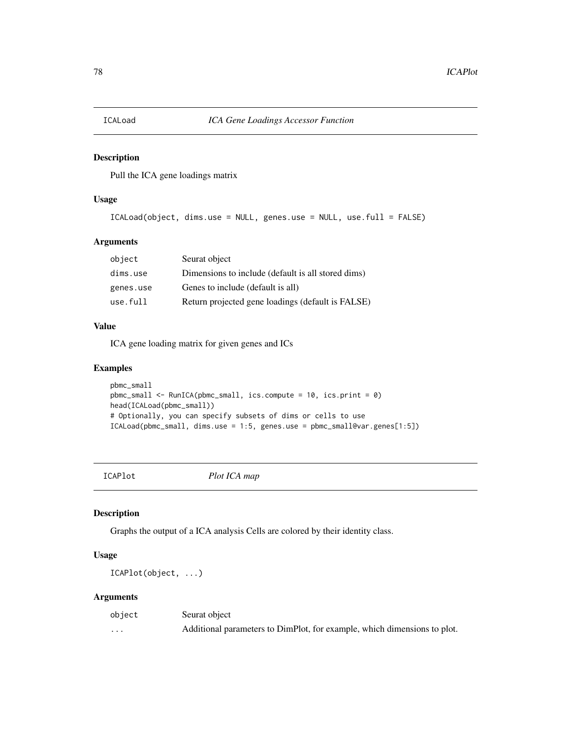Pull the ICA gene loadings matrix

# Usage

```
ICALoad(object, dims.use = NULL, genes.use = NULL, use.full = FALSE)
```
# Arguments

| object    | Seurat object                                      |
|-----------|----------------------------------------------------|
| dims.use  | Dimensions to include (default is all stored dims) |
| genes.use | Genes to include (default is all)                  |
| use.full  | Return projected gene loadings (default is FALSE)  |

# Value

ICA gene loading matrix for given genes and ICs

# Examples

```
pbmc_small
pbmc_small <- RunICA(pbmc_small, ics.compute = 10, ics.print = 0)
head(ICALoad(pbmc_small))
# Optionally, you can specify subsets of dims or cells to use
ICALoad(pbmc_small, dims.use = 1:5, genes.use = pbmc_small@var.genes[1:5])
```
ICAPlot *Plot ICA map*

# Description

Graphs the output of a ICA analysis Cells are colored by their identity class.

## Usage

ICAPlot(object, ...)

| object   | Seurat object                                                            |
|----------|--------------------------------------------------------------------------|
| $\cdots$ | Additional parameters to DimPlot, for example, which dimensions to plot. |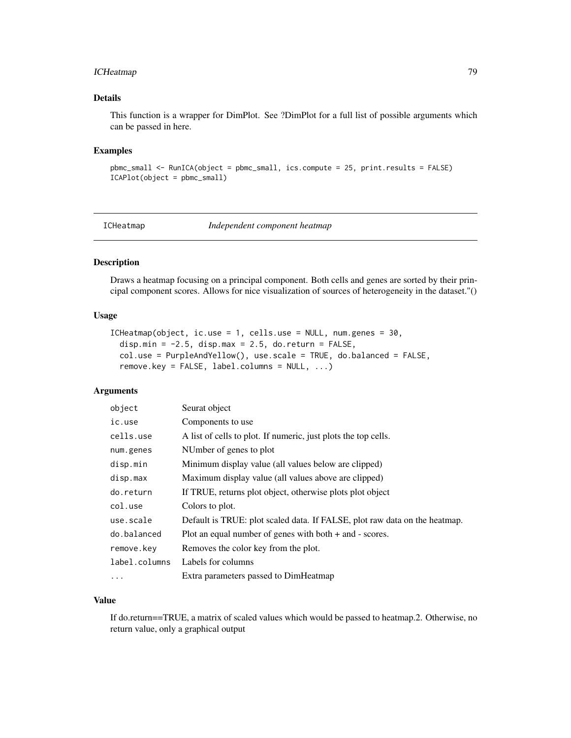# ICHeatmap 79

## Details

This function is a wrapper for DimPlot. See ?DimPlot for a full list of possible arguments which can be passed in here.

#### Examples

```
pbmc_small <- RunICA(object = pbmc_small, ics.compute = 25, print.results = FALSE)
ICAPlot(object = pbmc_small)
```
ICHeatmap *Independent component heatmap*

# Description

Draws a heatmap focusing on a principal component. Both cells and genes are sorted by their principal component scores. Allows for nice visualization of sources of heterogeneity in the dataset."()

#### Usage

```
ICHeatmap(object, ic.use = 1, cells.use = NULL, num.genes = 30,
 disp.min = -2.5, disp.max = 2.5, do.return = FALSE,
 col.use = PurpleAndYellow(), use.scale = TRUE, do.balanced = FALSE,
 remove.key = FALSE, label.columns = NULL, ...)
```
# Arguments

| object        | Seurat object                                                              |
|---------------|----------------------------------------------------------------------------|
| ic.use        | Components to use                                                          |
| cells.use     | A list of cells to plot. If numeric, just plots the top cells.             |
| num.genes     | NUmber of genes to plot                                                    |
| disp.min      | Minimum display value (all values below are clipped)                       |
| disp.max      | Maximum display value (all values above are clipped)                       |
| do.return     | If TRUE, returns plot object, otherwise plots plot object                  |
| col.use       | Colors to plot.                                                            |
| use.scale     | Default is TRUE: plot scaled data. If FALSE, plot raw data on the heatmap. |
| do.balanced   | Plot an equal number of genes with both $+$ and $-$ scores.                |
| remove.key    | Removes the color key from the plot.                                       |
| label.columns | Labels for columns                                                         |
| $\cdots$      | Extra parameters passed to DimHeatmap                                      |

# Value

If do.return==TRUE, a matrix of scaled values which would be passed to heatmap.2. Otherwise, no return value, only a graphical output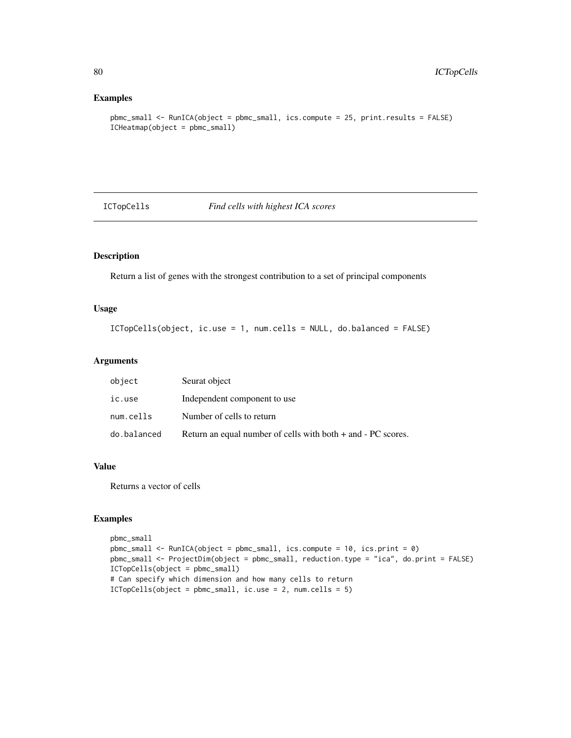#### Examples

```
pbmc_small <- RunICA(object = pbmc_small, ics.compute = 25, print.results = FALSE)
ICHeatmap(object = pbmc_small)
```
ICTopCells *Find cells with highest ICA scores*

# Description

Return a list of genes with the strongest contribution to a set of principal components

# Usage

ICTopCells(object, ic.use = 1, num.cells = NULL, do.balanced = FALSE)

## Arguments

| object      | Seurat object                                                   |
|-------------|-----------------------------------------------------------------|
| ic.use      | Independent component to use                                    |
| num.cells   | Number of cells to return                                       |
| do.balanced | Return an equal number of cells with both $+$ and $-PC$ scores. |

## Value

Returns a vector of cells

```
pbmc_small
pbmc_small <- RunICA(object = pbmc_small, ics.compute = 10, ics.print = 0)
pbmc_small <- ProjectDim(object = pbmc_small, reduction.type = "ica", do.print = FALSE)
ICTopCells(object = pbmc_small)
# Can specify which dimension and how many cells to return
ICTopCells(object = pbmc_small, ic.use = 2, num.cells = 5)
```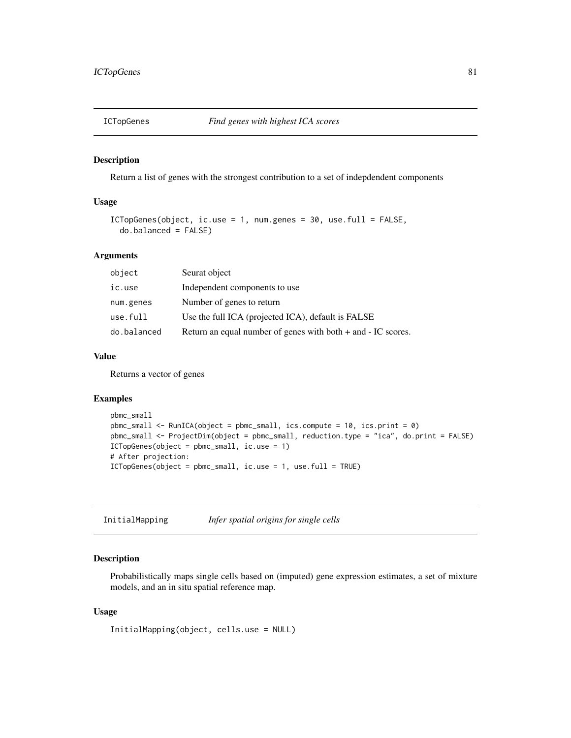Return a list of genes with the strongest contribution to a set of indepdendent components

## Usage

```
ICTopGenes(object, ic.use = 1, num.genes = 30, use.full = FALSE,
  do.balanced = FALSE)
```
# Arguments

| object      | Seurat object                                                    |
|-------------|------------------------------------------------------------------|
| ic.use      | Independent components to use                                    |
| num.genes   | Number of genes to return                                        |
| use.full    | Use the full ICA (projected ICA), default is FALSE               |
| do.balanced | Return an equal number of genes with both $+$ and $-$ IC scores. |

## Value

Returns a vector of genes

## Examples

```
pbmc_small
pbmc_small <- RunICA(object = pbmc_small, ics.compute = 10, ics.print = 0)
pbmc_small <- ProjectDim(object = pbmc_small, reduction.type = "ica", do.print = FALSE)
ICTopGenes(object = pbmc_small, ic.use = 1)
# After projection:
ICTopGenes(object = pbmc_small, ic.use = 1, use.full = TRUE)
```

| InitialMapping | Infer spatial origins for single cells |  |
|----------------|----------------------------------------|--|
|----------------|----------------------------------------|--|

## Description

Probabilistically maps single cells based on (imputed) gene expression estimates, a set of mixture models, and an in situ spatial reference map.

#### Usage

InitialMapping(object, cells.use = NULL)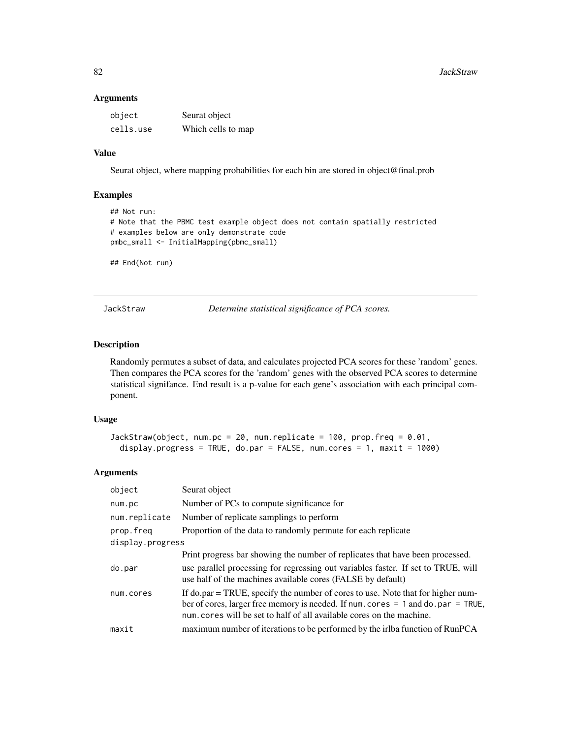#### Arguments

| object    | Seurat object      |
|-----------|--------------------|
| cells.use | Which cells to map |

# Value

Seurat object, where mapping probabilities for each bin are stored in object@final.prob

# Examples

```
## Not run:
# Note that the PBMC test example object does not contain spatially restricted
# examples below are only demonstrate code
pmbc_small <- InitialMapping(pbmc_small)
## End(Not run)
```
JackStraw *Determine statistical significance of PCA scores.*

# Description

Randomly permutes a subset of data, and calculates projected PCA scores for these 'random' genes. Then compares the PCA scores for the 'random' genes with the observed PCA scores to determine statistical signifance. End result is a p-value for each gene's association with each principal component.

## Usage

```
JackStraw(object, num.pc = 20, num.replicate = 100, prop.freq = 0.01,
 display.progress = TRUE, do.par = FALSE, num.cores = 1, maxit = 1000)
```

| object           | Seurat object                                                                                                                                                                                                                                     |
|------------------|---------------------------------------------------------------------------------------------------------------------------------------------------------------------------------------------------------------------------------------------------|
| num.pc           | Number of PCs to compute significance for                                                                                                                                                                                                         |
| num.replicate    | Number of replicate samplings to perform                                                                                                                                                                                                          |
| prop.freg        | Proportion of the data to randomly permute for each replicate                                                                                                                                                                                     |
| display.progress |                                                                                                                                                                                                                                                   |
|                  | Print progress bar showing the number of replicates that have been processed.                                                                                                                                                                     |
| do.par           | use parallel processing for regressing out variables faster. If set to TRUE, will<br>use half of the machines available cores (FALSE by default)                                                                                                  |
| num.cores        | If do.par = TRUE, specify the number of cores to use. Note that for higher num-<br>ber of cores, larger free memory is needed. If num. cores $= 1$ and do. par $=$ TRUE,<br>num. cores will be set to half of all available cores on the machine. |
| maxit            | maximum number of iterations to be performed by the irlba function of RunPCA                                                                                                                                                                      |
|                  |                                                                                                                                                                                                                                                   |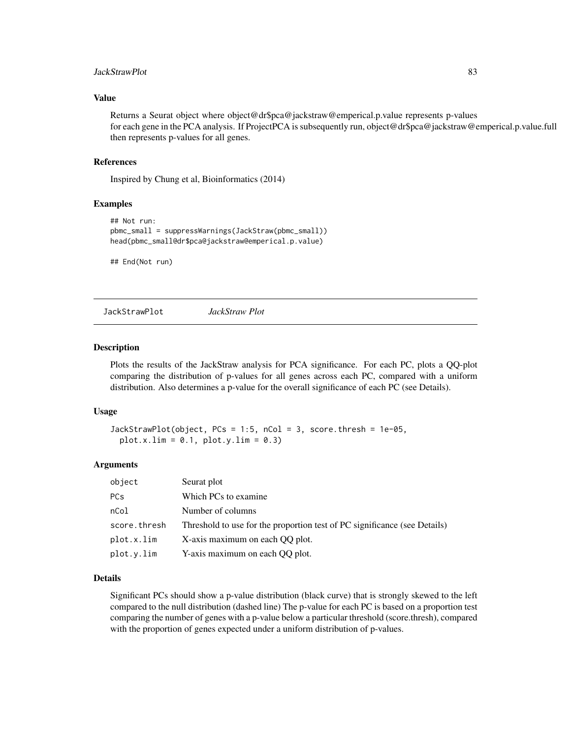# JackStrawPlot 83

## Value

Returns a Seurat object where object@dr\$pca@jackstraw@emperical.p.value represents p-values for each gene in the PCA analysis. If ProjectPCA is subsequently run, object@dr\$pca@jackstraw@emperical.p.value.full then represents p-values for all genes.

#### References

Inspired by Chung et al, Bioinformatics (2014)

## Examples

```
## Not run:
pbmc_small = suppressWarnings(JackStraw(pbmc_small))
head(pbmc_small@dr$pca@jackstraw@emperical.p.value)
```
## End(Not run)

JackStrawPlot *JackStraw Plot*

#### Description

Plots the results of the JackStraw analysis for PCA significance. For each PC, plots a QQ-plot comparing the distribution of p-values for all genes across each PC, compared with a uniform distribution. Also determines a p-value for the overall significance of each PC (see Details).

## Usage

```
JackStrawPlot(object, PCs = 1:5, nCol = 3, score.thresh = 1e-05,
 plot.x.lim = 0.1, plot.y.lim = 0.3)
```
#### Arguments

| object       | Seurat plot                                                               |
|--------------|---------------------------------------------------------------------------|
| <b>PCs</b>   | Which PCs to examine                                                      |
| nCol         | Number of columns                                                         |
| score.thresh | Threshold to use for the proportion test of PC significance (see Details) |
| plot.x.lim   | X-axis maximum on each QQ plot.                                           |
| plot.y.lim   | Y-axis maximum on each QQ plot.                                           |

#### Details

Significant PCs should show a p-value distribution (black curve) that is strongly skewed to the left compared to the null distribution (dashed line) The p-value for each PC is based on a proportion test comparing the number of genes with a p-value below a particular threshold (score.thresh), compared with the proportion of genes expected under a uniform distribution of p-values.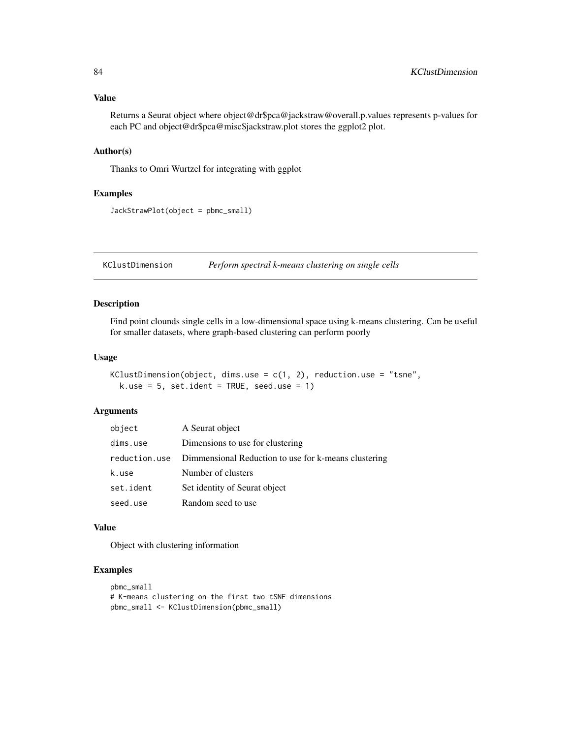Returns a Seurat object where object@dr\$pca@jackstraw@overall.p.values represents p-values for each PC and object@dr\$pca@misc\$jackstraw.plot stores the ggplot2 plot.

## Author(s)

Thanks to Omri Wurtzel for integrating with ggplot

#### Examples

```
JackStrawPlot(object = pbmc_small)
```
KClustDimension *Perform spectral k-means clustering on single cells*

## Description

Find point clounds single cells in a low-dimensional space using k-means clustering. Can be useful for smaller datasets, where graph-based clustering can perform poorly

# Usage

```
KClustDimension(object, dims.use = c(1, 2), reduction.use = "tsne",
 k.use = 5, set.ident = TRUE, seed.use = 1)
```
## Arguments

| object        | A Seurat object                                      |
|---------------|------------------------------------------------------|
| dims.use      | Dimensions to use for clustering                     |
| reduction.use | Dimmensional Reduction to use for k-means clustering |
| k.use         | Number of clusters                                   |
| set.ident     | Set identity of Seurat object                        |
| seed.use      | Random seed to use                                   |

## Value

Object with clustering information

```
pbmc_small
# K-means clustering on the first two tSNE dimensions
pbmc_small <- KClustDimension(pbmc_small)
```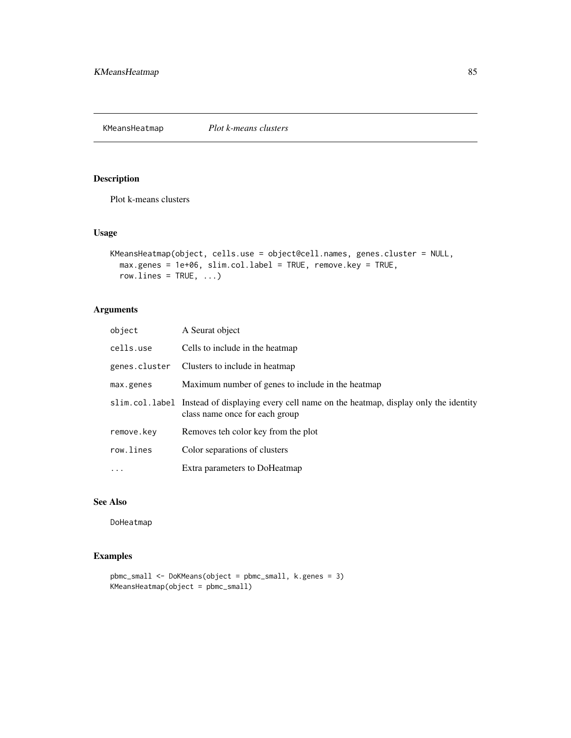KMeansHeatmap *Plot k-means clusters*

# Description

Plot k-means clusters

## Usage

```
KMeansHeatmap(object, cells.use = object@cell.names, genes.cluster = NULL,
 max.genes = 1e+06, slim.col.label = TRUE, remove.key = TRUE,
 row.lines = TRUE, ...)
```
# Arguments

| object        | A Seurat object                                                                                                                  |
|---------------|----------------------------------------------------------------------------------------------------------------------------------|
| cells.use     | Cells to include in the heatmap                                                                                                  |
| genes.cluster | Clusters to include in heatmap                                                                                                   |
| max.genes     | Maximum number of genes to include in the heatmap                                                                                |
|               | slim.col.label Instead of displaying every cell name on the heatmap, display only the identity<br>class name once for each group |
| remove.key    | Removes teh color key from the plot                                                                                              |
| row.lines     | Color separations of clusters                                                                                                    |
| $\ddots$ .    | Extra parameters to DoHeatmap                                                                                                    |

## See Also

DoHeatmap

```
pbmc_small <- DoKMeans(object = pbmc_small, k.genes = 3)
KMeansHeatmap(object = pbmc_small)
```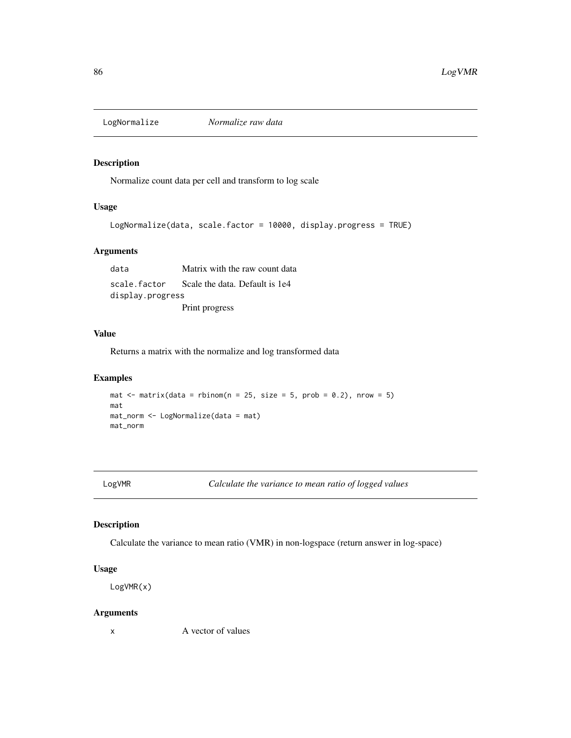Normalize count data per cell and transform to log scale

## Usage

```
LogNormalize(data, scale.factor = 10000, display.progress = TRUE)
```
## Arguments

data Matrix with the raw count data scale.factor Scale the data. Default is 1e4 display.progress Print progress

# Value

Returns a matrix with the normalize and log transformed data

#### Examples

```
mat \le matrix(data = rbinom(n = 25, size = 5, prob = 0.2), nrow = 5)
mat
mat_norm <- LogNormalize(data = mat)
mat_norm
```
LogVMR *Calculate the variance to mean ratio of logged values*

## Description

Calculate the variance to mean ratio (VMR) in non-logspace (return answer in log-space)

# Usage

LogVMR(x)

#### Arguments

x A vector of values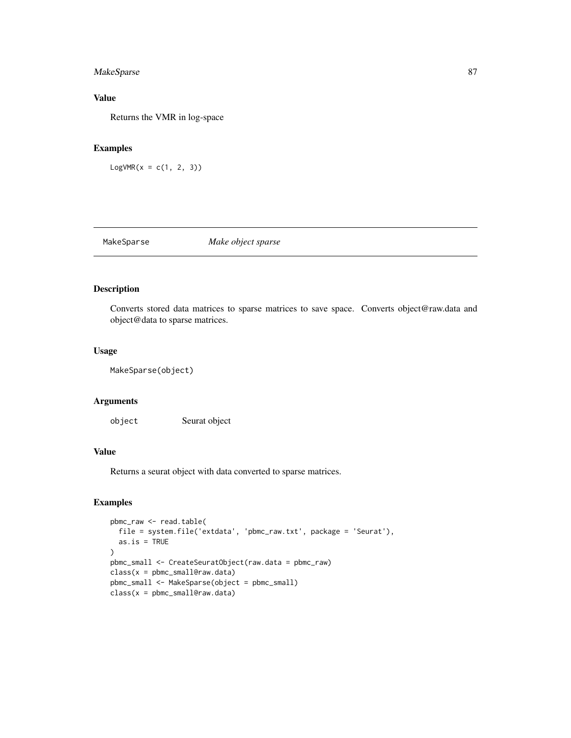# MakeSparse 87

# Value

Returns the VMR in log-space

# Examples

 $LogVMR(x = c(1, 2, 3))$ 

MakeSparse *Make object sparse*

# Description

Converts stored data matrices to sparse matrices to save space. Converts object@raw.data and object@data to sparse matrices.

# Usage

MakeSparse(object)

# Arguments

object Seurat object

# Value

Returns a seurat object with data converted to sparse matrices.

```
pbmc_raw <- read.table(
  file = system.file('extdata', 'pbmc_raw.txt', package = 'Seurat'),
  as.is = TRUE
)
pbmc_small <- CreateSeuratObject(raw.data = pbmc_raw)
class(x = pbmc_small@raw.data)
pbmc_small <- MakeSparse(object = pbmc_small)
class(x = phmc\_small@raw.data)
```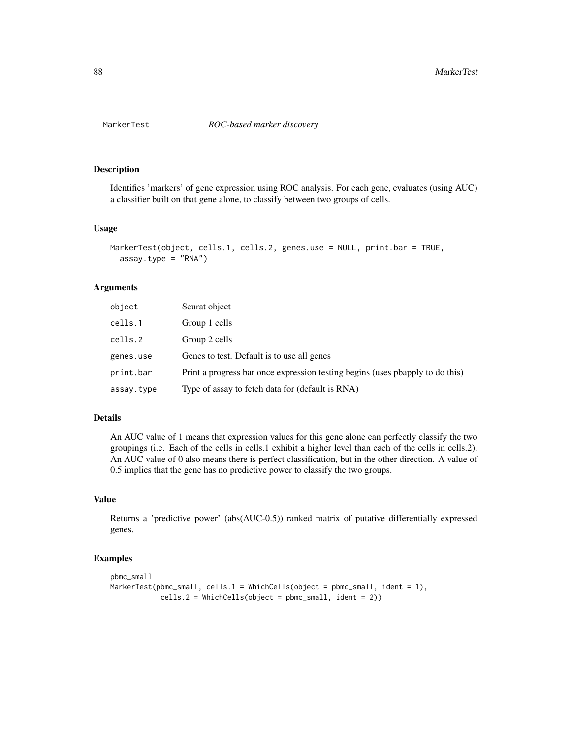Identifies 'markers' of gene expression using ROC analysis. For each gene, evaluates (using AUC) a classifier built on that gene alone, to classify between two groups of cells.

#### Usage

```
MarkerTest(object, cells.1, cells.2, genes.use = NULL, print.bar = TRUE,
  assay.type = "RNA")
```
#### Arguments

| object     | Seurat object                                                                 |
|------------|-------------------------------------------------------------------------------|
| cells.1    | Group 1 cells                                                                 |
| cells.2    | Group 2 cells                                                                 |
| genes.use  | Genes to test. Default is to use all genes                                    |
| print.bar  | Print a progress bar once expression testing begins (uses phapply to do this) |
| assay.type | Type of assay to fetch data for (default is RNA)                              |

## Details

An AUC value of 1 means that expression values for this gene alone can perfectly classify the two groupings (i.e. Each of the cells in cells.1 exhibit a higher level than each of the cells in cells.2). An AUC value of 0 also means there is perfect classification, but in the other direction. A value of 0.5 implies that the gene has no predictive power to classify the two groups.

# Value

Returns a 'predictive power' (abs(AUC-0.5)) ranked matrix of putative differentially expressed genes.

```
pbmc_small
MarkerTest(pbmc_small, cells.1 = WhichCells(object = pbmc_small, ident = 1),
            cells.2 = WhichCells(Object = pbmc\_small, ident = 2))
```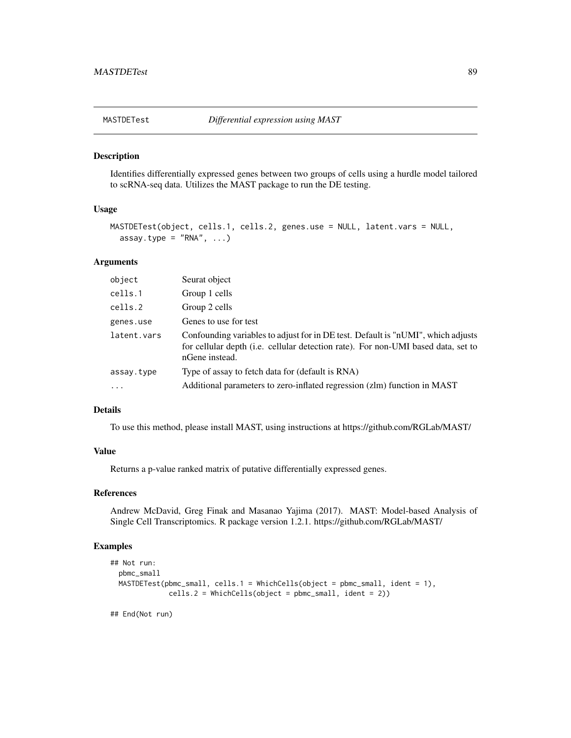Identifies differentially expressed genes between two groups of cells using a hurdle model tailored to scRNA-seq data. Utilizes the MAST package to run the DE testing.

# Usage

```
MASTDETest(object, cells.1, cells.2, genes.use = NULL, latent.vars = NULL,
  assay.type = "RNA", \ldots)
```
## Arguments

| object      | Seurat object                                                                                                                                                                           |
|-------------|-----------------------------------------------------------------------------------------------------------------------------------------------------------------------------------------|
| cells.1     | Group 1 cells                                                                                                                                                                           |
| cells.2     | Group 2 cells                                                                                                                                                                           |
| genes.use   | Genes to use for test                                                                                                                                                                   |
| latent.vars | Confounding variables to adjust for in DE test. Default is "nUMI", which adjusts<br>for cellular depth (i.e. cellular detection rate). For non-UMI based data, set to<br>nGene instead. |
| assay.type  | Type of assay to fetch data for (default is RNA)                                                                                                                                        |
| $\ddots$ .  | Additional parameters to zero-inflated regression (zlm) function in MAST                                                                                                                |

## Details

To use this method, please install MAST, using instructions at https://github.com/RGLab/MAST/

## Value

Returns a p-value ranked matrix of putative differentially expressed genes.

# References

Andrew McDavid, Greg Finak and Masanao Yajima (2017). MAST: Model-based Analysis of Single Cell Transcriptomics. R package version 1.2.1. https://github.com/RGLab/MAST/

## Examples

```
## Not run:
 pbmc_small
 MASTDETest(pbmc_small, cells.1 = WhichCells(object = pbmc_small, ident = 1),
              cells.2 = WhichCells(object = pbmc_small, ident = 2))
```
## End(Not run)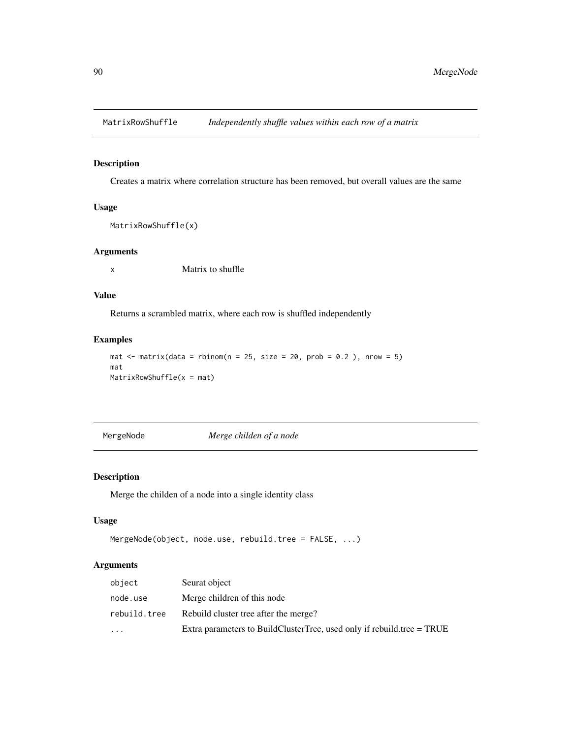Creates a matrix where correlation structure has been removed, but overall values are the same

# Usage

```
MatrixRowShuffle(x)
```
# Arguments

x Matrix to shuffle

# Value

Returns a scrambled matrix, where each row is shuffled independently

## Examples

```
mat \le matrix(data = rbinom(n = 25, size = 20, prob = 0.2), nrow = 5)
mat
MatrixRowShuffle(x = mat)
```
MergeNode *Merge childen of a node*

# Description

Merge the childen of a node into a single identity class

## Usage

```
MergeNode(object, node.use, rebuild.tree = FALSE, ...)
```

| object       | Seurat object                                                          |
|--------------|------------------------------------------------------------------------|
| node.use     | Merge children of this node                                            |
| rebuild.tree | Rebuild cluster tree after the merge?                                  |
| $\ddotsc$    | Extra parameters to BuildClusterTree, used only if rebuild.tree = TRUE |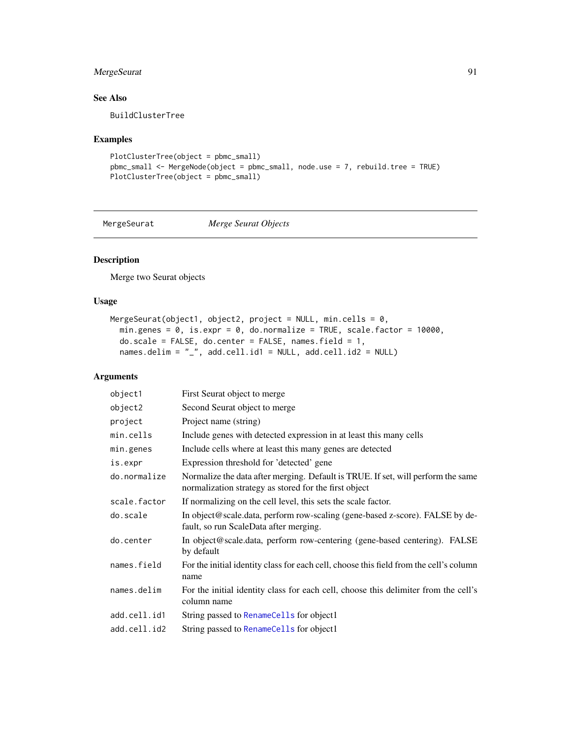# MergeSeurat 91

# See Also

BuildClusterTree

# Examples

```
PlotClusterTree(object = pbmc_small)
pbmc_small <- MergeNode(object = pbmc_small, node.use = 7, rebuild.tree = TRUE)
PlotClusterTree(object = pbmc_small)
```
MergeSeurat *Merge Seurat Objects*

# Description

Merge two Seurat objects

# Usage

```
MergeSeurat(object1, object2, project = NULL, min.cells = 0,
  min.genes = 0, is.expr = 0, do.normalize = TRUE, scale.factor = 10000,
  do.\text{scale} = \text{FALSE}, do.\text{center} = \text{FALSE}, \text{ names.field} = 1,names.delim = "_", add.cell.id1 = NULL, add.cell.id2 = NULL)
```

| object1      | First Seurat object to merge                                                                                                              |
|--------------|-------------------------------------------------------------------------------------------------------------------------------------------|
| object2      | Second Seurat object to merge                                                                                                             |
| project      | Project name (string)                                                                                                                     |
| min.cells    | Include genes with detected expression in at least this many cells                                                                        |
| min.genes    | Include cells where at least this many genes are detected                                                                                 |
| is.expr      | Expression threshold for 'detected' gene                                                                                                  |
| do.normalize | Normalize the data after merging. Default is TRUE. If set, will perform the same<br>normalization strategy as stored for the first object |
| scale.factor | If normalizing on the cell level, this sets the scale factor.                                                                             |
| do.scale     | In object@scale.data, perform row-scaling (gene-based z-score). FALSE by de-<br>fault, so run ScaleData after merging.                    |
| do.center    | In object@scale.data, perform row-centering (gene-based centering). FALSE<br>by default                                                   |
| names.field  | For the initial identity class for each cell, choose this field from the cell's column<br>name                                            |
| names.delim  | For the initial identity class for each cell, choose this delimiter from the cell's<br>column name                                        |
| add.cell.id1 | String passed to RenameCells for object1                                                                                                  |
| add.cell.id2 | String passed to RenameCells for object1                                                                                                  |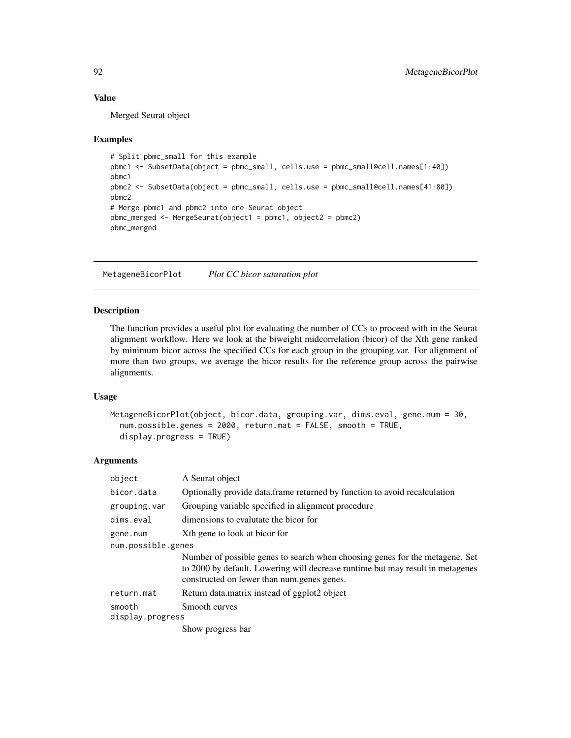## Value

Merged Seurat object

#### Examples

```
# Split pbmc_small for this example
pbmc1 <- SubsetData(object = pbmc_small, cells.use = pbmc_small@cell.names[1:40])
pbmc1
pbmc2 <- SubsetData(object = pbmc_small, cells.use = pbmc_small@cell.names[41:80])
pbmc2
# Merge pbmc1 and pbmc2 into one Seurat object
pbmc_merged <- MergeSeurat(object1 = pbmc1, object2 = pbmc2)
pbmc_merged
```
MetageneBicorPlot *Plot CC bicor saturation plot*

## Description

The function provides a useful plot for evaluating the number of CCs to proceed with in the Seurat alignment workflow. Here we look at the biweight midcorrelation (bicor) of the Xth gene ranked by minimum bicor across the specified CCs for each group in the grouping.var. For alignment of more than two groups, we average the bicor results for the reference group across the pairwise alignments.

## Usage

```
MetageneBicorPlot(object, bicor.data, grouping.var, dims.eval, gene.num = 30,
  num.possible.genes = 2000, return.mat = FALSE, smooth = TRUE,
  display.progress = TRUE)
```

| object                     | A Seurat object                                                                                                                                                                                              |
|----------------------------|--------------------------------------------------------------------------------------------------------------------------------------------------------------------------------------------------------------|
| bicor.data                 | Optionally provide data.frame returned by function to avoid recalculation                                                                                                                                    |
| grouping.var               | Grouping variable specified in alignment procedure                                                                                                                                                           |
| dims.eval                  | dimensions to evalutate the bicor for                                                                                                                                                                        |
| gene.num                   | Xth gene to look at bicor for                                                                                                                                                                                |
| num.possible.genes         |                                                                                                                                                                                                              |
|                            | Number of possible genes to search when choosing genes for the metagene. Set<br>to 2000 by default. Lowering will decrease runtime but may result in metagenes<br>constructed on fewer than num.genes genes. |
| return.mat                 | Return data matrix instead of ggplot2 object                                                                                                                                                                 |
| smooth<br>display.progress | Smooth curves                                                                                                                                                                                                |
|                            | Show progress bar                                                                                                                                                                                            |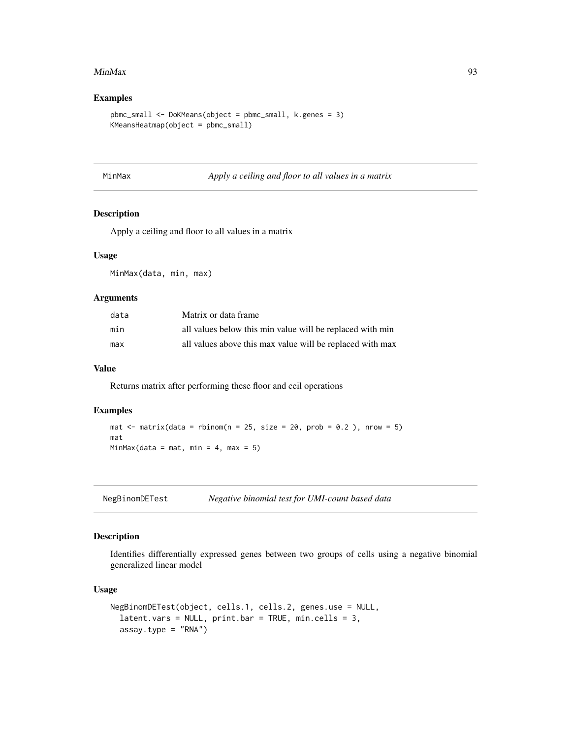#### MinMax 93

# Examples

```
pbmc_small <- DoKMeans(object = pbmc_small, k.genes = 3)
KMeansHeatmap(object = pbmc_small)
```

| MinMa |  |  |  |
|-------|--|--|--|
|       |  |  |  |

MinMax *Apply a ceiling and floor to all values in a matrix*

## Description

Apply a ceiling and floor to all values in a matrix

## Usage

MinMax(data, min, max)

#### Arguments

| data | Matrix or data frame                                      |
|------|-----------------------------------------------------------|
| min  | all values below this min value will be replaced with min |
| max  | all values above this max value will be replaced with max |

## Value

Returns matrix after performing these floor and ceil operations

#### Examples

```
mat \le matrix(data = rbinom(n = 25, size = 20, prob = 0.2), nrow = 5)
mat
MinMax(data = mat, min = 4, max = 5)
```
NegBinomDETest *Negative binomial test for UMI-count based data*

## Description

Identifies differentially expressed genes between two groups of cells using a negative binomial generalized linear model

# Usage

```
NegBinomDETest(object, cells.1, cells.2, genes.use = NULL,
  latent.vars = NULL, print.bar = TRUE, min.cells = 3,
  assay.type = "RNA")
```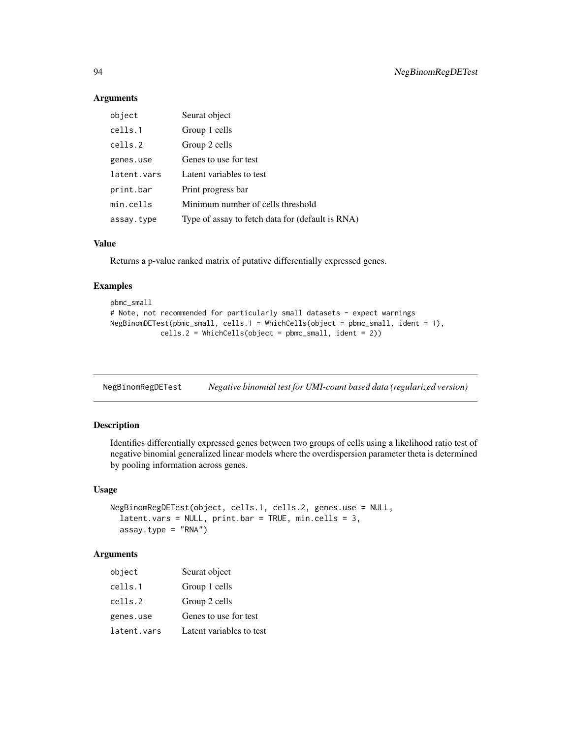## Arguments

| object      | Seurat object                                    |
|-------------|--------------------------------------------------|
| cells.1     | Group 1 cells                                    |
| cells.2     | Group 2 cells                                    |
| genes.use   | Genes to use for test                            |
| latent.vars | Latent variables to test                         |
| print.bar   | Print progress bar                               |
| min.cells   | Minimum number of cells threshold                |
| assay.type  | Type of assay to fetch data for (default is RNA) |

#### Value

Returns a p-value ranked matrix of putative differentially expressed genes.

#### Examples

```
pbmc_small
# Note, not recommended for particularly small datasets - expect warnings
NegBinomDETest(pbmc_small, cells.1 = WhichCells(object = pbmc_small, ident = 1),
            cells.2 = WhichCells(object = pbmc_small, ident = 2))
```

| NegBinomRegDETest | Negative binomial test for UMI-count based data (regularized version) |  |
|-------------------|-----------------------------------------------------------------------|--|
|                   |                                                                       |  |

# Description

Identifies differentially expressed genes between two groups of cells using a likelihood ratio test of negative binomial generalized linear models where the overdispersion parameter theta is determined by pooling information across genes.

#### Usage

```
NegBinomRegDETest(object, cells.1, cells.2, genes.use = NULL,
  latent.vars = NULL, print.bar = TRUE, min.cells = 3,
  assay.type = "RNA")
```

| object      | Seurat object            |
|-------------|--------------------------|
| cells.1     | Group 1 cells            |
| cells.2     | Group 2 cells            |
| genes.use   | Genes to use for test    |
| latent.vars | Latent variables to test |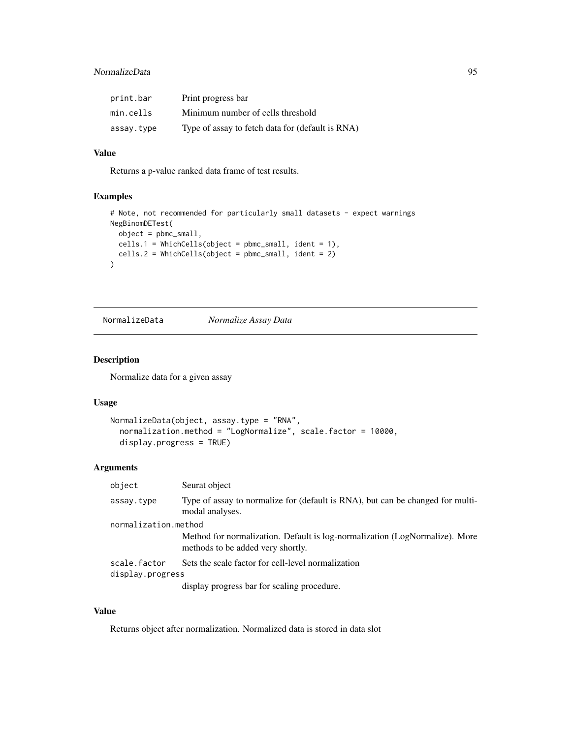# NormalizeData 95

| print.bar  | Print progress bar                               |
|------------|--------------------------------------------------|
| min.cells  | Minimum number of cells threshold                |
| assay.type | Type of assay to fetch data for (default is RNA) |

# Value

Returns a p-value ranked data frame of test results.

## Examples

```
# Note, not recommended for particularly small datasets - expect warnings
NegBinomDETest(
  object = pbmc_small,
 cells.1 = WhichCells(object = pbmc_small, ident = 1),
  cells.2 = WhichCells(object = pbmc_small, ident = 2)
)
```
NormalizeData *Normalize Assay Data*

## Description

Normalize data for a given assay

# Usage

```
NormalizeData(object, assay.type = "RNA",
  normalization.method = "LogNormalize", scale.factor = 10000,
  display.progress = TRUE)
```
## Arguments

| object               | Seurat object                                                                                                    |
|----------------------|------------------------------------------------------------------------------------------------------------------|
| assay.type           | Type of assay to normalize for (default is RNA), but can be changed for multi-<br>modal analyses.                |
| normalization.method |                                                                                                                  |
|                      | Method for normalization. Default is log-normalization (LogNormalize). More<br>methods to be added very shortly. |
| scale.factor         | Sets the scale factor for cell-level normalization                                                               |
| display.progress     |                                                                                                                  |
|                      | display progress bar for scaling procedure.                                                                      |

# Value

Returns object after normalization. Normalized data is stored in data slot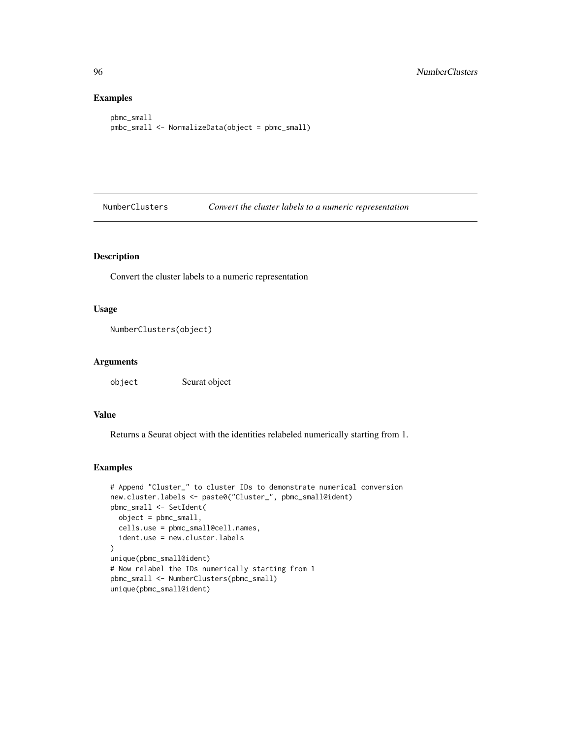# Examples

```
pbmc_small
pmbc_small <- NormalizeData(object = pbmc_small)
```
NumberClusters *Convert the cluster labels to a numeric representation*

# Description

Convert the cluster labels to a numeric representation

## Usage

```
NumberClusters(object)
```
## Arguments

object Seurat object

## Value

Returns a Seurat object with the identities relabeled numerically starting from 1.

```
# Append "Cluster_" to cluster IDs to demonstrate numerical conversion
new.cluster.labels <- paste0("Cluster_", pbmc_small@ident)
pbmc_small <- SetIdent(
  object = pbmc_small,
  cells.use = pbmc_small@cell.names,
  ident.use = new.cluster.labels
)
unique(pbmc_small@ident)
# Now relabel the IDs numerically starting from 1
pbmc_small <- NumberClusters(pbmc_small)
unique(pbmc_small@ident)
```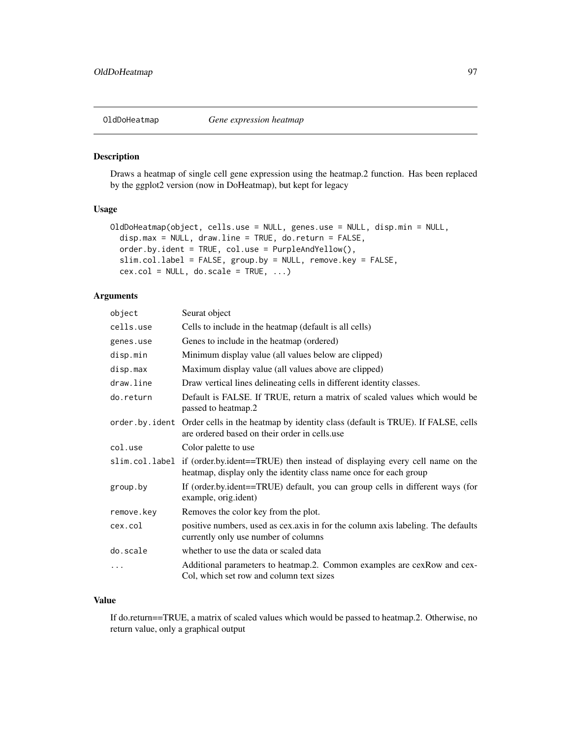Draws a heatmap of single cell gene expression using the heatmap.2 function. Has been replaced by the ggplot2 version (now in DoHeatmap), but kept for legacy

# Usage

```
OldDoHeatmap(object, cells.use = NULL, genes.use = NULL, disp.min = NULL,
  disp.max = NULL, draw.line = TRUE, do.return = FALSE,
  order.by.ident = TRUE, col.use = PurpleAndYellow(),
  slim.col.label = FALSE, group.by = NULL, remove.key = FALSE,
  cex.col = NULL, do.scale = TRUE, ...)
```
# Arguments

| object     | Seurat object                                                                                                                                                   |
|------------|-----------------------------------------------------------------------------------------------------------------------------------------------------------------|
| cells.use  | Cells to include in the heatmap (default is all cells)                                                                                                          |
| genes.use  | Genes to include in the heatmap (ordered)                                                                                                                       |
| disp.min   | Minimum display value (all values below are clipped)                                                                                                            |
| disp.max   | Maximum display value (all values above are clipped)                                                                                                            |
| draw.line  | Draw vertical lines delineating cells in different identity classes.                                                                                            |
| do.return  | Default is FALSE. If TRUE, return a matrix of scaled values which would be<br>passed to heatmap.2                                                               |
|            | order by ident Order cells in the heatmap by identity class (default is TRUE). If FALSE, cells<br>are ordered based on their order in cells.use                 |
| col.use    | Color palette to use                                                                                                                                            |
|            | slim.col.label if (order.by.ident==TRUE) then instead of displaying every cell name on the<br>heatmap, display only the identity class name once for each group |
| group.by   | If (order.by.ident==TRUE) default, you can group cells in different ways (for<br>example, orig.ident)                                                           |
| remove.key | Removes the color key from the plot.                                                                                                                            |
| cex.col    | positive numbers, used as cex.axis in for the column axis labeling. The defaults<br>currently only use number of columns                                        |
| do.scale   | whether to use the data or scaled data                                                                                                                          |
| .          | Additional parameters to heatmap.2. Common examples are cexRow and cex-<br>Col, which set row and column text sizes                                             |

# Value

If do.return==TRUE, a matrix of scaled values which would be passed to heatmap.2. Otherwise, no return value, only a graphical output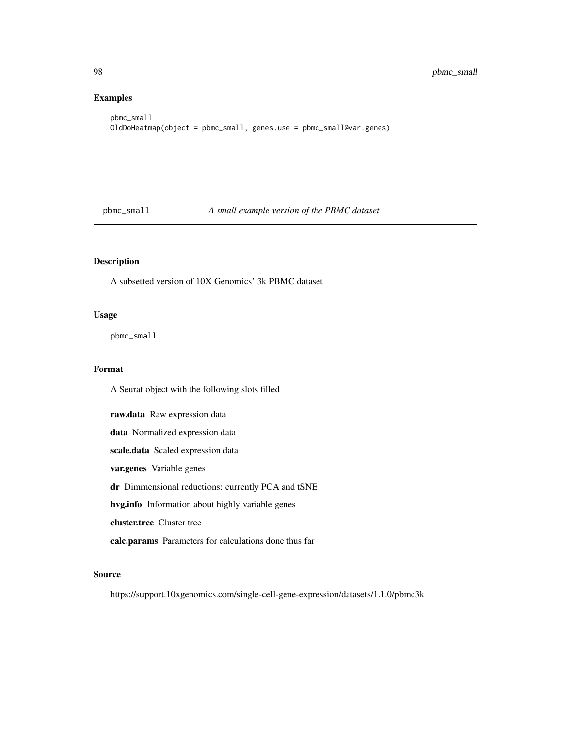# Examples

```
pbmc_small
OldDoHeatmap(object = pbmc_small, genes.use = pbmc_small@var.genes)
```
pbmc\_small *A small example version of the PBMC dataset*

# Description

A subsetted version of 10X Genomics' 3k PBMC dataset

#### Usage

pbmc\_small

#### Format

A Seurat object with the following slots filled

raw.data Raw expression data data Normalized expression data scale.data Scaled expression data var.genes Variable genes dr Dimmensional reductions: currently PCA and tSNE hvg.info Information about highly variable genes cluster.tree Cluster tree calc.params Parameters for calculations done thus far

# Source

https://support.10xgenomics.com/single-cell-gene-expression/datasets/1.1.0/pbmc3k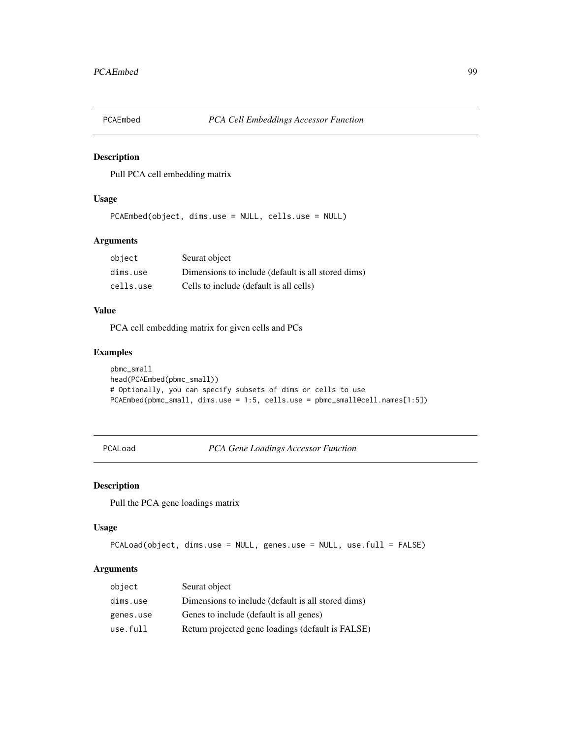Pull PCA cell embedding matrix

# Usage

PCAEmbed(object, dims.use = NULL, cells.use = NULL)

# Arguments

| object    | Seurat object                                      |
|-----------|----------------------------------------------------|
| dims.use  | Dimensions to include (default is all stored dims) |
| cells.use | Cells to include (default is all cells)            |

# Value

PCA cell embedding matrix for given cells and PCs

## Examples

```
pbmc_small
head(PCAEmbed(pbmc_small))
# Optionally, you can specify subsets of dims or cells to use
PCAEmbed(pbmc_small, dims.use = 1:5, cells.use = pbmc_small@cell.names[1:5])
```
PCALoad *PCA Gene Loadings Accessor Function*

## Description

Pull the PCA gene loadings matrix

# Usage

```
PCALoad(object, dims.use = NULL, genes.use = NULL, use.full = FALSE)
```

| object    | Seurat object                                      |
|-----------|----------------------------------------------------|
| dims.use  | Dimensions to include (default is all stored dims) |
| genes.use | Genes to include (default is all genes)            |
| use.full  | Return projected gene loadings (default is FALSE)  |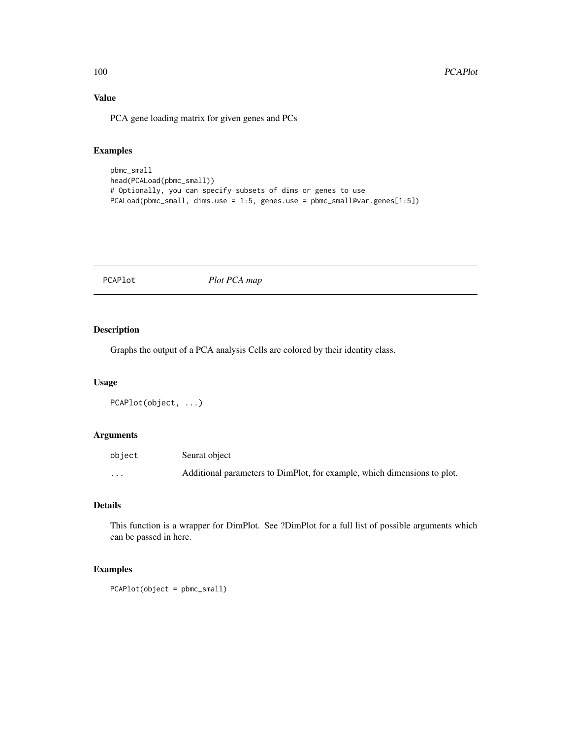# Value

PCA gene loading matrix for given genes and PCs

# Examples

```
pbmc_small
head(PCALoad(pbmc_small))
# Optionally, you can specify subsets of dims or genes to use
PCALoad(pbmc_small, dims.use = 1:5, genes.use = pbmc_small@var.genes[1:5])
```
PCAPlot *Plot PCA map*

## Description

Graphs the output of a PCA analysis Cells are colored by their identity class.

## Usage

```
PCAPlot(object, ...)
```
# Arguments

| object | Seurat object                                                            |
|--------|--------------------------------------------------------------------------|
| .      | Additional parameters to DimPlot, for example, which dimensions to plot. |

## Details

This function is a wrapper for DimPlot. See ?DimPlot for a full list of possible arguments which can be passed in here.

```
PCAPlot(object = pbmc_small)
```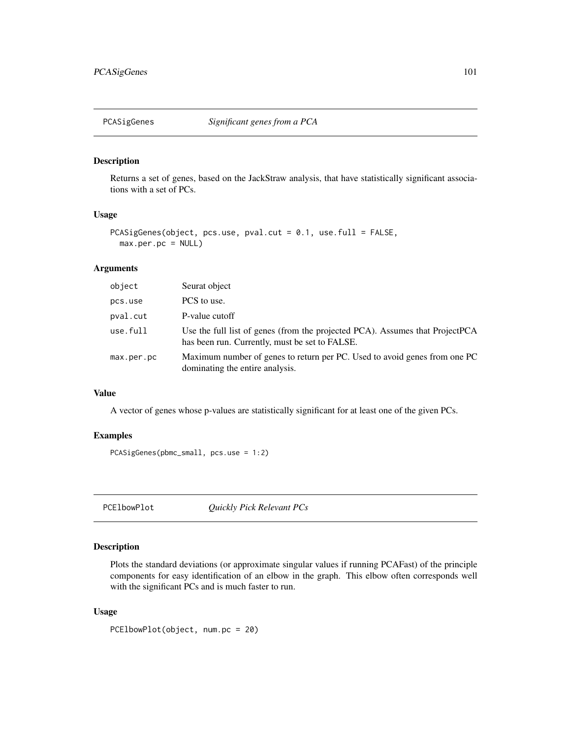Returns a set of genes, based on the JackStraw analysis, that have statistically significant associations with a set of PCs.

## Usage

```
PCASigGenes(object, pcs.use, pval.cut = 0.1, use.full = FALSE,
 max.per.pc = NULL)
```
## Arguments

| object     | Seurat object                                                                                                                  |
|------------|--------------------------------------------------------------------------------------------------------------------------------|
| pcs.use    | PCS to use.                                                                                                                    |
| pval.cut   | P-value cutoff                                                                                                                 |
| use.full   | Use the full list of genes (from the projected PCA). Assumes that ProjectPCA<br>has been run. Currently, must be set to FALSE. |
| max.per.pc | Maximum number of genes to return per PC. Used to avoid genes from one PC<br>dominating the entire analysis.                   |

#### Value

A vector of genes whose p-values are statistically significant for at least one of the given PCs.

# Examples

```
PCASigGenes(pbmc_small, pcs.use = 1:2)
```
PCElbowPlot *Quickly Pick Relevant PCs*

## Description

Plots the standard deviations (or approximate singular values if running PCAFast) of the principle components for easy identification of an elbow in the graph. This elbow often corresponds well with the significant PCs and is much faster to run.

#### Usage

PCElbowPlot(object, num.pc = 20)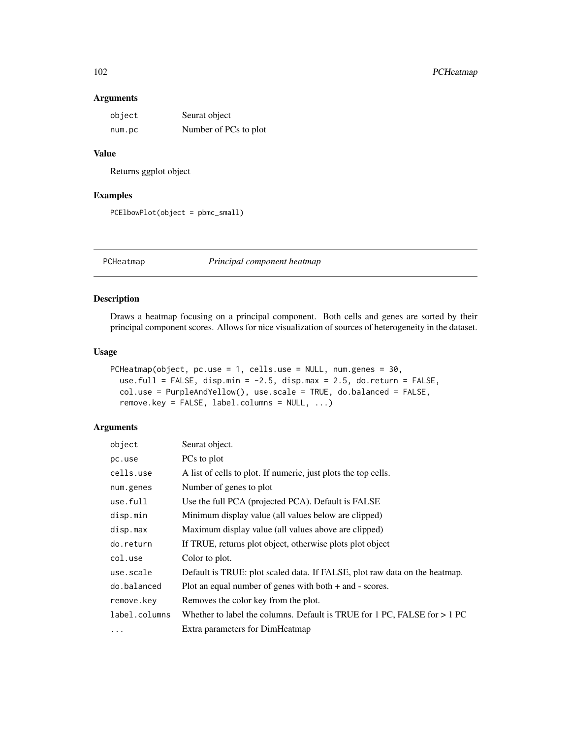# 102 PCHeatmap

## Arguments

| object | Seurat object         |
|--------|-----------------------|
| num.pc | Number of PCs to plot |

# Value

Returns ggplot object

# Examples

```
PCElbowPlot(object = pbmc_small)
```
PCHeatmap *Principal component heatmap*

# Description

Draws a heatmap focusing on a principal component. Both cells and genes are sorted by their principal component scores. Allows for nice visualization of sources of heterogeneity in the dataset.

#### Usage

```
PCHeatmap(object, pc.use = 1, cells.use = NULL, num.genes = 30,
 use.full = FALSE, disp.min = -2.5, disp.max = 2.5, do.return = FALSE,
 col.use = PurpleAndYellow(), use.scale = TRUE, do.balanced = FALSE,
  remove.key = FALSE, label.columns = NULL, ...)
```

| object        | Seurat object.                                                             |
|---------------|----------------------------------------------------------------------------|
| pc.use        | PCs to plot                                                                |
| cells.use     | A list of cells to plot. If numeric, just plots the top cells.             |
| num.genes     | Number of genes to plot                                                    |
| use.full      | Use the full PCA (projected PCA). Default is FALSE                         |
| disp.min      | Minimum display value (all values below are clipped)                       |
| disp.max      | Maximum display value (all values above are clipped)                       |
| do.return     | If TRUE, returns plot object, otherwise plots plot object                  |
| col.use       | Color to plot.                                                             |
| use.scale     | Default is TRUE: plot scaled data. If FALSE, plot raw data on the heatmap. |
| do.balanced   | Plot an equal number of genes with both $+$ and $-$ scores.                |
| remove.key    | Removes the color key from the plot.                                       |
| label.columns | Whether to label the columns. Default is TRUE for 1 PC, FALSE for $> 1$ PC |
| .             | Extra parameters for DimHeatmap                                            |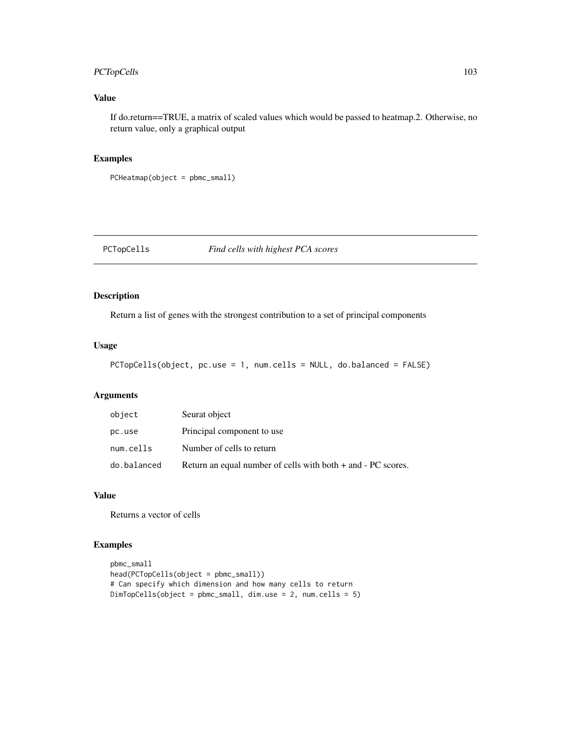# PCTopCells 103

# Value

If do.return==TRUE, a matrix of scaled values which would be passed to heatmap.2. Otherwise, no return value, only a graphical output

# Examples

PCHeatmap(object = pbmc\_small)

PCTopCells *Find cells with highest PCA scores*

# Description

Return a list of genes with the strongest contribution to a set of principal components

## Usage

```
PCTopCells(object, pc.use = 1, num.cells = NULL, do.balanced = FALSE)
```
## Arguments

| object      | Seurat object                                                    |
|-------------|------------------------------------------------------------------|
| pc.use      | Principal component to use                                       |
| num.cells   | Number of cells to return                                        |
| do.balanced | Return an equal number of cells with both $+$ and $-$ PC scores. |

# Value

Returns a vector of cells

```
pbmc_small
head(PCTopCells(object = pbmc_small))
# Can specify which dimension and how many cells to return
DimTopCells(object = pbmc_small, dim.use = 2, num.cells = 5)
```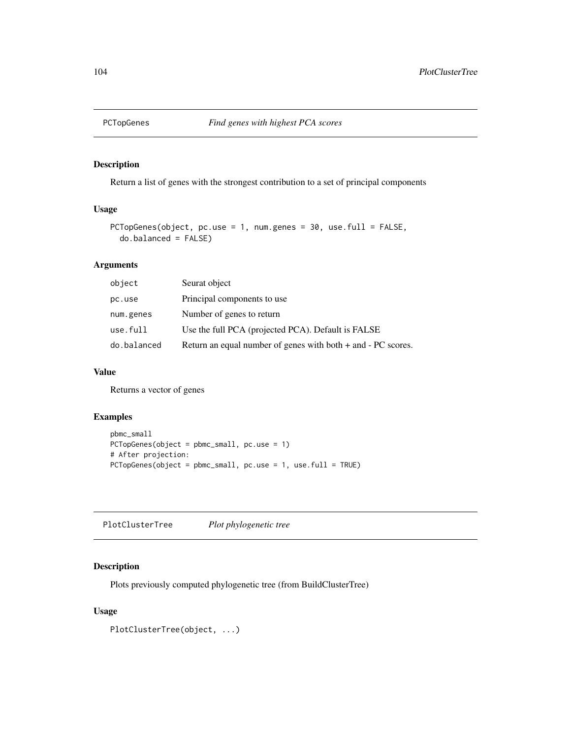Return a list of genes with the strongest contribution to a set of principal components

#### Usage

```
PCTopGenes(object, pc.use = 1, num.genes = 30, use.full = FALSE,
 do.balanced = FALSE)
```
# Arguments

| object      | Seurat object                                                   |
|-------------|-----------------------------------------------------------------|
| pc.use      | Principal components to use                                     |
| num.genes   | Number of genes to return                                       |
| use.full    | Use the full PCA (projected PCA). Default is FALSE              |
| do.balanced | Return an equal number of genes with both $+$ and $-PC$ scores. |

## Value

Returns a vector of genes

## Examples

```
pbmc_small
PCTopGenes(object = pbmc_small, pc.use = 1)
# After projection:
PCTopGenes(object = pbmc_small, pc.use = 1, use.full = TRUE)
```
PlotClusterTree *Plot phylogenetic tree*

## Description

Plots previously computed phylogenetic tree (from BuildClusterTree)

# Usage

PlotClusterTree(object, ...)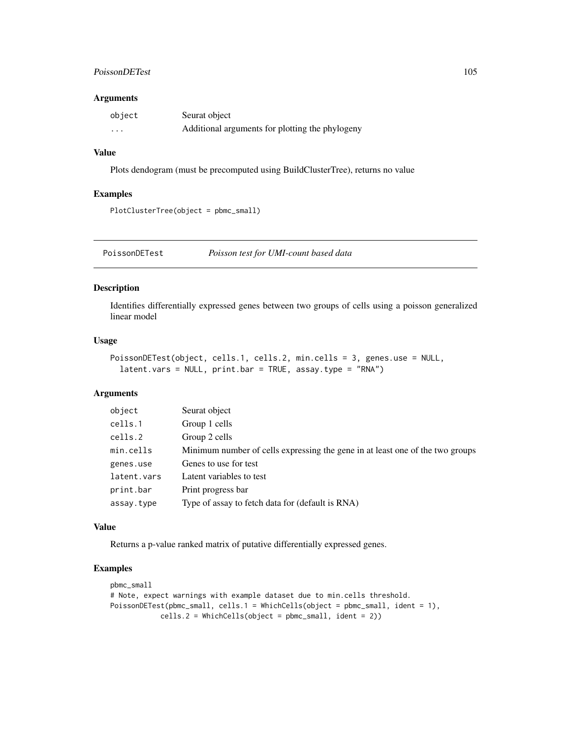## PoissonDETest 105

## Arguments

| object   | Seurat object                                   |
|----------|-------------------------------------------------|
| $\cdots$ | Additional arguments for plotting the phylogeny |

## Value

Plots dendogram (must be precomputed using BuildClusterTree), returns no value

## Examples

```
PlotClusterTree(object = pbmc_small)
```
PoissonDETest *Poisson test for UMI-count based data*

# Description

Identifies differentially expressed genes between two groups of cells using a poisson generalized linear model

## Usage

```
PoissonDETest(object, cells.1, cells.2, min.cells = 3, genes.use = NULL,
  latent.vars = NULL, print.bar = TRUE, assay.type = "RNA")
```
## Arguments

| object      | Seurat object                                                                 |
|-------------|-------------------------------------------------------------------------------|
| cells.1     | Group 1 cells                                                                 |
| cells.2     | Group 2 cells                                                                 |
| min.cells   | Minimum number of cells expressing the gene in at least one of the two groups |
| genes.use   | Genes to use for test                                                         |
| latent.vars | Latent variables to test                                                      |
| print.bar   | Print progress bar                                                            |
| assay.type  | Type of assay to fetch data for (default is RNA)                              |

#### Value

Returns a p-value ranked matrix of putative differentially expressed genes.

```
pbmc_small
# Note, expect warnings with example dataset due to min.cells threshold.
PoissonDETest(pbmc_small, cells.1 = WhichCells(object = pbmc_small, ident = 1),
           cells.2 = WhichCells(Object = phmc\_small, ident = 2))
```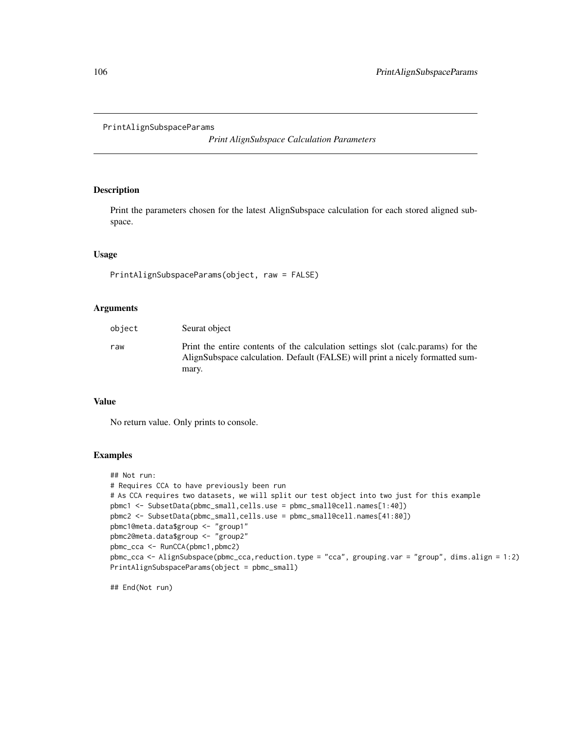```
PrintAlignSubspaceParams
```
*Print AlignSubspace Calculation Parameters*

## Description

Print the parameters chosen for the latest AlignSubspace calculation for each stored aligned subspace.

## Usage

```
PrintAlignSubspaceParams(object, raw = FALSE)
```
# Arguments

| object | Seurat object                                                                                                                                                     |
|--------|-------------------------------------------------------------------------------------------------------------------------------------------------------------------|
| raw    | Print the entire contents of the calculation settings slot (calc.params) for the<br>AlignSubspace calculation. Default (FALSE) will print a nicely formatted sum- |
|        | mary.                                                                                                                                                             |

## Value

No return value. Only prints to console.

## Examples

```
## Not run:
# Requires CCA to have previously been run
# As CCA requires two datasets, we will split our test object into two just for this example
pbmc1 <- SubsetData(pbmc_small,cells.use = pbmc_small@cell.names[1:40])
pbmc2 <- SubsetData(pbmc_small,cells.use = pbmc_small@cell.names[41:80])
pbmc1@meta.data$group <- "group1"
pbmc2@meta.data$group <- "group2"
pbmc_cca <- RunCCA(pbmc1,pbmc2)
pbmc_cca <- AlignSubspace(pbmc_cca,reduction.type = "cca", grouping.var = "group", dims.align = 1:2)
PrintAlignSubspaceParams(object = pbmc_small)
```
## End(Not run)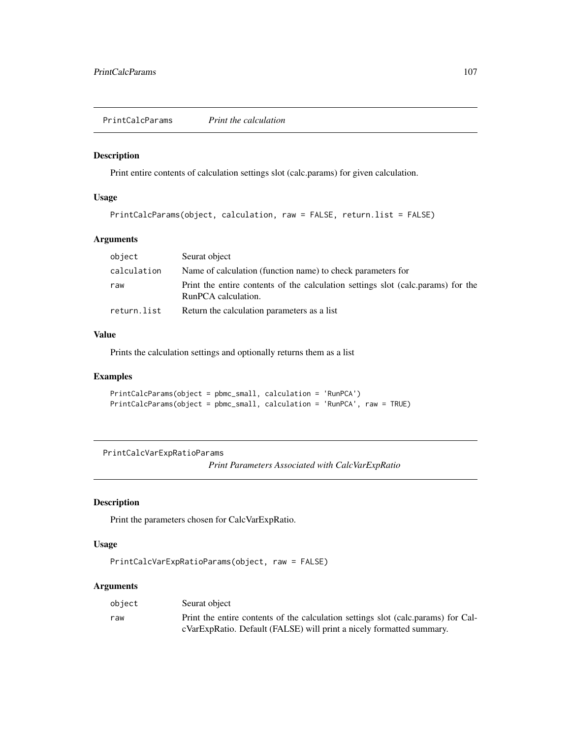PrintCalcParams *Print the calculation*

## Description

Print entire contents of calculation settings slot (calc.params) for given calculation.

#### Usage

```
PrintCalcParams(object, calculation, raw = FALSE, return.list = FALSE)
```
## Arguments

| object      | Seurat object                                                                                           |
|-------------|---------------------------------------------------------------------------------------------------------|
| calculation | Name of calculation (function name) to check parameters for                                             |
| raw         | Print the entire contents of the calculation settings slot (calc.params) for the<br>RunPCA calculation. |
| return.list | Return the calculation parameters as a list                                                             |

## Value

Prints the calculation settings and optionally returns them as a list

## Examples

```
PrintCalcParams(object = pbmc_small, calculation = 'RunPCA')
PrintCalcParams(object = pbmc_small, calculation = 'RunPCA', raw = TRUE)
```
PrintCalcVarExpRatioParams

*Print Parameters Associated with CalcVarExpRatio*

# Description

Print the parameters chosen for CalcVarExpRatio.

# Usage

```
PrintCalcVarExpRatioParams(object, raw = FALSE)
```

| object | Seurat object                                                                     |
|--------|-----------------------------------------------------------------------------------|
| raw    | Print the entire contents of the calculation settings slot (calc.params) for Cal- |
|        | cVarExpRatio. Default (FALSE) will print a nicely formatted summary.              |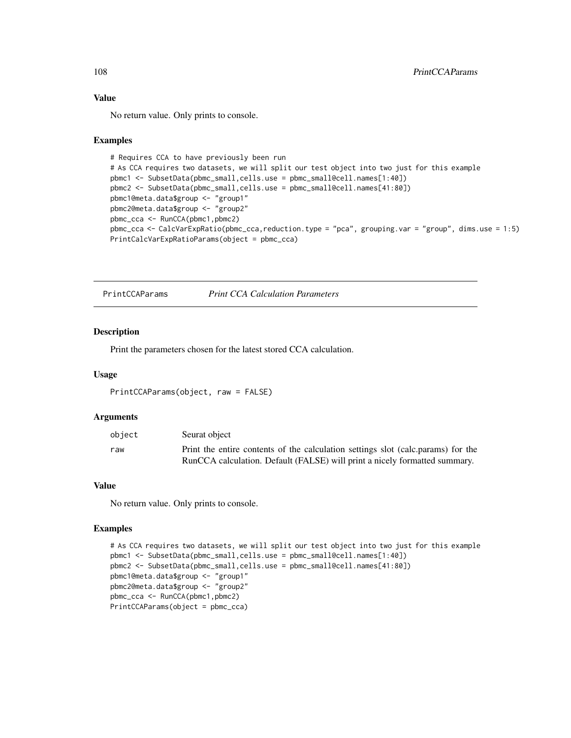# Value

No return value. Only prints to console.

#### Examples

```
# Requires CCA to have previously been run
# As CCA requires two datasets, we will split our test object into two just for this example
pbmc1 <- SubsetData(pbmc_small,cells.use = pbmc_small@cell.names[1:40])
pbmc2 <- SubsetData(pbmc_small,cells.use = pbmc_small@cell.names[41:80])
pbmc1@meta.data$group <- "group1"
pbmc2@meta.data$group <- "group2"
pbmc_cca <- RunCCA(pbmc1,pbmc2)
pbmc_cca <- CalcVarExpRatio(pbmc_cca,reduction.type = "pca", grouping.var = "group", dims.use = 1:5)
PrintCalcVarExpRatioParams(object = pbmc_cca)
```
PrintCCAParams *Print CCA Calculation Parameters*

#### Description

Print the parameters chosen for the latest stored CCA calculation.

## Usage

```
PrintCCAParams(object, raw = FALSE)
```
### Arguments

| object | Seurat object                                                                    |
|--------|----------------------------------------------------------------------------------|
| raw    | Print the entire contents of the calculation settings slot (calc.params) for the |
|        | RunCCA calculation. Default (FALSE) will print a nicely formatted summary.       |

#### Value

No return value. Only prints to console.

```
# As CCA requires two datasets, we will split our test object into two just for this example
pbmc1 <- SubsetData(pbmc_small,cells.use = pbmc_small@cell.names[1:40])
pbmc2 <- SubsetData(pbmc_small,cells.use = pbmc_small@cell.names[41:80])
pbmc1@meta.data$group <- "group1"
pbmc2@meta.data$group <- "group2"
pbmc_cca <- RunCCA(pbmc1,pbmc2)
PrintCCAParams(object = pbmc_cca)
```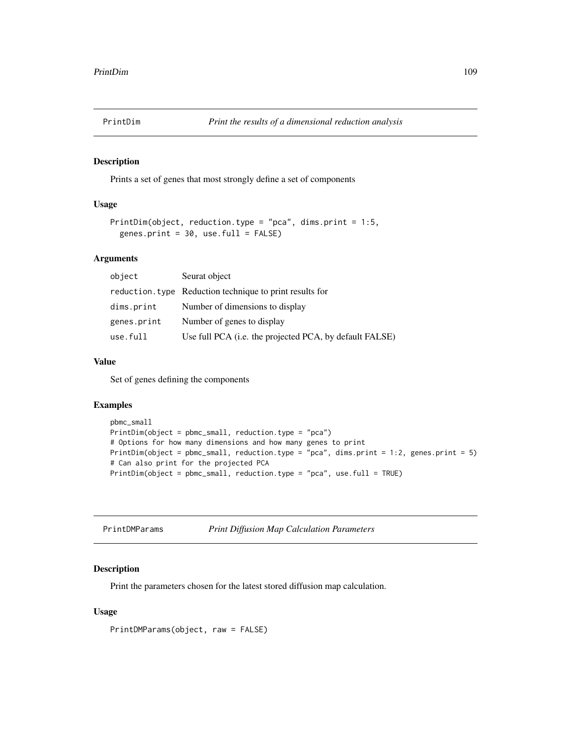Prints a set of genes that most strongly define a set of components

# Usage

```
PrintDim(object, reduction.type = "pca", dims.print = 1:5,
  genes.print = 30, use.full = FALSE)
```
#### Arguments

| object      | Seurat object                                            |
|-------------|----------------------------------------------------------|
|             | reduction. type Reduction technique to print results for |
| dims.print  | Number of dimensions to display                          |
| genes.print | Number of genes to display                               |
| use.full    | Use full PCA (i.e. the projected PCA, by default FALSE)  |

#### Value

Set of genes defining the components

## Examples

```
pbmc_small
PrintDim(object = pbmc_small, reduction.type = "pca")
# Options for how many dimensions and how many genes to print
PrintDim(object = pbmc_small, reduction.type = "pca", dims.print = 1:2, genes.print = 5)
# Can also print for the projected PCA
PrintDim(object = pbmc_small, reduction.type = "pca", use.full = TRUE)
```

| PrintDMParams |  | <b>Print Diffusion Map Calculation Parameters</b> |
|---------------|--|---------------------------------------------------|
|---------------|--|---------------------------------------------------|

# Description

Print the parameters chosen for the latest stored diffusion map calculation.

#### Usage

PrintDMParams(object, raw = FALSE)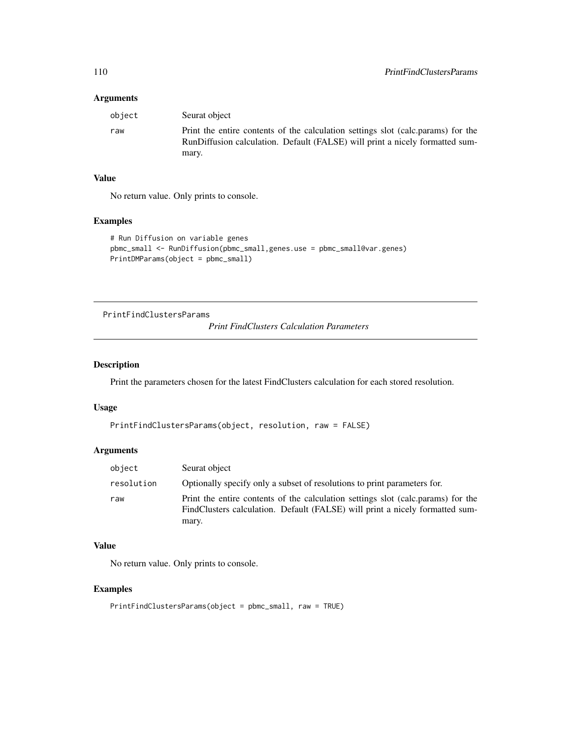## Arguments

| obiect | Seurat object                                                                                                                                                             |
|--------|---------------------------------------------------------------------------------------------------------------------------------------------------------------------------|
| raw    | Print the entire contents of the calculation settings slot (calc.params) for the<br>RunDiffusion calculation. Default (FALSE) will print a nicely formatted sum-<br>mary. |

# Value

No return value. Only prints to console.

## Examples

```
# Run Diffusion on variable genes
pbmc_small <- RunDiffusion(pbmc_small,genes.use = pbmc_small@var.genes)
PrintDMParams(object = pbmc_small)
```
PrintFindClustersParams

*Print FindClusters Calculation Parameters*

# Description

Print the parameters chosen for the latest FindClusters calculation for each stored resolution.

## Usage

```
PrintFindClustersParams(object, resolution, raw = FALSE)
```
# Arguments

| object     | Seurat object                                                                                                                                                             |
|------------|---------------------------------------------------------------------------------------------------------------------------------------------------------------------------|
| resolution | Optionally specify only a subset of resolutions to print parameters for.                                                                                                  |
| raw        | Print the entire contents of the calculation settings slot (calc.params) for the<br>FindClusters calculation. Default (FALSE) will print a nicely formatted sum-<br>mary. |

#### Value

No return value. Only prints to console.

```
PrintFindClustersParams(object = pbmc_small, raw = TRUE)
```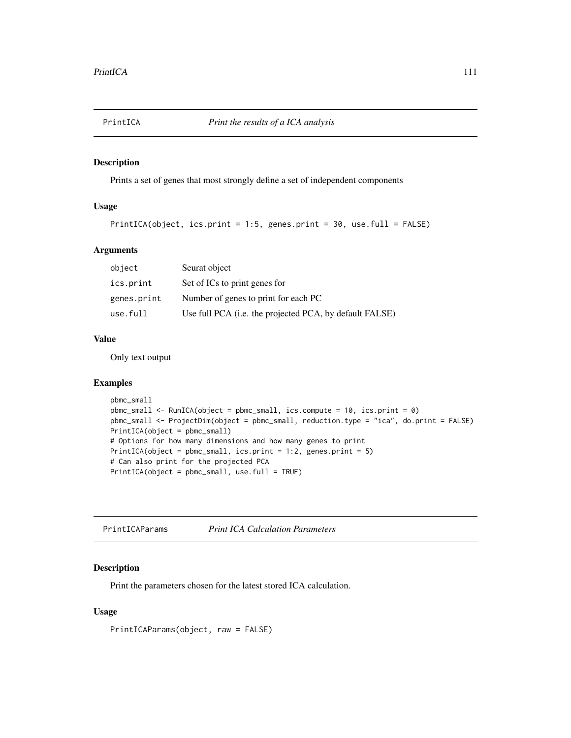Prints a set of genes that most strongly define a set of independent components

# Usage

```
PrintICA(object, ics.print = 1:5, genes.print = 30, use.full = FALSE)
```
#### Arguments

| object      | Seurat object                                           |
|-------------|---------------------------------------------------------|
| ics.print   | Set of ICs to print genes for                           |
| genes.print | Number of genes to print for each PC                    |
| use.full    | Use full PCA (i.e. the projected PCA, by default FALSE) |

# Value

Only text output

#### Examples

```
pbmc_small
pbmc_small <- RunICA(object = pbmc_small, ics.compute = 10, ics.print = 0)
pbmc_small <- ProjectDim(object = pbmc_small, reduction.type = "ica", do.print = FALSE)
PrintICA(object = pbmc_small)
# Options for how many dimensions and how many genes to print
PrintICA(object = pbmc_small, ics.print = 1:2, genes.print = 5)
# Can also print for the projected PCA
PrintICA(object = pbmc_small, use.full = TRUE)
```
PrintICAParams *Print ICA Calculation Parameters*

## Description

Print the parameters chosen for the latest stored ICA calculation.

# Usage

PrintICAParams(object, raw = FALSE)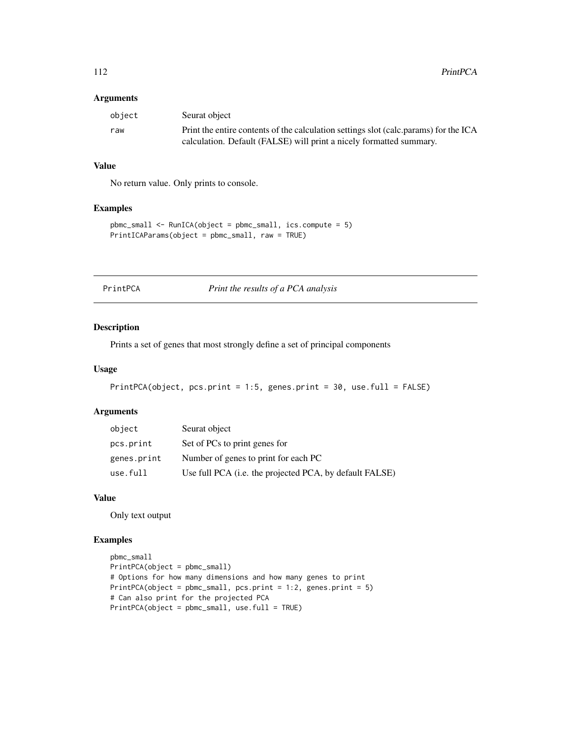## Arguments

| obiect | Seurat object                                                                        |
|--------|--------------------------------------------------------------------------------------|
| raw    | Print the entire contents of the calculation settings slot (calc.params) for the ICA |
|        | calculation. Default (FALSE) will print a nicely formatted summary.                  |

# Value

No return value. Only prints to console.

## Examples

```
pbmc_small <- RunICA(object = pbmc_small, ics.compute = 5)
PrintICAParams(object = pbmc_small, raw = TRUE)
```
PrintPCA *Print the results of a PCA analysis*

#### Description

Prints a set of genes that most strongly define a set of principal components

# Usage

```
PrintPCA(object, pcs.print = 1:5, genes.print = 30, use.full = FALSE)
```
## Arguments

| object      | Seurat object                                           |
|-------------|---------------------------------------------------------|
| pcs.print   | Set of PCs to print genes for                           |
| genes.print | Number of genes to print for each PC                    |
| use.full    | Use full PCA (i.e. the projected PCA, by default FALSE) |

# Value

Only text output

```
pbmc_small
PrintPCA(object = pbmc_small)
# Options for how many dimensions and how many genes to print
PrintPCA(object = pbmc\_small, pcs.print = 1:2, genes.print = 5)# Can also print for the projected PCA
PrintPCA(object = pbmc_small, use.full = TRUE)
```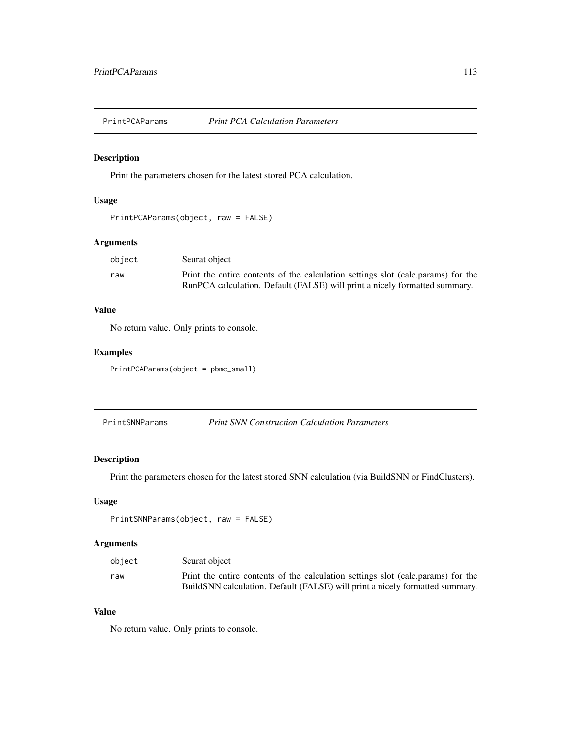Print the parameters chosen for the latest stored PCA calculation.

# Usage

```
PrintPCAParams(object, raw = FALSE)
```
# Arguments

| object | Seurat object                                                                    |
|--------|----------------------------------------------------------------------------------|
| raw    | Print the entire contents of the calculation settings slot (calc.params) for the |
|        | RunPCA calculation. Default (FALSE) will print a nicely formatted summary.       |

# Value

No return value. Only prints to console.

# Examples

PrintPCAParams(object = pbmc\_small)

PrintSNNParams *Print SNN Construction Calculation Parameters*

# Description

Print the parameters chosen for the latest stored SNN calculation (via BuildSNN or FindClusters).

#### Usage

```
PrintSNNParams(object, raw = FALSE)
```
# Arguments

| object | Seurat object                                                                    |
|--------|----------------------------------------------------------------------------------|
| raw    | Print the entire contents of the calculation settings slot (calc.params) for the |
|        | BuildSNN calculation. Default (FALSE) will print a nicely formatted summary.     |

# Value

No return value. Only prints to console.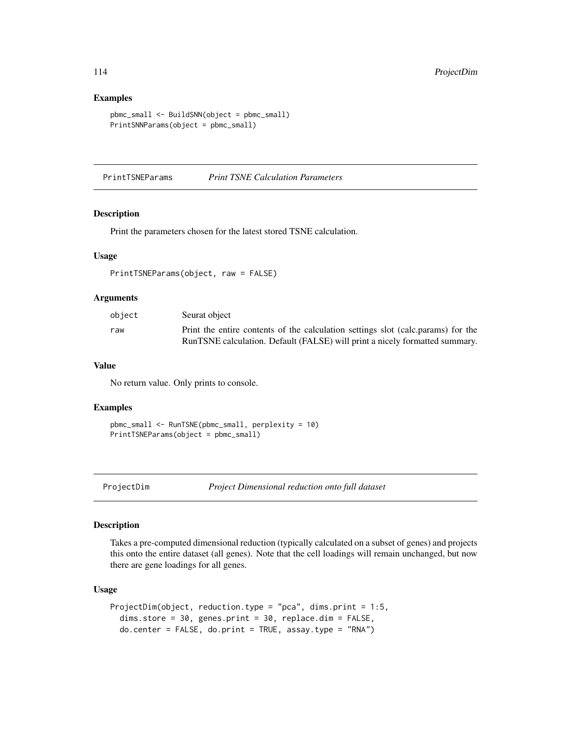## Examples

```
pbmc_small <- BuildSNN(object = pbmc_small)
PrintSNNParams(object = pbmc_small)
```
PrintTSNEParams *Print TSNE Calculation Parameters*

#### Description

Print the parameters chosen for the latest stored TSNE calculation.

#### Usage

```
PrintTSNEParams(object, raw = FALSE)
```
#### Arguments

| object | Seurat object                                                                    |
|--------|----------------------------------------------------------------------------------|
| raw    | Print the entire contents of the calculation settings slot (calc.params) for the |
|        | RunTSNE calculation. Default (FALSE) will print a nicely formatted summary.      |

#### Value

No return value. Only prints to console.

#### Examples

```
pbmc_small <- RunTSNE(pbmc_small, perplexity = 10)
PrintTSNEParams(object = pbmc_small)
```

```
ProjectDim Project Dimensional reduction onto full dataset
```
#### Description

Takes a pre-computed dimensional reduction (typically calculated on a subset of genes) and projects this onto the entire dataset (all genes). Note that the cell loadings will remain unchanged, but now there are gene loadings for all genes.

#### Usage

```
ProjectDim(object, reduction.type = "pca", dims.print = 1:5,
  dims.store = 30, genes.print = 30, replace.dim = FALSE,
  do.center = FALSE, do.print = TRUE, assay.type = "RNA")
```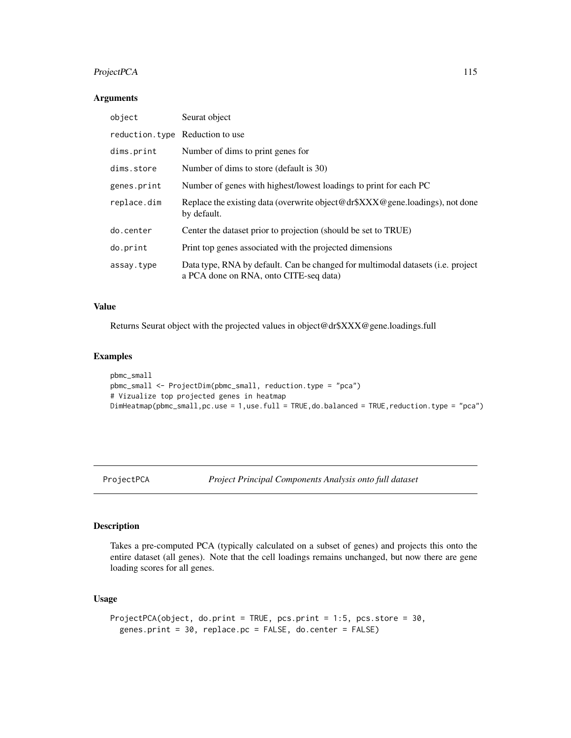# ProjectPCA 115

## Arguments

| object                          | Seurat object                                                                                                             |
|---------------------------------|---------------------------------------------------------------------------------------------------------------------------|
| reduction.type Reduction to use |                                                                                                                           |
| dims.print                      | Number of dims to print genes for                                                                                         |
| dims.store                      | Number of dims to store (default is 30)                                                                                   |
| genes.print                     | Number of genes with highest/lowest loadings to print for each PC                                                         |
| replace.dim                     | Replace the existing data (overwrite object@dr\$XXX@gene.loadings), not done<br>by default.                               |
| do.center                       | Center the dataset prior to projection (should be set to TRUE)                                                            |
| do.print                        | Print top genes associated with the projected dimensions                                                                  |
| assay.type                      | Data type, RNA by default. Can be changed for multimodal datasets (i.e. project<br>a PCA done on RNA, onto CITE-seq data) |

## Value

Returns Seurat object with the projected values in object@dr\$XXX@gene.loadings.full

#### Examples

```
pbmc_small
pbmc_small <- ProjectDim(pbmc_small, reduction.type = "pca")
# Vizualize top projected genes in heatmap
DimHeatmap(pbmc_small,pc.use = 1,use.full = TRUE,do.balanced = TRUE,reduction.type = "pca")
```
ProjectPCA *Project Principal Components Analysis onto full dataset*

# Description

Takes a pre-computed PCA (typically calculated on a subset of genes) and projects this onto the entire dataset (all genes). Note that the cell loadings remains unchanged, but now there are gene loading scores for all genes.

# Usage

```
ProjectPCA(object, do.print = TRUE, pcs.print = 1:5, pcs.store = 30,
  genes.print = 30, replace.pc = FALSE, do.center = FALSE)
```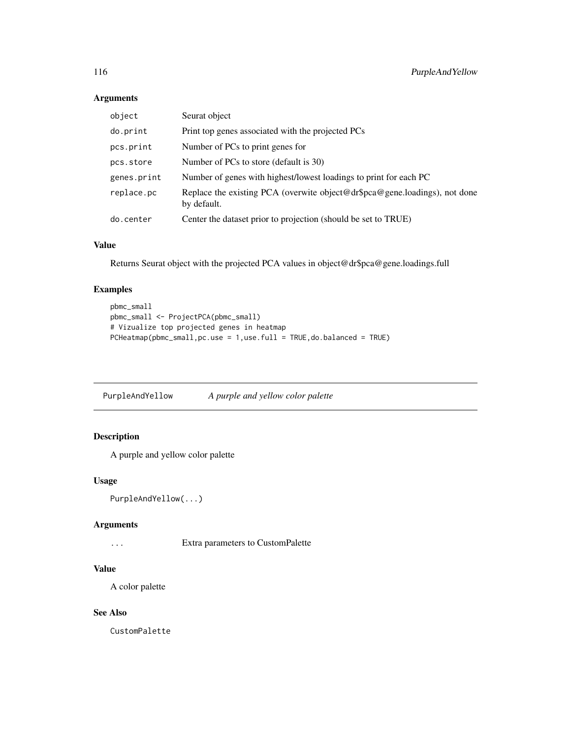# Arguments

| object      | Seurat object                                                                             |
|-------------|-------------------------------------------------------------------------------------------|
| do.print    | Print top genes associated with the projected PCs                                         |
| pcs.print   | Number of PCs to print genes for                                                          |
| pcs.store   | Number of PCs to store (default is 30)                                                    |
| genes.print | Number of genes with highest/lowest loadings to print for each PC                         |
| replace.pc  | Replace the existing PCA (overwite object@dr\$pca@gene.loadings), not done<br>by default. |
| do.center   | Center the dataset prior to projection (should be set to TRUE)                            |

# Value

Returns Seurat object with the projected PCA values in object@dr\$pca@gene.loadings.full

# Examples

```
pbmc_small
pbmc_small <- ProjectPCA(pbmc_small)
# Vizualize top projected genes in heatmap
PCHeatmap(pbmc_small,pc.use = 1,use.full = TRUE,do.balanced = TRUE)
```
PurpleAndYellow *A purple and yellow color palette*

# Description

A purple and yellow color palette

# Usage

```
PurpleAndYellow(...)
```
#### Arguments

... Extra parameters to CustomPalette

# Value

A color palette

# See Also

CustomPalette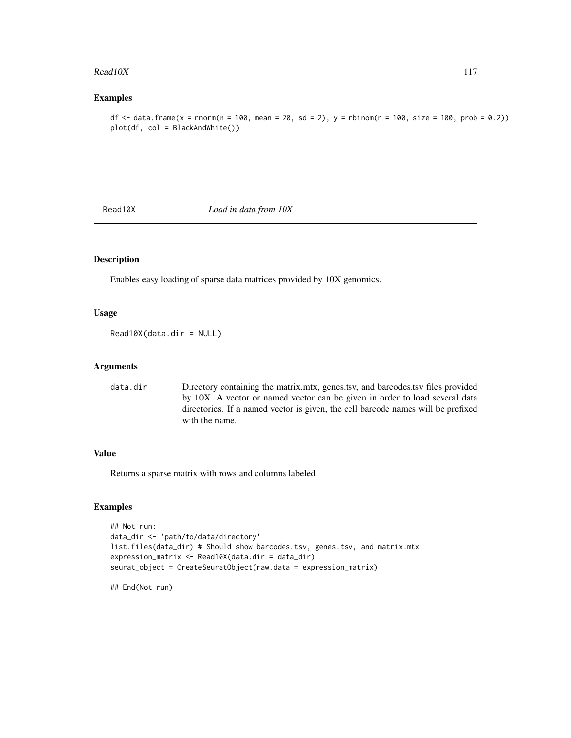#### $Read10X$  117

# Examples

df  $\le$  - data.frame(x = rnorm(n = 100, mean = 20, sd = 2), y = rbinom(n = 100, size = 100, prob = 0.2)) plot(df, col = BlackAndWhite())

Read10X *Load in data from 10X*

#### Description

Enables easy loading of sparse data matrices provided by 10X genomics.

# Usage

Read10X(data.dir = NULL)

#### Arguments

data.dir Directory containing the matrix.mtx, genes.tsv, and barcodes.tsv files provided by 10X. A vector or named vector can be given in order to load several data directories. If a named vector is given, the cell barcode names will be prefixed with the name.

## Value

Returns a sparse matrix with rows and columns labeled

# Examples

```
## Not run:
data_dir <- 'path/to/data/directory'
list.files(data_dir) # Should show barcodes.tsv, genes.tsv, and matrix.mtx
expression_matrix <- Read10X(data.dir = data_dir)
seurat_object = CreateSeuratObject(raw.data = expression_matrix)
```
## End(Not run)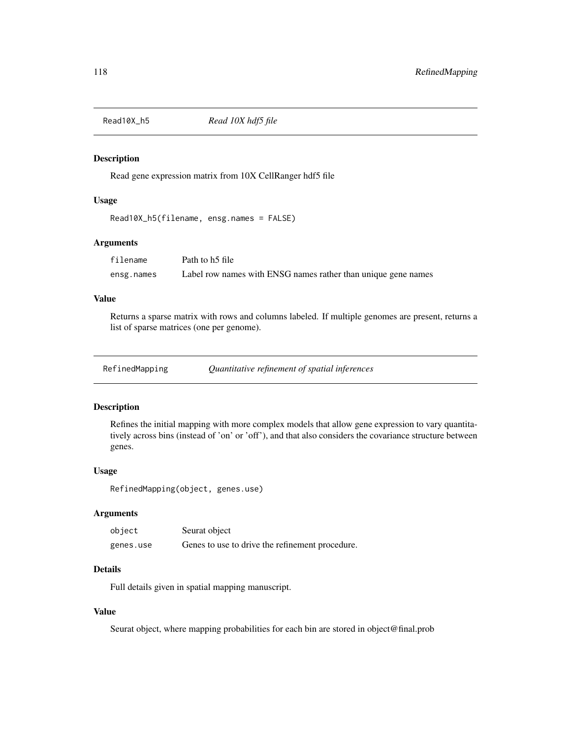Read gene expression matrix from 10X CellRanger hdf5 file

# Usage

```
Read10X_h5(filename, ensg.names = FALSE)
```
## Arguments

| filename   | Path to h5 file                                               |
|------------|---------------------------------------------------------------|
| ensg.names | Label row names with ENSG names rather than unique gene names |

# Value

Returns a sparse matrix with rows and columns labeled. If multiple genomes are present, returns a list of sparse matrices (one per genome).

| RefinedMapping | Quantitative refinement of spatial inferences |  |  |
|----------------|-----------------------------------------------|--|--|
|                |                                               |  |  |

# Description

Refines the initial mapping with more complex models that allow gene expression to vary quantitatively across bins (instead of 'on' or 'off'), and that also considers the covariance structure between genes.

#### Usage

```
RefinedMapping(object, genes.use)
```
#### Arguments

| object    | Seurat object                                   |
|-----------|-------------------------------------------------|
| genes.use | Genes to use to drive the refinement procedure. |

# Details

Full details given in spatial mapping manuscript.

# Value

Seurat object, where mapping probabilities for each bin are stored in object@final.prob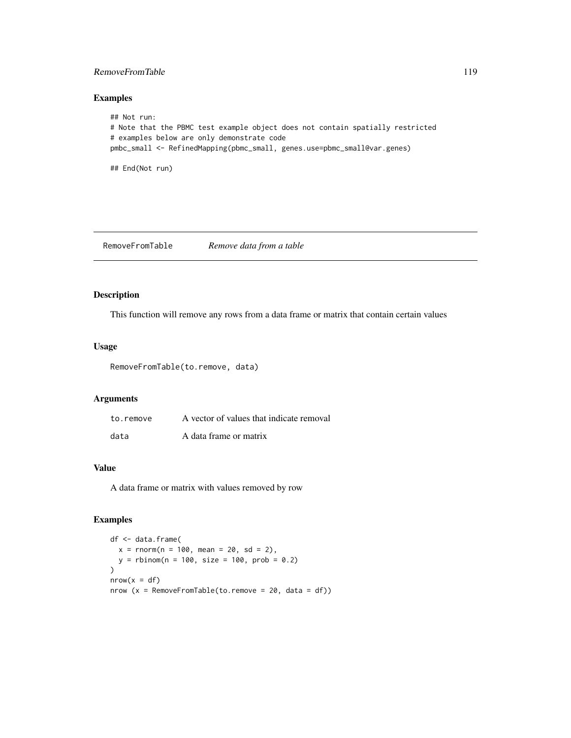## RemoveFromTable 119

## Examples

```
## Not run:
# Note that the PBMC test example object does not contain spatially restricted
# examples below are only demonstrate code
pmbc_small <- RefinedMapping(pbmc_small, genes.use=pbmc_small@var.genes)
## End(Not run)
```
RemoveFromTable *Remove data from a table*

#### Description

This function will remove any rows from a data frame or matrix that contain certain values

#### Usage

RemoveFromTable(to.remove, data)

# Arguments

| to.remove | A vector of values that indicate removal |
|-----------|------------------------------------------|
| data      | A data frame or matrix                   |

#### Value

A data frame or matrix with values removed by row

```
df <- data.frame(
  x = \text{rnorm}(n = 100, \text{ mean} = 20, \text{ sd} = 2),y = rbinom(n = 100, size = 100, prob = 0.2)
\overline{)}nrow(x = df)nrow (x = RemoveFromTable(to.remove = 20, data = df))
```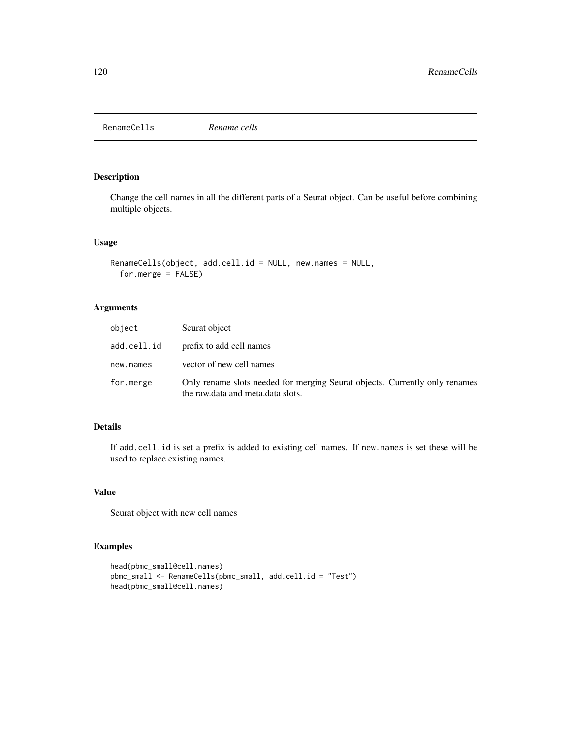<span id="page-119-0"></span>RenameCells *Rename cells*

# Description

Change the cell names in all the different parts of a Seurat object. Can be useful before combining multiple objects.

## Usage

```
RenameCells(object, add.cell.id = NULL, new.names = NULL,
  for.merge = FALSE)
```
# Arguments

| object      | Seurat object                                                                                                    |
|-------------|------------------------------------------------------------------------------------------------------------------|
| add.cell.id | prefix to add cell names                                                                                         |
| new.names   | vector of new cell names                                                                                         |
| for.merge   | Only rename slots needed for merging Seurat objects. Currently only renames<br>the raw.data and meta.data slots. |

# Details

If add.cell.id is set a prefix is added to existing cell names. If new.names is set these will be used to replace existing names.

# Value

Seurat object with new cell names

```
head(pbmc_small@cell.names)
pbmc_small <- RenameCells(pbmc_small, add.cell.id = "Test")
head(pbmc_small@cell.names)
```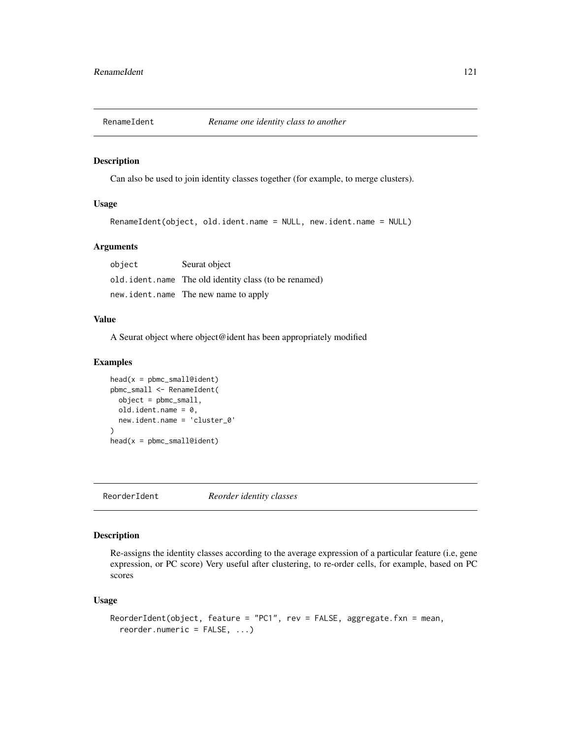Can also be used to join identity classes together (for example, to merge clusters).

#### Usage

```
RenameIdent(object, old.ident.name = NULL, new.ident.name = NULL)
```
# Arguments

| object | Seurat object                                           |
|--------|---------------------------------------------------------|
|        | old. ident. name The old identity class (to be renamed) |
|        | new.ident.name The new name to apply                    |

#### Value

A Seurat object where object@ident has been appropriately modified

#### Examples

```
head(x = pbmc\_small@ident)pbmc_small <- RenameIdent(
  object = pbmc_small,
  old.ident.name = 0,
  new.ident.name = 'cluster_0'
)
head(x = pbmc_small@ident)
```
ReorderIdent *Reorder identity classes*

## Description

Re-assigns the identity classes according to the average expression of a particular feature (i.e, gene expression, or PC score) Very useful after clustering, to re-order cells, for example, based on PC scores

# Usage

```
ReorderIdent(object, feature = "PC1", rev = FALSE, aggregate.fxn = mean,
  reorder.numeric = FALSE, ...)
```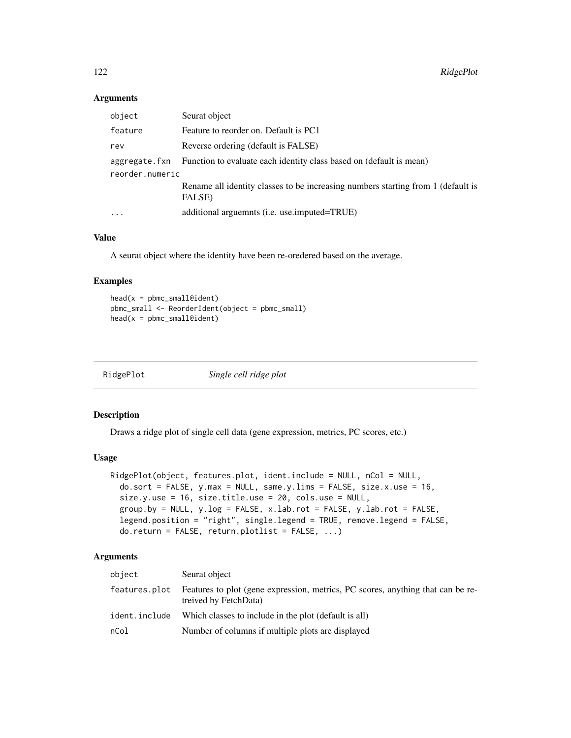# Arguments

| object          | Seurat object                                                                              |  |
|-----------------|--------------------------------------------------------------------------------------------|--|
| feature         | Feature to reorder on. Default is PC1                                                      |  |
| rev             | Reverse ordering (default is FALSE)                                                        |  |
|                 | aggregate. fxn Function to evaluate each identity class based on (default is mean)         |  |
| reorder.numeric |                                                                                            |  |
|                 | Rename all identity classes to be increasing numbers starting from 1 (default is<br>FALSE) |  |
| $\cdots$        | additional arguemnts ( <i>i.e.</i> use.imputed=TRUE)                                       |  |

#### Value

A seurat object where the identity have been re-oredered based on the average.

#### Examples

```
head(x = pbmc\_small@ident)pbmc_small <- ReorderIdent(object = pbmc_small)
head(x = pbmc\_small@ident)
```

| RidgePlot | Single cell ridge plot |
|-----------|------------------------|
|           |                        |

# Description

Draws a ridge plot of single cell data (gene expression, metrics, PC scores, etc.)

#### Usage

```
RidgePlot(object, features.plot, ident.include = NULL, nCol = NULL,
  do.sort = FALSE, y.max = NULL, same.y.lims = FALSE, size.x.use = 16,
  size.y.use = 16, size.title.use = 20, cols.use = NULL,
  group.by = NULL, y.log = FALSE, x.lab.rot = FALSE, y.lab.rot = FALSE,legend.position = "right", single.legend = TRUE, remove.legend = FALSE,
  \overline{a} do.return = FALSE, return.plotlist = FALSE, ...)
```
# Arguments

| object        | Seurat object                                                                                            |
|---------------|----------------------------------------------------------------------------------------------------------|
| features.plot | Features to plot (gene expression, metrics, PC scores, anything that can be re-<br>treived by FetchData) |
| ident.include | Which classes to include in the plot (default is all)                                                    |
| nCol          | Number of columns if multiple plots are displayed                                                        |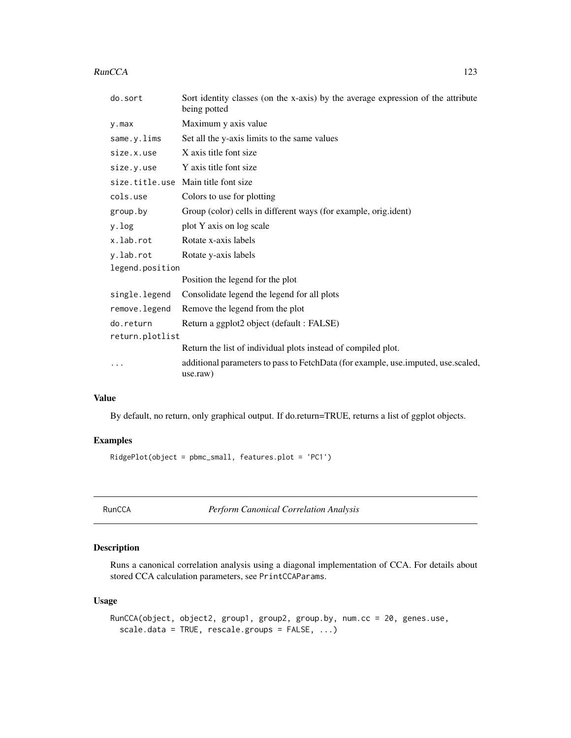#### RunCCA 223

| do.sort         | Sort identity classes (on the x-axis) by the average expression of the attribute<br>being potted |  |
|-----------------|--------------------------------------------------------------------------------------------------|--|
| $y$ . max       | Maximum y axis value                                                                             |  |
| same.y.lims     | Set all the y-axis limits to the same values                                                     |  |
| size.x.use      | X axis title font size                                                                           |  |
| size.y.use      | Y axis title font size                                                                           |  |
|                 | size.title.use Main title font size                                                              |  |
| cols.use        | Colors to use for plotting                                                                       |  |
| group.by        | Group (color) cells in different ways (for example, orig.ident)                                  |  |
| y.log           | plot Y axis on log scale                                                                         |  |
| x.lab.rot       | Rotate x-axis labels                                                                             |  |
| y.lab.rot       | Rotate y-axis labels                                                                             |  |
| legend.position |                                                                                                  |  |
|                 | Position the legend for the plot                                                                 |  |
| single.legend   | Consolidate legend the legend for all plots                                                      |  |
| remove.legend   | Remove the legend from the plot                                                                  |  |
| do.return       | Return a ggplot2 object (default : FALSE)                                                        |  |
| return.plotlist |                                                                                                  |  |
|                 | Return the list of individual plots instead of compiled plot.                                    |  |
| $\cdot$         | additional parameters to pass to FetchData (for example, use.imputed, use.scaled,<br>use.raw)    |  |

## Value

By default, no return, only graphical output. If do.return=TRUE, returns a list of ggplot objects.

# Examples

RidgePlot(object = pbmc\_small, features.plot = 'PC1')

RunCCA *Perform Canonical Correlation Analysis*

# Description

Runs a canonical correlation analysis using a diagonal implementation of CCA. For details about stored CCA calculation parameters, see PrintCCAParams.

# Usage

```
RunCCA(object, object2, group1, group2, group.by, num.cc = 20, genes.use,
  scale.data = TRUE, rescale.groups = FALSE, ...)
```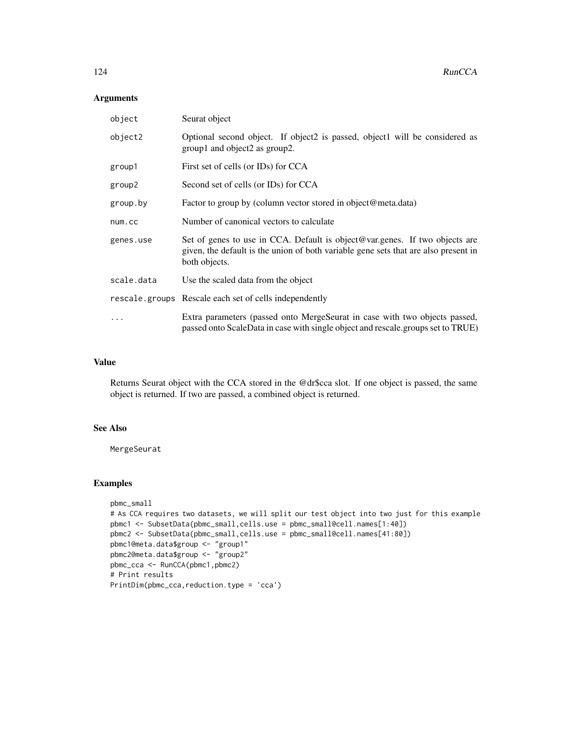# Arguments

| object     | Seurat object                                                                                                                                                                       |
|------------|-------------------------------------------------------------------------------------------------------------------------------------------------------------------------------------|
| object2    | Optional second object. If object2 is passed, object1 will be considered as<br>group1 and object2 as group2.                                                                        |
| group1     | First set of cells (or IDs) for CCA                                                                                                                                                 |
| group2     | Second set of cells (or IDs) for CCA                                                                                                                                                |
| group.by   | Factor to group by (column vector stored in object@meta.data)                                                                                                                       |
| num.cc     | Number of canonical vectors to calculate                                                                                                                                            |
| genes.use  | Set of genes to use in CCA. Default is object@var.genes. If two objects are<br>given, the default is the union of both variable gene sets that are also present in<br>both objects. |
| scale.data | Use the scaled data from the object                                                                                                                                                 |
|            | rescale.groups Rescale each set of cells independently                                                                                                                              |
| .          | Extra parameters (passed onto MergeSeurat in case with two objects passed,<br>passed onto ScaleData in case with single object and rescale.groups set to TRUE)                      |

#### Value

Returns Seurat object with the CCA stored in the @dr\$cca slot. If one object is passed, the same object is returned. If two are passed, a combined object is returned.

# See Also

MergeSeurat

```
pbmc_small
# As CCA requires two datasets, we will split our test object into two just for this example
pbmc1 <- SubsetData(pbmc_small,cells.use = pbmc_small@cell.names[1:40])
pbmc2 <- SubsetData(pbmc_small,cells.use = pbmc_small@cell.names[41:80])
pbmc1@meta.data$group <- "group1"
pbmc2@meta.data$group <- "group2"
pbmc_cca <- RunCCA(pbmc1,pbmc2)
# Print results
PrintDim(pbmc_cca,reduction.type = 'cca')
```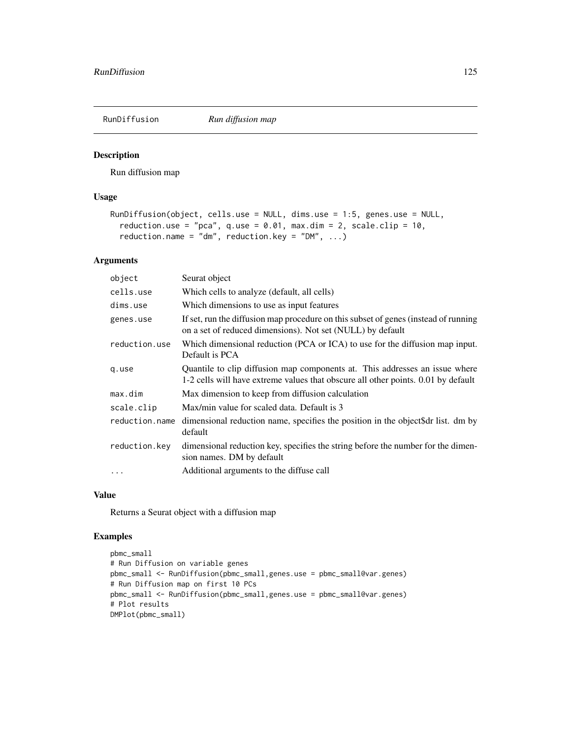Run diffusion map

#### Usage

```
RunDiffusion(object, cells.use = NULL, dims.use = 1:5, genes.use = NULL,
  reduction.use = "pca", q.use = 0.01, max.dim = 2, scale.clip = 10,
 reduction.name = "dm", reduction.key = "DM", ...)
```
# Arguments

| object         | Seurat object                                                                                                                                                    |
|----------------|------------------------------------------------------------------------------------------------------------------------------------------------------------------|
| cells.use      | Which cells to analyze (default, all cells)                                                                                                                      |
| dims.use       | Which dimensions to use as input features                                                                                                                        |
| genes.use      | If set, run the diffusion map procedure on this subset of genes (instead of running<br>on a set of reduced dimensions). Not set (NULL) by default                |
| reduction.use  | Which dimensional reduction (PCA or ICA) to use for the diffusion map input.<br>Default is PCA                                                                   |
| q.use          | Quantile to clip diffusion map components at. This addresses an issue where<br>1-2 cells will have extreme values that obscure all other points. 0.01 by default |
| max.dim        | Max dimension to keep from diffusion calculation                                                                                                                 |
| scale.clip     | Max/min value for scaled data. Default is 3                                                                                                                      |
| reduction.name | dimensional reduction name, specifies the position in the object\$dr list. dm by<br>default                                                                      |
| reduction.key  | dimensional reduction key, specifies the string before the number for the dimen-<br>sion names. DM by default                                                    |
| $\cdots$       | Additional arguments to the diffuse call                                                                                                                         |

# Value

Returns a Seurat object with a diffusion map

```
pbmc_small
# Run Diffusion on variable genes
pbmc_small <- RunDiffusion(pbmc_small,genes.use = pbmc_small@var.genes)
# Run Diffusion map on first 10 PCs
pbmc_small <- RunDiffusion(pbmc_small,genes.use = pbmc_small@var.genes)
# Plot results
DMPlot(pbmc_small)
```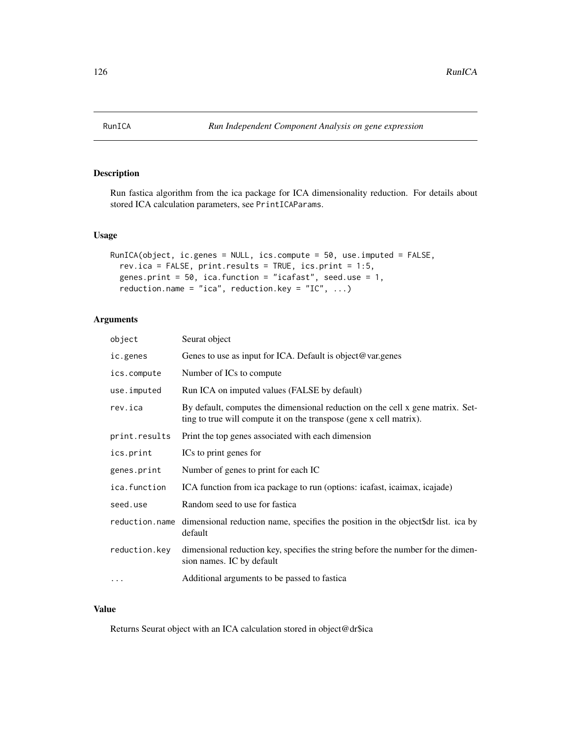Run fastica algorithm from the ica package for ICA dimensionality reduction. For details about stored ICA calculation parameters, see PrintICAParams.

# Usage

```
RunICA(object, ic.genes = NULL, ics.compute = 50, use.imputed = FALSE,
  rev.ica = FALSE, print.results = TRUE, ics.print = 1:5,
 genes.print = 50, ica.function = "icafast", seed.use = 1,
 reduction.name = "ica", reduction.key = "IC", ...)
```
## Arguments

| object        | Seurat object                                                                                                                                         |
|---------------|-------------------------------------------------------------------------------------------------------------------------------------------------------|
| ic.genes      | Genes to use as input for ICA. Default is object@var.genes                                                                                            |
| ics.compute   | Number of ICs to compute                                                                                                                              |
| use.imputed   | Run ICA on imputed values (FALSE by default)                                                                                                          |
| rev.ica       | By default, computes the dimensional reduction on the cell x gene matrix. Set-<br>ting to true will compute it on the transpose (gene x cell matrix). |
| print.results | Print the top genes associated with each dimension                                                                                                    |
| ics.print     | ICs to print genes for                                                                                                                                |
| genes.print   | Number of genes to print for each IC                                                                                                                  |
| ica.function  | ICA function from ica package to run (options: icafast, icaimax, icajade)                                                                             |
| seed.use      | Random seed to use for fastica                                                                                                                        |
|               | reduction name dimensional reduction name, specifies the position in the object of list. ica by<br>default                                            |
| reduction.key | dimensional reduction key, specifies the string before the number for the dimen-<br>sion names. IC by default                                         |
| $\cdots$      | Additional arguments to be passed to fastica                                                                                                          |

## Value

Returns Seurat object with an ICA calculation stored in object@dr\$ica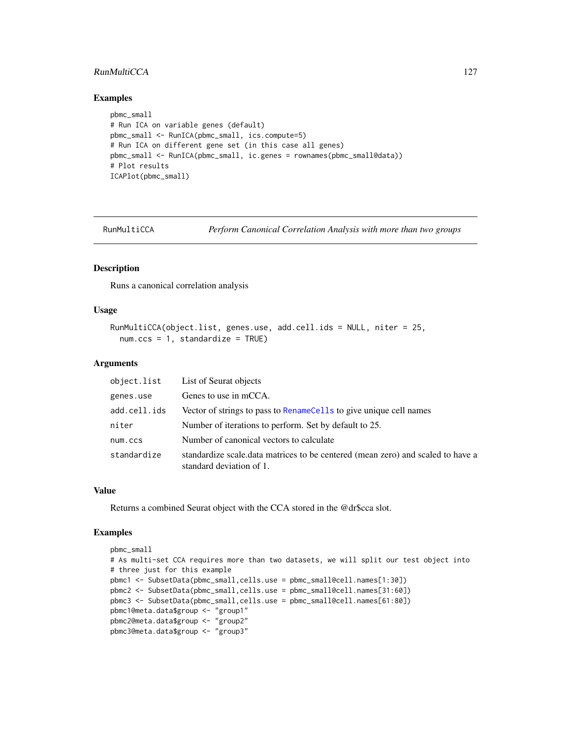# RunMultiCCA 127

#### Examples

```
pbmc_small
# Run ICA on variable genes (default)
pbmc_small <- RunICA(pbmc_small, ics.compute=5)
# Run ICA on different gene set (in this case all genes)
pbmc_small <- RunICA(pbmc_small, ic.genes = rownames(pbmc_small@data))
# Plot results
ICAPlot(pbmc_small)
```
RunMultiCCA *Perform Canonical Correlation Analysis with more than two groups*

#### Description

Runs a canonical correlation analysis

#### Usage

```
RunMultiCCA(object.list, genes.use, add.cell.ids = NULL, niter = 25,
 num.ccs = 1, standardize = TRUE)
```
## Arguments

| object.list  | List of Seurat objects                                                                                       |
|--------------|--------------------------------------------------------------------------------------------------------------|
| genes.use    | Genes to use in mCCA.                                                                                        |
| add.cell.ids | Vector of strings to pass to RenameCells to give unique cell names                                           |
| niter        | Number of iterations to perform. Set by default to 25.                                                       |
| num.ccs      | Number of canonical vectors to calculate                                                                     |
| standardize  | standardize scale. data matrices to be centered (mean zero) and scaled to have a<br>standard deviation of 1. |

#### Value

Returns a combined Seurat object with the CCA stored in the @dr\$cca slot.

```
pbmc_small
# As multi-set CCA requires more than two datasets, we will split our test object into
# three just for this example
pbmc1 <- SubsetData(pbmc_small,cells.use = pbmc_small@cell.names[1:30])
pbmc2 <- SubsetData(pbmc_small,cells.use = pbmc_small@cell.names[31:60])
pbmc3 <- SubsetData(pbmc_small,cells.use = pbmc_small@cell.names[61:80])
pbmc1@meta.data$group <- "group1"
pbmc2@meta.data$group <- "group2"
pbmc3@meta.data$group <- "group3"
```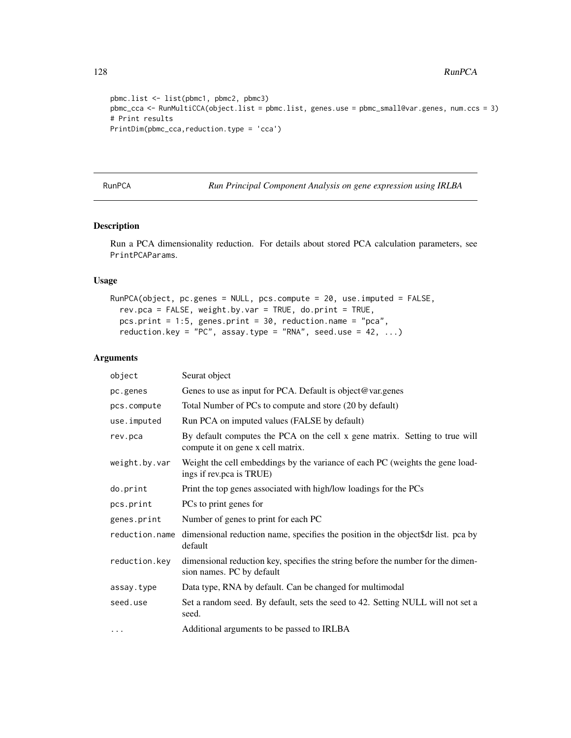128 RunPCA

```
pbmc.list <- list(pbmc1, pbmc2, pbmc3)
pbmc_cca <- RunMultiCCA(object.list = pbmc.list, genes.use = pbmc_small@var.genes, num.ccs = 3)
# Print results
PrintDim(pbmc_cca,reduction.type = 'cca')
```
RunPCA *Run Principal Component Analysis on gene expression using IRLBA*

# Description

Run a PCA dimensionality reduction. For details about stored PCA calculation parameters, see PrintPCAParams.

#### Usage

```
RunPCA(object, pc.genes = NULL, pcs.compute = 20, use.imputed = FALSE,
 rev.pca = FALSE, weight.by.var = TRUE, do.print = TRUE,
 pcs.print = 1:5, genes.print = 30, reduction.name = "pca",
  reduction.key = "PC", assay.type = "RNA", seed.use = 42, ...)
```
#### Arguments

| object         | Seurat object                                                                                                    |
|----------------|------------------------------------------------------------------------------------------------------------------|
| pc.genes       | Genes to use as input for PCA. Default is object@var.genes                                                       |
| pcs.compute    | Total Number of PCs to compute and store (20 by default)                                                         |
| use.imputed    | Run PCA on imputed values (FALSE by default)                                                                     |
| rev.pca        | By default computes the PCA on the cell x gene matrix. Setting to true will<br>compute it on gene x cell matrix. |
| weight.by.var  | Weight the cell embeddings by the variance of each PC (weights the gene load-<br>ings if rev.pca is TRUE)        |
| do.print       | Print the top genes associated with high/low loadings for the PCs                                                |
| pcs.print      | PCs to print genes for                                                                                           |
| genes.print    | Number of genes to print for each PC                                                                             |
| reduction.name | dimensional reduction name, specifies the position in the object\$dr list. pca by<br>default                     |
| reduction.key  | dimensional reduction key, specifies the string before the number for the dimen-<br>sion names. PC by default    |
| assay.type     | Data type, RNA by default. Can be changed for multimodal                                                         |
| seed.use       | Set a random seed. By default, sets the seed to 42. Setting NULL will not set a<br>seed.                         |
| $\cdots$       | Additional arguments to be passed to IRLBA                                                                       |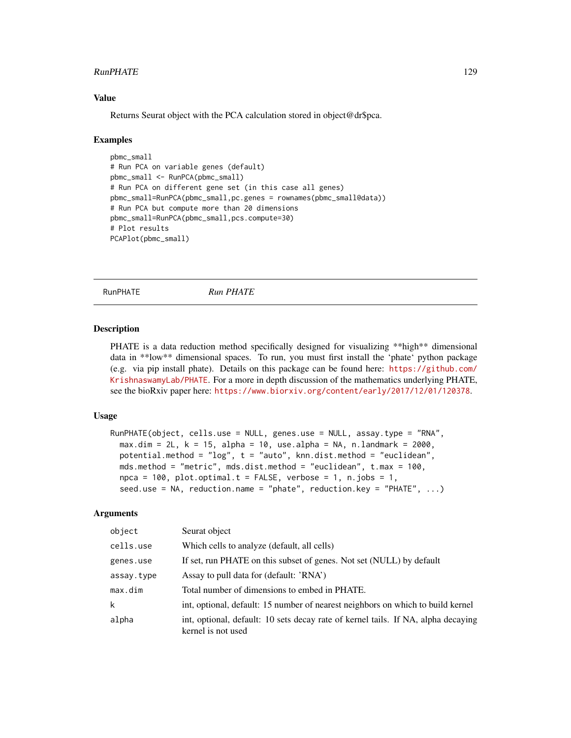#### RunPHATE 2012 129

## Value

Returns Seurat object with the PCA calculation stored in object@dr\$pca.

#### Examples

```
pbmc_small
# Run PCA on variable genes (default)
pbmc_small <- RunPCA(pbmc_small)
# Run PCA on different gene set (in this case all genes)
pbmc_small=RunPCA(pbmc_small,pc.genes = rownames(pbmc_small@data))
# Run PCA but compute more than 20 dimensions
pbmc_small=RunPCA(pbmc_small,pcs.compute=30)
# Plot results
PCAPlot(pbmc_small)
```
RunPHATE *Run PHATE*

#### **Description**

PHATE is a data reduction method specifically designed for visualizing \*\*high\*\* dimensional data in \*\*low\*\* dimensional spaces. To run, you must first install the 'phate' python package (e.g. via pip install phate). Details on this package can be found here: [https://github.com/](https://github.com/KrishnaswamyLab/PHATE) [KrishnaswamyLab/PHATE](https://github.com/KrishnaswamyLab/PHATE). For a more in depth discussion of the mathematics underlying PHATE, see the bioRxiv paper here: <https://www.biorxiv.org/content/early/2017/12/01/120378>.

## Usage

```
RunPHATE(object, cells.use = NULL, genes.use = NULL, assay.type = "RNA",
 max.dim = 2L, k = 15, alpha = 10, use.alpha = NA, n.landmark = 2000,
 potential.method = "log", t = "auto", knn.dist.method = "euclidean",
 mds.method = "metric", mds.dist.method = "euclidean", t.max = 100,
  npca = 100, plot,optimal.t = FALSE, verbose = 1, n.jobs = 1,
  seed.use = NA, reduction.name = "phate", reduction.key = "PHATE", ...)
```
## Arguments

| object     | Seurat object                                                                                           |
|------------|---------------------------------------------------------------------------------------------------------|
| cells.use  | Which cells to analyze (default, all cells)                                                             |
| genes.use  | If set, run PHATE on this subset of genes. Not set (NULL) by default                                    |
| assay.type | Assay to pull data for (default: 'RNA')                                                                 |
| max.dim    | Total number of dimensions to embed in PHATE.                                                           |
| k          | int, optional, default: 15 number of nearest neighbors on which to build kernel                         |
| alpha      | int, optional, default: 10 sets decay rate of kernel tails. If NA, alpha decaying<br>kernel is not used |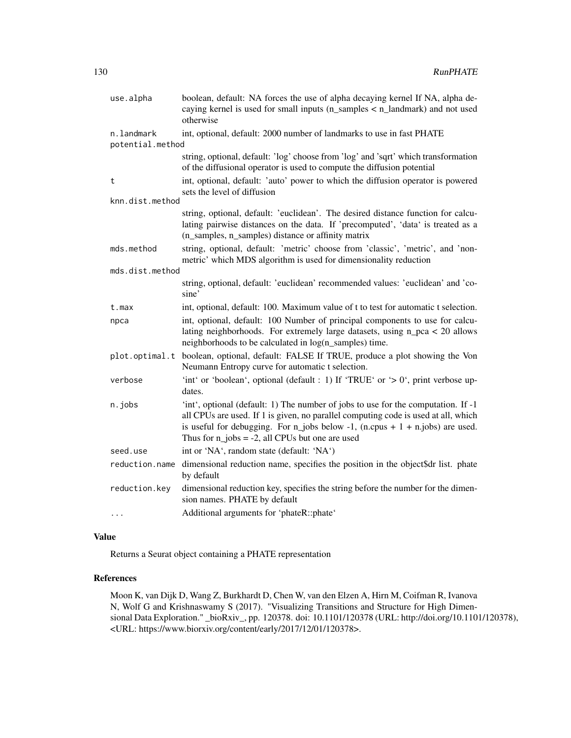| use.alpha                      | boolean, default: NA forces the use of alpha decaying kernel If NA, alpha de-<br>caying kernel is used for small inputs $(n$ _samples < $n$ _landmark) and not used<br>otherwise                                                                                                                                        |
|--------------------------------|-------------------------------------------------------------------------------------------------------------------------------------------------------------------------------------------------------------------------------------------------------------------------------------------------------------------------|
| n.landmark<br>potential.method | int, optional, default: 2000 number of landmarks to use in fast PHATE                                                                                                                                                                                                                                                   |
|                                | string, optional, default: 'log' choose from 'log' and 'sqrt' which transformation<br>of the diffusional operator is used to compute the diffusion potential                                                                                                                                                            |
| t                              | int, optional, default: 'auto' power to which the diffusion operator is powered<br>sets the level of diffusion                                                                                                                                                                                                          |
| knn.dist.method                |                                                                                                                                                                                                                                                                                                                         |
|                                | string, optional, default: 'euclidean'. The desired distance function for calcu-<br>lating pairwise distances on the data. If 'precomputed', 'data' is treated as a<br>(n_samples, n_samples) distance or affinity matrix                                                                                               |
| mds.method                     | string, optional, default: 'metric' choose from 'classic', 'metric', and 'non-<br>metric' which MDS algorithm is used for dimensionality reduction                                                                                                                                                                      |
| mds.dist.method                |                                                                                                                                                                                                                                                                                                                         |
|                                | string, optional, default: 'euclidean' recommended values: 'euclidean' and 'co-<br>sine'                                                                                                                                                                                                                                |
| t.max                          | int, optional, default: 100. Maximum value of t to test for automatic t selection.                                                                                                                                                                                                                                      |
| npca                           | int, optional, default: 100 Number of principal components to use for calcu-<br>lating neighborhoods. For extremely large datasets, using n_pca < 20 allows<br>neighborhoods to be calculated in log(n_samples) time.                                                                                                   |
|                                | plot.optimal.t boolean, optional, default: FALSE If TRUE, produce a plot showing the Von<br>Neumann Entropy curve for automatic t selection.                                                                                                                                                                            |
| verbose                        | 'int' or 'boolean', optional (default : 1) If 'TRUE' or ' $> 0$ ', print verbose up-<br>dates.                                                                                                                                                                                                                          |
| n.jobs                         | 'int', optional (default: 1) The number of jobs to use for the computation. If -1<br>all CPUs are used. If 1 is given, no parallel computing code is used at all, which<br>is useful for debugging. For $n_{j}$ jobs below -1, (n.cpus + 1 + n.jobs) are used.<br>Thus for $n_{j}$ jobs = -2, all CPUs but one are used |
| seed.use                       | int or 'NA', random state (default: 'NA')                                                                                                                                                                                                                                                                               |
| reduction.name                 | dimensional reduction name, specifies the position in the object\$dr list. phate<br>by default                                                                                                                                                                                                                          |
| reduction.key                  | dimensional reduction key, specifies the string before the number for the dimen-<br>sion names. PHATE by default                                                                                                                                                                                                        |
| $\cdots$                       | Additional arguments for 'phateR::phate'                                                                                                                                                                                                                                                                                |

## Value

Returns a Seurat object containing a PHATE representation

# References

Moon K, van Dijk D, Wang Z, Burkhardt D, Chen W, van den Elzen A, Hirn M, Coifman R, Ivanova N, Wolf G and Krishnaswamy S (2017). "Visualizing Transitions and Structure for High Dimensional Data Exploration." \_bioRxiv\_, pp. 120378. doi: 10.1101/120378 (URL: http://doi.org/10.1101/120378), <URL: https://www.biorxiv.org/content/early/2017/12/01/120378>.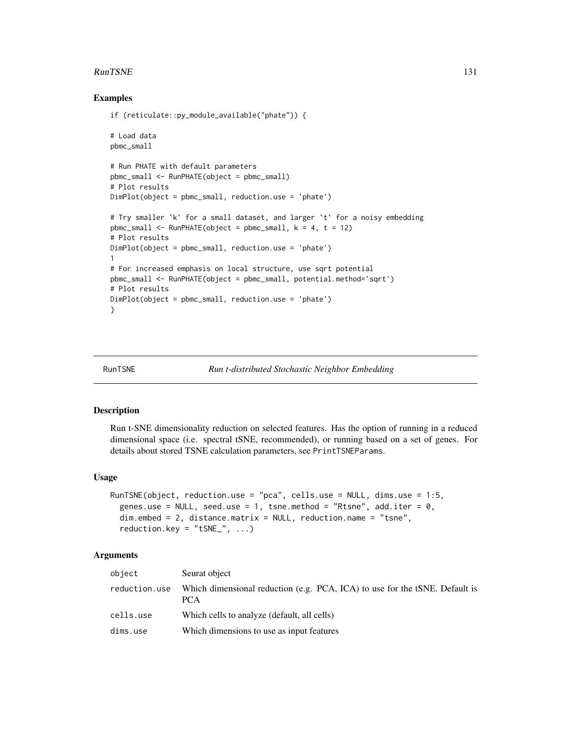#### RunTSNE 131

#### Examples

```
if (reticulate::py_module_available("phate")) {
# Load data
pbmc_small
# Run PHATE with default parameters
pbmc_small <- RunPHATE(object = pbmc_small)
# Plot results
DimPlot(object = pbmc_small, reduction.use = 'phate')
# Try smaller `k` for a small dataset, and larger `t` for a noisy embedding
pbmc\_small < - RunPHATE(object = pbmc\_small, k = 4, t = 12)
# Plot results
DimPlot(object = pbmc_small, reduction.use = 'phate')
1
# For increased emphasis on local structure, use sqrt potential
pbmc_small <- RunPHATE(object = pbmc_small, potential.method='sqrt')
# Plot results
DimPlot(object = pbmc_small, reduction.use = 'phate')
}
```
#### RunTSNE *Run t-distributed Stochastic Neighbor Embedding*

#### Description

Run t-SNE dimensionality reduction on selected features. Has the option of running in a reduced dimensional space (i.e. spectral tSNE, recommended), or running based on a set of genes. For details about stored TSNE calculation parameters, see PrintTSNEParams.

#### Usage

```
RunTSNE(object, reduction.use = "pca", cells.use = NULL, dims.use = 1:5,
  genes.use = NULL, seed.use = 1, tsne.method = "Rtsne", add.iter = 0,
  dim.embed = 2, distance.matrix = NULL, reduction.name = "tsne",
  reduction.key = "tSNE", ...)
```
#### Arguments

| object        | Seurat object                                                                      |
|---------------|------------------------------------------------------------------------------------|
| reduction.use | Which dimensional reduction (e.g. PCA, ICA) to use for the tSNE. Default is<br>PCA |
| cells.use     | Which cells to analyze (default, all cells)                                        |
| dims.use      | Which dimensions to use as input features                                          |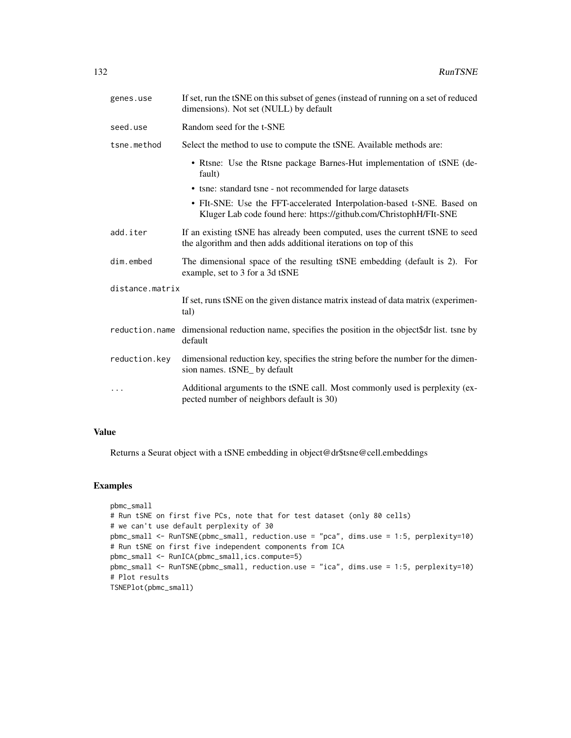| genes.use       | If set, run the tSNE on this subset of genes (instead of running on a set of reduced<br>dimensions). Not set (NULL) by default                   |
|-----------------|--------------------------------------------------------------------------------------------------------------------------------------------------|
| seed.use        | Random seed for the t-SNE                                                                                                                        |
| tsne.method     | Select the method to use to compute the tSNE. Available methods are:                                                                             |
|                 | • Rtsne: Use the Rtsne package Barnes-Hut implementation of tSNE (de-<br>fault)                                                                  |
|                 | • tsne: standard tsne - not recommended for large datasets                                                                                       |
|                 | • FIt-SNE: Use the FFT-accelerated Interpolation-based t-SNE. Based on<br>Kluger Lab code found here: https://github.com/ChristophH/FIt-SNE      |
| add.iter        | If an existing tSNE has already been computed, uses the current tSNE to seed<br>the algorithm and then adds additional iterations on top of this |
| dim.embed       | The dimensional space of the resulting tSNE embedding (default is 2). For<br>example, set to 3 for a 3d tSNE                                     |
| distance.matrix |                                                                                                                                                  |
|                 | If set, runs tSNE on the given distance matrix instead of data matrix (experimen-<br>tal)                                                        |
| reduction.name  | dimensional reduction name, specifies the position in the object\$dr list. tsne by<br>default                                                    |
| reduction.key   | dimensional reduction key, specifies the string before the number for the dimen-<br>sion names. tSNE_ by default                                 |
| $\ddots$        | Additional arguments to the tSNE call. Most commonly used is perplexity (ex-<br>pected number of neighbors default is 30)                        |

## Value

Returns a Seurat object with a tSNE embedding in object@dr\$tsne@cell.embeddings

```
pbmc_small
# Run tSNE on first five PCs, note that for test dataset (only 80 cells)
# we can't use default perplexity of 30
pbmc_small <- RunTSNE(pbmc_small, reduction.use = "pca", dims.use = 1:5, perplexity=10)
# Run tSNE on first five independent components from ICA
pbmc_small <- RunICA(pbmc_small,ics.compute=5)
pbmc_small <- RunTSNE(pbmc_small, reduction.use = "ica", dims.use = 1:5, perplexity=10)
# Plot results
TSNEPlot(pbmc_small)
```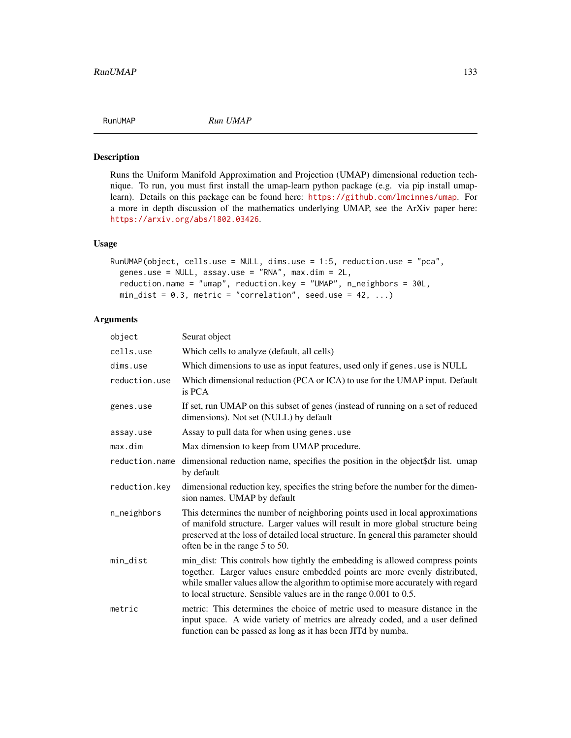Runs the Uniform Manifold Approximation and Projection (UMAP) dimensional reduction technique. To run, you must first install the umap-learn python package (e.g. via pip install umaplearn). Details on this package can be found here: <https://github.com/lmcinnes/umap>. For a more in depth discussion of the mathematics underlying UMAP, see the ArXiv paper here: <https://arxiv.org/abs/1802.03426>.

#### Usage

```
RunUMAP(object, cells.use = NULL, dims.use = 1:5, reduction.use = "pca",
  genes.use = NULL, assay.use = "RNA", max.dim = 2L,
  reduction.name = "umap", reduction.key = "UMAP", n_neighbors = 30L,
 min\_dist = 0.3, metric = "correlation", seed.use = 42, ...)
```
#### Arguments

| object         | Seurat object                                                                                                                                                                                                                                                                                                         |
|----------------|-----------------------------------------------------------------------------------------------------------------------------------------------------------------------------------------------------------------------------------------------------------------------------------------------------------------------|
| cells.use      | Which cells to analyze (default, all cells)                                                                                                                                                                                                                                                                           |
| dims.use       | Which dimensions to use as input features, used only if genes. use is NULL                                                                                                                                                                                                                                            |
| reduction.use  | Which dimensional reduction (PCA or ICA) to use for the UMAP input. Default<br>is PCA                                                                                                                                                                                                                                 |
| genes.use      | If set, run UMAP on this subset of genes (instead of running on a set of reduced<br>dimensions). Not set (NULL) by default                                                                                                                                                                                            |
| assay.use      | Assay to pull data for when using genes.use                                                                                                                                                                                                                                                                           |
| max.dim        | Max dimension to keep from UMAP procedure.                                                                                                                                                                                                                                                                            |
| reduction.name | dimensional reduction name, specifies the position in the object\$dr list. umap<br>by default                                                                                                                                                                                                                         |
| reduction.key  | dimensional reduction key, specifies the string before the number for the dimen-<br>sion names. UMAP by default                                                                                                                                                                                                       |
| n_neighbors    | This determines the number of neighboring points used in local approximations<br>of manifold structure. Larger values will result in more global structure being<br>preserved at the loss of detailed local structure. In general this parameter should<br>often be in the range 5 to 50.                             |
| min_dist       | min_dist: This controls how tightly the embedding is allowed compress points<br>together. Larger values ensure embedded points are more evenly distributed,<br>while smaller values allow the algorithm to optimise more accurately with regard<br>to local structure. Sensible values are in the range 0.001 to 0.5. |
| metric         | metric: This determines the choice of metric used to measure distance in the<br>input space. A wide variety of metrics are already coded, and a user defined<br>function can be passed as long as it has been JITd by numba.                                                                                          |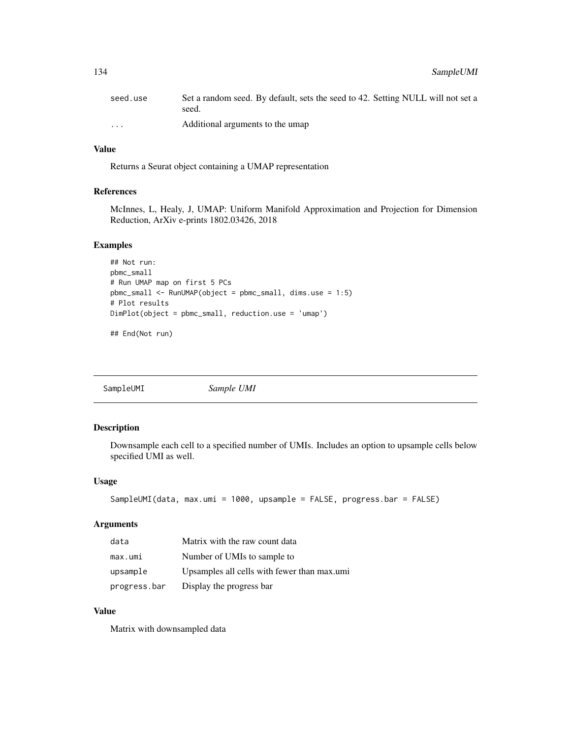| seed.use             | Set a random seed. By default, sets the seed to 42. Setting NULL will not set a<br>seed. |
|----------------------|------------------------------------------------------------------------------------------|
| $\ddot{\phantom{0}}$ | Additional arguments to the umap                                                         |

# Value

Returns a Seurat object containing a UMAP representation

#### References

McInnes, L, Healy, J, UMAP: Uniform Manifold Approximation and Projection for Dimension Reduction, ArXiv e-prints 1802.03426, 2018

#### Examples

```
## Not run:
pbmc_small
# Run UMAP map on first 5 PCs
pbmc_small <- RunUMAP(object = pbmc_small, dims.use = 1:5)
# Plot results
DimPlot(object = pbmc_small, reduction.use = 'umap')
## End(Not run)
```
SampleUMI *Sample UMI*

# Description

Downsample each cell to a specified number of UMIs. Includes an option to upsample cells below specified UMI as well.

## Usage

```
SampleUMI(data, max.umi = 1000, upsample = FALSE, progress.bar = FALSE)
```
#### Arguments

| data         | Matrix with the raw count data              |
|--------------|---------------------------------------------|
| max.umi      | Number of UMIs to sample to                 |
| upsample     | Upsamples all cells with fewer than max.umi |
| progress.bar | Display the progress bar                    |

# Value

Matrix with downsampled data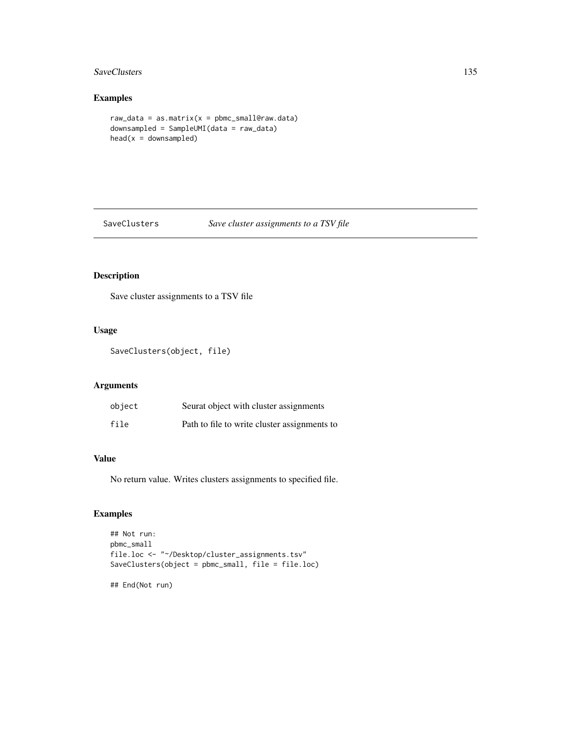# SaveClusters 135

# Examples

```
raw_data = as_matrix(x = phmc_smallGraw.data)
downsampled = SampleUMI(data = raw_data)
head(x = downsampled)
```
#### SaveClusters *Save cluster assignments to a TSV file*

# Description

Save cluster assignments to a TSV file

# Usage

SaveClusters(object, file)

#### Arguments

| object | Seurat object with cluster assignments       |
|--------|----------------------------------------------|
| file   | Path to file to write cluster assignments to |

# Value

No return value. Writes clusters assignments to specified file.

# Examples

```
## Not run:
pbmc_small
file.loc <- "~/Desktop/cluster_assignments.tsv"
SaveClusters(object = pbmc_small, file = file.loc)
```
## End(Not run)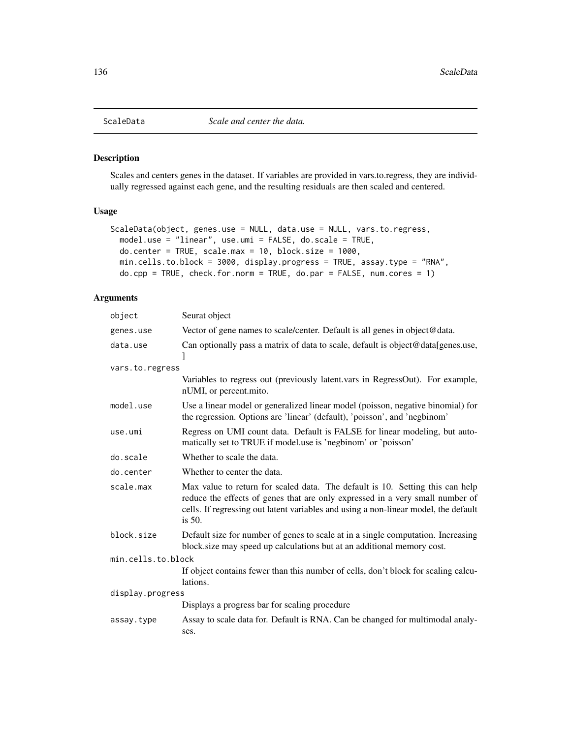Scales and centers genes in the dataset. If variables are provided in vars.to.regress, they are individually regressed against each gene, and the resulting residuals are then scaled and centered.

# Usage

```
ScaleData(object, genes.use = NULL, data.use = NULL, vars.to.regress,
 model.use = "linear", use.umi = FALSE, do.scale = TRUE,
  do.center = TRUE, scale.max = 10, block.size = 1000,
  min.cells.to.block = 3000, display.progress = TRUE, assay.type = "RNA",
  do.\text{cpp} = \text{TRUE}, \text{ check.} for.norm = TRUE, do.\text{par} = \text{FALSE}, \text{ num.} \text{cores} = 1)
```
# Arguments

| object             | Seurat object                                                                                                                                                                                                                                                      |  |
|--------------------|--------------------------------------------------------------------------------------------------------------------------------------------------------------------------------------------------------------------------------------------------------------------|--|
| genes.use          | Vector of gene names to scale/center. Default is all genes in object@data.                                                                                                                                                                                         |  |
| data.use           | Can optionally pass a matrix of data to scale, default is object@data[genes.use,<br>I                                                                                                                                                                              |  |
| vars.to.regress    |                                                                                                                                                                                                                                                                    |  |
|                    | Variables to regress out (previously latent vars in RegressOut). For example,<br>nUMI, or percent.mito.                                                                                                                                                            |  |
| model.use          | Use a linear model or generalized linear model (poisson, negative binomial) for<br>the regression. Options are 'linear' (default), 'poisson', and 'negbinom'                                                                                                       |  |
| use.umi            | Regress on UMI count data. Default is FALSE for linear modeling, but auto-<br>matically set to TRUE if model.use is 'negbinom' or 'poisson'                                                                                                                        |  |
| do.scale           | Whether to scale the data.                                                                                                                                                                                                                                         |  |
| do.center          | Whether to center the data.                                                                                                                                                                                                                                        |  |
| scale.max          | Max value to return for scaled data. The default is 10. Setting this can help<br>reduce the effects of genes that are only expressed in a very small number of<br>cells. If regressing out latent variables and using a non-linear model, the default<br>is $50$ . |  |
| block.size         | Default size for number of genes to scale at in a single computation. Increasing<br>block.size may speed up calculations but at an additional memory cost.                                                                                                         |  |
| min.cells.to.block |                                                                                                                                                                                                                                                                    |  |
|                    | If object contains fewer than this number of cells, don't block for scaling calcu-<br>lations.                                                                                                                                                                     |  |
| display.progress   |                                                                                                                                                                                                                                                                    |  |
|                    | Displays a progress bar for scaling procedure                                                                                                                                                                                                                      |  |
| assay.type         | Assay to scale data for. Default is RNA. Can be changed for multimodal analy-<br>ses.                                                                                                                                                                              |  |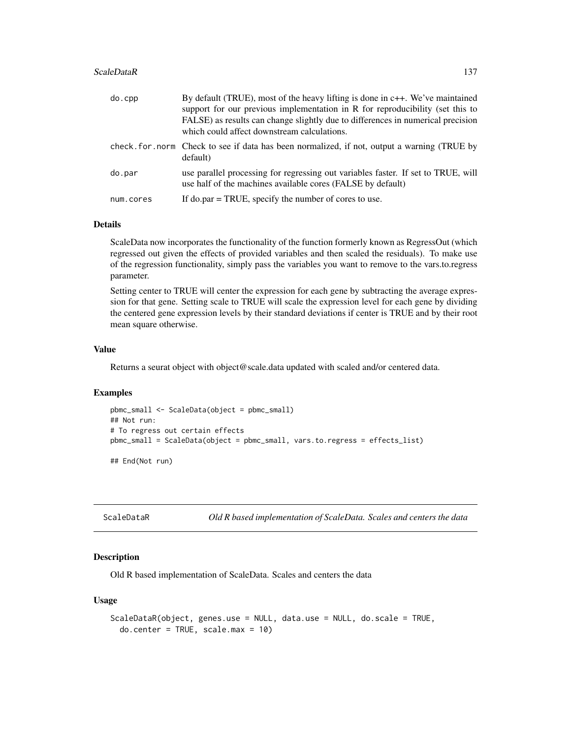#### ScaleDataR 137

| do.cpp    | By default (TRUE), most of the heavy lifting is done in c++. We've maintained<br>support for our previous implementation in R for reproducibility (set this to<br>FALSE) as results can change slightly due to differences in numerical precision<br>which could affect downstream calculations. |
|-----------|--------------------------------------------------------------------------------------------------------------------------------------------------------------------------------------------------------------------------------------------------------------------------------------------------|
|           | check, for, norm Check to see if data has been normalized, if not, output a warning (TRUE by<br>default)                                                                                                                                                                                         |
| do.par    | use parallel processing for regressing out variables faster. If set to TRUE, will<br>use half of the machines available cores (FALSE by default)                                                                                                                                                 |
| num.cores | If do.par $=$ TRUE, specify the number of cores to use.                                                                                                                                                                                                                                          |

## Details

ScaleData now incorporates the functionality of the function formerly known as RegressOut (which regressed out given the effects of provided variables and then scaled the residuals). To make use of the regression functionality, simply pass the variables you want to remove to the vars.to.regress parameter.

Setting center to TRUE will center the expression for each gene by subtracting the average expression for that gene. Setting scale to TRUE will scale the expression level for each gene by dividing the centered gene expression levels by their standard deviations if center is TRUE and by their root mean square otherwise.

## Value

Returns a seurat object with object@scale.data updated with scaled and/or centered data.

#### Examples

```
pbmc_small <- ScaleData(object = pbmc_small)
## Not run:
# To regress out certain effects
pbmc_small = ScaleData(object = pbmc_small, vars.to.regress = effects_list)
```
## End(Not run)

ScaleDataR *Old R based implementation of ScaleData. Scales and centers the data*

#### Description

Old R based implementation of ScaleData. Scales and centers the data

## Usage

```
ScaleDataR(object, genes.use = NULL, data.use = NULL, do.scale = TRUE,
 do.center = TRUE, scale.max = 10)
```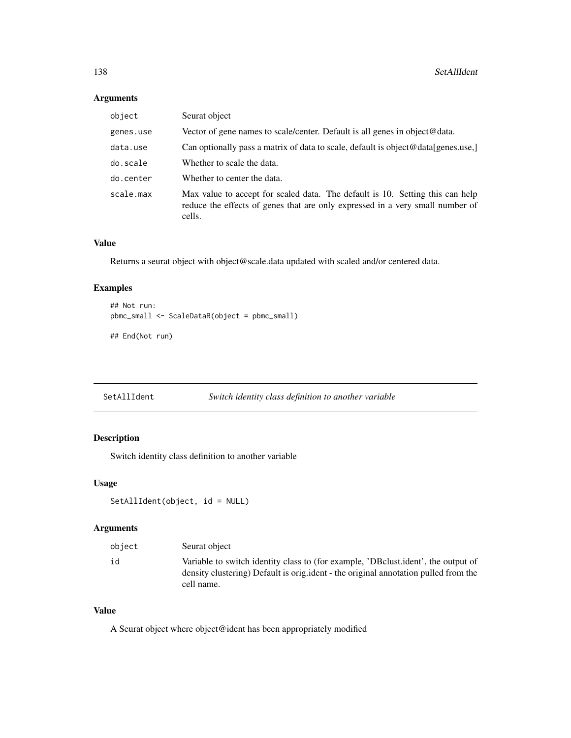## Arguments

| object    | Seurat object                                                                                                                                                            |
|-----------|--------------------------------------------------------------------------------------------------------------------------------------------------------------------------|
| genes.use | Vector of gene names to scale/center. Default is all genes in object@data.                                                                                               |
| data.use  | Can optionally pass a matrix of data to scale, default is object@data[genes.use,]                                                                                        |
| do.scale  | Whether to scale the data.                                                                                                                                               |
| do.center | Whether to center the data.                                                                                                                                              |
| scale.max | Max value to accept for scaled data. The default is 10. Setting this can help<br>reduce the effects of genes that are only expressed in a very small number of<br>cells. |

# Value

Returns a seurat object with object@scale.data updated with scaled and/or centered data.

# Examples

```
## Not run:
pbmc_small <- ScaleDataR(object = pbmc_small)
## End(Not run)
```

```
SetAllIdent Switch identity class definition to another variable
```
# Description

Switch identity class definition to another variable

#### Usage

```
SetAllIdent(object, id = NULL)
```
# Arguments

| object | Seurat object                                                                                                                                                                        |
|--------|--------------------------------------------------------------------------------------------------------------------------------------------------------------------------------------|
| id     | Variable to switch identity class to (for example, 'DBclust.ident', the output of<br>density clustering) Default is original - the original annotation pulled from the<br>cell name. |

# Value

A Seurat object where object@ident has been appropriately modified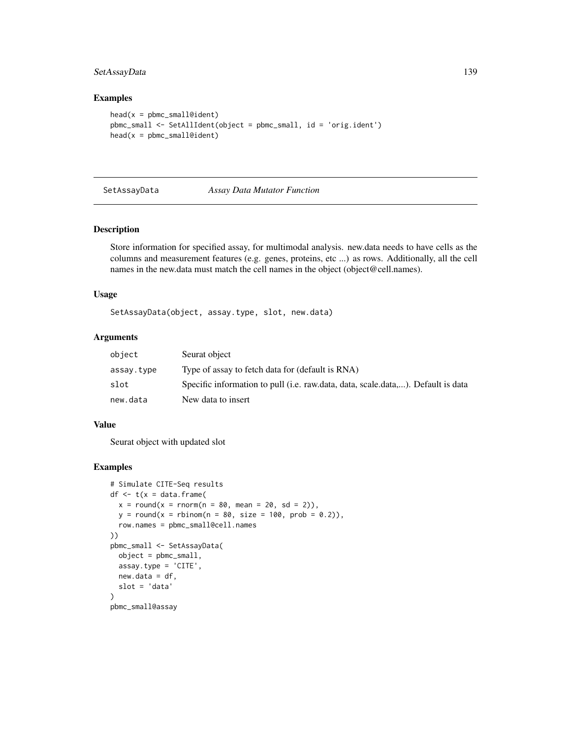# SetAssayData 139

#### Examples

```
head(x = pbmc\_small@ident)pbmc_small <- SetAllIdent(object = pbmc_small, id = 'orig.ident')
head(x = pbmc\_small@ident)
```
#### SetAssayData *Assay Data Mutator Function*

# Description

Store information for specified assay, for multimodal analysis. new.data needs to have cells as the columns and measurement features (e.g. genes, proteins, etc ...) as rows. Additionally, all the cell names in the new.data must match the cell names in the object (object@cell.names).

#### Usage

SetAssayData(object, assay.type, slot, new.data)

# Arguments

| object     | Seurat object                                                                    |
|------------|----------------------------------------------------------------------------------|
| assay.type | Type of assay to fetch data for (default is RNA)                                 |
| slot       | Specific information to pull (i.e. raw.data, data, scale.data,). Default is data |
| new.data   | New data to insert                                                               |

## Value

Seurat object with updated slot

```
# Simulate CITE-Seq results
df \leq t(x = data.frame(
  x = round(x = rnorm(n = 80, mean = 20, sd = 2)),y = round(x = rhinom(n = 80, size = 100, prob = 0.2)),row.names = pbmc_small@cell.names
))
pbmc_small <- SetAssayData(
  object = pbmc_small,
  assay.type = 'CITE',
 new.data = df,
  slot = 'data'
)
pbmc_small@assay
```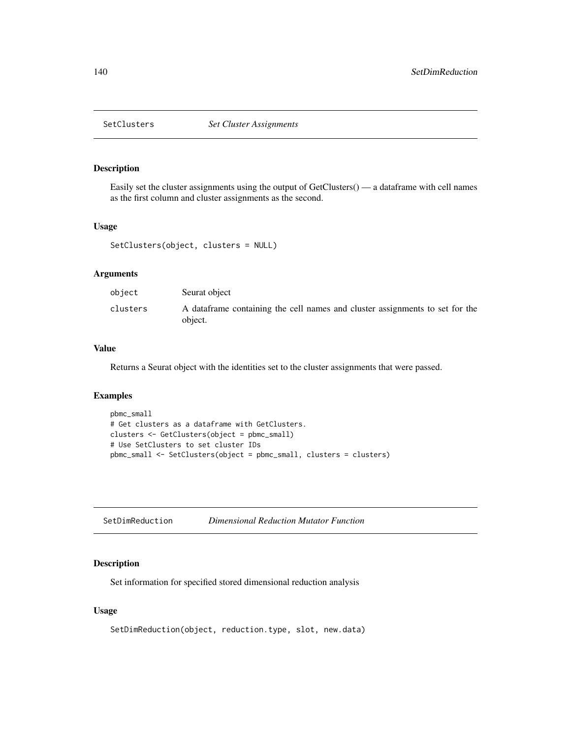Easily set the cluster assignments using the output of GetClusters() — a dataframe with cell names as the first column and cluster assignments as the second.

## Usage

```
SetClusters(object, clusters = NULL)
```
# Arguments

| object   | Seurat object                                                                            |
|----------|------------------------------------------------------------------------------------------|
| clusters | A data frame containing the cell names and cluster assignments to set for the<br>object. |

# Value

Returns a Seurat object with the identities set to the cluster assignments that were passed.

#### Examples

```
pbmc_small
# Get clusters as a dataframe with GetClusters.
clusters <- GetClusters(object = pbmc_small)
# Use SetClusters to set cluster IDs
pbmc_small <- SetClusters(object = pbmc_small, clusters = clusters)
```

| SetDimReduction | Dimensional Reduction Mutator Function |
|-----------------|----------------------------------------|
|-----------------|----------------------------------------|

# Description

Set information for specified stored dimensional reduction analysis

# Usage

SetDimReduction(object, reduction.type, slot, new.data)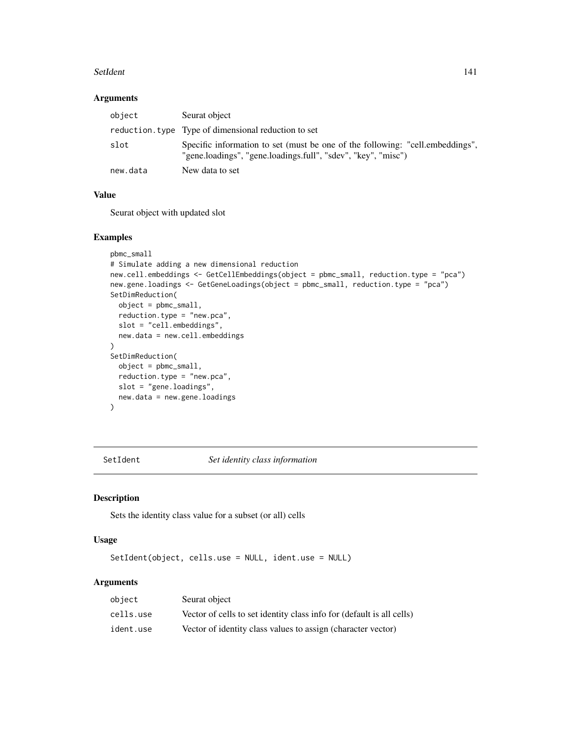#### SetIdent 141

# Arguments

| object   | Seurat object                                                                                                                                  |
|----------|------------------------------------------------------------------------------------------------------------------------------------------------|
|          | reduction. type Type of dimensional reduction to set                                                                                           |
| slot     | Specific information to set (must be one of the following: "cell.embeddings",<br>"gene.loadings", "gene.loadings.full", "sdev", "key", "misc") |
| new.data | New data to set                                                                                                                                |

# Value

Seurat object with updated slot

## Examples

```
pbmc_small
# Simulate adding a new dimensional reduction
new.cell.embeddings <- GetCellEmbeddings(object = pbmc_small, reduction.type = "pca")
new.gene.loadings <- GetGeneLoadings(object = pbmc_small, reduction.type = "pca")
SetDimReduction(
  object = pbmc_small,
  reduction.type = "new.pca",
  slot = "cell.embeddings",
 new.data = new.cell.embeddings
)
SetDimReduction(
  object = pbmc_small,
  reduction.type = "new.pca",
  slot = "gene.loadings",
  new.data = new.gene.loadings
\overline{)}
```
SetIdent *Set identity class information*

# Description

Sets the identity class value for a subset (or all) cells

# Usage

SetIdent(object, cells.use = NULL, ident.use = NULL)

# Arguments

| object    | Seurat object                                                         |
|-----------|-----------------------------------------------------------------------|
| cells.use | Vector of cells to set identity class info for (default is all cells) |
| ident.use | Vector of identity class values to assign (character vector)          |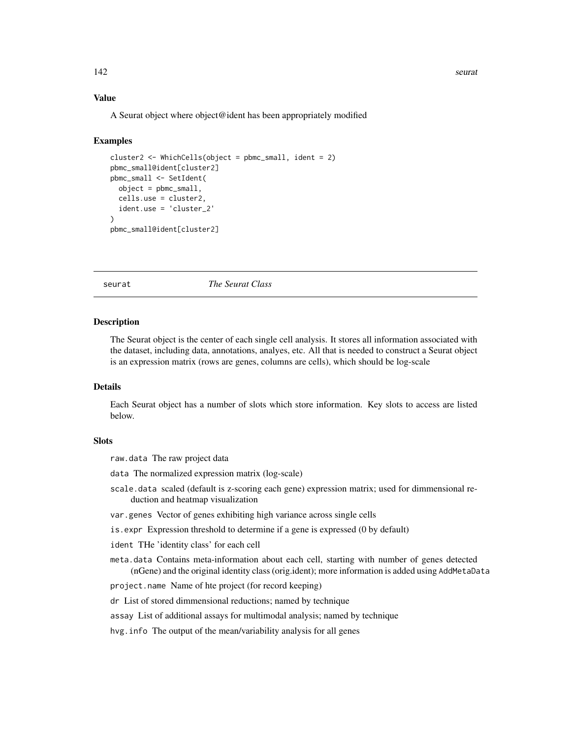#### 142 seurat

# Value

A Seurat object where object@ident has been appropriately modified

#### Examples

```
cluster2 \leq WhichCells(object = pbmc_small, ident = 2)
pbmc_small@ident[cluster2]
pbmc_small <- SetIdent(
 object = pbmc_small,
 cells.use = cluster2,
 ident.use = 'cluster_2'
)
pbmc_small@ident[cluster2]
```
seurat *The Seurat Class*

#### Description

The Seurat object is the center of each single cell analysis. It stores all information associated with the dataset, including data, annotations, analyes, etc. All that is needed to construct a Seurat object is an expression matrix (rows are genes, columns are cells), which should be log-scale

#### Details

Each Seurat object has a number of slots which store information. Key slots to access are listed below.

## **Slots**

raw.data The raw project data

data The normalized expression matrix (log-scale)

- scale.data scaled (default is z-scoring each gene) expression matrix; used for dimmensional reduction and heatmap visualization
- var.genes Vector of genes exhibiting high variance across single cells
- is.expr Expression threshold to determine if a gene is expressed (0 by default)

ident THe 'identity class' for each cell

meta.data Contains meta-information about each cell, starting with number of genes detected (nGene) and the original identity class (orig.ident); more information is added using AddMetaData

project.name Name of hte project (for record keeping)

dr List of stored dimmensional reductions; named by technique

- assay List of additional assays for multimodal analysis; named by technique
- hvg.info The output of the mean/variability analysis for all genes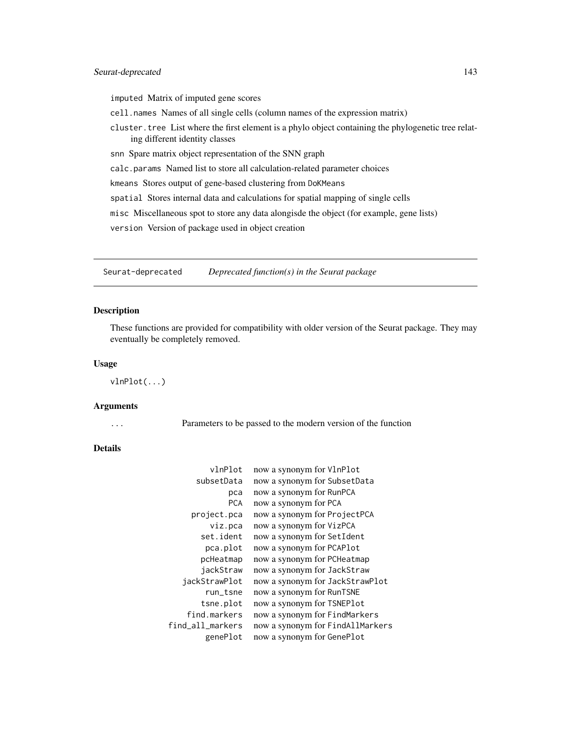# Seurat-deprecated 143

imputed Matrix of imputed gene scores

cell.names Names of all single cells (column names of the expression matrix)

cluster.tree List where the first element is a phylo object containing the phylogenetic tree relating different identity classes

snn Spare matrix object representation of the SNN graph

calc.params Named list to store all calculation-related parameter choices

kmeans Stores output of gene-based clustering from DoKMeans

spatial Stores internal data and calculations for spatial mapping of single cells

misc Miscellaneous spot to store any data alongisde the object (for example, gene lists)

version Version of package used in object creation

Seurat-deprecated *Deprecated function(s) in the Seurat package*

#### Description

These functions are provided for compatibility with older version of the Seurat package. They may eventually be completely removed.

## Usage

vlnPlot(...)

#### Arguments

... Parameters to be passed to the modern version of the function

# Details

| vlnPlot          | now a synonym for VlnPlot        |
|------------------|----------------------------------|
| subsetData       | now a synonym for SubsetData     |
| рса              | now a synonym for RunPCA         |
| <b>PCA</b>       | now a synonym for PCA            |
| project.pca      | now a synonym for ProjectPCA     |
| viz.pca          | now a synonym for VizPCA         |
| set.ident        | now a synonym for SetIdent       |
| pca.plot         | now a synonym for PCAPlot        |
| pcHeatmap        | now a synonym for PCHeatmap      |
| jackStraw        | now a synonym for JackStraw      |
| jackStrawPlot    | now a synonym for JackStrawPlot  |
| run_tsne         | now a synonym for RunTSNE        |
| tsne.plot        | now a synonym for TSNEPlot       |
| find.markers     | now a synonym for FindMarkers    |
| find_all_markers | now a synonym for FindAllMarkers |
| genePlot         | now a synonym for GenePlot       |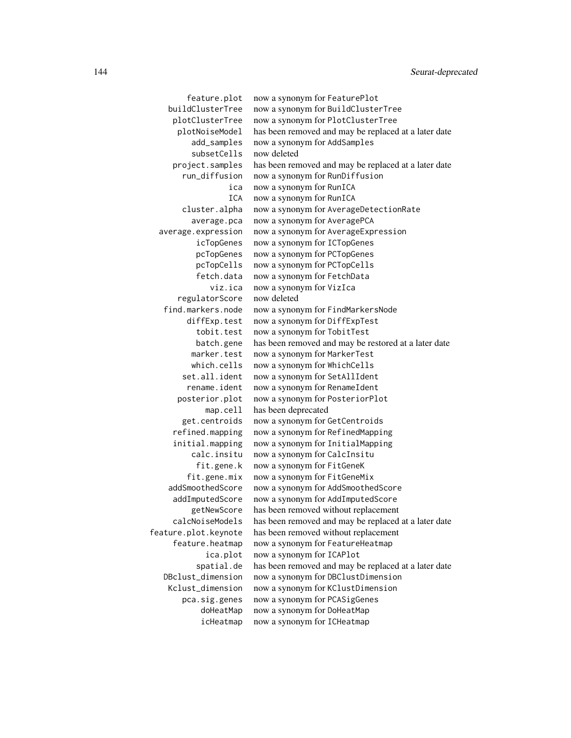feature.plot now a synonym for FeaturePlot buildClusterTree now a synonym for BuildClusterTree plotClusterTree now a synonym for PlotClusterTree plotNoiseModel has been removed and may be replaced at a later date add\_samples now a synonym for AddSamples subsetCells now deleted project.samples has been removed and may be replaced at a later date run\_diffusion now a synonym for RunDiffusion ica now a synonym for RunICA ICA now a synonym for RunICA cluster.alpha now a synonym for AverageDetectionRate average.pca now a synonym for AveragePCA average.expression now a synonym for AverageExpression icTopGenes now a synonym for ICTopGenes pcTopGenes now a synonym for PCTopGenes pcTopCells now a synonym for PCTopCells fetch.data now a synonym for FetchData viz.ica now a synonym for VizIca regulatorScore now deleted find.markers.node now a synonym for FindMarkersNode diffExp.test now a synonym for DiffExpTest tobit.test now a synonym for TobitTest batch.gene has been removed and may be restored at a later date marker.test now a synonym for MarkerTest which.cells now a synonym for WhichCells set.all.ident now a synonym for SetAllIdent rename.ident now a synonym for RenameIdent posterior.plot now a synonym for PosteriorPlot map.cell has been deprecated get.centroids now a synonym for GetCentroids refined.mapping now a synonym for RefinedMapping initial.mapping now a synonym for InitialMapping calc.insitu now a synonym for CalcInsitu fit.gene.k now a synonym for FitGeneK fit.gene.mix now a synonym for FitGeneMix addSmoothedScore now a synonym for AddSmoothedScore addImputedScore now a synonym for AddImputedScore getNewScore has been removed without replacement calcNoiseModels has been removed and may be replaced at a later date feature.plot.keynote has been removed without replacement feature.heatmap now a synonym for FeatureHeatmap ica.plot now a synonym for ICAPlot spatial.de has been removed and may be replaced at a later date DBclust\_dimension now a synonym for DBClustDimension Kclust\_dimension now a synonym for KClustDimension pca.sig.genes now a synonym for PCASigGenes doHeatMap now a synonym for DoHeatMap icHeatmap now a synonym for ICHeatmap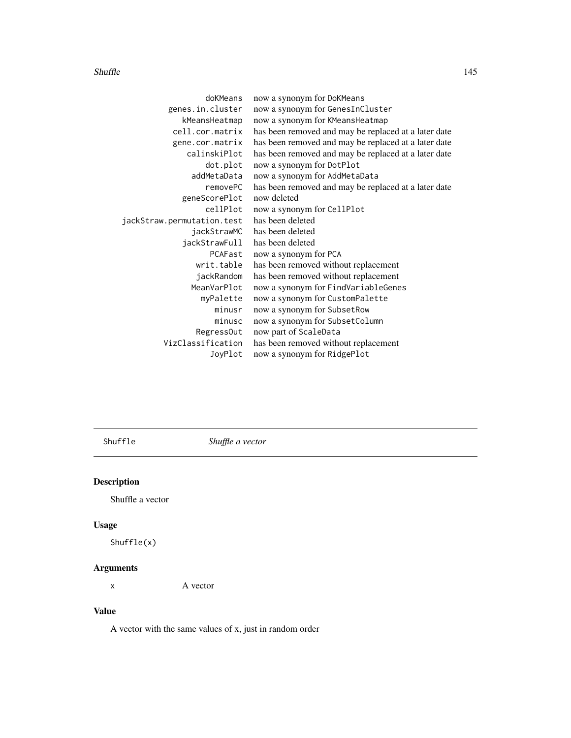#### <span id="page-144-0"></span>Shuffle 145

| doKMeans                   | now a synonym for DoKMeans                           |
|----------------------------|------------------------------------------------------|
| genes.in.cluster           | now a synonym for GenesInCluster                     |
| kMeansHeatmap              | now a synonym for KMeansHeatmap                      |
| cell.cor.matrix            | has been removed and may be replaced at a later date |
| gene.cor.matrix            | has been removed and may be replaced at a later date |
| calinskiPlot               | has been removed and may be replaced at a later date |
| dot.plot                   | now a synonym for DotPlot                            |
| addMetaData                | now a synonym for AddMetaData                        |
| removePC                   | has been removed and may be replaced at a later date |
| geneScorePlot              | now deleted                                          |
| cellPlot                   | now a synonym for CellPlot                           |
| jackStraw.permutation.test | has been deleted                                     |
| jackStrawMC                | has been deleted                                     |
| jackStrawFull              | has been deleted                                     |
| PCAFast                    | now a synonym for PCA                                |
| writ.table                 | has been removed without replacement                 |
| jackRandom                 | has been removed without replacement                 |
| MeanVarPlot                | now a synonym for FindVariableGenes                  |
| myPalette                  | now a synonym for CustomPalette                      |
| minusr                     | now a synonym for SubsetRow                          |
| minusc                     | now a synonym for SubsetColumn                       |
| RegressOut                 | now part of ScaleData                                |
| VizClassification          | has been removed without replacement                 |
| JoyPlot                    | now a synonym for RidgePlot                          |

Shuffle *Shuffle a vector*

## Description

Shuffle a vector

## Usage

Shuffle(x)

## Arguments

x A vector

## Value

A vector with the same values of x, just in random order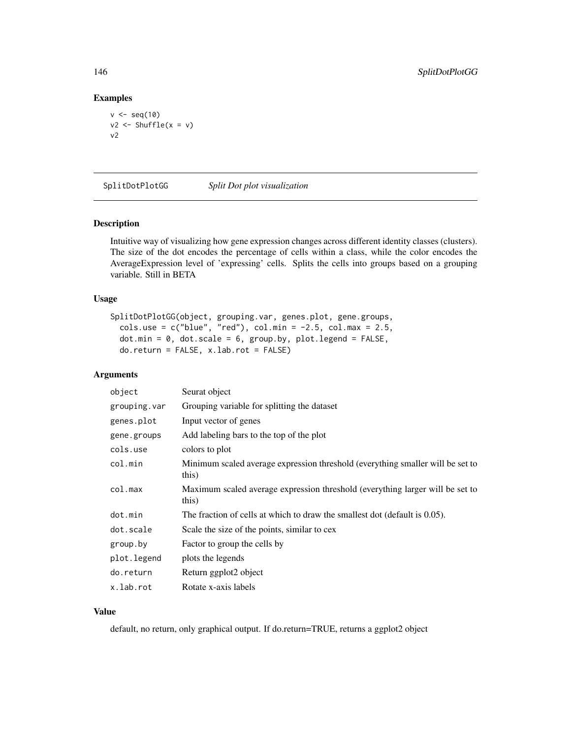#### Examples

```
v \leftarrow \text{seq}(10)v2 \le Shuffle(x = v)
v2
```
SplitDotPlotGG *Split Dot plot visualization*

#### Description

Intuitive way of visualizing how gene expression changes across different identity classes (clusters). The size of the dot encodes the percentage of cells within a class, while the color encodes the AverageExpression level of 'expressing' cells. Splits the cells into groups based on a grouping variable. Still in BETA

#### Usage

```
SplitDotPlotGG(object, grouping.var, genes.plot, gene.groups,
 cols.use = c("blue", "red"), col.min = -2.5, col.max = 2.5,
 dot.min = 0, dot.scale = 6, group.by, plot.legend = FALSE,
 do.return = FALSE, x.lab.rot = FALSE)
```
## Arguments

| object       | Seurat object                                                                           |
|--------------|-----------------------------------------------------------------------------------------|
| grouping.var | Grouping variable for splitting the dataset                                             |
| genes.plot   | Input vector of genes                                                                   |
| gene.groups  | Add labeling bars to the top of the plot                                                |
| cols.use     | colors to plot                                                                          |
| col.min      | Minimum scaled average expression threshold (everything smaller will be set to<br>this) |
| col.max      | Maximum scaled average expression threshold (everything larger will be set to<br>this)  |
| dot.min      | The fraction of cells at which to draw the smallest dot (default is $0.05$ ).           |
| dot.scale    | Scale the size of the points, similar to cex                                            |
| group.by     | Factor to group the cells by                                                            |
| plot.legend  | plots the legends                                                                       |
| do.return    | Return ggplot2 object                                                                   |
| x.lab.rot    | Rotate x-axis labels                                                                    |

## Value

default, no return, only graphical output. If do.return=TRUE, returns a ggplot2 object

<span id="page-145-0"></span>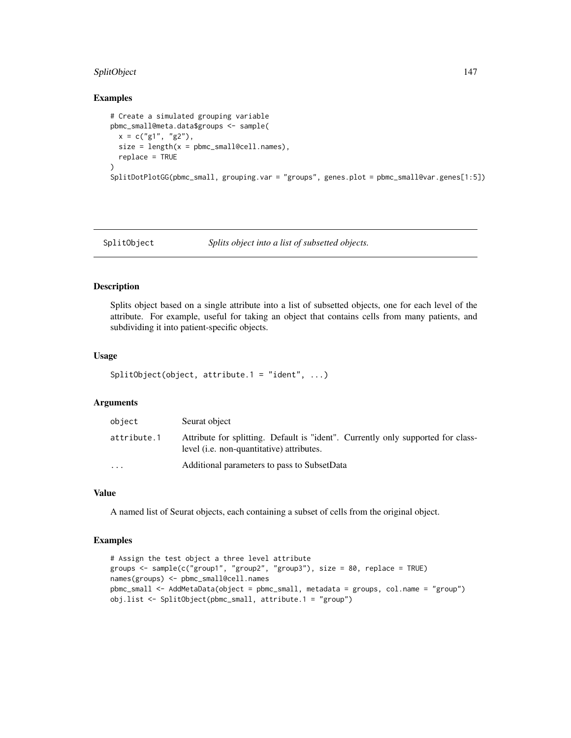## <span id="page-146-0"></span>SplitObject 147

#### Examples

```
# Create a simulated grouping variable
pbmc_small@meta.data$groups <- sample(
  x = c("g1", "g2"),size = length(x = pbmc\_small@cell.name),
  replace = TRUE
)
SplitDotPlotGG(pbmc_small, grouping.var = "groups", genes.plot = pbmc_small@var.genes[1:5])
```

```
SplitObject Splits object into a list of subsetted objects.
```
## Description

Splits object based on a single attribute into a list of subsetted objects, one for each level of the attribute. For example, useful for taking an object that contains cells from many patients, and subdividing it into patient-specific objects.

#### Usage

```
SplitObject(object, attribute.1 = "ident", ...)
```
#### Arguments

| object      | Seurat object                                                                                                                        |
|-------------|--------------------------------------------------------------------------------------------------------------------------------------|
| attribute.1 | Attribute for splitting. Default is "ident". Currently only supported for class-<br>level <i>(i.e. non-quantitative)</i> attributes. |
| $\cdots$    | Additional parameters to pass to SubsetData                                                                                          |

## Value

A named list of Seurat objects, each containing a subset of cells from the original object.

#### Examples

```
# Assign the test object a three level attribute
groups <- sample(c("group1", "group2", "group3"), size = 80, replace = TRUE)
names(groups) <- pbmc_small@cell.names
pbmc_small <- AddMetaData(object = pbmc_small, metadata = groups, col.name = "group")
obj.list <- SplitObject(pbmc_small, attribute.1 = "group")
```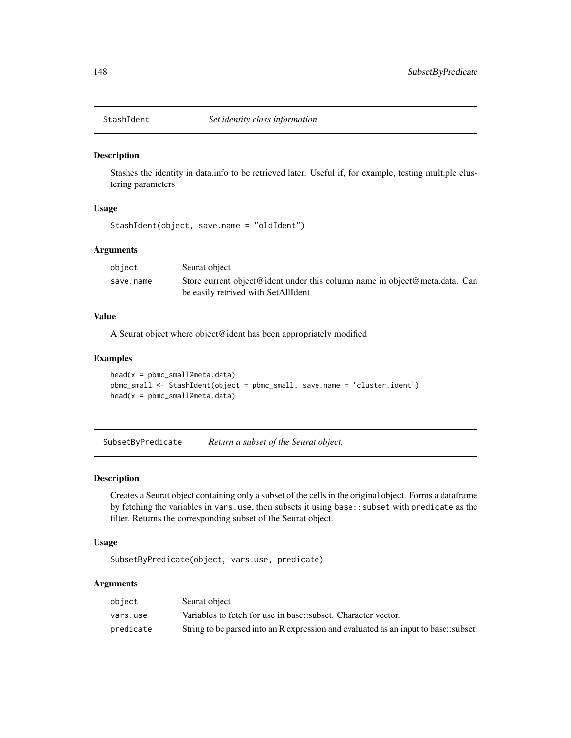<span id="page-147-0"></span>

#### Description

Stashes the identity in data.info to be retrieved later. Useful if, for example, testing multiple clustering parameters

#### Usage

```
StashIdent(object, save.name = "oldIdent")
```
#### Arguments

| object    | Seurat object                                                              |
|-----------|----------------------------------------------------------------------------|
| save.name | Store current object@ident under this column name in object@meta.data. Can |
|           | be easily retrived with SetAllIdent                                        |

#### Value

A Seurat object where object@ident has been appropriately modified

## Examples

```
head(x = pbmc\_small@meta.data)pbmc_small <- StashIdent(object = pbmc_small, save.name = 'cluster.ident')
head(x = pbmc_small@meta.data)
```
SubsetByPredicate *Return a subset of the Seurat object.*

## Description

Creates a Seurat object containing only a subset of the cells in the original object. Forms a dataframe by fetching the variables in vars.use, then subsets it using base::subset with predicate as the filter. Returns the corresponding subset of the Seurat object.

#### Usage

```
SubsetByPredicate(object, vars.use, predicate)
```

| object    | Seurat object                                                                       |
|-----------|-------------------------------------------------------------------------------------|
| vars.use  | Variables to fetch for use in base: subset. Character vector.                       |
| predicate | String to be parsed into an R expression and evaluated as an input to base: subset. |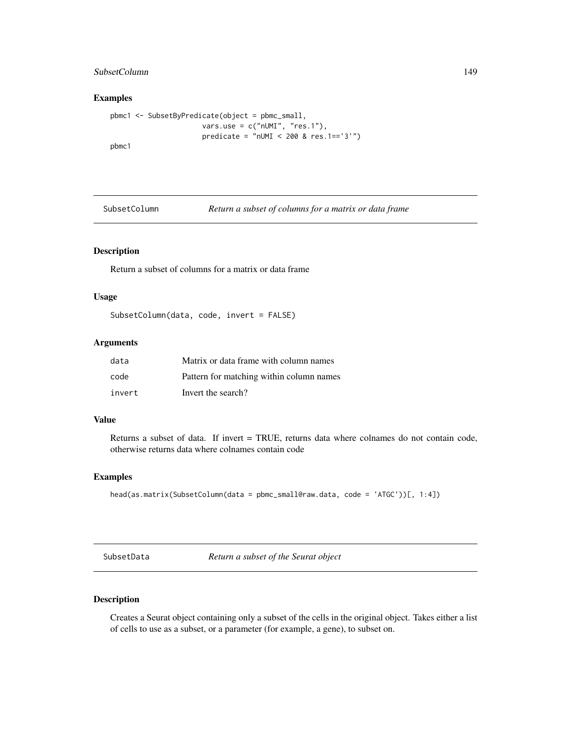## <span id="page-148-0"></span>SubsetColumn 149

## Examples

```
pbmc1 <- SubsetByPredicate(object = pbmc_small,
                     vars.use = c("nUMI", "res.1"),predicate = "nUMI < 200 & res.1=='3'")
pbmc1
```
SubsetColumn *Return a subset of columns for a matrix or data frame*

## Description

Return a subset of columns for a matrix or data frame

## Usage

SubsetColumn(data, code, invert = FALSE)

## Arguments

| data   | Matrix or data frame with column names   |
|--------|------------------------------------------|
| code   | Pattern for matching within column names |
| invert | Invert the search?                       |

## Value

Returns a subset of data. If invert = TRUE, returns data where colnames do not contain code, otherwise returns data where colnames contain code

## Examples

```
head(as.matrix(SubsetColumn(data = pbmc_small@raw.data, code = 'ATGC'))[, 1:4])
```
SubsetData *Return a subset of the Seurat object*

## Description

Creates a Seurat object containing only a subset of the cells in the original object. Takes either a list of cells to use as a subset, or a parameter (for example, a gene), to subset on.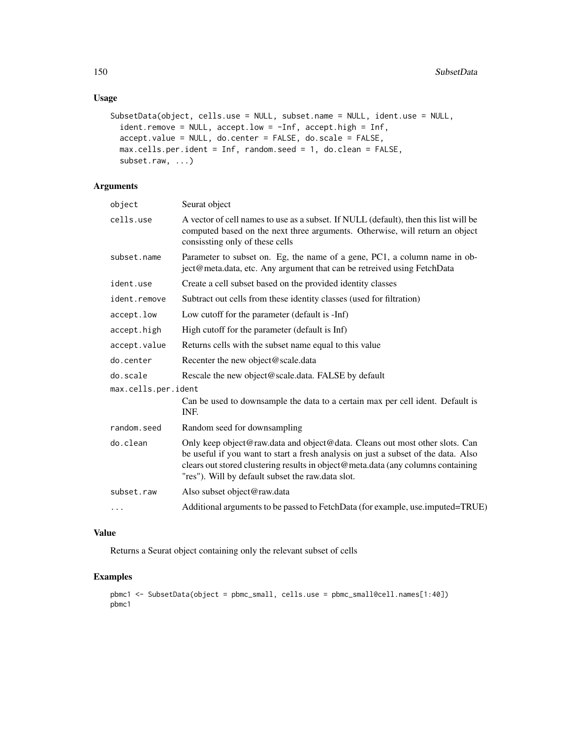## Usage

```
SubsetData(object, cells.use = NULL, subset.name = NULL, ident.use = NULL,
  ident.remove = NULL, accept.low = -Inf, accept.high = Inf,
  accept.value = NULL, do.center = FALSE, do.scale = FALSE,
 max.cells.per.ident = Inf, random.seed = 1, do.clean = FALSE,
 subset.raw, ...)
```
#### Arguments

| object              | Seurat object                                                                                                                                                                                                                                                                                              |
|---------------------|------------------------------------------------------------------------------------------------------------------------------------------------------------------------------------------------------------------------------------------------------------------------------------------------------------|
| cells.use           | A vector of cell names to use as a subset. If NULL (default), then this list will be<br>computed based on the next three arguments. Otherwise, will return an object<br>consisting only of these cells                                                                                                     |
| subset.name         | Parameter to subset on. Eg, the name of a gene, PC1, a column name in ob-<br>ject@meta.data, etc. Any argument that can be retreived using FetchData                                                                                                                                                       |
| ident.use           | Create a cell subset based on the provided identity classes                                                                                                                                                                                                                                                |
| ident.remove        | Subtract out cells from these identity classes (used for filtration)                                                                                                                                                                                                                                       |
| accept.low          | Low cutoff for the parameter (default is -Inf)                                                                                                                                                                                                                                                             |
| accept.high         | High cutoff for the parameter (default is Inf)                                                                                                                                                                                                                                                             |
| accept.value        | Returns cells with the subset name equal to this value                                                                                                                                                                                                                                                     |
| do.center           | Recenter the new object@scale.data                                                                                                                                                                                                                                                                         |
| do.scale            | Rescale the new object@scale.data. FALSE by default                                                                                                                                                                                                                                                        |
| max.cells.per.ident |                                                                                                                                                                                                                                                                                                            |
|                     | Can be used to downsample the data to a certain max per cell ident. Default is<br>INF.                                                                                                                                                                                                                     |
| random.seed         | Random seed for downsampling                                                                                                                                                                                                                                                                               |
| do.clean            | Only keep object@raw.data and object@data. Cleans out most other slots. Can<br>be useful if you want to start a fresh analysis on just a subset of the data. Also<br>clears out stored clustering results in object@meta.data (any columns containing<br>"res"). Will by default subset the raw.data slot. |
| subset.raw          | Also subset object@raw.data                                                                                                                                                                                                                                                                                |
| $\ddots$            | Additional arguments to be passed to FetchData (for example, use.imputed=TRUE)                                                                                                                                                                                                                             |
|                     |                                                                                                                                                                                                                                                                                                            |

## Value

Returns a Seurat object containing only the relevant subset of cells

## Examples

```
pbmc1 <- SubsetData(object = pbmc_small, cells.use = pbmc_small@cell.names[1:40])
pbmc1
```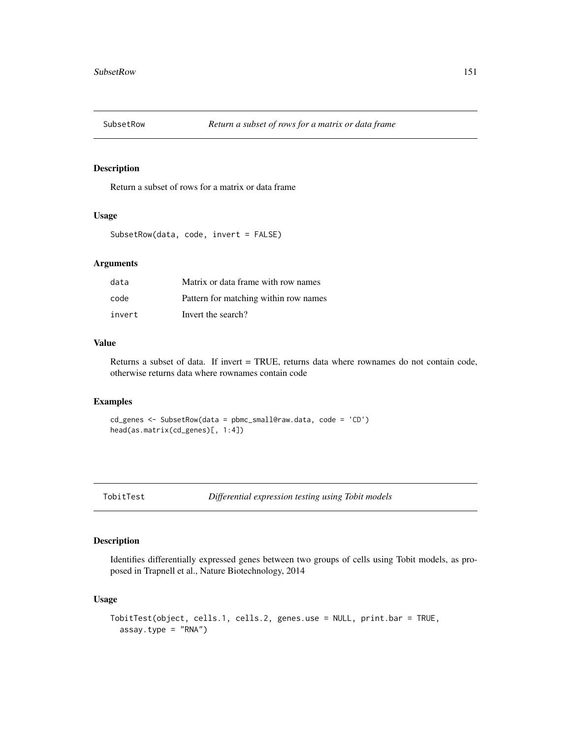<span id="page-150-0"></span>

## Description

Return a subset of rows for a matrix or data frame

## Usage

```
SubsetRow(data, code, invert = FALSE)
```
#### Arguments

| data   | Matrix or data frame with row names   |
|--------|---------------------------------------|
| code   | Pattern for matching within row names |
| invert | Invert the search?                    |

## Value

Returns a subset of data. If invert = TRUE, returns data where rownames do not contain code, otherwise returns data where rownames contain code

#### Examples

```
cd_genes <- SubsetRow(data = pbmc_small@raw.data, code = 'CD')
head(as.matrix(cd_genes)[, 1:4])
```

```
TobitTest Differential expression testing using Tobit models
```
## Description

Identifies differentially expressed genes between two groups of cells using Tobit models, as proposed in Trapnell et al., Nature Biotechnology, 2014

#### Usage

```
TobitTest(object, cells.1, cells.2, genes.use = NULL, print.bar = TRUE,
  assay.type = "RNA")
```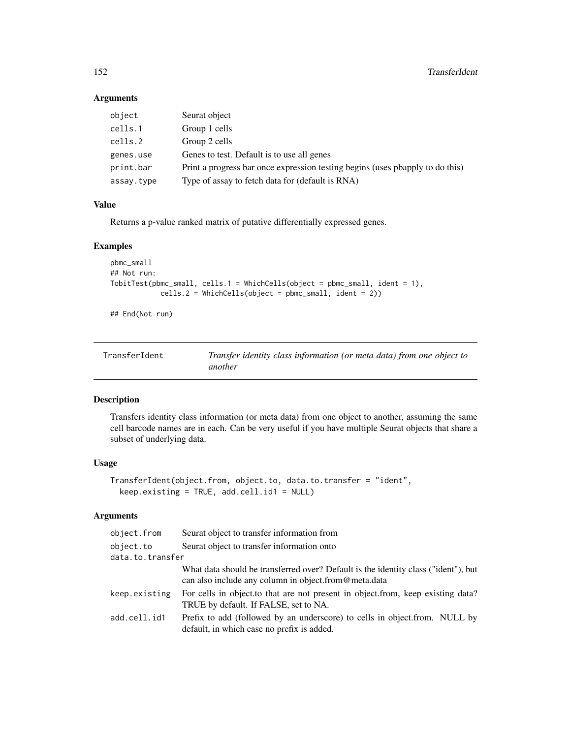## <span id="page-151-0"></span>Arguments

| object     | Seurat object                                                                 |
|------------|-------------------------------------------------------------------------------|
| cells.1    | Group 1 cells                                                                 |
| cells.2    | Group 2 cells                                                                 |
| genes.use  | Genes to test. Default is to use all genes                                    |
| print.bar  | Print a progress bar once expression testing begins (uses poapply to do this) |
| assay.type | Type of assay to fetch data for (default is RNA)                              |
|            |                                                                               |

## Value

Returns a p-value ranked matrix of putative differentially expressed genes.

## Examples

```
pbmc_small
## Not run:
TobitTest(pbmc_small, cells.1 = WhichCells(object = pbmc_small, ident = 1),
            cells.2 = WhichCells(object = pbmc_small, ident = 2))
```
## End(Not run)

| TransferIdent | Transfer identity class information (or meta data) from one object to |
|---------------|-----------------------------------------------------------------------|
|               | another                                                               |

## Description

Transfers identity class information (or meta data) from one object to another, assuming the same cell barcode names are in each. Can be very useful if you have multiple Seurat objects that share a subset of underlying data.

## Usage

```
TransferIdent(object.from, object.to, data.to.transfer = "ident",
  keep.existing = TRUE, add.cell.id1 = NULL)
```

| object.from      | Seurat object to transfer information from                                                                                                 |
|------------------|--------------------------------------------------------------------------------------------------------------------------------------------|
| object.to        | Seurat object to transfer information onto                                                                                                 |
| data.to.transfer |                                                                                                                                            |
|                  | What data should be transferred over? Default is the identity class ("ident"), but<br>can also include any column in object.from@meta.data |
| keep.existing    | For cells in object to that are not present in object from, keep existing data?<br>TRUE by default. If FALSE, set to NA.                   |
| add.cell.id1     | Prefix to add (followed by an underscore) to cells in object. from. NULL by<br>default, in which case no prefix is added.                  |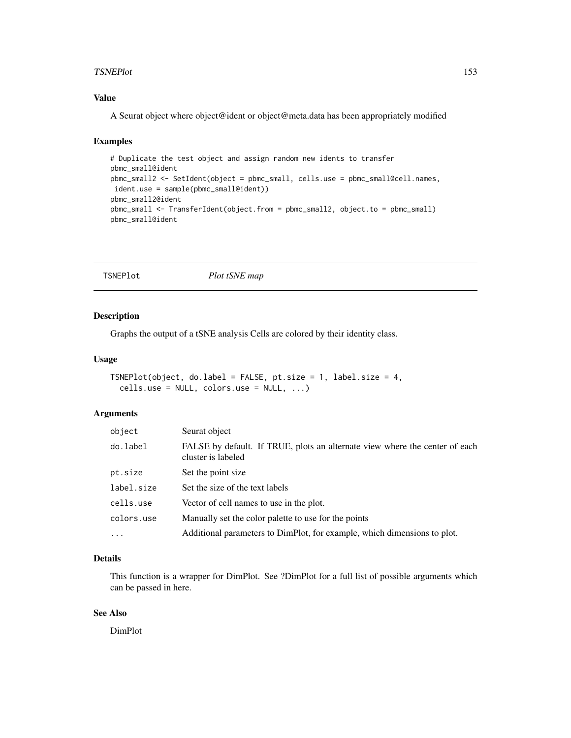#### <span id="page-152-0"></span>TSNEPlot 153

## Value

A Seurat object where object@ident or object@meta.data has been appropriately modified

#### Examples

```
# Duplicate the test object and assign random new idents to transfer
pbmc_small@ident
pbmc_small2 <- SetIdent(object = pbmc_small, cells.use = pbmc_small@cell.names,
ident.use = sample(pbmc_small@ident))
pbmc_small2@ident
pbmc_small <- TransferIdent(object.from = pbmc_small2, object.to = pbmc_small)
pbmc_small@ident
```

```
TSNEPlot Plot tSNE map
```
## Description

Graphs the output of a tSNE analysis Cells are colored by their identity class.

## Usage

```
TSNEPlot(object, do.label = FALSE, pt.size = 1, label.size = 4,
  cells.use = NULL, colors.use = NULL, ...)
```
#### Arguments

| object     | Seurat object                                                                                     |
|------------|---------------------------------------------------------------------------------------------------|
| do.label   | FALSE by default. If TRUE, plots an alternate view where the center of each<br>cluster is labeled |
| pt.size    | Set the point size                                                                                |
| label.size | Set the size of the text labels                                                                   |
| cells.use  | Vector of cell names to use in the plot.                                                          |
| colors.use | Manually set the color palette to use for the points                                              |
| $\cdots$   | Additional parameters to DimPlot, for example, which dimensions to plot.                          |

## Details

This function is a wrapper for DimPlot. See ?DimPlot for a full list of possible arguments which can be passed in here.

## See Also

DimPlot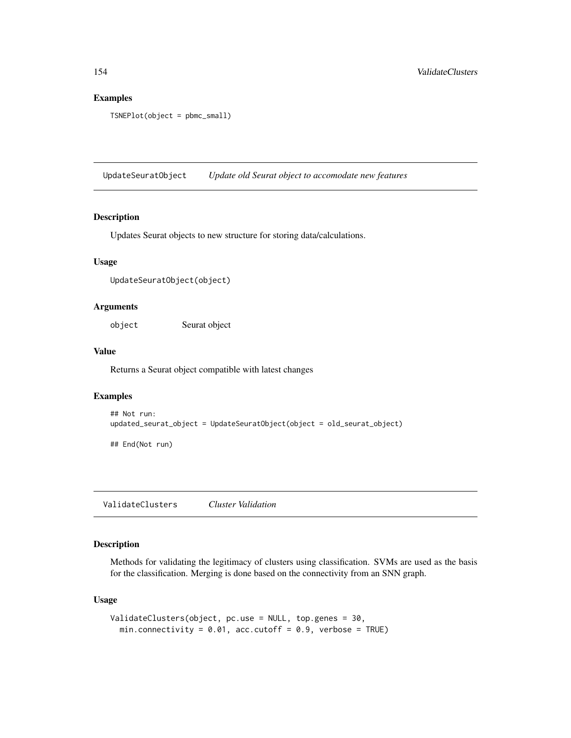#### Examples

```
TSNEPlot(object = pbmc_small)
```
UpdateSeuratObject *Update old Seurat object to accomodate new features*

### Description

Updates Seurat objects to new structure for storing data/calculations.

## Usage

UpdateSeuratObject(object)

## Arguments

object Seurat object

#### Value

Returns a Seurat object compatible with latest changes

### Examples

```
## Not run:
updated_seurat_object = UpdateSeuratObject(object = old_seurat_object)
```
## End(Not run)

ValidateClusters *Cluster Validation*

## Description

Methods for validating the legitimacy of clusters using classification. SVMs are used as the basis for the classification. Merging is done based on the connectivity from an SNN graph.

#### Usage

```
ValidateClusters(object, pc.use = NULL, top.genes = 30,
  min.connectivity = 0.01, acc.cutoff = 0.9, verbose = TRUE)
```
<span id="page-153-0"></span>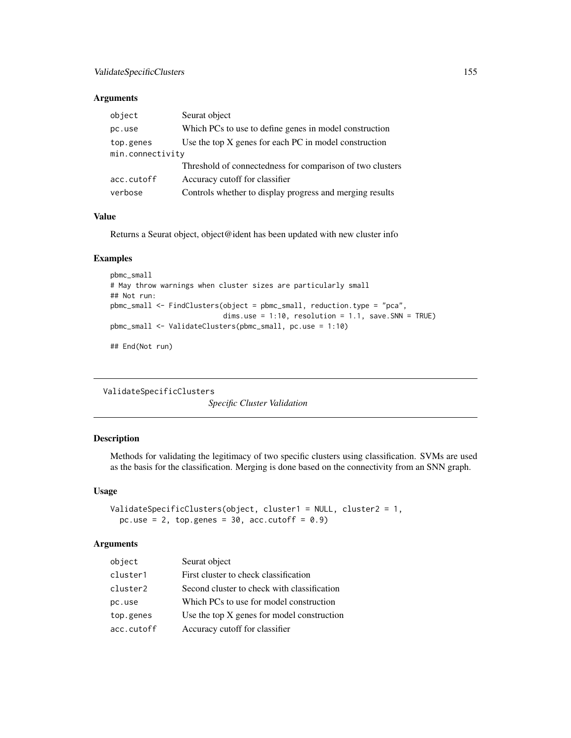## <span id="page-154-0"></span>Arguments

| object           | Seurat object                                             |  |
|------------------|-----------------------------------------------------------|--|
| pc.use           | Which PCs to use to define genes in model construction    |  |
| top.genes        | Use the top $X$ genes for each $PC$ in model construction |  |
| min.connectivity |                                                           |  |
|                  | Threshold of connectedness for comparison of two clusters |  |
| acc.cutoff       | Accuracy cutoff for classifier                            |  |
| verbose          | Controls whether to display progress and merging results  |  |

## Value

Returns a Seurat object, object@ident has been updated with new cluster info

#### Examples

```
pbmc_small
# May throw warnings when cluster sizes are particularly small
## Not run:
pbmc_small <- FindClusters(object = pbmc_small, reduction.type = "pca",
                           dims.use = 1:10, resolution = 1.1, save.SNN = TRUE)
pbmc_small <- ValidateClusters(pbmc_small, pc.use = 1:10)
```
## End(Not run)

ValidateSpecificClusters

*Specific Cluster Validation*

## Description

Methods for validating the legitimacy of two specific clusters using classification. SVMs are used as the basis for the classification. Merging is done based on the connectivity from an SNN graph.

## Usage

```
ValidateSpecificClusters(object, cluster1 = NULL, cluster2 = 1,
 pc.use = 2, top.genes = 30, acc.cutoff = 0.9)
```

| object     | Seurat object                                |
|------------|----------------------------------------------|
| cluster1   | First cluster to check classification        |
| cluster2   | Second cluster to check with classification  |
| pc.use     | Which PCs to use for model construction      |
| top.genes  | Use the top $X$ genes for model construction |
| acc.cutoff | Accuracy cutoff for classifier               |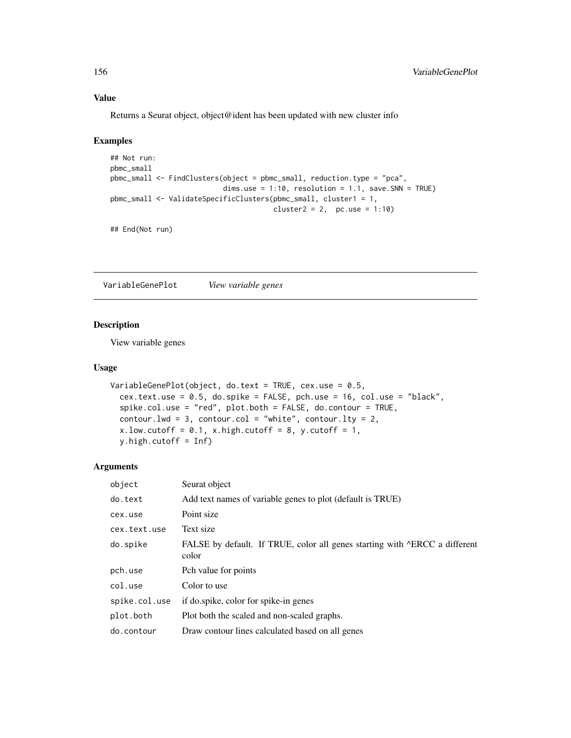#### Value

Returns a Seurat object, object@ident has been updated with new cluster info

#### Examples

```
## Not run:
pbmc_small
pbmc_small <- FindClusters(object = pbmc_small, reduction.type = "pca",
                           dims.use = 1:10, resolution = 1.1, save.SNN = TRUE)
pbmc_small <- ValidateSpecificClusters(pbmc_small, cluster1 = 1,
                                      cluster2 = 2, pc.use = 1:10)
```
## End(Not run)

VariableGenePlot *View variable genes*

#### Description

View variable genes

#### Usage

```
VariableGenePlot(object, do.text = TRUE, cex.use = 0.5,
  cex.text.use = 0.5, do.spike = FALSE, pch.use = 16, col.use = "black",
  spike.col.use = "red", plot.both = FALSE, do.contour = TRUE,
  contour.lwd = 3, contour.col = "white", contour.lty = 2,
  x.lower.low.cutoff = 0.1, x .high.cutoff = 8, y.cutoff = 1,
  y.high.cutoff = Inf)
```

| object        | Seurat object                                                                       |
|---------------|-------------------------------------------------------------------------------------|
| do.text       | Add text names of variable genes to plot (default is TRUE)                          |
| cex.use       | Point size                                                                          |
| cex.text.use  | Text size                                                                           |
| do.spike      | FALSE by default. If TRUE, color all genes starting with ^ERCC a different<br>color |
| pch.use       | Pch value for points                                                                |
| col.use       | Color to use                                                                        |
| spike.col.use | if do.spike, color for spike-in genes                                               |
| plot.both     | Plot both the scaled and non-scaled graphs.                                         |
| do.contour    | Draw contour lines calculated based on all genes                                    |

<span id="page-155-0"></span>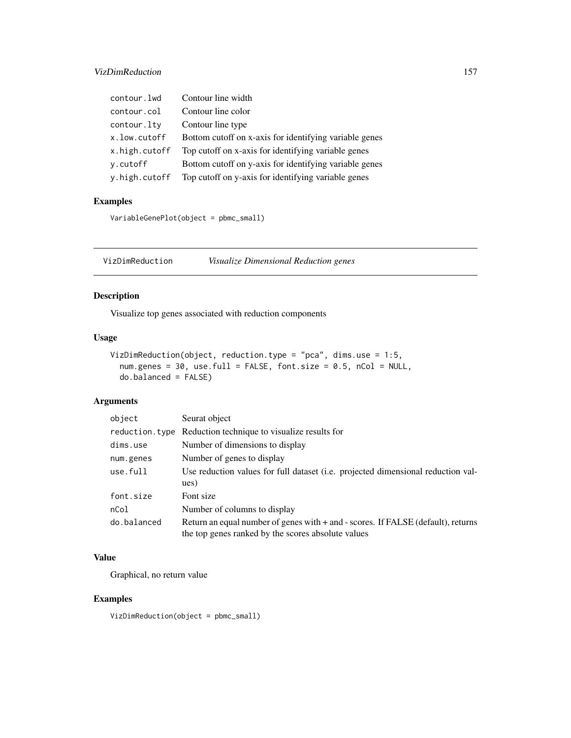<span id="page-156-0"></span>

| contour.lwd   | Contour line width                                     |
|---------------|--------------------------------------------------------|
| contour.col   | Contour line color                                     |
| contour.lty   | Contour line type                                      |
| x.low.cutoff  | Bottom cutoff on x-axis for identifying variable genes |
| x.high.cutoff | Top cutoff on x-axis for identifying variable genes    |
| y.cutoff      | Bottom cutoff on y-axis for identifying variable genes |
| y.high.cutoff | Top cutoff on y-axis for identifying variable genes    |

## Examples

```
VariableGenePlot(object = pbmc_small)
```
VizDimReduction *Visualize Dimensional Reduction genes*

## Description

Visualize top genes associated with reduction components

## Usage

```
VizDimReduction(object, reduction.type = "pca", dims.use = 1:5,
  num.genes = 30, use.full = FALSE, font.size = 0.5, nCol = NULL,
  do.balanced = FALSE)
```
## Arguments

| object      | Seurat object                                                                                                                          |  |
|-------------|----------------------------------------------------------------------------------------------------------------------------------------|--|
|             | reduction. type Reduction technique to visualize results for                                                                           |  |
| dims.use    | Number of dimensions to display                                                                                                        |  |
| num.genes   | Number of genes to display                                                                                                             |  |
| use.full    | Use reduction values for full dataset (i.e. projected dimensional reduction val-                                                       |  |
|             | ues)                                                                                                                                   |  |
| font.size   | Font size                                                                                                                              |  |
| nCol        | Number of columns to display                                                                                                           |  |
| do.balanced | Return an equal number of genes with + and - scores. If FALSE (default), returns<br>the top genes ranked by the scores absolute values |  |

## Value

Graphical, no return value

## Examples

VizDimReduction(object = pbmc\_small)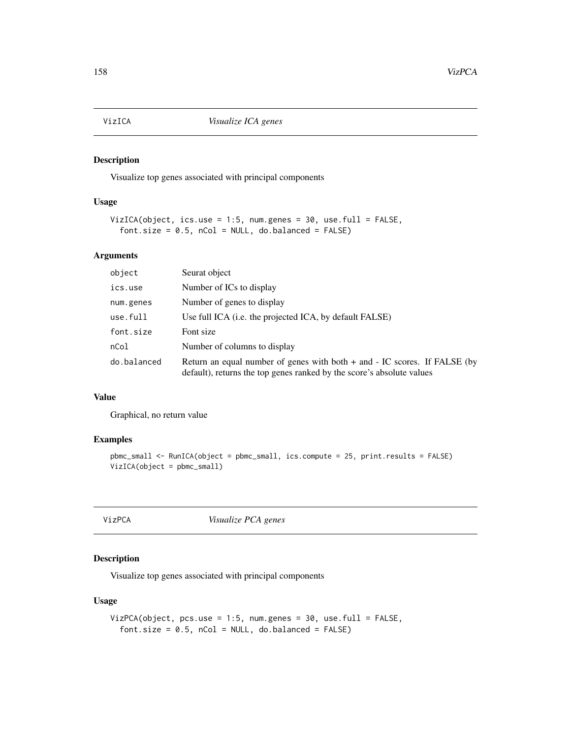<span id="page-157-0"></span>

## Description

Visualize top genes associated with principal components

## Usage

```
VizICA(object, ics.use = 1:5, num.genes = 30, use.full = FALSE,
  font.size = 0.5, nCol = NULL, do.balance = FALSE)
```
## Arguments

| object      | Seurat object                                                                                                                                      |
|-------------|----------------------------------------------------------------------------------------------------------------------------------------------------|
| ics.use     | Number of ICs to display                                                                                                                           |
| num.genes   | Number of genes to display                                                                                                                         |
| use.full    | Use full ICA ( <i>i.e.</i> the projected ICA, by default FALSE)                                                                                    |
| font.size   | Font size                                                                                                                                          |
| nCol        | Number of columns to display                                                                                                                       |
| do.balanced | Return an equal number of genes with both + and - IC scores. If FALSE (by<br>default), returns the top genes ranked by the score's absolute values |

#### Value

Graphical, no return value

#### Examples

```
pbmc_small <- RunICA(object = pbmc_small, ics.compute = 25, print.results = FALSE)
VizICA(object = pbmc_small)
```
VizPCA *Visualize PCA genes*

## Description

Visualize top genes associated with principal components

## Usage

```
VizPCA(object, pcs.use = 1:5, num.genes = 30, use.full = FALSE,
  font.size = 0.5, nCol = NULL, do.balance = FALSE)
```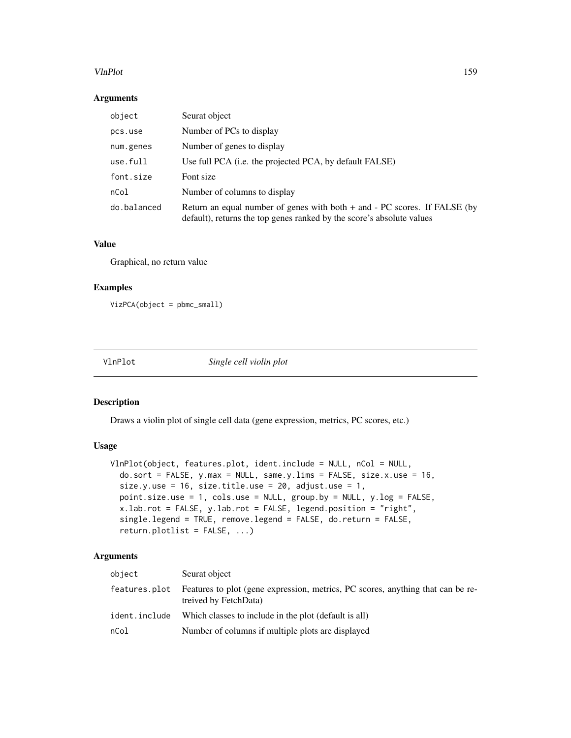#### <span id="page-158-0"></span>VlnPlot 159

## Arguments

| object      | Seurat object                                                                                                                                          |
|-------------|--------------------------------------------------------------------------------------------------------------------------------------------------------|
| pcs.use     | Number of PCs to display                                                                                                                               |
| num.genes   | Number of genes to display                                                                                                                             |
| use.full    | Use full PCA (i.e. the projected PCA, by default FALSE)                                                                                                |
| font.size   | Font size                                                                                                                                              |
| nCol        | Number of columns to display                                                                                                                           |
| do.balanced | Return an equal number of genes with both $+$ and $-$ PC scores. If FALSE (by<br>default), returns the top genes ranked by the score's absolute values |

## Value

Graphical, no return value

## Examples

```
VizPCA(object = pbmc_small)
```
VlnPlot *Single cell violin plot*

#### Description

Draws a violin plot of single cell data (gene expression, metrics, PC scores, etc.)

## Usage

```
VlnPlot(object, features.plot, ident.include = NULL, nCol = NULL,
  do.sort = FALSE, y.max = NULL, same.y.lims = FALSE, size.x.use = 16,
  size.y.use = 16, size.title.use = 20, adjust.use = 1,
 point.size.use = 1, cols.use = NULL, group.by = NULL, y.log = FALSE,
  x.lab.rot = FALSE, y.lab.rot = FALSE, legend.position = "right",
  single.legend = TRUE, remove.legend = FALSE, do.return = FALSE,
  return.plotlist = FALSE, ...)
```

| object        | Seurat object                                                                                            |
|---------------|----------------------------------------------------------------------------------------------------------|
| features.plot | Features to plot (gene expression, metrics, PC scores, anything that can be re-<br>treived by FetchData) |
| ident.include | Which classes to include in the plot (default is all)                                                    |
| nCol          | Number of columns if multiple plots are displayed                                                        |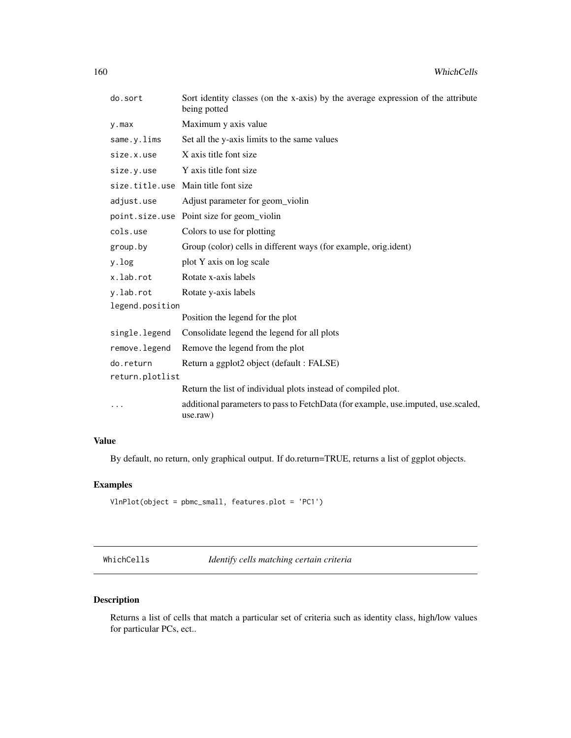<span id="page-159-0"></span>

| do.sort         | Sort identity classes (on the x-axis) by the average expression of the attribute<br>being potted |  |
|-----------------|--------------------------------------------------------------------------------------------------|--|
| $y$ . max       | Maximum y axis value                                                                             |  |
| same.y.lims     | Set all the y-axis limits to the same values                                                     |  |
| size.x.use      | X axis title font size                                                                           |  |
| size.y.use      | Y axis title font size                                                                           |  |
|                 | size.title.use Main title font size                                                              |  |
| adjust.use      | Adjust parameter for geom_violin                                                                 |  |
|                 | point size use Point size for geom_violin                                                        |  |
| cols.use        | Colors to use for plotting                                                                       |  |
| group.by        | Group (color) cells in different ways (for example, orig.ident)                                  |  |
| y.log           | plot Y axis on log scale                                                                         |  |
| x.lab.rot       | Rotate x-axis labels                                                                             |  |
| y.lab.rot       | Rotate y-axis labels                                                                             |  |
| legend.position |                                                                                                  |  |
|                 | Position the legend for the plot                                                                 |  |
| single.legend   | Consolidate legend the legend for all plots                                                      |  |
| remove.legend   | Remove the legend from the plot                                                                  |  |
| do.return       | Return a ggplot2 object (default: FALSE)                                                         |  |
| return.plotlist |                                                                                                  |  |
|                 | Return the list of individual plots instead of compiled plot.                                    |  |
| .               | additional parameters to pass to FetchData (for example, use.imputed, use.scaled,<br>use.raw)    |  |

## Value

By default, no return, only graphical output. If do.return=TRUE, returns a list of ggplot objects.

## Examples

```
VlnPlot(object = pbmc_small, features.plot = 'PC1')
```
WhichCells *Identify cells matching certain criteria*

## Description

Returns a list of cells that match a particular set of criteria such as identity class, high/low values for particular PCs, ect..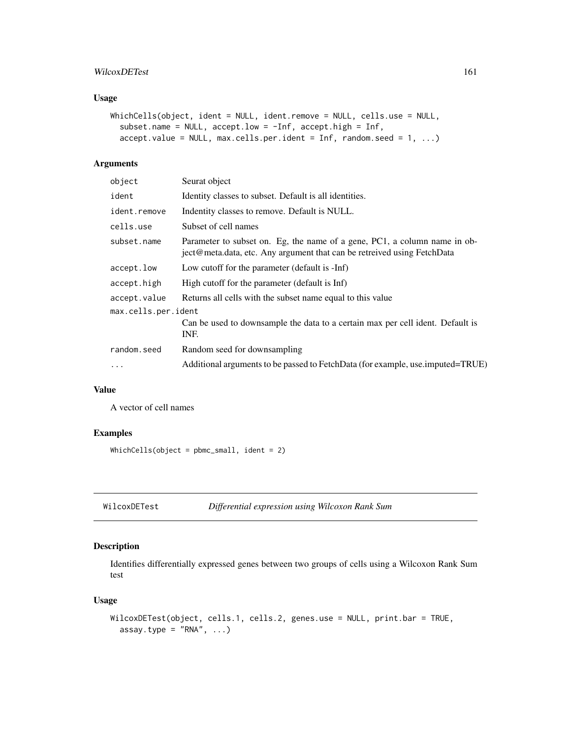#### <span id="page-160-0"></span>WilcoxDETest 161

## Usage

```
WhichCells(object, ident = NULL, ident.remove = NULL, cells.use = NULL,
  subset.name = NULL, accept.low = -Inf, accept.high = Inf,
  accept.value = NULL, max.cells.per.ident = Inf, random.seed = 1, ...)
```
## Arguments

| object              | Seurat object                                                                                                                                        |  |
|---------------------|------------------------------------------------------------------------------------------------------------------------------------------------------|--|
| ident               | Identity classes to subset. Default is all identities.                                                                                               |  |
| ident.remove        | Indentity classes to remove. Default is NULL.                                                                                                        |  |
| cells.use           | Subset of cell names                                                                                                                                 |  |
| subset.name         | Parameter to subset on. Eg, the name of a gene, PC1, a column name in ob-<br>ject@meta.data, etc. Any argument that can be retreived using FetchData |  |
| accept.low          | Low cutoff for the parameter (default is -Inf)                                                                                                       |  |
| accept.high         | High cutoff for the parameter (default is Inf)                                                                                                       |  |
| accept.value        | Returns all cells with the subset name equal to this value                                                                                           |  |
| max.cells.per.ident |                                                                                                                                                      |  |
|                     | Can be used to downsample the data to a certain max per cell ident. Default is<br>INF.                                                               |  |
| random.seed         | Random seed for downsampling                                                                                                                         |  |
| .                   | Additional arguments to be passed to FetchData (for example, use imputed=TRUE)                                                                       |  |
|                     |                                                                                                                                                      |  |

## Value

A vector of cell names

## Examples

WhichCells(object = pbmc\_small, ident = 2)

WilcoxDETest *Differential expression using Wilcoxon Rank Sum*

## Description

Identifies differentially expressed genes between two groups of cells using a Wilcoxon Rank Sum test

## Usage

```
WilcoxDETest(object, cells.1, cells.2, genes.use = NULL, print.bar = TRUE,
  assay.type = "RNA", ...)
```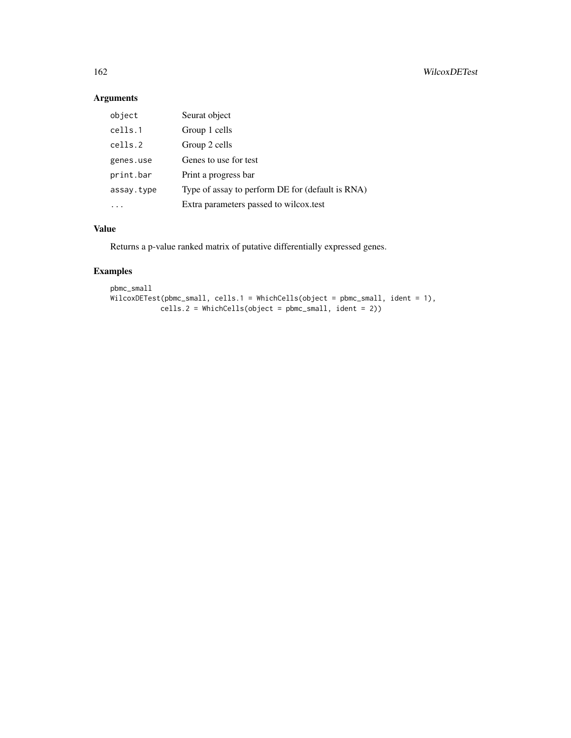## Arguments

| object     | Seurat object                                    |
|------------|--------------------------------------------------|
| cells.1    | Group 1 cells                                    |
| cells.2    | Group 2 cells                                    |
| genes.use  | Genes to use for test                            |
| print.bar  | Print a progress bar                             |
| assay.type | Type of assay to perform DE for (default is RNA) |
|            | Extra parameters passed to wilcox.test           |

## Value

Returns a p-value ranked matrix of putative differentially expressed genes.

## Examples

```
pbmc_small
WilcoxDETest(pbmc_small, cells.1 = WhichCells(object = pbmc_small, ident = 1),
            cells.2 = WhichCells(object = pbmc_small, ident = 2))
```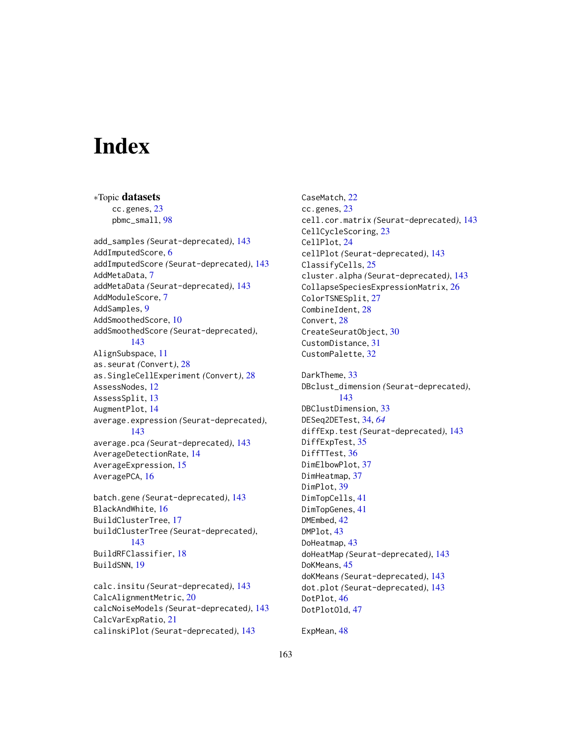# **Index**

∗Topic datasets cc.genes, [23](#page-22-0) pbmc\_small, [98](#page-97-0) add\_samples *(*Seurat-deprecated*)*, [143](#page-142-0) AddImputedScore, [6](#page-5-0) addImputedScore *(*Seurat-deprecated*)*, [143](#page-142-0) AddMetaData, [7](#page-6-0) addMetaData *(*Seurat-deprecated*)*, [143](#page-142-0) AddModuleScore, [7](#page-6-0) AddSamples, [9](#page-8-0) AddSmoothedScore, [10](#page-9-0) addSmoothedScore *(*Seurat-deprecated*)*, [143](#page-142-0) AlignSubspace, [11](#page-10-0) as.seurat *(*Convert*)*, [28](#page-27-0) as.SingleCellExperiment *(*Convert*)*, [28](#page-27-0) AssessNodes, [12](#page-11-0) AssessSplit, [13](#page-12-0) AugmentPlot, [14](#page-13-0) average.expression *(*Seurat-deprecated*)*, [143](#page-142-0) average.pca *(*Seurat-deprecated*)*, [143](#page-142-0) AverageDetectionRate, [14](#page-13-0) AverageExpression, [15](#page-14-0) AveragePCA, [16](#page-15-0) batch.gene *(*Seurat-deprecated*)*, [143](#page-142-0) BlackAndWhite, [16](#page-15-0) BuildClusterTree, [17](#page-16-0) buildClusterTree *(*Seurat-deprecated*)*, [143](#page-142-0) BuildRFClassifier, [18](#page-17-0) BuildSNN, [19](#page-18-0) calc.insitu *(*Seurat-deprecated*)*, [143](#page-142-0)

```
CalcAlignmentMetric, 20
calcNoiseModels (Seurat-deprecated), 143
CalcVarExpRatio, 21
calinskiPlot (Seurat-deprecated), 143
```
CaseMatch, [22](#page-21-0) cc.genes, [23](#page-22-0) cell.cor.matrix *(*Seurat-deprecated*)*, [143](#page-142-0) CellCycleScoring, [23](#page-22-0) CellPlot, [24](#page-23-0) cellPlot *(*Seurat-deprecated*)*, [143](#page-142-0) ClassifyCells, [25](#page-24-0) cluster.alpha *(*Seurat-deprecated*)*, [143](#page-142-0) CollapseSpeciesExpressionMatrix, [26](#page-25-0) ColorTSNESplit, [27](#page-26-0) CombineIdent, [28](#page-27-0) Convert, [28](#page-27-0) CreateSeuratObject, [30](#page-29-0) CustomDistance, [31](#page-30-0) CustomPalette, [32](#page-31-0) DarkTheme, [33](#page-32-0) DBclust\_dimension *(*Seurat-deprecated*)*, [143](#page-142-0) DBClustDimension, [33](#page-32-0) DESeq2DETest, [34,](#page-33-0) *[64](#page-63-0)* diffExp.test *(*Seurat-deprecated*)*, [143](#page-142-0) DiffExpTest, [35](#page-34-0) DiffTTest, [36](#page-35-0) DimElbowPlot, [37](#page-36-0) DimHeatmap, [37](#page-36-0) DimPlot, [39](#page-38-0) DimTopCells, [41](#page-40-0) DimTopGenes, [41](#page-40-0) DMEmbed, [42](#page-41-0) DMPlot, [43](#page-42-0) DoHeatmap, [43](#page-42-0) doHeatMap *(*Seurat-deprecated*)*, [143](#page-142-0) DoKMeans, [45](#page-44-0) doKMeans *(*Seurat-deprecated*)*, [143](#page-142-0) dot.plot *(*Seurat-deprecated*)*, [143](#page-142-0) DotPlot, [46](#page-45-0) DotPlotOld, [47](#page-46-0)

ExpMean, [48](#page-47-0)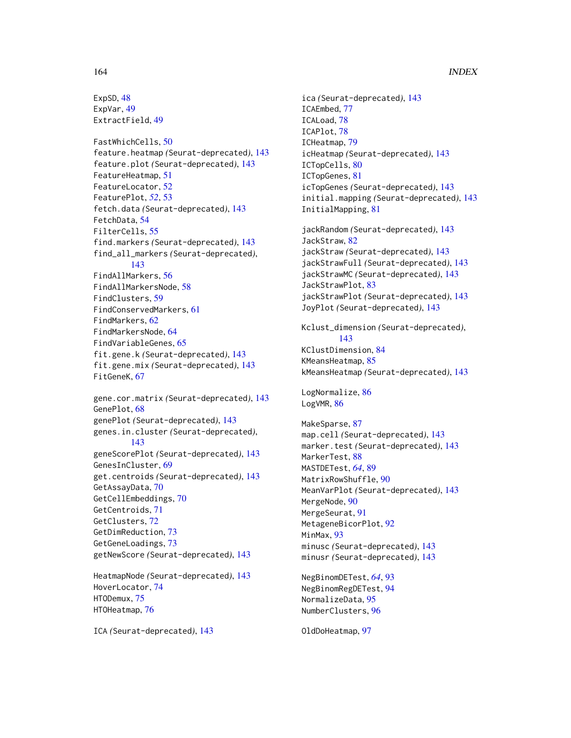## 164 INDEX

ExpSD, [48](#page-47-0) ExpVar, [49](#page-48-0) ExtractField, [49](#page-48-0)

FastWhichCells, [50](#page-49-0) feature.heatmap *(*Seurat-deprecated*)*, [143](#page-142-0) feature.plot *(*Seurat-deprecated*)*, [143](#page-142-0) FeatureHeatmap, [51](#page-50-0) FeatureLocator, [52](#page-51-0) FeaturePlot, *[52](#page-51-0)*, [53](#page-52-0) fetch.data *(*Seurat-deprecated*)*, [143](#page-142-0) FetchData, [54](#page-53-0) FilterCells, [55](#page-54-0) find.markers *(*Seurat-deprecated*)*, [143](#page-142-0) find\_all\_markers *(*Seurat-deprecated*)*, [143](#page-142-0) FindAllMarkers, [56](#page-55-0) FindAllMarkersNode, [58](#page-57-0) FindClusters, [59](#page-58-0) FindConservedMarkers, [61](#page-60-0) FindMarkers, [62](#page-61-0) FindMarkersNode, [64](#page-63-0) FindVariableGenes, [65](#page-64-0) fit.gene.k *(*Seurat-deprecated*)*, [143](#page-142-0) fit.gene.mix *(*Seurat-deprecated*)*, [143](#page-142-0) FitGeneK, [67](#page-66-0) gene.cor.matrix *(*Seurat-deprecated*)*, [143](#page-142-0) GenePlot, [68](#page-67-0) genePlot *(*Seurat-deprecated*)*, [143](#page-142-0) genes.in.cluster *(*Seurat-deprecated*)*, [143](#page-142-0) geneScorePlot *(*Seurat-deprecated*)*, [143](#page-142-0) GenesInCluster, [69](#page-68-0) get.centroids *(*Seurat-deprecated*)*, [143](#page-142-0) GetAssayData, [70](#page-69-0) GetCellEmbeddings, [70](#page-69-0) GetCentroids, [71](#page-70-0) GetClusters, [72](#page-71-0)

GetDimReduction, [73](#page-72-0) GetGeneLoadings, [73](#page-72-0) getNewScore *(*Seurat-deprecated*)*, [143](#page-142-0) HeatmapNode *(*Seurat-deprecated*)*, [143](#page-142-0)

HoverLocator, [74](#page-73-0) HTODemux, [75](#page-74-0) HTOHeatmap, [76](#page-75-0)

ICA *(*Seurat-deprecated*)*, [143](#page-142-0)

ica *(*Seurat-deprecated*)*, [143](#page-142-0) ICAEmbed, [77](#page-76-0) ICALoad, [78](#page-77-0) ICAPlot, [78](#page-77-0) ICHeatmap, [79](#page-78-0) icHeatmap *(*Seurat-deprecated*)*, [143](#page-142-0) ICTopCells, [80](#page-79-0) ICTopGenes, [81](#page-80-0) icTopGenes *(*Seurat-deprecated*)*, [143](#page-142-0) initial.mapping *(*Seurat-deprecated*)*, [143](#page-142-0) InitialMapping, [81](#page-80-0)

jackRandom *(*Seurat-deprecated*)*, [143](#page-142-0) JackStraw, [82](#page-81-0) jackStraw *(*Seurat-deprecated*)*, [143](#page-142-0) jackStrawFull *(*Seurat-deprecated*)*, [143](#page-142-0) jackStrawMC *(*Seurat-deprecated*)*, [143](#page-142-0) JackStrawPlot, [83](#page-82-0) jackStrawPlot *(*Seurat-deprecated*)*, [143](#page-142-0) JoyPlot *(*Seurat-deprecated*)*, [143](#page-142-0)

Kclust\_dimension *(*Seurat-deprecated*)*, [143](#page-142-0) KClustDimension, [84](#page-83-0) KMeansHeatmap, [85](#page-84-0) kMeansHeatmap *(*Seurat-deprecated*)*, [143](#page-142-0)

LogNormalize, [86](#page-85-0) LogVMR, [86](#page-85-0)

MakeSparse, [87](#page-86-0) map.cell *(*Seurat-deprecated*)*, [143](#page-142-0) marker.test *(*Seurat-deprecated*)*, [143](#page-142-0) MarkerTest, [88](#page-87-0) MASTDETest, *[64](#page-63-0)*, [89](#page-88-0) MatrixRowShuffle, [90](#page-89-0) MeanVarPlot *(*Seurat-deprecated*)*, [143](#page-142-0) MergeNode, [90](#page-89-0) MergeSeurat, [91](#page-90-0) MetageneBicorPlot, [92](#page-91-0) MinMax, [93](#page-92-0) minusc *(*Seurat-deprecated*)*, [143](#page-142-0) minusr *(*Seurat-deprecated*)*, [143](#page-142-0)

NegBinomDETest, *[64](#page-63-0)*, [93](#page-92-0) NegBinomRegDETest, [94](#page-93-0) NormalizeData, [95](#page-94-0) NumberClusters, [96](#page-95-0)

OldDoHeatmap, [97](#page-96-0)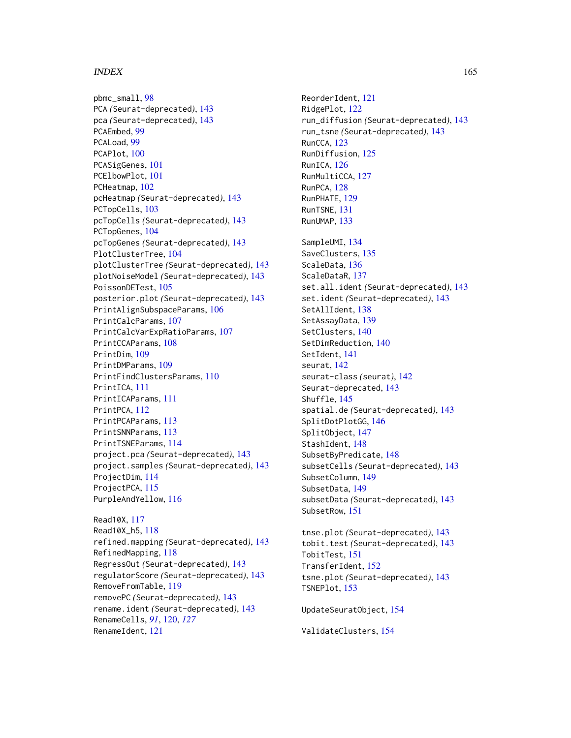#### INDEX 165

pbmc\_small, [98](#page-97-0) PCA *(*Seurat-deprecated*)*, [143](#page-142-0) pca *(*Seurat-deprecated*)*, [143](#page-142-0) PCAEmbed, [99](#page-98-0) PCALoad, [99](#page-98-0) PCAPlot, [100](#page-99-0) PCASigGenes, [101](#page-100-0) PCElbowPlot, [101](#page-100-0) PCHeatmap, [102](#page-101-0) pcHeatmap *(*Seurat-deprecated*)*, [143](#page-142-0) PCTopCells, [103](#page-102-0) pcTopCells *(*Seurat-deprecated*)*, [143](#page-142-0) PCTopGenes, [104](#page-103-0) pcTopGenes *(*Seurat-deprecated*)*, [143](#page-142-0) PlotClusterTree, [104](#page-103-0) plotClusterTree *(*Seurat-deprecated*)*, [143](#page-142-0) plotNoiseModel *(*Seurat-deprecated*)*, [143](#page-142-0) PoissonDETest, [105](#page-104-0) posterior.plot *(*Seurat-deprecated*)*, [143](#page-142-0) PrintAlignSubspaceParams, [106](#page-105-0) PrintCalcParams, [107](#page-106-0) PrintCalcVarExpRatioParams, [107](#page-106-0) PrintCCAParams, [108](#page-107-0) PrintDim, [109](#page-108-0) PrintDMParams, [109](#page-108-0) PrintFindClustersParams, [110](#page-109-0) PrintICA, [111](#page-110-0) PrintICAParams, [111](#page-110-0) PrintPCA, [112](#page-111-0) PrintPCAParams, [113](#page-112-0) PrintSNNParams, [113](#page-112-0) PrintTSNEParams, [114](#page-113-0) project.pca *(*Seurat-deprecated*)*, [143](#page-142-0) project.samples *(*Seurat-deprecated*)*, [143](#page-142-0) ProjectDim, [114](#page-113-0) ProjectPCA, [115](#page-114-0) PurpleAndYellow, [116](#page-115-0)

Read10X, [117](#page-116-0) Read10X\_h5, [118](#page-117-0) refined.mapping *(*Seurat-deprecated*)*, [143](#page-142-0) RefinedMapping, [118](#page-117-0) RegressOut *(*Seurat-deprecated*)*, [143](#page-142-0) regulatorScore *(*Seurat-deprecated*)*, [143](#page-142-0) RemoveFromTable, [119](#page-118-0) removePC *(*Seurat-deprecated*)*, [143](#page-142-0) rename.ident *(*Seurat-deprecated*)*, [143](#page-142-0) RenameCells, *[91](#page-90-0)*, [120,](#page-119-0) *[127](#page-126-0)* RenameIdent, [121](#page-120-0)

ReorderIdent, [121](#page-120-0) RidgePlot, [122](#page-121-0) run\_diffusion *(*Seurat-deprecated*)*, [143](#page-142-0) run\_tsne *(*Seurat-deprecated*)*, [143](#page-142-0) RunCCA, [123](#page-122-0) RunDiffusion, [125](#page-124-0) RunICA, [126](#page-125-0) RunMultiCCA, [127](#page-126-0) RunPCA, [128](#page-127-0) RunPHATE, [129](#page-128-0) RunTSNE, [131](#page-130-0) RunUMAP, [133](#page-132-0) SampleUMI, [134](#page-133-0) SaveClusters, [135](#page-134-0) ScaleData, [136](#page-135-0) ScaleDataR, [137](#page-136-0) set.all.ident *(*Seurat-deprecated*)*, [143](#page-142-0) set.ident *(*Seurat-deprecated*)*, [143](#page-142-0) SetAllIdent, [138](#page-137-0) SetAssayData, [139](#page-138-0) SetClusters, [140](#page-139-0) SetDimReduction, [140](#page-139-0) SetIdent, [141](#page-140-0) seurat, [142](#page-141-0) seurat-class *(*seurat*)*, [142](#page-141-0) Seurat-deprecated, [143](#page-142-0) Shuffle, [145](#page-144-0) spatial.de *(*Seurat-deprecated*)*, [143](#page-142-0) SplitDotPlotGG, [146](#page-145-0) SplitObject, [147](#page-146-0) StashIdent, [148](#page-147-0) SubsetByPredicate, [148](#page-147-0) subsetCells *(*Seurat-deprecated*)*, [143](#page-142-0) SubsetColumn, [149](#page-148-0) SubsetData, [149](#page-148-0) subsetData *(*Seurat-deprecated*)*, [143](#page-142-0) SubsetRow, [151](#page-150-0)

tnse.plot *(*Seurat-deprecated*)*, [143](#page-142-0) tobit.test *(*Seurat-deprecated*)*, [143](#page-142-0) TobitTest, [151](#page-150-0) TransferIdent, [152](#page-151-0) tsne.plot *(*Seurat-deprecated*)*, [143](#page-142-0) TSNEPlot, [153](#page-152-0)

UpdateSeuratObject, [154](#page-153-0)

ValidateClusters, [154](#page-153-0)